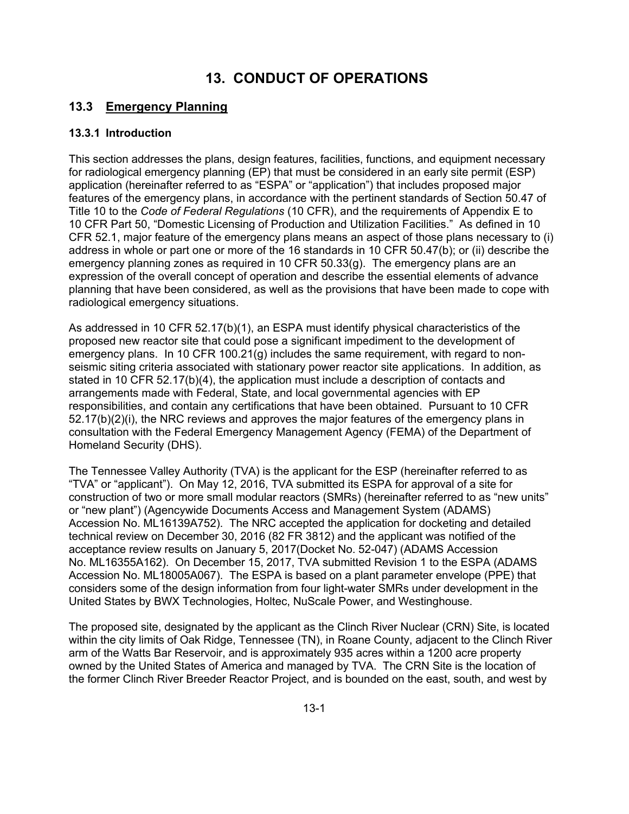# **13. CONDUCT OF OPERATIONS**

## **13.3 Emergency Planning**

### **13.3.1 Introduction**

This section addresses the plans, design features, facilities, functions, and equipment necessary for radiological emergency planning (EP) that must be considered in an early site permit (ESP) application (hereinafter referred to as "ESPA" or "application") that includes proposed major features of the emergency plans, in accordance with the pertinent standards of Section 50.47 of Title 10 to the *Code of Federal Regulations* (10 CFR), and the requirements of Appendix E to 10 CFR Part 50, "Domestic Licensing of Production and Utilization Facilities." As defined in 10 CFR 52.1, major feature of the emergency plans means an aspect of those plans necessary to (i) address in whole or part one or more of the 16 standards in 10 CFR 50.47(b); or (ii) describe the emergency planning zones as required in 10 CFR 50.33(g). The emergency plans are an expression of the overall concept of operation and describe the essential elements of advance planning that have been considered, as well as the provisions that have been made to cope with radiological emergency situations.

As addressed in 10 CFR 52.17(b)(1), an ESPA must identify physical characteristics of the proposed new reactor site that could pose a significant impediment to the development of emergency plans. In 10 CFR 100.21(g) includes the same requirement, with regard to nonseismic siting criteria associated with stationary power reactor site applications. In addition, as stated in 10 CFR 52.17(b)(4), the application must include a description of contacts and arrangements made with Federal, State, and local governmental agencies with EP responsibilities, and contain any certifications that have been obtained. Pursuant to 10 CFR 52.17(b)(2)(i), the NRC reviews and approves the major features of the emergency plans in consultation with the Federal Emergency Management Agency (FEMA) of the Department of Homeland Security (DHS).

The Tennessee Valley Authority (TVA) is the applicant for the ESP (hereinafter referred to as "TVA" or "applicant"). On May 12, 2016, TVA submitted its ESPA for approval of a site for construction of two or more small modular reactors (SMRs) (hereinafter referred to as "new units" or "new plant") (Agencywide Documents Access and Management System (ADAMS) Accession No. ML16139A752). The NRC accepted the application for docketing and detailed technical review on December 30, 2016 (82 FR 3812) and the applicant was notified of the acceptance review results on January 5, 2017(Docket No. 52-047) (ADAMS Accession No. ML16355A162). On December 15, 2017, TVA submitted Revision 1 to the ESPA (ADAMS Accession No. ML18005A067). The ESPA is based on a plant parameter envelope (PPE) that considers some of the design information from four light-water SMRs under development in the United States by BWX Technologies, Holtec, NuScale Power, and Westinghouse.

The proposed site, designated by the applicant as the Clinch River Nuclear (CRN) Site, is located within the city limits of Oak Ridge, Tennessee (TN), in Roane County, adjacent to the Clinch River arm of the Watts Bar Reservoir, and is approximately 935 acres within a 1200 acre property owned by the United States of America and managed by TVA. The CRN Site is the location of the former Clinch River Breeder Reactor Project, and is bounded on the east, south, and west by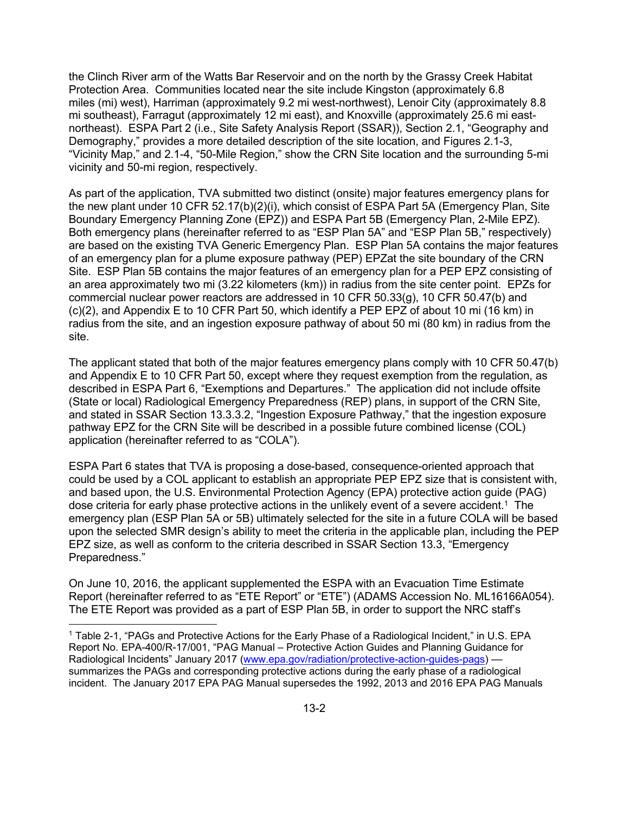the Clinch River arm of the Watts Bar Reservoir and on the north by the Grassy Creek Habitat Protection Area. Communities located near the site include Kingston (approximately 6.8 miles (mi) west), Harriman (approximately 9.2 mi west-northwest), Lenoir City (approximately 8.8 mi southeast), Farragut (approximately 12 mi east), and Knoxville (approximately 25.6 mi eastnortheast). ESPA Part 2 (i.e., Site Safety Analysis Report (SSAR)), Section 2.1, "Geography and Demography," provides a more detailed description of the site location, and Figures 2.1-3, "Vicinity Map," and 2.1-4, "50-Mile Region," show the CRN Site location and the surrounding 5-mi vicinity and 50-mi region, respectively.

As part of the application, TVA submitted two distinct (onsite) major features emergency plans for the new plant under 10 CFR 52.17(b)(2)(i), which consist of ESPA Part 5A (Emergency Plan, Site Boundary Emergency Planning Zone (EPZ)) and ESPA Part 5B (Emergency Plan, 2-Mile EPZ). Both emergency plans (hereinafter referred to as "ESP Plan 5A" and "ESP Plan 5B," respectively) are based on the existing TVA Generic Emergency Plan. ESP Plan 5A contains the major features of an emergency plan for a plume exposure pathway (PEP) EPZat the site boundary of the CRN Site. ESP Plan 5B contains the major features of an emergency plan for a PEP EPZ consisting of an area approximately two mi (3.22 kilometers (km)) in radius from the site center point. EPZs for commercial nuclear power reactors are addressed in 10 CFR 50.33(g), 10 CFR 50.47(b) and (c)(2), and Appendix E to 10 CFR Part 50, which identify a PEP EPZ of about 10 mi (16 km) in radius from the site, and an ingestion exposure pathway of about 50 mi (80 km) in radius from the site.

The applicant stated that both of the major features emergency plans comply with 10 CFR 50.47(b) and Appendix E to 10 CFR Part 50, except where they request exemption from the regulation, as described in ESPA Part 6, "Exemptions and Departures." The application did not include offsite (State or local) Radiological Emergency Preparedness (REP) plans, in support of the CRN Site, and stated in SSAR Section 13.3.3.2, "Ingestion Exposure Pathway," that the ingestion exposure pathway EPZ for the CRN Site will be described in a possible future combined license (COL) application (hereinafter referred to as "COLA").

ESPA Part 6 states that TVA is proposing a dose-based, consequence-oriented approach that could be used by a COL applicant to establish an appropriate PEP EPZ size that is consistent with, and based upon, the U.S. Environmental Protection Agency (EPA) protective action guide (PAG) dose criteria for early phase protective actions in the unlikely event of a severe accident.<sup>1</sup> The emergency plan (ESP Plan 5A or 5B) ultimately selected for the site in a future COLA will be based upon the selected SMR design's ability to meet the criteria in the applicable plan, including the PEP EPZ size, as well as conform to the criteria described in SSAR Section 13.3, "Emergency Preparedness."

On June 10, 2016, the applicant supplemented the ESPA with an Evacuation Time Estimate Report (hereinafter referred to as "ETE Report" or "ETE") (ADAMS Accession No. ML16166A054). The ETE Report was provided as a part of ESP Plan 5B, in order to support the NRC staff's

**.** 

<sup>1</sup> Table 2-1, "PAGs and Protective Actions for the Early Phase of a Radiological Incident," in U.S. EPA Report No. EPA-400/R-17/001, "PAG Manual – Protective Action Guides and Planning Guidance for Radiological Incidents" January 2017 (www.epa.gov/radiation/protective-action-guides-pags) summarizes the PAGs and corresponding protective actions during the early phase of a radiological incident. The January 2017 EPA PAG Manual supersedes the 1992, 2013 and 2016 EPA PAG Manuals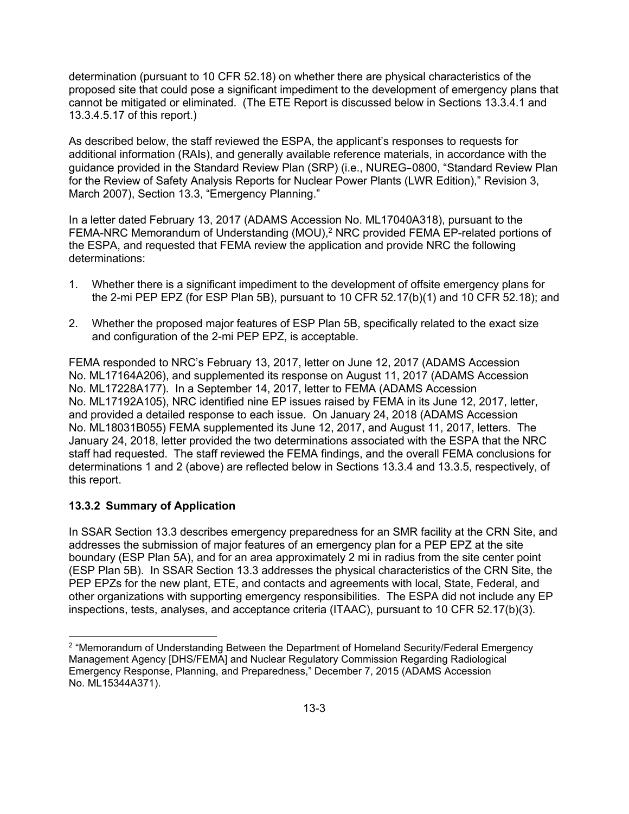determination (pursuant to 10 CFR 52.18) on whether there are physical characteristics of the proposed site that could pose a significant impediment to the development of emergency plans that cannot be mitigated or eliminated. (The ETE Report is discussed below in Sections 13.3.4.1 and 13.3.4.5.17 of this report.)

As described below, the staff reviewed the ESPA, the applicant's responses to requests for additional information (RAIs), and generally available reference materials, in accordance with the guidance provided in the Standard Review Plan (SRP) (i.e., NUREG–0800, "Standard Review Plan for the Review of Safety Analysis Reports for Nuclear Power Plants (LWR Edition)," Revision 3, March 2007), Section 13.3, "Emergency Planning."

In a letter dated February 13, 2017 (ADAMS Accession No. ML17040A318), pursuant to the FEMA-NRC Memorandum of Understanding (MOU),<sup>2</sup> NRC provided FEMA EP-related portions of the ESPA, and requested that FEMA review the application and provide NRC the following determinations:

- 1. Whether there is a significant impediment to the development of offsite emergency plans for the 2-mi PEP EPZ (for ESP Plan 5B), pursuant to 10 CFR 52.17(b)(1) and 10 CFR 52.18); and
- 2. Whether the proposed major features of ESP Plan 5B, specifically related to the exact size and configuration of the 2-mi PEP EPZ, is acceptable.

FEMA responded to NRC's February 13, 2017, letter on June 12, 2017 (ADAMS Accession No. ML17164A206), and supplemented its response on August 11, 2017 (ADAMS Accession No. ML17228A177). In a September 14, 2017, letter to FEMA (ADAMS Accession No. ML17192A105), NRC identified nine EP issues raised by FEMA in its June 12, 2017, letter, and provided a detailed response to each issue. On January 24, 2018 (ADAMS Accession No. ML18031B055) FEMA supplemented its June 12, 2017, and August 11, 2017, letters. The January 24, 2018, letter provided the two determinations associated with the ESPA that the NRC staff had requested. The staff reviewed the FEMA findings, and the overall FEMA conclusions for determinations 1 and 2 (above) are reflected below in Sections 13.3.4 and 13.3.5, respectively, of this report.

## **13.3.2 Summary of Application**

 $\overline{a}$ 

In SSAR Section 13.3 describes emergency preparedness for an SMR facility at the CRN Site, and addresses the submission of major features of an emergency plan for a PEP EPZ at the site boundary (ESP Plan 5A), and for an area approximately 2 mi in radius from the site center point (ESP Plan 5B). In SSAR Section 13.3 addresses the physical characteristics of the CRN Site, the PEP EPZs for the new plant, ETE, and contacts and agreements with local, State, Federal, and other organizations with supporting emergency responsibilities. The ESPA did not include any EP inspections, tests, analyses, and acceptance criteria (ITAAC), pursuant to 10 CFR 52.17(b)(3).

<sup>&</sup>lt;sup>2</sup> "Memorandum of Understanding Between the Department of Homeland Security/Federal Emergency Management Agency [DHS/FEMA] and Nuclear Regulatory Commission Regarding Radiological Emergency Response, Planning, and Preparedness," December 7, 2015 (ADAMS Accession No. ML15344A371).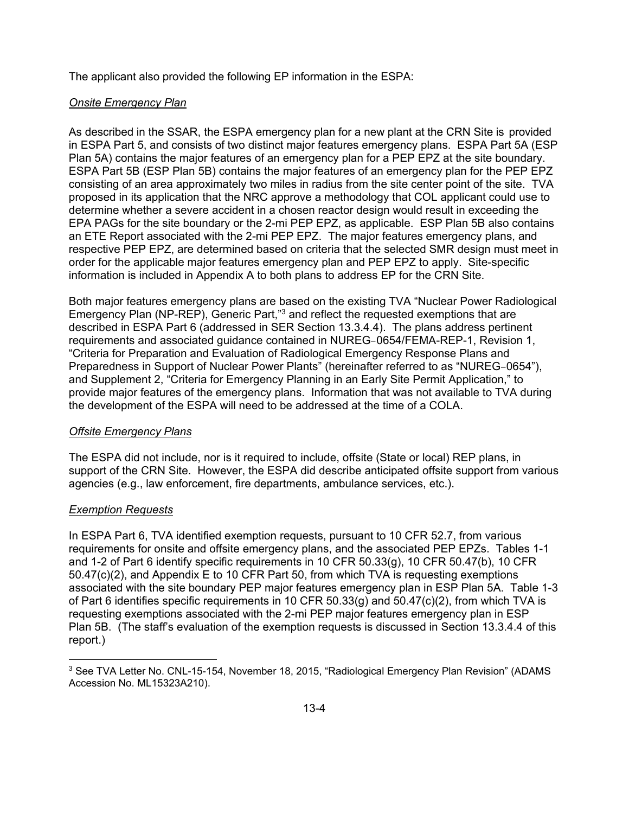The applicant also provided the following EP information in the ESPA:

### *Onsite Emergency Plan*

As described in the SSAR, the ESPA emergency plan for a new plant at the CRN Site is provided in ESPA Part 5, and consists of two distinct major features emergency plans. ESPA Part 5A (ESP Plan 5A) contains the major features of an emergency plan for a PEP EPZ at the site boundary. ESPA Part 5B (ESP Plan 5B) contains the major features of an emergency plan for the PEP EPZ consisting of an area approximately two miles in radius from the site center point of the site. TVA proposed in its application that the NRC approve a methodology that COL applicant could use to determine whether a severe accident in a chosen reactor design would result in exceeding the EPA PAGs for the site boundary or the 2-mi PEP EPZ, as applicable. ESP Plan 5B also contains an ETE Report associated with the 2-mi PEP EPZ. The major features emergency plans, and respective PEP EPZ, are determined based on criteria that the selected SMR design must meet in order for the applicable major features emergency plan and PEP EPZ to apply. Site-specific information is included in Appendix A to both plans to address EP for the CRN Site.

Both major features emergency plans are based on the existing TVA "Nuclear Power Radiological Emergency Plan (NP-REP), Generic Part,"3 and reflect the requested exemptions that are described in ESPA Part 6 (addressed in SER Section 13.3.4.4). The plans address pertinent requirements and associated guidance contained in NUREG–0654/FEMA-REP-1, Revision 1, "Criteria for Preparation and Evaluation of Radiological Emergency Response Plans and Preparedness in Support of Nuclear Power Plants" (hereinafter referred to as "NUREG–0654"), and Supplement 2, "Criteria for Emergency Planning in an Early Site Permit Application," to provide major features of the emergency plans. Information that was not available to TVA during the development of the ESPA will need to be addressed at the time of a COLA.

### *Offsite Emergency Plans*

The ESPA did not include, nor is it required to include, offsite (State or local) REP plans, in support of the CRN Site. However, the ESPA did describe anticipated offsite support from various agencies (e.g., law enforcement, fire departments, ambulance services, etc.).

### *Exemption Requests*

In ESPA Part 6, TVA identified exemption requests, pursuant to 10 CFR 52.7, from various requirements for onsite and offsite emergency plans, and the associated PEP EPZs. Tables 1-1 and 1-2 of Part 6 identify specific requirements in 10 CFR 50.33(g), 10 CFR 50.47(b), 10 CFR 50.47(c)(2), and Appendix E to 10 CFR Part 50, from which TVA is requesting exemptions associated with the site boundary PEP major features emergency plan in ESP Plan 5A. Table 1-3 of Part 6 identifies specific requirements in 10 CFR 50.33(g) and 50.47(c)(2), from which TVA is requesting exemptions associated with the 2-mi PEP major features emergency plan in ESP Plan 5B. (The staff's evaluation of the exemption requests is discussed in Section 13.3.4.4 of this report.)

**<sup>.</sup>** 3 See TVA Letter No. CNL-15-154, November 18, 2015, "Radiological Emergency Plan Revision" (ADAMS Accession No. ML15323A210).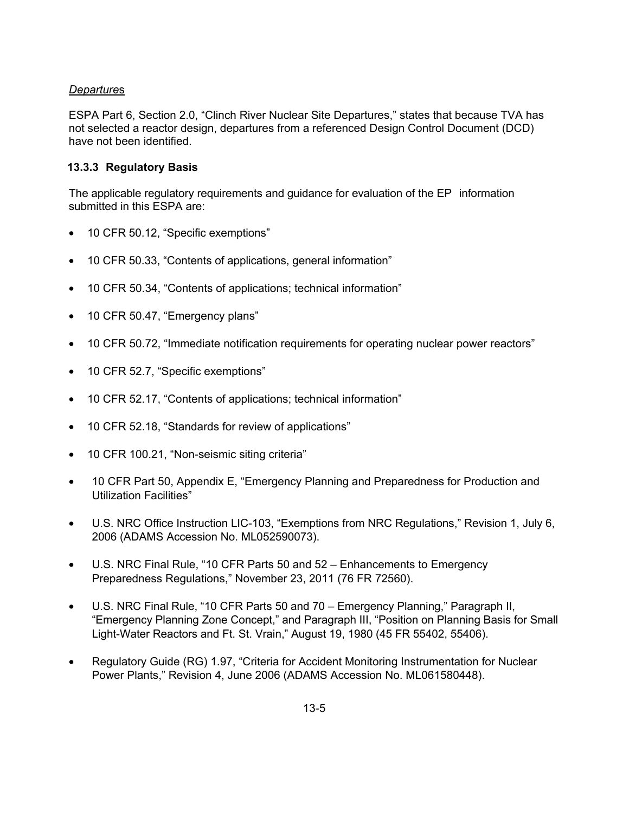## *Departure*s

ESPA Part 6, Section 2.0, "Clinch River Nuclear Site Departures," states that because TVA has not selected a reactor design, departures from a referenced Design Control Document (DCD) have not been identified.

## **13.3.3 Regulatory Basis**

The applicable regulatory requirements and guidance for evaluation of the EP information submitted in this ESPA are:

- 10 CFR 50.12, "Specific exemptions"
- 10 CFR 50.33, "Contents of applications, general information"
- 10 CFR 50.34, "Contents of applications; technical information"
- 10 CFR 50.47, "Emergency plans"
- 10 CFR 50.72, "Immediate notification requirements for operating nuclear power reactors"
- 10 CFR 52.7, "Specific exemptions"
- 10 CFR 52.17, "Contents of applications; technical information"
- 10 CFR 52.18, "Standards for review of applications"
- 10 CFR 100.21, "Non-seismic siting criteria"
- 10 CFR Part 50, Appendix E, "Emergency Planning and Preparedness for Production and Utilization Facilities"
- U.S. NRC Office Instruction LIC-103, "Exemptions from NRC Regulations," Revision 1, July 6, 2006 (ADAMS Accession No. ML052590073).
- U.S. NRC Final Rule, "10 CFR Parts 50 and 52 Enhancements to Emergency Preparedness Regulations," November 23, 2011 (76 FR 72560).
- U.S. NRC Final Rule, "10 CFR Parts 50 and 70 Emergency Planning," Paragraph II, "Emergency Planning Zone Concept," and Paragraph III, "Position on Planning Basis for Small Light-Water Reactors and Ft. St. Vrain," August 19, 1980 (45 FR 55402, 55406).
- Regulatory Guide (RG) 1.97, "Criteria for Accident Monitoring Instrumentation for Nuclear Power Plants," Revision 4, June 2006 (ADAMS Accession No. ML061580448).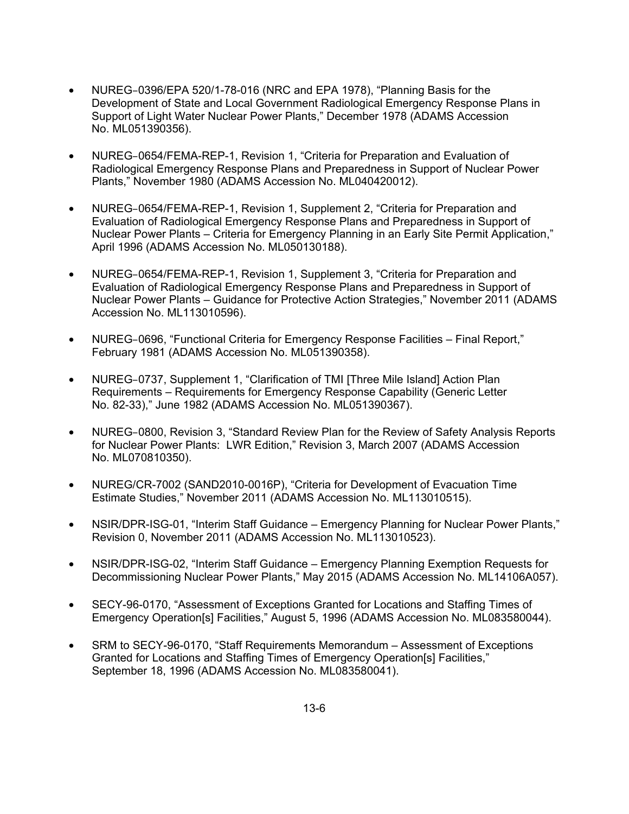- NUREG–0396/EPA 520/1-78-016 (NRC and EPA 1978), "Planning Basis for the Development of State and Local Government Radiological Emergency Response Plans in Support of Light Water Nuclear Power Plants," December 1978 (ADAMS Accession No. ML051390356).
- NUREG–0654/FEMA-REP-1, Revision 1, "Criteria for Preparation and Evaluation of Radiological Emergency Response Plans and Preparedness in Support of Nuclear Power Plants," November 1980 (ADAMS Accession No. ML040420012).
- NUREG–0654/FEMA-REP-1, Revision 1, Supplement 2, "Criteria for Preparation and Evaluation of Radiological Emergency Response Plans and Preparedness in Support of Nuclear Power Plants – Criteria for Emergency Planning in an Early Site Permit Application," April 1996 (ADAMS Accession No. ML050130188).
- NUREG–0654/FEMA-REP-1, Revision 1, Supplement 3, "Criteria for Preparation and Evaluation of Radiological Emergency Response Plans and Preparedness in Support of Nuclear Power Plants – Guidance for Protective Action Strategies," November 2011 (ADAMS Accession No. ML113010596).
- NUREG–0696, "Functional Criteria for Emergency Response Facilities Final Report," February 1981 (ADAMS Accession No. ML051390358).
- NUREG–0737, Supplement 1, "Clarification of TMI [Three Mile Island] Action Plan Requirements – Requirements for Emergency Response Capability (Generic Letter No. 82-33)," June 1982 (ADAMS Accession No. ML051390367).
- NUREG–0800, Revision 3, "Standard Review Plan for the Review of Safety Analysis Reports for Nuclear Power Plants: LWR Edition," Revision 3, March 2007 (ADAMS Accession No. ML070810350).
- NUREG/CR-7002 (SAND2010-0016P), "Criteria for Development of Evacuation Time Estimate Studies," November 2011 (ADAMS Accession No. ML113010515).
- NSIR/DPR-ISG-01, "Interim Staff Guidance Emergency Planning for Nuclear Power Plants," Revision 0, November 2011 (ADAMS Accession No. ML113010523).
- NSIR/DPR-ISG-02, "Interim Staff Guidance Emergency Planning Exemption Requests for Decommissioning Nuclear Power Plants," May 2015 (ADAMS Accession No. ML14106A057).
- SECY-96-0170, "Assessment of Exceptions Granted for Locations and Staffing Times of Emergency Operation[s] Facilities," August 5, 1996 (ADAMS Accession No. ML083580044).
- SRM to SECY-96-0170, "Staff Requirements Memorandum Assessment of Exceptions Granted for Locations and Staffing Times of Emergency Operation[s] Facilities," September 18, 1996 (ADAMS Accession No. ML083580041).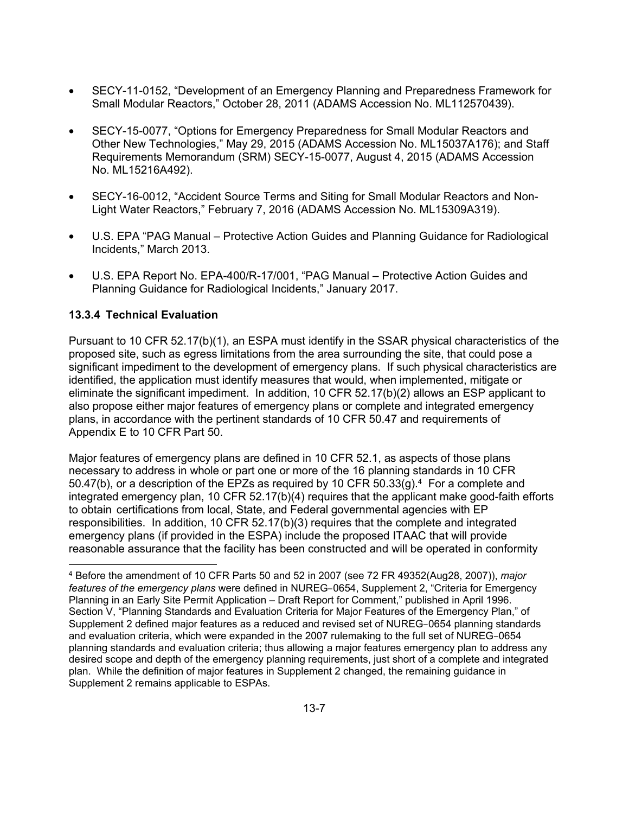- SECY-11-0152, "Development of an Emergency Planning and Preparedness Framework for Small Modular Reactors," October 28, 2011 (ADAMS Accession No. ML112570439).
- SECY-15-0077, "Options for Emergency Preparedness for Small Modular Reactors and Other New Technologies," May 29, 2015 (ADAMS Accession No. ML15037A176); and Staff Requirements Memorandum (SRM) SECY-15-0077, August 4, 2015 (ADAMS Accession No. ML15216A492).
- SECY-16-0012, "Accident Source Terms and Siting for Small Modular Reactors and Non-Light Water Reactors," February 7, 2016 (ADAMS Accession No. ML15309A319).
- U.S. EPA "PAG Manual Protective Action Guides and Planning Guidance for Radiological Incidents," March 2013.
- U.S. EPA Report No. EPA-400/R-17/001, "PAG Manual Protective Action Guides and Planning Guidance for Radiological Incidents," January 2017.

## **13.3.4 Technical Evaluation**

**.** 

Pursuant to 10 CFR 52.17(b)(1), an ESPA must identify in the SSAR physical characteristics of the proposed site, such as egress limitations from the area surrounding the site, that could pose a significant impediment to the development of emergency plans. If such physical characteristics are identified, the application must identify measures that would, when implemented, mitigate or eliminate the significant impediment. In addition, 10 CFR 52.17(b)(2) allows an ESP applicant to also propose either major features of emergency plans or complete and integrated emergency plans, in accordance with the pertinent standards of 10 CFR 50.47 and requirements of Appendix E to 10 CFR Part 50.

Major features of emergency plans are defined in 10 CFR 52.1, as aspects of those plans necessary to address in whole or part one or more of the 16 planning standards in 10 CFR 50.47(b), or a description of the EPZs as required by 10 CFR 50.33(g).<sup>4</sup> For a complete and integrated emergency plan, 10 CFR 52.17(b)(4) requires that the applicant make good-faith efforts to obtain certifications from local, State, and Federal governmental agencies with EP responsibilities. In addition, 10 CFR 52.17(b)(3) requires that the complete and integrated emergency plans (if provided in the ESPA) include the proposed ITAAC that will provide reasonable assurance that the facility has been constructed and will be operated in conformity

<sup>4</sup> Before the amendment of 10 CFR Parts 50 and 52 in 2007 (see 72 FR 49352(Aug28, 2007)), *major features of the emergency plans* were defined in NUREG–0654, Supplement 2, "Criteria for Emergency Planning in an Early Site Permit Application – Draft Report for Comment," published in April 1996. Section V, "Planning Standards and Evaluation Criteria for Major Features of the Emergency Plan," of Supplement 2 defined major features as a reduced and revised set of NUREG–0654 planning standards and evaluation criteria, which were expanded in the 2007 rulemaking to the full set of NUREG–0654 planning standards and evaluation criteria; thus allowing a major features emergency plan to address any desired scope and depth of the emergency planning requirements, just short of a complete and integrated plan. While the definition of major features in Supplement 2 changed, the remaining guidance in Supplement 2 remains applicable to ESPAs.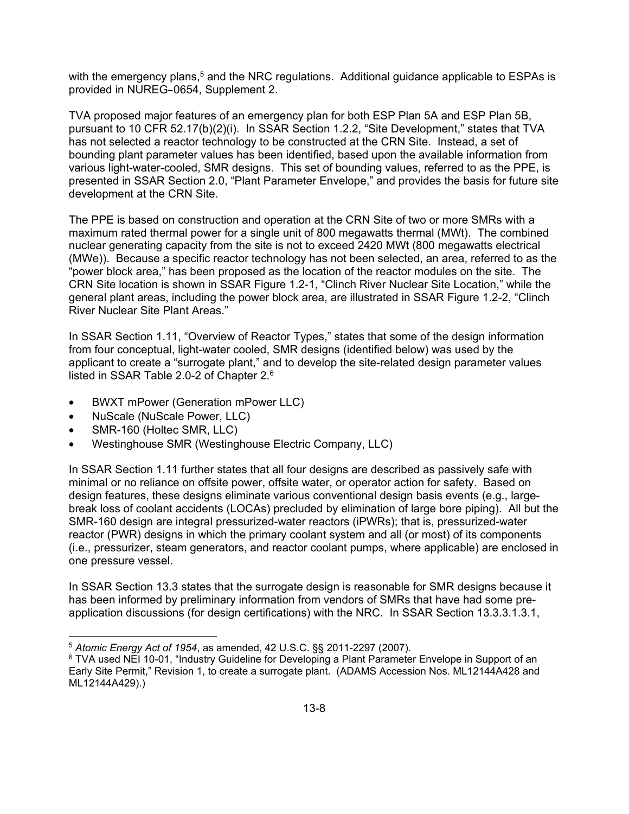with the emergency plans,<sup>5</sup> and the NRC regulations. Additional guidance applicable to ESPAs is provided in NUREG–0654, Supplement 2.

TVA proposed major features of an emergency plan for both ESP Plan 5A and ESP Plan 5B, pursuant to 10 CFR 52.17(b)(2)(i). In SSAR Section 1.2.2, "Site Development," states that TVA has not selected a reactor technology to be constructed at the CRN Site. Instead, a set of bounding plant parameter values has been identified, based upon the available information from various light-water-cooled, SMR designs. This set of bounding values, referred to as the PPE, is presented in SSAR Section 2.0, "Plant Parameter Envelope," and provides the basis for future site development at the CRN Site.

The PPE is based on construction and operation at the CRN Site of two or more SMRs with a maximum rated thermal power for a single unit of 800 megawatts thermal (MWt). The combined nuclear generating capacity from the site is not to exceed 2420 MWt (800 megawatts electrical (MWe)). Because a specific reactor technology has not been selected, an area, referred to as the "power block area," has been proposed as the location of the reactor modules on the site. The CRN Site location is shown in SSAR Figure 1.2-1, "Clinch River Nuclear Site Location," while the general plant areas, including the power block area, are illustrated in SSAR Figure 1.2-2, "Clinch River Nuclear Site Plant Areas."

In SSAR Section 1.11, "Overview of Reactor Types," states that some of the design information from four conceptual, light-water cooled, SMR designs (identified below) was used by the applicant to create a "surrogate plant," and to develop the site-related design parameter values listed in SSAR Table 2.0-2 of Chapter 2.6

- BWXT mPower (Generation mPower LLC)
- NuScale (NuScale Power, LLC)
- SMR-160 (Holtec SMR, LLC)

 $\overline{a}$ 

• Westinghouse SMR (Westinghouse Electric Company, LLC)

In SSAR Section 1.11 further states that all four designs are described as passively safe with minimal or no reliance on offsite power, offsite water, or operator action for safety. Based on design features, these designs eliminate various conventional design basis events (e.g., largebreak loss of coolant accidents (LOCAs) precluded by elimination of large bore piping). All but the SMR-160 design are integral pressurized-water reactors (iPWRs); that is, pressurized-water reactor (PWR) designs in which the primary coolant system and all (or most) of its components (i.e., pressurizer, steam generators, and reactor coolant pumps, where applicable) are enclosed in one pressure vessel.

In SSAR Section 13.3 states that the surrogate design is reasonable for SMR designs because it has been informed by preliminary information from vendors of SMRs that have had some preapplication discussions (for design certifications) with the NRC. In SSAR Section 13.3.3.1.3.1,

<sup>5</sup> *Atomic Energy Act of 1954*, as amended, 42 U.S.C. §§ 2011-2297 (2007).

<sup>&</sup>lt;sup>6</sup> TVA used NEI 10-01, "Industry Guideline for Developing a Plant Parameter Envelope in Support of an Early Site Permit," Revision 1, to create a surrogate plant. (ADAMS Accession Nos. ML12144A428 and ML12144A429).)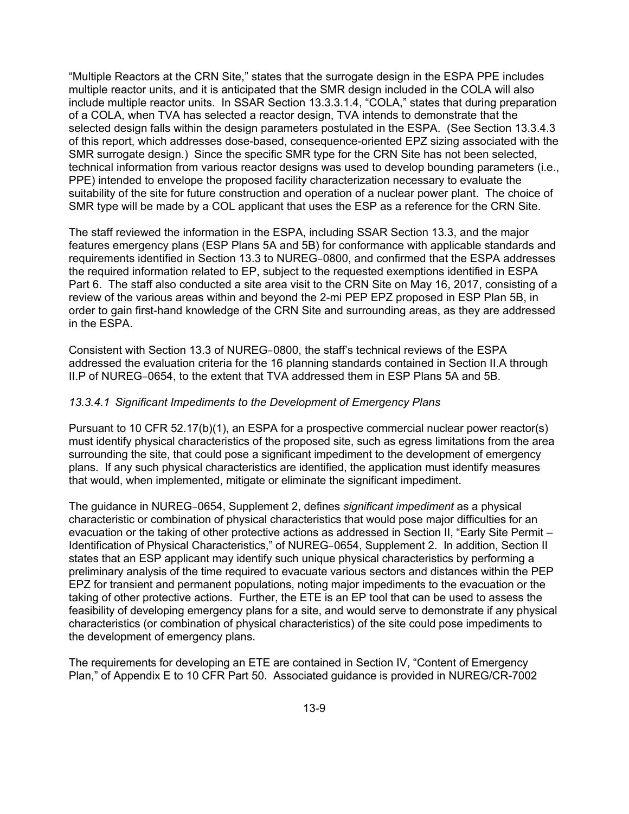"Multiple Reactors at the CRN Site," states that the surrogate design in the ESPA PPE includes multiple reactor units, and it is anticipated that the SMR design included in the COLA will also include multiple reactor units. In SSAR Section 13.3.3.1.4, "COLA," states that during preparation of a COLA, when TVA has selected a reactor design, TVA intends to demonstrate that the selected design falls within the design parameters postulated in the ESPA. (See Section 13.3.4.3 of this report, which addresses dose-based, consequence-oriented EPZ sizing associated with the SMR surrogate design.) Since the specific SMR type for the CRN Site has not been selected, technical information from various reactor designs was used to develop bounding parameters (i.e., PPE) intended to envelope the proposed facility characterization necessary to evaluate the suitability of the site for future construction and operation of a nuclear power plant. The choice of SMR type will be made by a COL applicant that uses the ESP as a reference for the CRN Site.

The staff reviewed the information in the ESPA, including SSAR Section 13.3, and the major features emergency plans (ESP Plans 5A and 5B) for conformance with applicable standards and requirements identified in Section 13.3 to NUREG–0800, and confirmed that the ESPA addresses the required information related to EP, subject to the requested exemptions identified in ESPA Part 6. The staff also conducted a site area visit to the CRN Site on May 16, 2017, consisting of a review of the various areas within and beyond the 2-mi PEP EPZ proposed in ESP Plan 5B, in order to gain first-hand knowledge of the CRN Site and surrounding areas, as they are addressed in the ESPA.

Consistent with Section 13.3 of NUREG–0800, the staff's technical reviews of the ESPA addressed the evaluation criteria for the 16 planning standards contained in Section II.A through II.P of NUREG–0654, to the extent that TVA addressed them in ESP Plans 5A and 5B.

#### *13.3.4.1 Significant Impediments to the Development of Emergency Plans*

Pursuant to 10 CFR 52.17(b)(1), an ESPA for a prospective commercial nuclear power reactor(s) must identify physical characteristics of the proposed site, such as egress limitations from the area surrounding the site, that could pose a significant impediment to the development of emergency plans. If any such physical characteristics are identified, the application must identify measures that would, when implemented, mitigate or eliminate the significant impediment.

The guidance in NUREG–0654, Supplement 2, defines *significant impediment* as a physical characteristic or combination of physical characteristics that would pose major difficulties for an evacuation or the taking of other protective actions as addressed in Section II, "Early Site Permit – Identification of Physical Characteristics," of NUREG–0654, Supplement 2. In addition, Section II states that an ESP applicant may identify such unique physical characteristics by performing a preliminary analysis of the time required to evacuate various sectors and distances within the PEP EPZ for transient and permanent populations, noting major impediments to the evacuation or the taking of other protective actions. Further, the ETE is an EP tool that can be used to assess the feasibility of developing emergency plans for a site, and would serve to demonstrate if any physical characteristics (or combination of physical characteristics) of the site could pose impediments to the development of emergency plans.

The requirements for developing an ETE are contained in Section IV, "Content of Emergency Plan," of Appendix E to 10 CFR Part 50. Associated guidance is provided in NUREG/CR-7002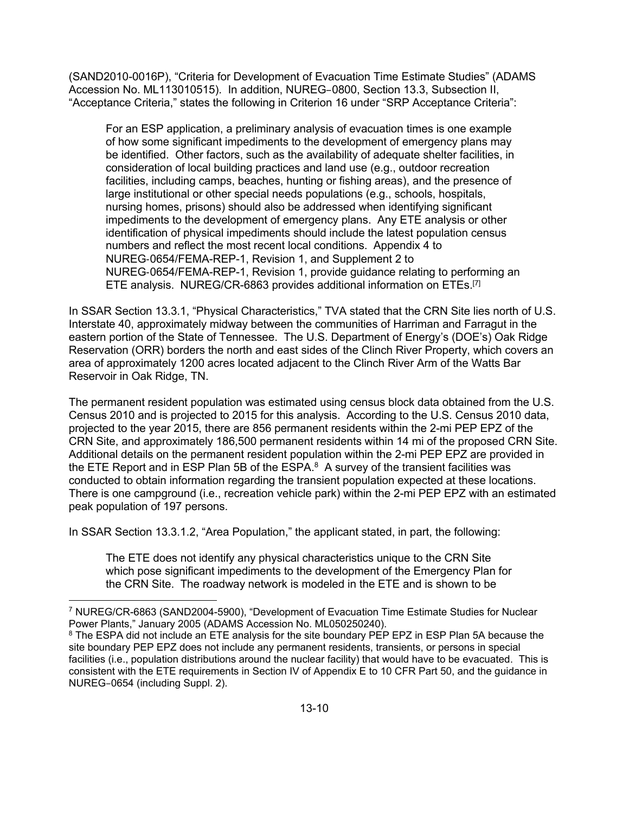(SAND2010-0016P), "Criteria for Development of Evacuation Time Estimate Studies" (ADAMS Accession No. ML113010515). In addition, NUREG–0800, Section 13.3, Subsection II, "Acceptance Criteria," states the following in Criterion 16 under "SRP Acceptance Criteria":

For an ESP application, a preliminary analysis of evacuation times is one example of how some significant impediments to the development of emergency plans may be identified. Other factors, such as the availability of adequate shelter facilities, in consideration of local building practices and land use (e.g., outdoor recreation facilities, including camps, beaches, hunting or fishing areas), and the presence of large institutional or other special needs populations (e.g., schools, hospitals, nursing homes, prisons) should also be addressed when identifying significant impediments to the development of emergency plans. Any ETE analysis or other identification of physical impediments should include the latest population census numbers and reflect the most recent local conditions. Appendix 4 to NUREG-0654/FEMA-REP-1, Revision 1, and Supplement 2 to NUREG-0654/FEMA-REP-1, Revision 1, provide guidance relating to performing an ETE analysis. NUREG/CR-6863 provides additional information on ETEs.[7]

In SSAR Section 13.3.1, "Physical Characteristics," TVA stated that the CRN Site lies north of U.S. Interstate 40, approximately midway between the communities of Harriman and Farragut in the eastern portion of the State of Tennessee. The U.S. Department of Energy's (DOE's) Oak Ridge Reservation (ORR) borders the north and east sides of the Clinch River Property, which covers an area of approximately 1200 acres located adjacent to the Clinch River Arm of the Watts Bar Reservoir in Oak Ridge, TN.

The permanent resident population was estimated using census block data obtained from the U.S. Census 2010 and is projected to 2015 for this analysis. According to the U.S. Census 2010 data, projected to the year 2015, there are 856 permanent residents within the 2-mi PEP EPZ of the CRN Site, and approximately 186,500 permanent residents within 14 mi of the proposed CRN Site. Additional details on the permanent resident population within the 2-mi PEP EPZ are provided in the ETE Report and in ESP Plan 5B of the ESPA. $8$  A survey of the transient facilities was conducted to obtain information regarding the transient population expected at these locations. There is one campground (i.e., recreation vehicle park) within the 2-mi PEP EPZ with an estimated peak population of 197 persons.

In SSAR Section 13.3.1.2, "Area Population," the applicant stated, in part, the following:

The ETE does not identify any physical characteristics unique to the CRN Site which pose significant impediments to the development of the Emergency Plan for the CRN Site. The roadway network is modeled in the ETE and is shown to be

**<sup>.</sup>** 7 NUREG/CR-6863 (SAND2004-5900), "Development of Evacuation Time Estimate Studies for Nuclear Power Plants," January 2005 (ADAMS Accession No. ML050250240).

 $8$  The ESPA did not include an ETE analysis for the site boundary PEP EPZ in ESP Plan 5A because the site boundary PEP EPZ does not include any permanent residents, transients, or persons in special facilities (i.e., population distributions around the nuclear facility) that would have to be evacuated. This is consistent with the ETE requirements in Section IV of Appendix E to 10 CFR Part 50, and the guidance in NUREG–0654 (including Suppl. 2).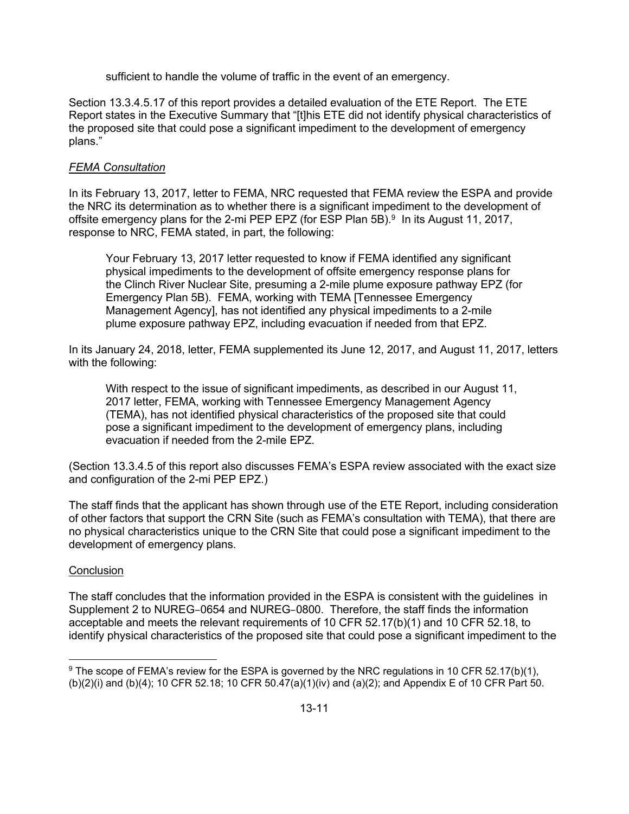sufficient to handle the volume of traffic in the event of an emergency.

Section 13.3.4.5.17 of this report provides a detailed evaluation of the ETE Report. The ETE Report states in the Executive Summary that "[t]his ETE did not identify physical characteristics of the proposed site that could pose a significant impediment to the development of emergency plans."

### *FEMA Consultation*

In its February 13, 2017, letter to FEMA, NRC requested that FEMA review the ESPA and provide the NRC its determination as to whether there is a significant impediment to the development of offsite emergency plans for the 2-mi PEP EPZ (for ESP Plan  $5B$ ).<sup>9</sup> In its August 11, 2017, response to NRC, FEMA stated, in part, the following:

Your February 13, 2017 letter requested to know if FEMA identified any significant physical impediments to the development of offsite emergency response plans for the Clinch River Nuclear Site, presuming a 2-mile plume exposure pathway EPZ (for Emergency Plan 5B). FEMA, working with TEMA [Tennessee Emergency Management Agency], has not identified any physical impediments to a 2-mile plume exposure pathway EPZ, including evacuation if needed from that EPZ.

In its January 24, 2018, letter, FEMA supplemented its June 12, 2017, and August 11, 2017, letters with the following:

With respect to the issue of significant impediments, as described in our August 11, 2017 letter, FEMA, working with Tennessee Emergency Management Agency (TEMA), has not identified physical characteristics of the proposed site that could pose a significant impediment to the development of emergency plans, including evacuation if needed from the 2-mile EPZ.

(Section 13.3.4.5 of this report also discusses FEMA's ESPA review associated with the exact size and configuration of the 2-mi PEP EPZ.)

The staff finds that the applicant has shown through use of the ETE Report, including consideration of other factors that support the CRN Site (such as FEMA's consultation with TEMA), that there are no physical characteristics unique to the CRN Site that could pose a significant impediment to the development of emergency plans.

#### **Conclusion**

The staff concludes that the information provided in the ESPA is consistent with the guidelines in Supplement 2 to NUREG–0654 and NUREG–0800. Therefore, the staff finds the information acceptable and meets the relevant requirements of 10 CFR 52.17(b)(1) and 10 CFR 52.18, to identify physical characteristics of the proposed site that could pose a significant impediment to the

**<sup>.</sup>** <sup>9</sup> The scope of FEMA's review for the ESPA is governed by the NRC regulations in 10 CFR 52.17(b)(1), (b)(2)(i) and (b)(4); 10 CFR 52.18; 10 CFR 50.47(a)(1)(iv) and (a)(2); and Appendix E of 10 CFR Part 50.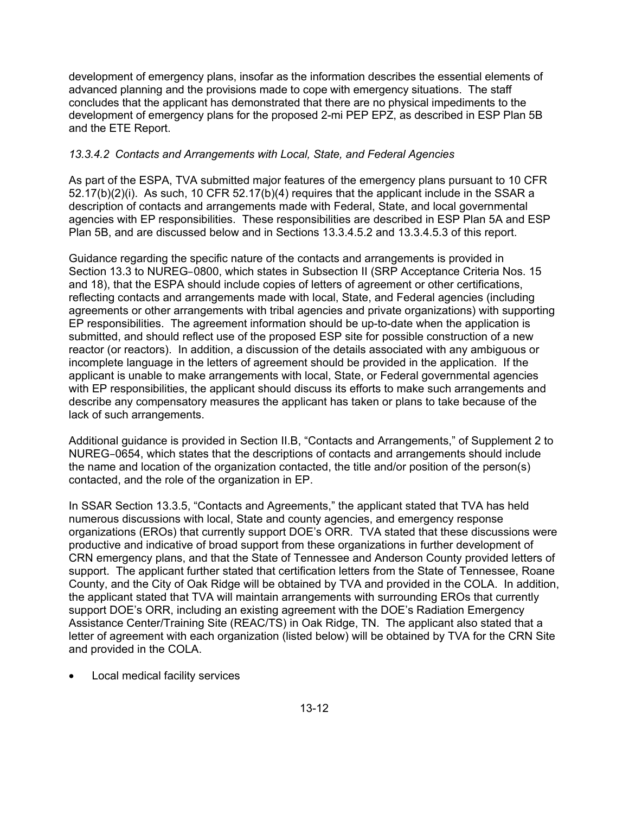development of emergency plans, insofar as the information describes the essential elements of advanced planning and the provisions made to cope with emergency situations. The staff concludes that the applicant has demonstrated that there are no physical impediments to the development of emergency plans for the proposed 2-mi PEP EPZ, as described in ESP Plan 5B and the ETE Report.

## *13.3.4.2 Contacts and Arrangements with Local, State, and Federal Agencies*

As part of the ESPA, TVA submitted major features of the emergency plans pursuant to 10 CFR 52.17(b)(2)(i). As such, 10 CFR 52.17(b)(4) requires that the applicant include in the SSAR a description of contacts and arrangements made with Federal, State, and local governmental agencies with EP responsibilities. These responsibilities are described in ESP Plan 5A and ESP Plan 5B, and are discussed below and in Sections 13.3.4.5.2 and 13.3.4.5.3 of this report.

Guidance regarding the specific nature of the contacts and arrangements is provided in Section 13.3 to NUREG–0800, which states in Subsection II (SRP Acceptance Criteria Nos. 15 and 18), that the ESPA should include copies of letters of agreement or other certifications, reflecting contacts and arrangements made with local, State, and Federal agencies (including agreements or other arrangements with tribal agencies and private organizations) with supporting EP responsibilities. The agreement information should be up-to-date when the application is submitted, and should reflect use of the proposed ESP site for possible construction of a new reactor (or reactors). In addition, a discussion of the details associated with any ambiguous or incomplete language in the letters of agreement should be provided in the application. If the applicant is unable to make arrangements with local, State, or Federal governmental agencies with EP responsibilities, the applicant should discuss its efforts to make such arrangements and describe any compensatory measures the applicant has taken or plans to take because of the lack of such arrangements.

Additional guidance is provided in Section II.B, "Contacts and Arrangements," of Supplement 2 to NUREG–0654, which states that the descriptions of contacts and arrangements should include the name and location of the organization contacted, the title and/or position of the person(s) contacted, and the role of the organization in EP.

In SSAR Section 13.3.5, "Contacts and Agreements," the applicant stated that TVA has held numerous discussions with local, State and county agencies, and emergency response organizations (EROs) that currently support DOE's ORR. TVA stated that these discussions were productive and indicative of broad support from these organizations in further development of CRN emergency plans, and that the State of Tennessee and Anderson County provided letters of support. The applicant further stated that certification letters from the State of Tennessee, Roane County, and the City of Oak Ridge will be obtained by TVA and provided in the COLA. In addition, the applicant stated that TVA will maintain arrangements with surrounding EROs that currently support DOE's ORR, including an existing agreement with the DOE's Radiation Emergency Assistance Center/Training Site (REAC/TS) in Oak Ridge, TN. The applicant also stated that a letter of agreement with each organization (listed below) will be obtained by TVA for the CRN Site and provided in the COLA.

Local medical facility services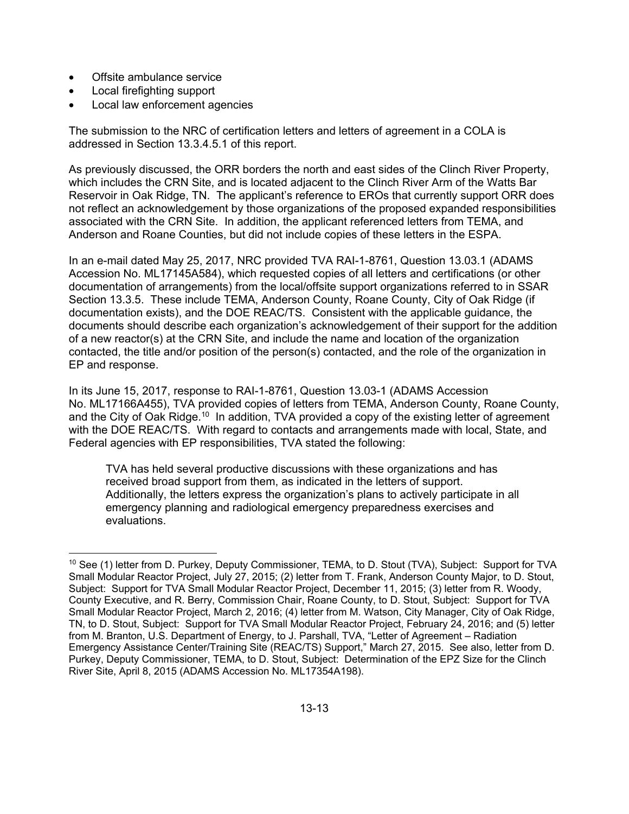- Offsite ambulance service
- Local firefighting support
- Local law enforcement agencies

The submission to the NRC of certification letters and letters of agreement in a COLA is addressed in Section 13.3.4.5.1 of this report.

As previously discussed, the ORR borders the north and east sides of the Clinch River Property, which includes the CRN Site, and is located adjacent to the Clinch River Arm of the Watts Bar Reservoir in Oak Ridge, TN. The applicant's reference to EROs that currently support ORR does not reflect an acknowledgement by those organizations of the proposed expanded responsibilities associated with the CRN Site. In addition, the applicant referenced letters from TEMA, and Anderson and Roane Counties, but did not include copies of these letters in the ESPA.

In an e-mail dated May 25, 2017, NRC provided TVA RAI-1-8761, Question 13.03.1 (ADAMS Accession No. ML17145A584), which requested copies of all letters and certifications (or other documentation of arrangements) from the local/offsite support organizations referred to in SSAR Section 13.3.5. These include TEMA, Anderson County, Roane County, City of Oak Ridge (if documentation exists), and the DOE REAC/TS. Consistent with the applicable guidance, the documents should describe each organization's acknowledgement of their support for the addition of a new reactor(s) at the CRN Site, and include the name and location of the organization contacted, the title and/or position of the person(s) contacted, and the role of the organization in EP and response.

In its June 15, 2017, response to RAI-1-8761, Question 13.03-1 (ADAMS Accession No. ML17166A455), TVA provided copies of letters from TEMA, Anderson County, Roane County, and the City of Oak Ridge.<sup>10</sup> In addition, TVA provided a copy of the existing letter of agreement with the DOE REAC/TS. With regard to contacts and arrangements made with local, State, and Federal agencies with EP responsibilities, TVA stated the following:

TVA has held several productive discussions with these organizations and has received broad support from them, as indicated in the letters of support. Additionally, the letters express the organization's plans to actively participate in all emergency planning and radiological emergency preparedness exercises and evaluations.

**<sup>.</sup>** 10 See (1) letter from D. Purkey, Deputy Commissioner, TEMA, to D. Stout (TVA), Subject: Support for TVA Small Modular Reactor Project, July 27, 2015; (2) letter from T. Frank, Anderson County Major, to D. Stout, Subject: Support for TVA Small Modular Reactor Project, December 11, 2015; (3) letter from R. Woody, County Executive, and R. Berry, Commission Chair, Roane County, to D. Stout, Subject: Support for TVA Small Modular Reactor Project, March 2, 2016; (4) letter from M. Watson, City Manager, City of Oak Ridge, TN, to D. Stout, Subject: Support for TVA Small Modular Reactor Project, February 24, 2016; and (5) letter from M. Branton, U.S. Department of Energy, to J. Parshall, TVA, "Letter of Agreement – Radiation Emergency Assistance Center/Training Site (REAC/TS) Support," March 27, 2015. See also, letter from D. Purkey, Deputy Commissioner, TEMA, to D. Stout, Subject: Determination of the EPZ Size for the Clinch River Site, April 8, 2015 (ADAMS Accession No. ML17354A198).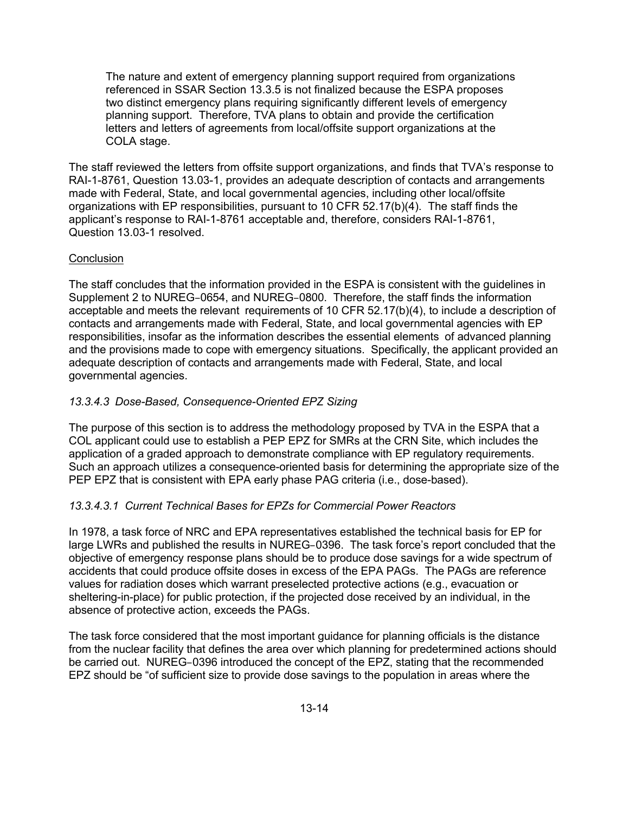The nature and extent of emergency planning support required from organizations referenced in SSAR Section 13.3.5 is not finalized because the ESPA proposes two distinct emergency plans requiring significantly different levels of emergency planning support. Therefore, TVA plans to obtain and provide the certification letters and letters of agreements from local/offsite support organizations at the COLA stage.

The staff reviewed the letters from offsite support organizations, and finds that TVA's response to RAI-1-8761, Question 13.03-1, provides an adequate description of contacts and arrangements made with Federal, State, and local governmental agencies, including other local/offsite organizations with EP responsibilities, pursuant to 10 CFR 52.17(b)(4). The staff finds the applicant's response to RAI-1-8761 acceptable and, therefore, considers RAI-1-8761, Question 13.03-1 resolved.

## **Conclusion**

The staff concludes that the information provided in the ESPA is consistent with the guidelines in Supplement 2 to NUREG–0654, and NUREG–0800. Therefore, the staff finds the information acceptable and meets the relevant requirements of 10 CFR 52.17(b)(4), to include a description of contacts and arrangements made with Federal, State, and local governmental agencies with EP responsibilities, insofar as the information describes the essential elements of advanced planning and the provisions made to cope with emergency situations. Specifically, the applicant provided an adequate description of contacts and arrangements made with Federal, State, and local governmental agencies.

## *13.3.4.3 Dose-Based, Consequence-Oriented EPZ Sizing*

The purpose of this section is to address the methodology proposed by TVA in the ESPA that a COL applicant could use to establish a PEP EPZ for SMRs at the CRN Site, which includes the application of a graded approach to demonstrate compliance with EP regulatory requirements. Such an approach utilizes a consequence-oriented basis for determining the appropriate size of the PEP EPZ that is consistent with EPA early phase PAG criteria (i.e., dose-based).

## *13.3.4.3.1 Current Technical Bases for EPZs for Commercial Power Reactors*

In 1978, a task force of NRC and EPA representatives established the technical basis for EP for large LWRs and published the results in NUREG–0396. The task force's report concluded that the objective of emergency response plans should be to produce dose savings for a wide spectrum of accidents that could produce offsite doses in excess of the EPA PAGs. The PAGs are reference values for radiation doses which warrant preselected protective actions (e.g., evacuation or sheltering-in-place) for public protection, if the projected dose received by an individual, in the absence of protective action, exceeds the PAGs.

The task force considered that the most important guidance for planning officials is the distance from the nuclear facility that defines the area over which planning for predetermined actions should be carried out. NUREG–0396 introduced the concept of the EPZ, stating that the recommended EPZ should be "of sufficient size to provide dose savings to the population in areas where the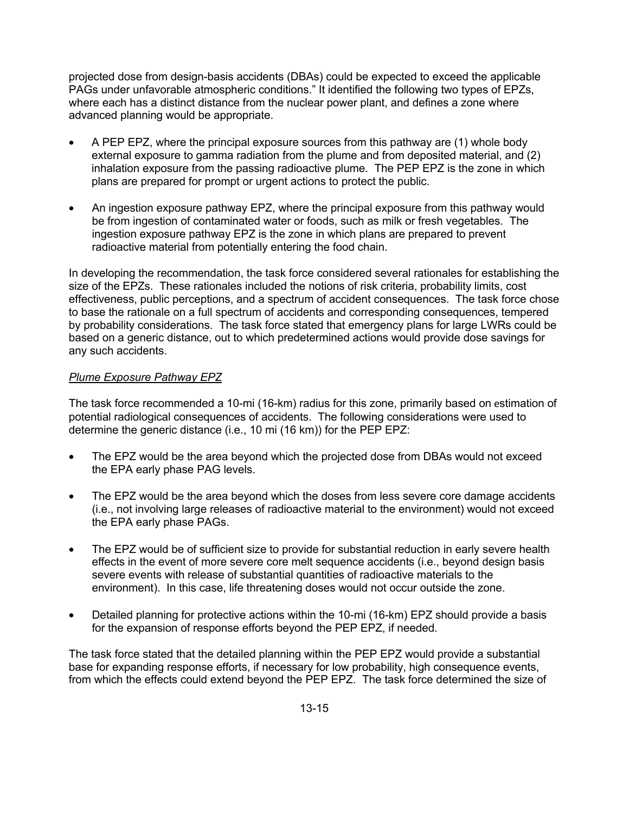projected dose from design-basis accidents (DBAs) could be expected to exceed the applicable PAGs under unfavorable atmospheric conditions." It identified the following two types of EPZs, where each has a distinct distance from the nuclear power plant, and defines a zone where advanced planning would be appropriate.

- A PEP EPZ, where the principal exposure sources from this pathway are (1) whole body external exposure to gamma radiation from the plume and from deposited material, and (2) inhalation exposure from the passing radioactive plume. The PEP EPZ is the zone in which plans are prepared for prompt or urgent actions to protect the public.
- An ingestion exposure pathway EPZ, where the principal exposure from this pathway would be from ingestion of contaminated water or foods, such as milk or fresh vegetables. The ingestion exposure pathway EPZ is the zone in which plans are prepared to prevent radioactive material from potentially entering the food chain.

In developing the recommendation, the task force considered several rationales for establishing the size of the EPZs. These rationales included the notions of risk criteria, probability limits, cost effectiveness, public perceptions, and a spectrum of accident consequences. The task force chose to base the rationale on a full spectrum of accidents and corresponding consequences, tempered by probability considerations. The task force stated that emergency plans for large LWRs could be based on a generic distance, out to which predetermined actions would provide dose savings for any such accidents.

### *Plume Exposure Pathway EPZ*

The task force recommended a 10-mi (16-km) radius for this zone, primarily based on estimation of potential radiological consequences of accidents. The following considerations were used to determine the generic distance (i.e., 10 mi (16 km)) for the PEP EPZ:

- The EPZ would be the area beyond which the projected dose from DBAs would not exceed the EPA early phase PAG levels.
- The EPZ would be the area beyond which the doses from less severe core damage accidents (i.e., not involving large releases of radioactive material to the environment) would not exceed the EPA early phase PAGs.
- The EPZ would be of sufficient size to provide for substantial reduction in early severe health effects in the event of more severe core melt sequence accidents (i.e., beyond design basis severe events with release of substantial quantities of radioactive materials to the environment). In this case, life threatening doses would not occur outside the zone.
- Detailed planning for protective actions within the 10-mi (16-km) EPZ should provide a basis for the expansion of response efforts beyond the PEP EPZ, if needed.

The task force stated that the detailed planning within the PEP EPZ would provide a substantial base for expanding response efforts, if necessary for low probability, high consequence events, from which the effects could extend beyond the PEP EPZ. The task force determined the size of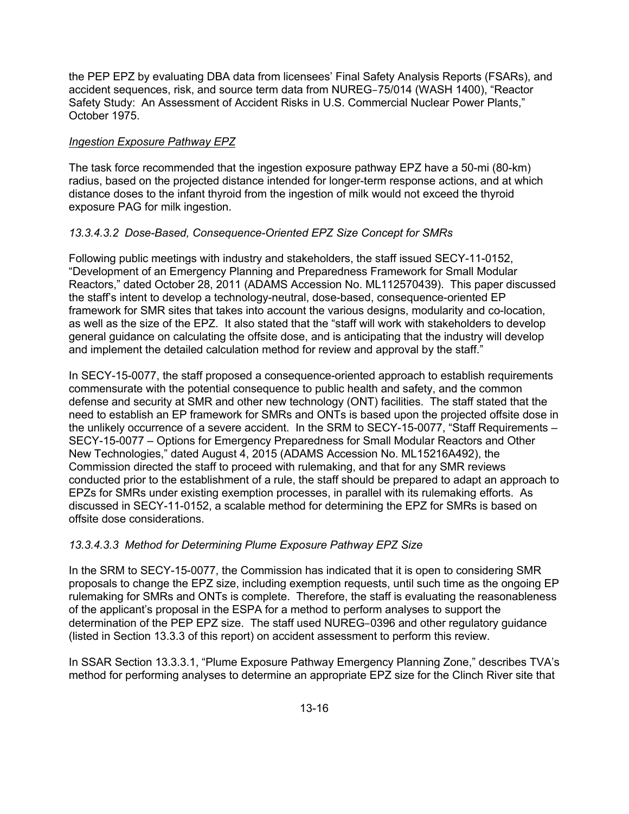the PEP EPZ by evaluating DBA data from licensees' Final Safety Analysis Reports (FSARs), and accident sequences, risk, and source term data from NUREG–75/014 (WASH 1400), "Reactor Safety Study: An Assessment of Accident Risks in U.S. Commercial Nuclear Power Plants," October 1975.

## *Ingestion Exposure Pathway EPZ*

The task force recommended that the ingestion exposure pathway EPZ have a 50-mi (80-km) radius, based on the projected distance intended for longer-term response actions, and at which distance doses to the infant thyroid from the ingestion of milk would not exceed the thyroid exposure PAG for milk ingestion.

## *13.3.4.3.2 Dose-Based, Consequence-Oriented EPZ Size Concept for SMRs*

Following public meetings with industry and stakeholders, the staff issued SECY-11-0152, "Development of an Emergency Planning and Preparedness Framework for Small Modular Reactors," dated October 28, 2011 (ADAMS Accession No. ML112570439). This paper discussed the staff's intent to develop a technology-neutral, dose-based, consequence-oriented EP framework for SMR sites that takes into account the various designs, modularity and co-location, as well as the size of the EPZ. It also stated that the "staff will work with stakeholders to develop general guidance on calculating the offsite dose, and is anticipating that the industry will develop and implement the detailed calculation method for review and approval by the staff."

In SECY-15-0077, the staff proposed a consequence-oriented approach to establish requirements commensurate with the potential consequence to public health and safety, and the common defense and security at SMR and other new technology (ONT) facilities. The staff stated that the need to establish an EP framework for SMRs and ONTs is based upon the projected offsite dose in the unlikely occurrence of a severe accident. In the SRM to SECY-15-0077, "Staff Requirements – SECY-15-0077 – Options for Emergency Preparedness for Small Modular Reactors and Other New Technologies," dated August 4, 2015 (ADAMS Accession No. ML15216A492), the Commission directed the staff to proceed with rulemaking, and that for any SMR reviews conducted prior to the establishment of a rule, the staff should be prepared to adapt an approach to EPZs for SMRs under existing exemption processes, in parallel with its rulemaking efforts. As discussed in SECY-11-0152, a scalable method for determining the EPZ for SMRs is based on offsite dose considerations.

## *13.3.4.3.3 Method for Determining Plume Exposure Pathway EPZ Size*

In the SRM to SECY-15-0077, the Commission has indicated that it is open to considering SMR proposals to change the EPZ size, including exemption requests, until such time as the ongoing EP rulemaking for SMRs and ONTs is complete. Therefore, the staff is evaluating the reasonableness of the applicant's proposal in the ESPA for a method to perform analyses to support the determination of the PEP EPZ size. The staff used NUREG–0396 and other regulatory guidance (listed in Section 13.3.3 of this report) on accident assessment to perform this review.

In SSAR Section 13.3.3.1, "Plume Exposure Pathway Emergency Planning Zone," describes TVA's method for performing analyses to determine an appropriate EPZ size for the Clinch River site that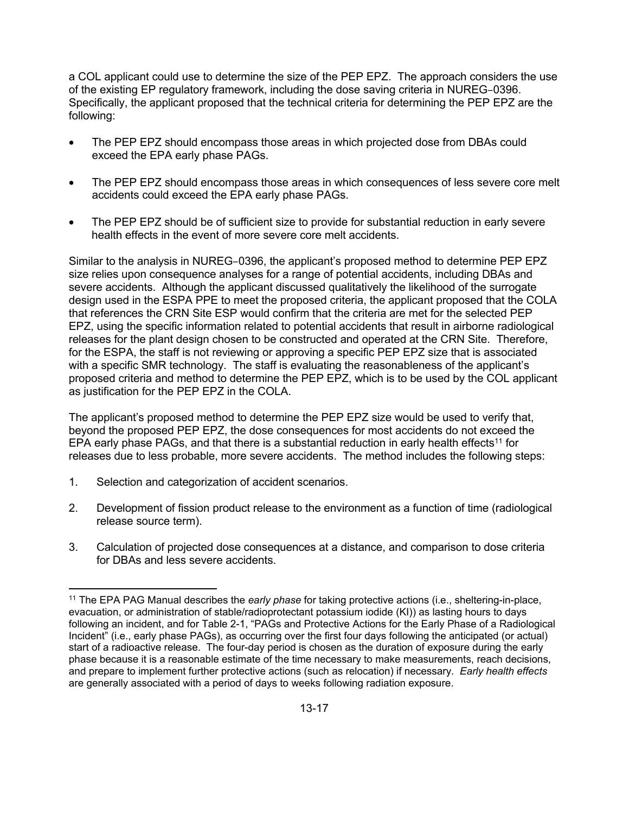a COL applicant could use to determine the size of the PEP EPZ. The approach considers the use of the existing EP regulatory framework, including the dose saving criteria in NUREG–0396. Specifically, the applicant proposed that the technical criteria for determining the PEP EPZ are the following:

- The PEP EPZ should encompass those areas in which projected dose from DBAs could exceed the EPA early phase PAGs.
- The PEP EPZ should encompass those areas in which consequences of less severe core melt accidents could exceed the EPA early phase PAGs.
- The PEP EPZ should be of sufficient size to provide for substantial reduction in early severe health effects in the event of more severe core melt accidents.

Similar to the analysis in NUREG–0396, the applicant's proposed method to determine PEP EPZ size relies upon consequence analyses for a range of potential accidents, including DBAs and severe accidents. Although the applicant discussed qualitatively the likelihood of the surrogate design used in the ESPA PPE to meet the proposed criteria, the applicant proposed that the COLA that references the CRN Site ESP would confirm that the criteria are met for the selected PEP EPZ, using the specific information related to potential accidents that result in airborne radiological releases for the plant design chosen to be constructed and operated at the CRN Site. Therefore, for the ESPA, the staff is not reviewing or approving a specific PEP EPZ size that is associated with a specific SMR technology. The staff is evaluating the reasonableness of the applicant's proposed criteria and method to determine the PEP EPZ, which is to be used by the COL applicant as justification for the PEP EPZ in the COLA.

The applicant's proposed method to determine the PEP EPZ size would be used to verify that, beyond the proposed PEP EPZ, the dose consequences for most accidents do not exceed the EPA early phase PAGs, and that there is a substantial reduction in early health effects<sup>11</sup> for releases due to less probable, more severe accidents. The method includes the following steps:

- 1. Selection and categorization of accident scenarios.
- 2. Development of fission product release to the environment as a function of time (radiological release source term).
- 3. Calculation of projected dose consequences at a distance, and comparison to dose criteria for DBAs and less severe accidents.

**<sup>.</sup>** 11 The EPA PAG Manual describes the *early phase* for taking protective actions (i.e., sheltering-in-place, evacuation, or administration of stable/radioprotectant potassium iodide (KI)) as lasting hours to days following an incident, and for Table 2-1, "PAGs and Protective Actions for the Early Phase of a Radiological Incident" (i.e., early phase PAGs), as occurring over the first four days following the anticipated (or actual) start of a radioactive release. The four-day period is chosen as the duration of exposure during the early phase because it is a reasonable estimate of the time necessary to make measurements, reach decisions, and prepare to implement further protective actions (such as relocation) if necessary. *Early health effects* are generally associated with a period of days to weeks following radiation exposure.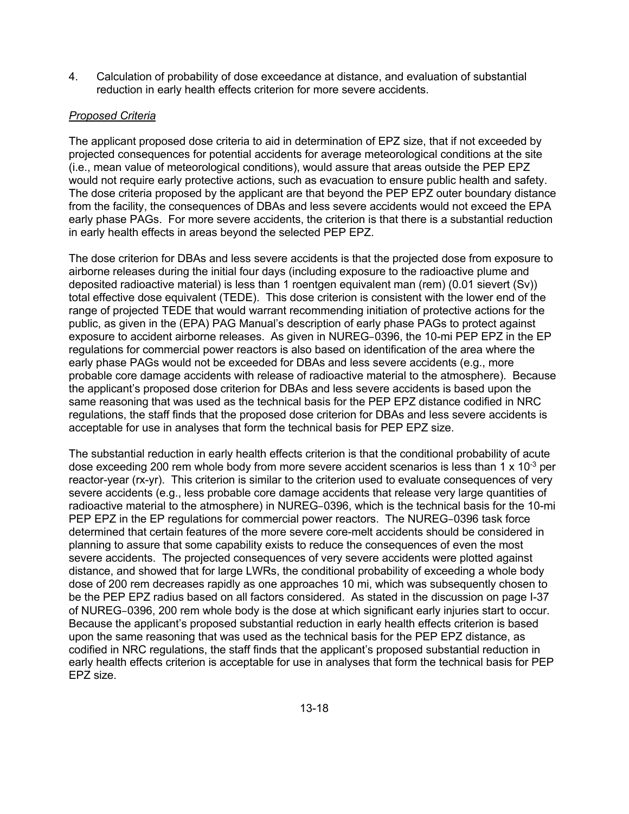4. Calculation of probability of dose exceedance at distance, and evaluation of substantial reduction in early health effects criterion for more severe accidents.

## *Proposed Criteria*

The applicant proposed dose criteria to aid in determination of EPZ size, that if not exceeded by projected consequences for potential accidents for average meteorological conditions at the site (i.e., mean value of meteorological conditions), would assure that areas outside the PEP EPZ would not require early protective actions, such as evacuation to ensure public health and safety. The dose criteria proposed by the applicant are that beyond the PEP EPZ outer boundary distance from the facility, the consequences of DBAs and less severe accidents would not exceed the EPA early phase PAGs. For more severe accidents, the criterion is that there is a substantial reduction in early health effects in areas beyond the selected PEP EPZ.

The dose criterion for DBAs and less severe accidents is that the projected dose from exposure to airborne releases during the initial four days (including exposure to the radioactive plume and deposited radioactive material) is less than 1 roentgen equivalent man (rem) (0.01 sievert (Sv)) total effective dose equivalent (TEDE). This dose criterion is consistent with the lower end of the range of projected TEDE that would warrant recommending initiation of protective actions for the public, as given in the (EPA) PAG Manual's description of early phase PAGs to protect against exposure to accident airborne releases. As given in NUREG–0396, the 10-mi PEP EPZ in the EP regulations for commercial power reactors is also based on identification of the area where the early phase PAGs would not be exceeded for DBAs and less severe accidents (e.g., more probable core damage accidents with release of radioactive material to the atmosphere). Because the applicant's proposed dose criterion for DBAs and less severe accidents is based upon the same reasoning that was used as the technical basis for the PEP EPZ distance codified in NRC regulations, the staff finds that the proposed dose criterion for DBAs and less severe accidents is acceptable for use in analyses that form the technical basis for PEP EPZ size.

The substantial reduction in early health effects criterion is that the conditional probability of acute dose exceeding 200 rem whole body from more severe accident scenarios is less than 1 x 10<sup>-3</sup> per reactor-year (rx-yr). This criterion is similar to the criterion used to evaluate consequences of very severe accidents (e.g., less probable core damage accidents that release very large quantities of radioactive material to the atmosphere) in NUREG–0396, which is the technical basis for the 10-mi PEP EPZ in the EP regulations for commercial power reactors. The NUREG–0396 task force determined that certain features of the more severe core-melt accidents should be considered in planning to assure that some capability exists to reduce the consequences of even the most severe accidents. The projected consequences of very severe accidents were plotted against distance, and showed that for large LWRs, the conditional probability of exceeding a whole body dose of 200 rem decreases rapidly as one approaches 10 mi, which was subsequently chosen to be the PEP EPZ radius based on all factors considered. As stated in the discussion on page I-37 of NUREG–0396, 200 rem whole body is the dose at which significant early injuries start to occur. Because the applicant's proposed substantial reduction in early health effects criterion is based upon the same reasoning that was used as the technical basis for the PEP EPZ distance, as codified in NRC regulations, the staff finds that the applicant's proposed substantial reduction in early health effects criterion is acceptable for use in analyses that form the technical basis for PEP EPZ size.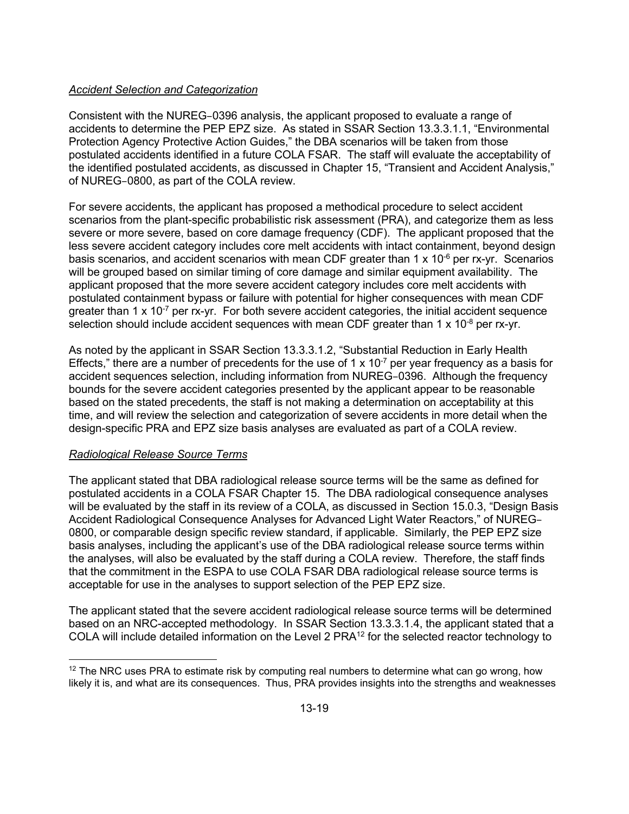### *Accident Selection and Categorization*

Consistent with the NUREG–0396 analysis, the applicant proposed to evaluate a range of accidents to determine the PEP EPZ size. As stated in SSAR Section 13.3.3.1.1, "Environmental Protection Agency Protective Action Guides," the DBA scenarios will be taken from those postulated accidents identified in a future COLA FSAR. The staff will evaluate the acceptability of the identified postulated accidents, as discussed in Chapter 15, "Transient and Accident Analysis," of NUREG–0800, as part of the COLA review.

For severe accidents, the applicant has proposed a methodical procedure to select accident scenarios from the plant-specific probabilistic risk assessment (PRA), and categorize them as less severe or more severe, based on core damage frequency (CDF). The applicant proposed that the less severe accident category includes core melt accidents with intact containment, beyond design basis scenarios, and accident scenarios with mean CDF greater than 1 x 10 $\textdegree$  per rx-yr. Scenarios will be grouped based on similar timing of core damage and similar equipment availability. The applicant proposed that the more severe accident category includes core melt accidents with postulated containment bypass or failure with potential for higher consequences with mean CDF greater than 1 x 10<sup>-7</sup> per rx-yr. For both severe accident categories, the initial accident sequence selection should include accident sequences with mean CDF greater than 1 x 10<sup>-8</sup> per rx-yr.

As noted by the applicant in SSAR Section 13.3.3.1.2, "Substantial Reduction in Early Health Effects," there are a number of precedents for the use of 1 x  $10<sup>-7</sup>$  per year frequency as a basis for accident sequences selection, including information from NUREG–0396. Although the frequency bounds for the severe accident categories presented by the applicant appear to be reasonable based on the stated precedents, the staff is not making a determination on acceptability at this time, and will review the selection and categorization of severe accidents in more detail when the design-specific PRA and EPZ size basis analyses are evaluated as part of a COLA review.

#### *Radiological Release Source Terms*

The applicant stated that DBA radiological release source terms will be the same as defined for postulated accidents in a COLA FSAR Chapter 15. The DBA radiological consequence analyses will be evaluated by the staff in its review of a COLA, as discussed in Section 15.0.3, "Design Basis Accident Radiological Consequence Analyses for Advanced Light Water Reactors," of NUREG– 0800, or comparable design specific review standard, if applicable. Similarly, the PEP EPZ size basis analyses, including the applicant's use of the DBA radiological release source terms within the analyses, will also be evaluated by the staff during a COLA review. Therefore, the staff finds that the commitment in the ESPA to use COLA FSAR DBA radiological release source terms is acceptable for use in the analyses to support selection of the PEP EPZ size.

The applicant stated that the severe accident radiological release source terms will be determined based on an NRC-accepted methodology. In SSAR Section 13.3.3.1.4, the applicant stated that a COLA will include detailed information on the Level 2 PRA<sup>12</sup> for the selected reactor technology to

**<sup>.</sup>**  $12$  The NRC uses PRA to estimate risk by computing real numbers to determine what can go wrong, how likely it is, and what are its consequences. Thus, PRA provides insights into the strengths and weaknesses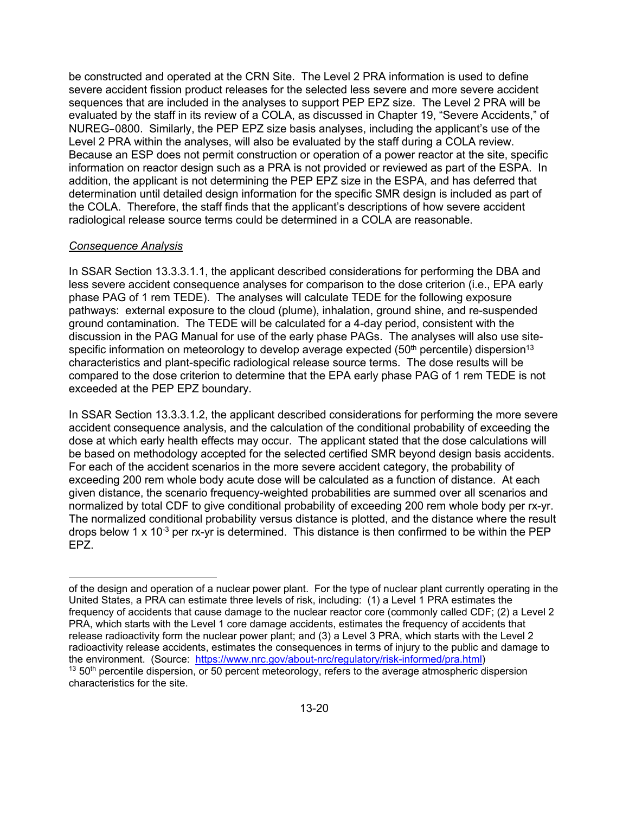be constructed and operated at the CRN Site. The Level 2 PRA information is used to define severe accident fission product releases for the selected less severe and more severe accident sequences that are included in the analyses to support PEP EPZ size. The Level 2 PRA will be evaluated by the staff in its review of a COLA, as discussed in Chapter 19, "Severe Accidents," of NUREG–0800. Similarly, the PEP EPZ size basis analyses, including the applicant's use of the Level 2 PRA within the analyses, will also be evaluated by the staff during a COLA review. Because an ESP does not permit construction or operation of a power reactor at the site, specific information on reactor design such as a PRA is not provided or reviewed as part of the ESPA. In addition, the applicant is not determining the PEP EPZ size in the ESPA, and has deferred that determination until detailed design information for the specific SMR design is included as part of the COLA. Therefore, the staff finds that the applicant's descriptions of how severe accident radiological release source terms could be determined in a COLA are reasonable.

#### *Consequence Analysis*

**.** 

In SSAR Section 13.3.3.1.1, the applicant described considerations for performing the DBA and less severe accident consequence analyses for comparison to the dose criterion (i.e., EPA early phase PAG of 1 rem TEDE). The analyses will calculate TEDE for the following exposure pathways: external exposure to the cloud (plume), inhalation, ground shine, and re-suspended ground contamination. The TEDE will be calculated for a 4-day period, consistent with the discussion in the PAG Manual for use of the early phase PAGs. The analyses will also use sitespecific information on meteorology to develop average expected (50<sup>th</sup> percentile) dispersion<sup>13</sup> characteristics and plant-specific radiological release source terms. The dose results will be compared to the dose criterion to determine that the EPA early phase PAG of 1 rem TEDE is not exceeded at the PEP EPZ boundary.

In SSAR Section 13.3.3.1.2, the applicant described considerations for performing the more severe accident consequence analysis, and the calculation of the conditional probability of exceeding the dose at which early health effects may occur. The applicant stated that the dose calculations will be based on methodology accepted for the selected certified SMR beyond design basis accidents. For each of the accident scenarios in the more severe accident category, the probability of exceeding 200 rem whole body acute dose will be calculated as a function of distance. At each given distance, the scenario frequency-weighted probabilities are summed over all scenarios and normalized by total CDF to give conditional probability of exceeding 200 rem whole body per rx-yr. The normalized conditional probability versus distance is plotted, and the distance where the result drops below 1 x 10<sup>-3</sup> per rx-yr is determined. This distance is then confirmed to be within the PEP EPZ.

of the design and operation of a nuclear power plant. For the type of nuclear plant currently operating in the United States, a PRA can estimate three levels of risk, including: (1) a Level 1 PRA estimates the frequency of accidents that cause damage to the nuclear reactor core (commonly called CDF; (2) a Level 2 PRA, which starts with the Level 1 core damage accidents, estimates the frequency of accidents that release radioactivity form the nuclear power plant; and (3) a Level 3 PRA, which starts with the Level 2 radioactivity release accidents, estimates the consequences in terms of injury to the public and damage to the environment. (Source: https://www.nrc.gov/about-nrc/regulatory/risk-informed/pra.html)  $13\,50$ <sup>th</sup> percentile dispersion, or 50 percent meteorology, refers to the average atmospheric dispersion characteristics for the site.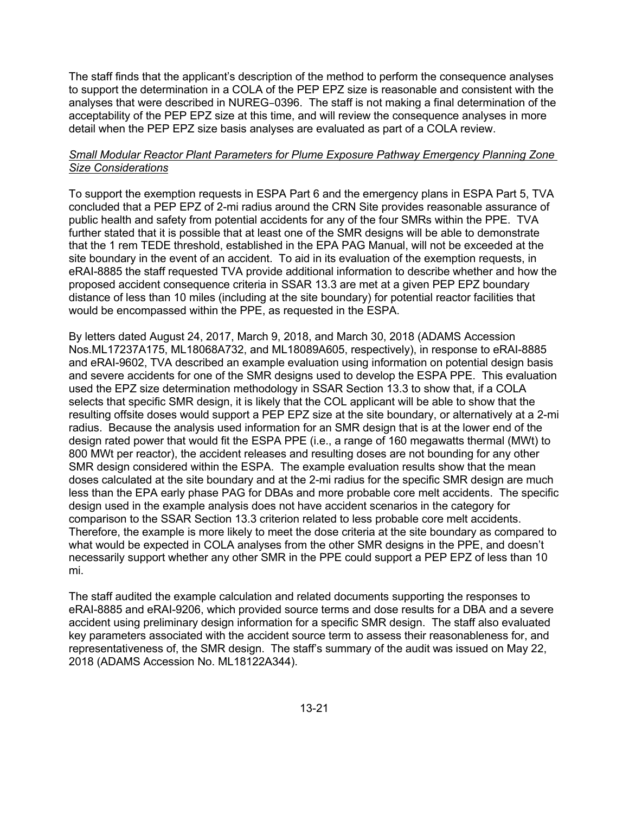The staff finds that the applicant's description of the method to perform the consequence analyses to support the determination in a COLA of the PEP EPZ size is reasonable and consistent with the analyses that were described in NUREG–0396. The staff is not making a final determination of the acceptability of the PEP EPZ size at this time, and will review the consequence analyses in more detail when the PEP EPZ size basis analyses are evaluated as part of a COLA review.

### *Small Modular Reactor Plant Parameters for Plume Exposure Pathway Emergency Planning Zone Size Considerations*

To support the exemption requests in ESPA Part 6 and the emergency plans in ESPA Part 5, TVA concluded that a PEP EPZ of 2-mi radius around the CRN Site provides reasonable assurance of public health and safety from potential accidents for any of the four SMRs within the PPE. TVA further stated that it is possible that at least one of the SMR designs will be able to demonstrate that the 1 rem TEDE threshold, established in the EPA PAG Manual, will not be exceeded at the site boundary in the event of an accident. To aid in its evaluation of the exemption requests, in eRAI-8885 the staff requested TVA provide additional information to describe whether and how the proposed accident consequence criteria in SSAR 13.3 are met at a given PEP EPZ boundary distance of less than 10 miles (including at the site boundary) for potential reactor facilities that would be encompassed within the PPE, as requested in the ESPA.

By letters dated August 24, 2017, March 9, 2018, and March 30, 2018 (ADAMS Accession Nos.ML17237A175, ML18068A732, and ML18089A605, respectively), in response to eRAI-8885 and eRAI-9602, TVA described an example evaluation using information on potential design basis and severe accidents for one of the SMR designs used to develop the ESPA PPE. This evaluation used the EPZ size determination methodology in SSAR Section 13.3 to show that, if a COLA selects that specific SMR design, it is likely that the COL applicant will be able to show that the resulting offsite doses would support a PEP EPZ size at the site boundary, or alternatively at a 2-mi radius. Because the analysis used information for an SMR design that is at the lower end of the design rated power that would fit the ESPA PPE (i.e., a range of 160 megawatts thermal (MWt) to 800 MWt per reactor), the accident releases and resulting doses are not bounding for any other SMR design considered within the ESPA. The example evaluation results show that the mean doses calculated at the site boundary and at the 2-mi radius for the specific SMR design are much less than the EPA early phase PAG for DBAs and more probable core melt accidents. The specific design used in the example analysis does not have accident scenarios in the category for comparison to the SSAR Section 13.3 criterion related to less probable core melt accidents. Therefore, the example is more likely to meet the dose criteria at the site boundary as compared to what would be expected in COLA analyses from the other SMR designs in the PPE, and doesn't necessarily support whether any other SMR in the PPE could support a PEP EPZ of less than 10 mi.

The staff audited the example calculation and related documents supporting the responses to eRAI-8885 and eRAI-9206, which provided source terms and dose results for a DBA and a severe accident using preliminary design information for a specific SMR design. The staff also evaluated key parameters associated with the accident source term to assess their reasonableness for, and representativeness of, the SMR design. The staff's summary of the audit was issued on May 22, 2018 (ADAMS Accession No. ML18122A344).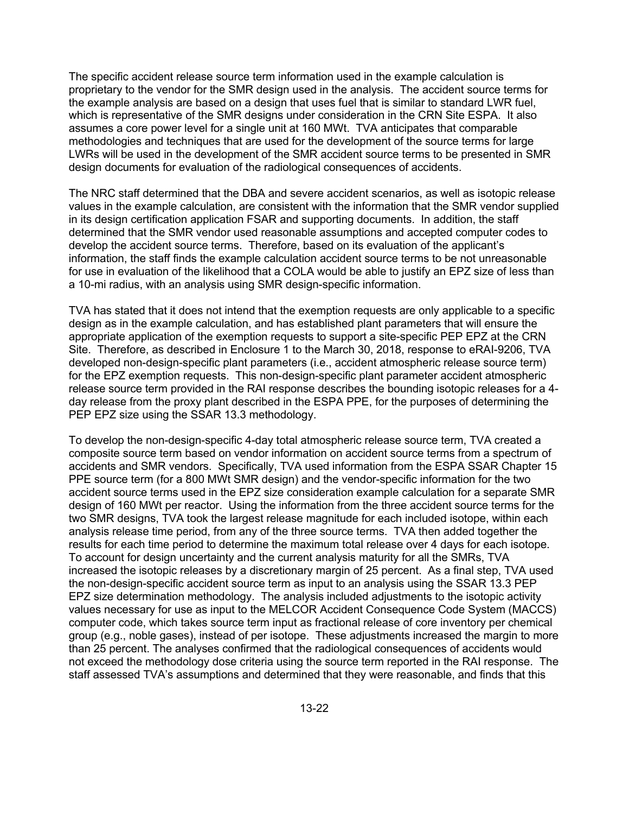The specific accident release source term information used in the example calculation is proprietary to the vendor for the SMR design used in the analysis. The accident source terms for the example analysis are based on a design that uses fuel that is similar to standard LWR fuel, which is representative of the SMR designs under consideration in the CRN Site ESPA. It also assumes a core power level for a single unit at 160 MWt. TVA anticipates that comparable methodologies and techniques that are used for the development of the source terms for large LWRs will be used in the development of the SMR accident source terms to be presented in SMR design documents for evaluation of the radiological consequences of accidents.

The NRC staff determined that the DBA and severe accident scenarios, as well as isotopic release values in the example calculation, are consistent with the information that the SMR vendor supplied in its design certification application FSAR and supporting documents. In addition, the staff determined that the SMR vendor used reasonable assumptions and accepted computer codes to develop the accident source terms. Therefore, based on its evaluation of the applicant's information, the staff finds the example calculation accident source terms to be not unreasonable for use in evaluation of the likelihood that a COLA would be able to justify an EPZ size of less than a 10-mi radius, with an analysis using SMR design-specific information.

TVA has stated that it does not intend that the exemption requests are only applicable to a specific design as in the example calculation, and has established plant parameters that will ensure the appropriate application of the exemption requests to support a site-specific PEP EPZ at the CRN Site. Therefore, as described in Enclosure 1 to the March 30, 2018, response to eRAI-9206, TVA developed non-design-specific plant parameters (i.e., accident atmospheric release source term) for the EPZ exemption requests. This non-design-specific plant parameter accident atmospheric release source term provided in the RAI response describes the bounding isotopic releases for a 4 day release from the proxy plant described in the ESPA PPE, for the purposes of determining the PEP EPZ size using the SSAR 13.3 methodology.

To develop the non-design-specific 4-day total atmospheric release source term, TVA created a composite source term based on vendor information on accident source terms from a spectrum of accidents and SMR vendors. Specifically, TVA used information from the ESPA SSAR Chapter 15 PPE source term (for a 800 MWt SMR design) and the vendor-specific information for the two accident source terms used in the EPZ size consideration example calculation for a separate SMR design of 160 MWt per reactor. Using the information from the three accident source terms for the two SMR designs, TVA took the largest release magnitude for each included isotope, within each analysis release time period, from any of the three source terms. TVA then added together the results for each time period to determine the maximum total release over 4 days for each isotope. To account for design uncertainty and the current analysis maturity for all the SMRs, TVA increased the isotopic releases by a discretionary margin of 25 percent. As a final step, TVA used the non-design-specific accident source term as input to an analysis using the SSAR 13.3 PEP EPZ size determination methodology. The analysis included adjustments to the isotopic activity values necessary for use as input to the MELCOR Accident Consequence Code System (MACCS) computer code, which takes source term input as fractional release of core inventory per chemical group (e.g., noble gases), instead of per isotope. These adjustments increased the margin to more than 25 percent. The analyses confirmed that the radiological consequences of accidents would not exceed the methodology dose criteria using the source term reported in the RAI response. The staff assessed TVA's assumptions and determined that they were reasonable, and finds that this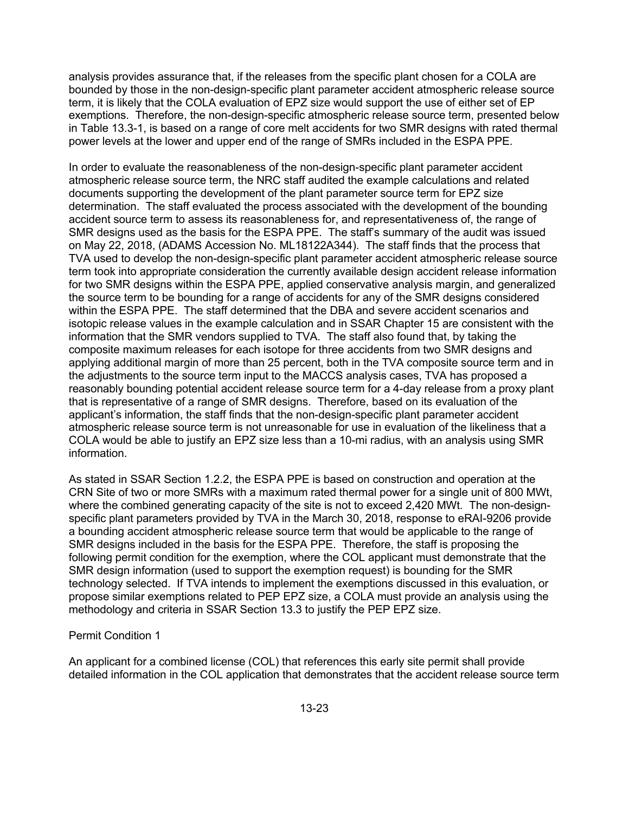analysis provides assurance that, if the releases from the specific plant chosen for a COLA are bounded by those in the non-design-specific plant parameter accident atmospheric release source term, it is likely that the COLA evaluation of EPZ size would support the use of either set of EP exemptions. Therefore, the non-design-specific atmospheric release source term, presented below in Table 13.3-1, is based on a range of core melt accidents for two SMR designs with rated thermal power levels at the lower and upper end of the range of SMRs included in the ESPA PPE.

In order to evaluate the reasonableness of the non-design-specific plant parameter accident atmospheric release source term, the NRC staff audited the example calculations and related documents supporting the development of the plant parameter source term for EPZ size determination. The staff evaluated the process associated with the development of the bounding accident source term to assess its reasonableness for, and representativeness of, the range of SMR designs used as the basis for the ESPA PPE. The staff's summary of the audit was issued on May 22, 2018, (ADAMS Accession No. ML18122A344). The staff finds that the process that TVA used to develop the non-design-specific plant parameter accident atmospheric release source term took into appropriate consideration the currently available design accident release information for two SMR designs within the ESPA PPE, applied conservative analysis margin, and generalized the source term to be bounding for a range of accidents for any of the SMR designs considered within the ESPA PPE. The staff determined that the DBA and severe accident scenarios and isotopic release values in the example calculation and in SSAR Chapter 15 are consistent with the information that the SMR vendors supplied to TVA. The staff also found that, by taking the composite maximum releases for each isotope for three accidents from two SMR designs and applying additional margin of more than 25 percent, both in the TVA composite source term and in the adjustments to the source term input to the MACCS analysis cases, TVA has proposed a reasonably bounding potential accident release source term for a 4-day release from a proxy plant that is representative of a range of SMR designs. Therefore, based on its evaluation of the applicant's information, the staff finds that the non-design-specific plant parameter accident atmospheric release source term is not unreasonable for use in evaluation of the likeliness that a COLA would be able to justify an EPZ size less than a 10-mi radius, with an analysis using SMR information.

As stated in SSAR Section 1.2.2, the ESPA PPE is based on construction and operation at the CRN Site of two or more SMRs with a maximum rated thermal power for a single unit of 800 MWt, where the combined generating capacity of the site is not to exceed 2,420 MWt. The non-designspecific plant parameters provided by TVA in the March 30, 2018, response to eRAI-9206 provide a bounding accident atmospheric release source term that would be applicable to the range of SMR designs included in the basis for the ESPA PPE. Therefore, the staff is proposing the following permit condition for the exemption, where the COL applicant must demonstrate that the SMR design information (used to support the exemption request) is bounding for the SMR technology selected. If TVA intends to implement the exemptions discussed in this evaluation, or propose similar exemptions related to PEP EPZ size, a COLA must provide an analysis using the methodology and criteria in SSAR Section 13.3 to justify the PEP EPZ size.

#### Permit Condition 1

An applicant for a combined license (COL) that references this early site permit shall provide detailed information in the COL application that demonstrates that the accident release source term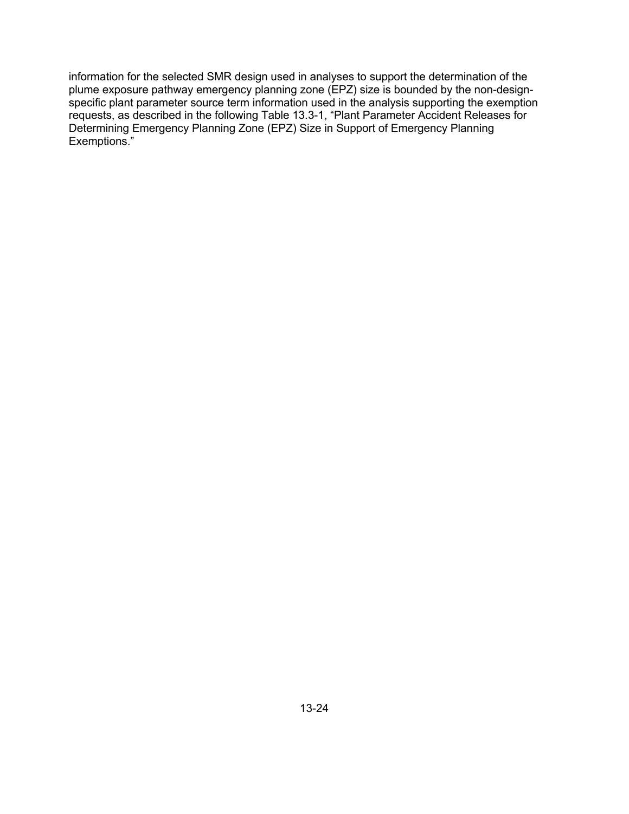information for the selected SMR design used in analyses to support the determination of the plume exposure pathway emergency planning zone (EPZ) size is bounded by the non-designspecific plant parameter source term information used in the analysis supporting the exemption requests, as described in the following Table 13.3-1, "Plant Parameter Accident Releases for Determining Emergency Planning Zone (EPZ) Size in Support of Emergency Planning Exemptions."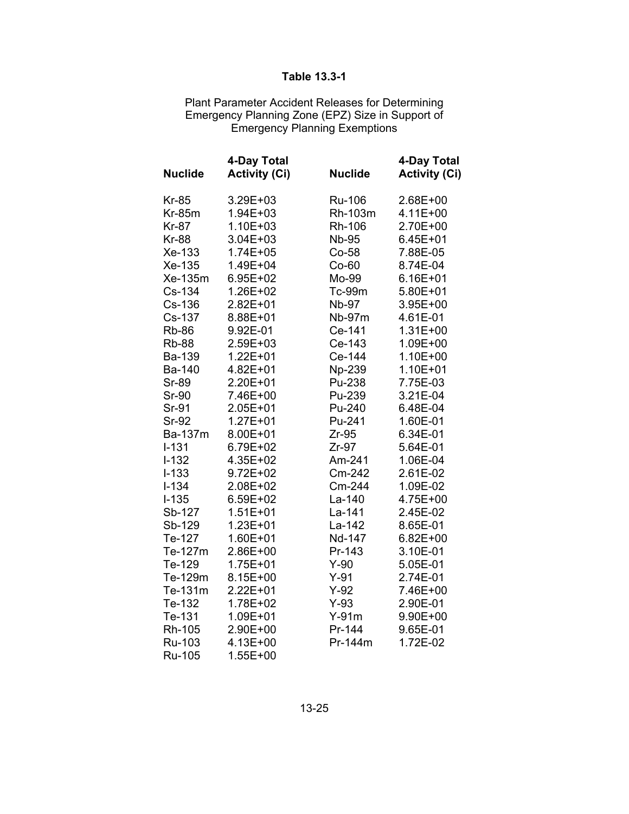# **Table 13.3-1**

Plant Parameter Accident Releases for Determining Emergency Planning Zone (EPZ) Size in Support of Emergency Planning Exemptions

| <b>Nuclide</b> | 4-Day Total<br><b>Activity (Ci)</b> | <b>Nuclide</b> | 4-Day Total<br><b>Activity (Ci)</b> |
|----------------|-------------------------------------|----------------|-------------------------------------|
| <b>Kr-85</b>   | 3.29E+03                            | Ru-106         | 2.68E+00                            |
| <b>Kr-85m</b>  | 1.94E+03                            | Rh-103m        | 4.11E+00                            |
| <b>Kr-87</b>   | $1.10E + 03$                        | Rh-106         | 2.70E+00                            |
| <b>Kr-88</b>   | $3.04E + 03$                        | <b>Nb-95</b>   | $6.45E + 01$                        |
| Xe-133         | $1.74E + 05$                        | Co-58          | 7.88E-05                            |
| Xe-135         | 1.49E+04                            | $Co-60$        | 8.74E-04                            |
| Xe-135m        | 6.95E+02                            | Mo-99          | $6.16E + 01$                        |
| Cs-134         | 1.26E+02                            | Tc-99m         | 5.80E+01                            |
| Cs-136         | 2.82E+01                            | <b>Nb-97</b>   | 3.95E+00                            |
| Cs-137         | 8.88E+01                            | Nb-97m         | 4.61E-01                            |
| <b>Rb-86</b>   | 9.92E-01                            | Ce-141         | $1.31E + 00$                        |
| <b>Rb-88</b>   | 2.59E+03                            | Ce-143         | 1.09E+00                            |
| Ba-139         | $1.22E + 01$                        | Ce-144         | 1.10E+00                            |
| Ba-140         | 4.82E+01                            | Np-239         | $1.10E + 01$                        |
| <b>Sr-89</b>   | 2.20E+01                            | Pu-238         | 7.75E-03                            |
| <b>Sr-90</b>   | 7.46E+00                            | Pu-239         | 3.21E-04                            |
| Sr-91          | $2.05E + 01$                        | Pu-240         | 6.48E-04                            |
| <b>Sr-92</b>   | 1.27E+01                            | Pu-241         | 1.60E-01                            |
| <b>Ba-137m</b> | 8.00E+01                            | $Zr-95$        | 6.34E-01                            |
| $I - 131$      | 6.79E+02                            | $Zr-97$        | 5.64E-01                            |
| $I-132$        | 4.35E+02                            | Am-241         | 1.06E-04                            |
| $I - 133$      | $9.72E + 02$                        | Cm-242         | 2.61E-02                            |
| $I - 134$      | 2.08E+02                            | Cm-244         | 1.09E-02                            |
| $I-135$        | $6.59E + 02$                        | La-140         | 4.75E+00                            |
| Sb-127         | $1.51E + 01$                        | La-141         | 2.45E-02                            |
| Sb-129         | $1.23E + 01$                        | La-142         | 8.65E-01                            |
| Te-127         | $1.60E + 01$                        | Nd-147         | $6.82E + 00$                        |
| Te-127m        | 2.86E+00                            | Pr-143         | 3.10E-01                            |
| Te-129         | $1.75E + 01$                        | $Y-90$         | 5.05E-01                            |
| Te-129m        | 8.15E+00                            | $Y-91$         | 2.74E-01                            |
| Te-131m        | $2.22E + 01$                        | $Y-92$         | 7.46E+00                            |
| Te-132         | 1.78E+02                            | $Y-93$         | 2.90E-01                            |
| Te-131         | 1.09E+01                            | $Y-91m$        | 9.90E+00                            |
| Rh-105         | 2.90E+00                            | Pr-144         | 9.65E-01                            |
| Ru-103         | 4.13E+00                            | Pr-144m        | 1.72E-02                            |
| Ru-105         | 1.55E+00                            |                |                                     |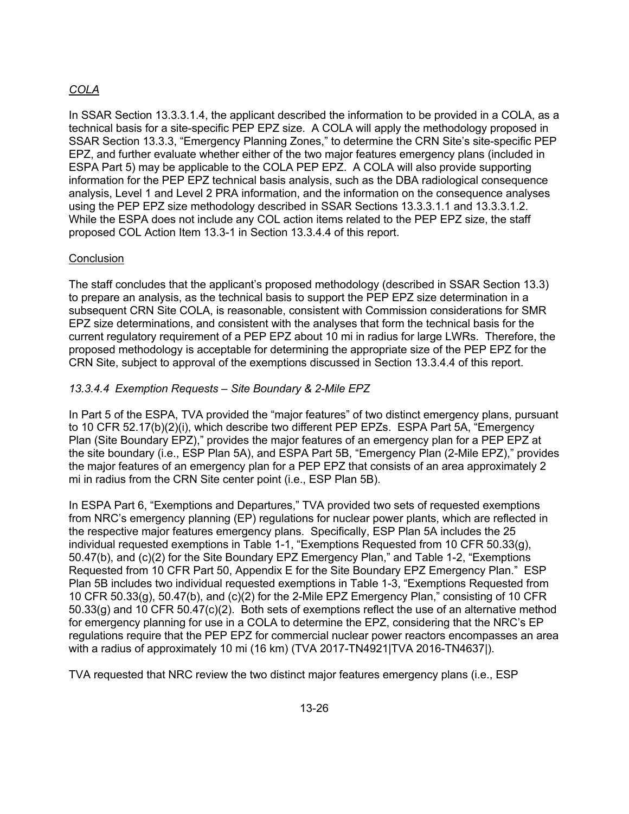# *COLA*

In SSAR Section 13.3.3.1.4, the applicant described the information to be provided in a COLA, as a technical basis for a site-specific PEP EPZ size. A COLA will apply the methodology proposed in SSAR Section 13.3.3, "Emergency Planning Zones," to determine the CRN Site's site-specific PEP EPZ, and further evaluate whether either of the two major features emergency plans (included in ESPA Part 5) may be applicable to the COLA PEP EPZ. A COLA will also provide supporting information for the PEP EPZ technical basis analysis, such as the DBA radiological consequence analysis, Level 1 and Level 2 PRA information, and the information on the consequence analyses using the PEP EPZ size methodology described in SSAR Sections 13.3.3.1.1 and 13.3.3.1.2. While the ESPA does not include any COL action items related to the PEP EPZ size, the staff proposed COL Action Item 13.3-1 in Section 13.3.4.4 of this report.

## **Conclusion**

The staff concludes that the applicant's proposed methodology (described in SSAR Section 13.3) to prepare an analysis, as the technical basis to support the PEP EPZ size determination in a subsequent CRN Site COLA, is reasonable, consistent with Commission considerations for SMR EPZ size determinations, and consistent with the analyses that form the technical basis for the current regulatory requirement of a PEP EPZ about 10 mi in radius for large LWRs. Therefore, the proposed methodology is acceptable for determining the appropriate size of the PEP EPZ for the CRN Site, subject to approval of the exemptions discussed in Section 13.3.4.4 of this report.

## *13.3.4.4 Exemption Requests – Site Boundary & 2-Mile EPZ*

In Part 5 of the ESPA, TVA provided the "major features" of two distinct emergency plans, pursuant to 10 CFR 52.17(b)(2)(i), which describe two different PEP EPZs. ESPA Part 5A, "Emergency Plan (Site Boundary EPZ)," provides the major features of an emergency plan for a PEP EPZ at the site boundary (i.e., ESP Plan 5A), and ESPA Part 5B, "Emergency Plan (2-Mile EPZ)," provides the major features of an emergency plan for a PEP EPZ that consists of an area approximately 2 mi in radius from the CRN Site center point (i.e., ESP Plan 5B).

In ESPA Part 6, "Exemptions and Departures," TVA provided two sets of requested exemptions from NRC's emergency planning (EP) regulations for nuclear power plants, which are reflected in the respective major features emergency plans. Specifically, ESP Plan 5A includes the 25 individual requested exemptions in Table 1-1, "Exemptions Requested from 10 CFR 50.33(g), 50.47(b), and (c)(2) for the Site Boundary EPZ Emergency Plan," and Table 1-2, "Exemptions Requested from 10 CFR Part 50, Appendix E for the Site Boundary EPZ Emergency Plan." ESP Plan 5B includes two individual requested exemptions in Table 1-3, "Exemptions Requested from 10 CFR 50.33(g), 50.47(b), and (c)(2) for the 2-Mile EPZ Emergency Plan," consisting of 10 CFR 50.33(g) and 10 CFR 50.47(c)(2). Both sets of exemptions reflect the use of an alternative method for emergency planning for use in a COLA to determine the EPZ, considering that the NRC's EP regulations require that the PEP EPZ for commercial nuclear power reactors encompasses an area with a radius of approximately 10 mi (16 km) (TVA 2017-TN4921|TVA 2016-TN4637|).

TVA requested that NRC review the two distinct major features emergency plans (i.e., ESP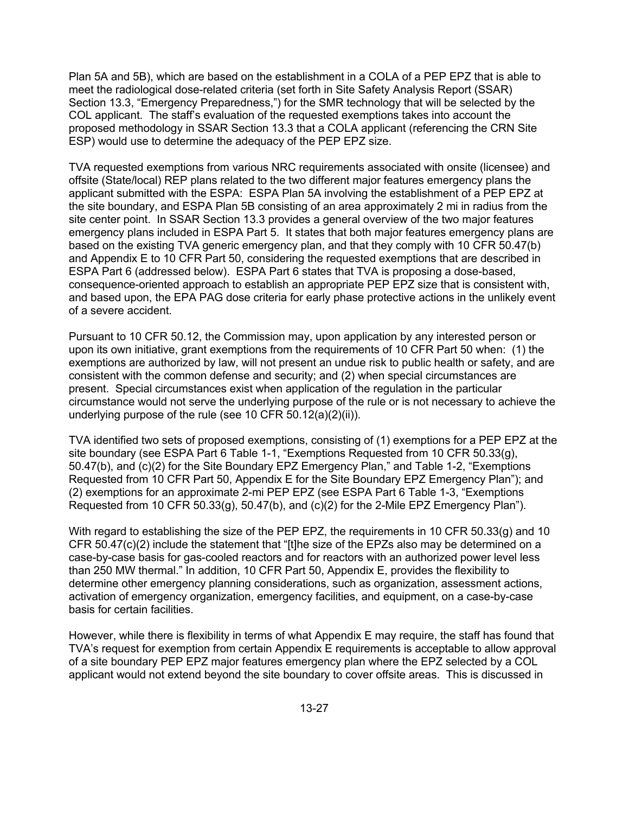Plan 5A and 5B), which are based on the establishment in a COLA of a PEP EPZ that is able to meet the radiological dose-related criteria (set forth in Site Safety Analysis Report (SSAR) Section 13.3, "Emergency Preparedness,") for the SMR technology that will be selected by the COL applicant. The staff's evaluation of the requested exemptions takes into account the proposed methodology in SSAR Section 13.3 that a COLA applicant (referencing the CRN Site ESP) would use to determine the adequacy of the PEP EPZ size.

TVA requested exemptions from various NRC requirements associated with onsite (licensee) and offsite (State/local) REP plans related to the two different major features emergency plans the applicant submitted with the ESPA: ESPA Plan 5A involving the establishment of a PEP EPZ at the site boundary, and ESPA Plan 5B consisting of an area approximately 2 mi in radius from the site center point. In SSAR Section 13.3 provides a general overview of the two major features emergency plans included in ESPA Part 5. It states that both major features emergency plans are based on the existing TVA generic emergency plan, and that they comply with 10 CFR 50.47(b) and Appendix E to 10 CFR Part 50, considering the requested exemptions that are described in ESPA Part 6 (addressed below). ESPA Part 6 states that TVA is proposing a dose-based, consequence-oriented approach to establish an appropriate PEP EPZ size that is consistent with, and based upon, the EPA PAG dose criteria for early phase protective actions in the unlikely event of a severe accident.

Pursuant to 10 CFR 50.12, the Commission may, upon application by any interested person or upon its own initiative, grant exemptions from the requirements of 10 CFR Part 50 when: (1) the exemptions are authorized by law, will not present an undue risk to public health or safety, and are consistent with the common defense and security; and (2) when special circumstances are present. Special circumstances exist when application of the regulation in the particular circumstance would not serve the underlying purpose of the rule or is not necessary to achieve the underlying purpose of the rule (see 10 CFR 50.12(a)(2)(ii)).

TVA identified two sets of proposed exemptions, consisting of (1) exemptions for a PEP EPZ at the site boundary (see ESPA Part 6 Table 1-1, "Exemptions Requested from 10 CFR 50.33(g), 50.47(b), and (c)(2) for the Site Boundary EPZ Emergency Plan," and Table 1-2, "Exemptions Requested from 10 CFR Part 50, Appendix E for the Site Boundary EPZ Emergency Plan"); and (2) exemptions for an approximate 2-mi PEP EPZ (see ESPA Part 6 Table 1-3, "Exemptions Requested from 10 CFR 50.33(q), 50.47(b), and  $(c)(2)$  for the 2-Mile EPZ Emergency Plan").

With regard to establishing the size of the PEP EPZ, the requirements in 10 CFR 50.33(g) and 10 CFR 50.47(c)(2) include the statement that "[t]he size of the EPZs also may be determined on a case-by-case basis for gas-cooled reactors and for reactors with an authorized power level less than 250 MW thermal." In addition, 10 CFR Part 50, Appendix E, provides the flexibility to determine other emergency planning considerations, such as organization, assessment actions, activation of emergency organization, emergency facilities, and equipment, on a case-by-case basis for certain facilities.

However, while there is flexibility in terms of what Appendix E may require, the staff has found that TVA's request for exemption from certain Appendix E requirements is acceptable to allow approval of a site boundary PEP EPZ major features emergency plan where the EPZ selected by a COL applicant would not extend beyond the site boundary to cover offsite areas. This is discussed in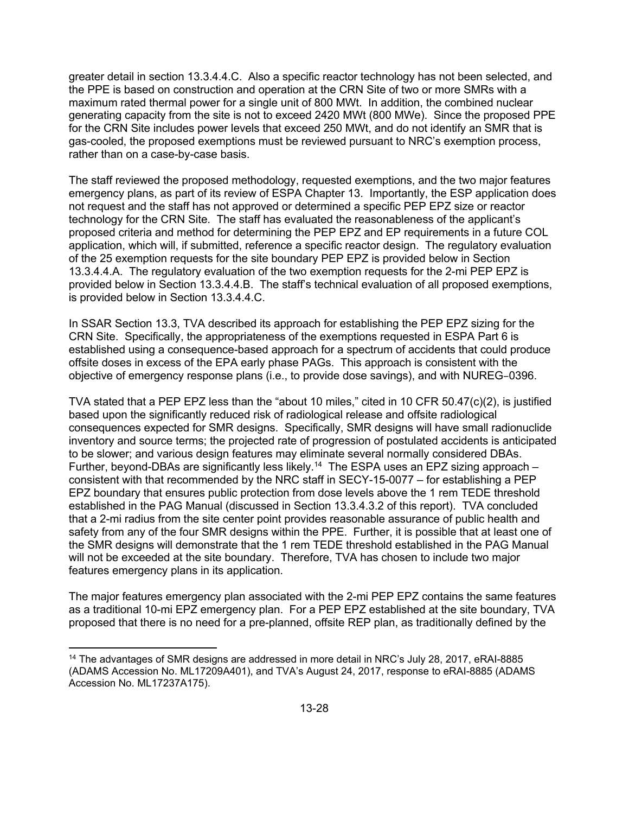greater detail in section 13.3.4.4.C. Also a specific reactor technology has not been selected, and the PPE is based on construction and operation at the CRN Site of two or more SMRs with a maximum rated thermal power for a single unit of 800 MWt. In addition, the combined nuclear generating capacity from the site is not to exceed 2420 MWt (800 MWe). Since the proposed PPE for the CRN Site includes power levels that exceed 250 MWt, and do not identify an SMR that is gas-cooled, the proposed exemptions must be reviewed pursuant to NRC's exemption process, rather than on a case-by-case basis.

The staff reviewed the proposed methodology, requested exemptions, and the two major features emergency plans, as part of its review of ESPA Chapter 13. Importantly, the ESP application does not request and the staff has not approved or determined a specific PEP EPZ size or reactor technology for the CRN Site. The staff has evaluated the reasonableness of the applicant's proposed criteria and method for determining the PEP EPZ and EP requirements in a future COL application, which will, if submitted, reference a specific reactor design. The regulatory evaluation of the 25 exemption requests for the site boundary PEP EPZ is provided below in Section 13.3.4.4.A. The regulatory evaluation of the two exemption requests for the 2-mi PEP EPZ is provided below in Section 13.3.4.4.B. The staff's technical evaluation of all proposed exemptions, is provided below in Section 13.3.4.4.C.

In SSAR Section 13.3, TVA described its approach for establishing the PEP EPZ sizing for the CRN Site. Specifically, the appropriateness of the exemptions requested in ESPA Part 6 is established using a consequence-based approach for a spectrum of accidents that could produce offsite doses in excess of the EPA early phase PAGs. This approach is consistent with the objective of emergency response plans (i.e., to provide dose savings), and with NUREG–0396.

TVA stated that a PEP EPZ less than the "about 10 miles," cited in 10 CFR 50.47(c)(2), is justified based upon the significantly reduced risk of radiological release and offsite radiological consequences expected for SMR designs. Specifically, SMR designs will have small radionuclide inventory and source terms; the projected rate of progression of postulated accidents is anticipated to be slower; and various design features may eliminate several normally considered DBAs. Further, beyond-DBAs are significantly less likely.<sup>14</sup> The ESPA uses an EPZ sizing approach – consistent with that recommended by the NRC staff in SECY-15-0077 – for establishing a PEP EPZ boundary that ensures public protection from dose levels above the 1 rem TEDE threshold established in the PAG Manual (discussed in Section 13.3.4.3.2 of this report). TVA concluded that a 2-mi radius from the site center point provides reasonable assurance of public health and safety from any of the four SMR designs within the PPE. Further, it is possible that at least one of the SMR designs will demonstrate that the 1 rem TEDE threshold established in the PAG Manual will not be exceeded at the site boundary. Therefore, TVA has chosen to include two major features emergency plans in its application.

The major features emergency plan associated with the 2-mi PEP EPZ contains the same features as a traditional 10-mi EPZ emergency plan. For a PEP EPZ established at the site boundary, TVA proposed that there is no need for a pre-planned, offsite REP plan, as traditionally defined by the

**.** 

<sup>&</sup>lt;sup>14</sup> The advantages of SMR designs are addressed in more detail in NRC's July 28, 2017, eRAI-8885 (ADAMS Accession No. ML17209A401), and TVA's August 24, 2017, response to eRAI-8885 (ADAMS Accession No. ML17237A175).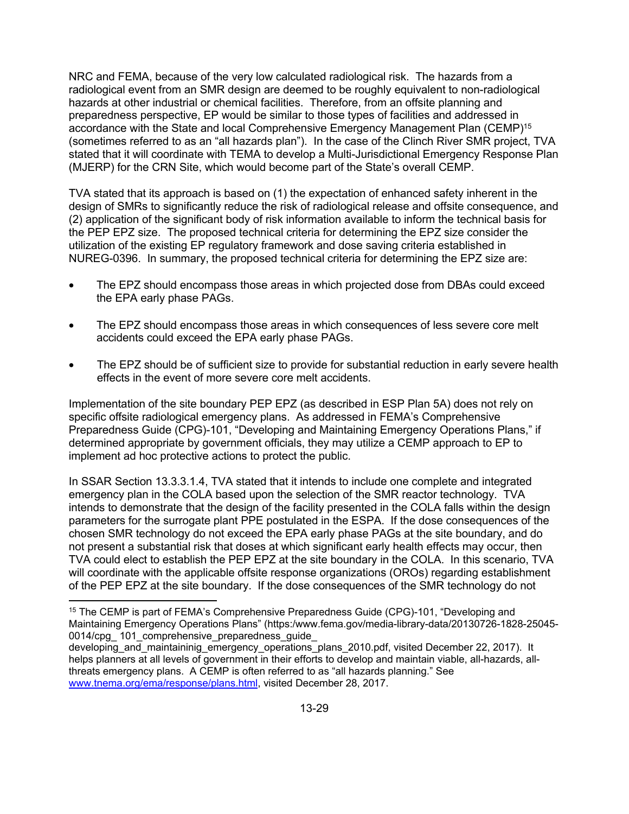NRC and FEMA, because of the very low calculated radiological risk. The hazards from a radiological event from an SMR design are deemed to be roughly equivalent to non-radiological hazards at other industrial or chemical facilities. Therefore, from an offsite planning and preparedness perspective, EP would be similar to those types of facilities and addressed in accordance with the State and local Comprehensive Emergency Management Plan (CEMP)15 (sometimes referred to as an "all hazards plan"). In the case of the Clinch River SMR project, TVA stated that it will coordinate with TEMA to develop a Multi-Jurisdictional Emergency Response Plan (MJERP) for the CRN Site, which would become part of the State's overall CEMP.

TVA stated that its approach is based on (1) the expectation of enhanced safety inherent in the design of SMRs to significantly reduce the risk of radiological release and offsite consequence, and (2) application of the significant body of risk information available to inform the technical basis for the PEP EPZ size. The proposed technical criteria for determining the EPZ size consider the utilization of the existing EP regulatory framework and dose saving criteria established in NUREG-0396. In summary, the proposed technical criteria for determining the EPZ size are:

- The EPZ should encompass those areas in which projected dose from DBAs could exceed the EPA early phase PAGs.
- The EPZ should encompass those areas in which consequences of less severe core melt accidents could exceed the EPA early phase PAGs.
- The EPZ should be of sufficient size to provide for substantial reduction in early severe health effects in the event of more severe core melt accidents.

Implementation of the site boundary PEP EPZ (as described in ESP Plan 5A) does not rely on specific offsite radiological emergency plans. As addressed in FEMA's Comprehensive Preparedness Guide (CPG)-101, "Developing and Maintaining Emergency Operations Plans," if determined appropriate by government officials, they may utilize a CEMP approach to EP to implement ad hoc protective actions to protect the public.

In SSAR Section 13.3.3.1.4, TVA stated that it intends to include one complete and integrated emergency plan in the COLA based upon the selection of the SMR reactor technology. TVA intends to demonstrate that the design of the facility presented in the COLA falls within the design parameters for the surrogate plant PPE postulated in the ESPA. If the dose consequences of the chosen SMR technology do not exceed the EPA early phase PAGs at the site boundary, and do not present a substantial risk that doses at which significant early health effects may occur, then TVA could elect to establish the PEP EPZ at the site boundary in the COLA. In this scenario, TVA will coordinate with the applicable offsite response organizations (OROs) regarding establishment of the PEP EPZ at the site boundary. If the dose consequences of the SMR technology do not

 $\overline{a}$ 

<sup>&</sup>lt;sup>15</sup> The CEMP is part of FEMA's Comprehensive Preparedness Guide (CPG)-101, "Developing and Maintaining Emergency Operations Plans" (https:/www.fema.gov/media-library-data/20130726-1828-25045- 0014/cpg\_ 101\_comprehensive\_preparedness\_guide\_

developing and maintaininig emergency operations plans 2010.pdf, visited December 22, 2017). It helps planners at all levels of government in their efforts to develop and maintain viable, all-hazards, allthreats emergency plans. A CEMP is often referred to as "all hazards planning." See www.tnema.org/ema/response/plans.html, visited December 28, 2017.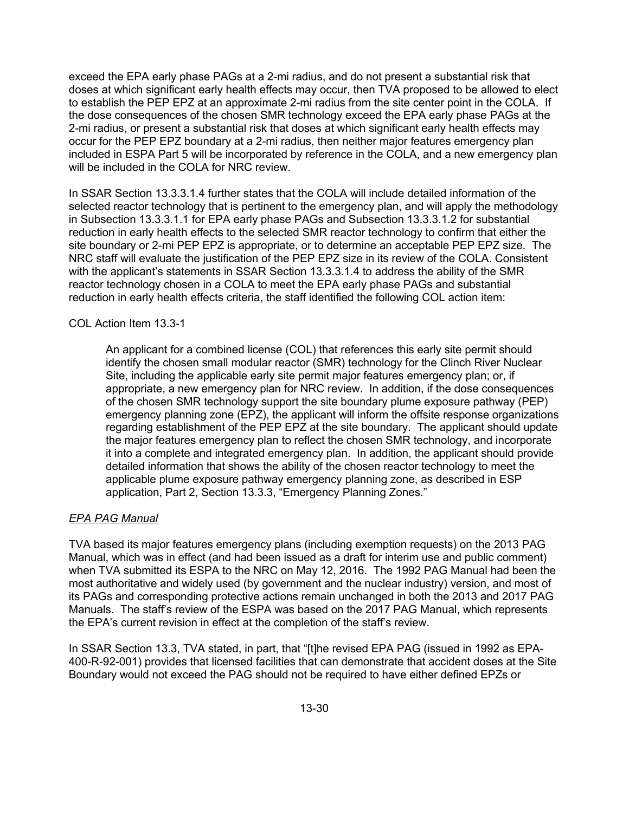exceed the EPA early phase PAGs at a 2-mi radius, and do not present a substantial risk that doses at which significant early health effects may occur, then TVA proposed to be allowed to elect to establish the PEP EPZ at an approximate 2-mi radius from the site center point in the COLA. If the dose consequences of the chosen SMR technology exceed the EPA early phase PAGs at the 2-mi radius, or present a substantial risk that doses at which significant early health effects may occur for the PEP EPZ boundary at a 2-mi radius, then neither major features emergency plan included in ESPA Part 5 will be incorporated by reference in the COLA, and a new emergency plan will be included in the COLA for NRC review.

In SSAR Section 13.3.3.1.4 further states that the COLA will include detailed information of the selected reactor technology that is pertinent to the emergency plan, and will apply the methodology in Subsection 13.3.3.1.1 for EPA early phase PAGs and Subsection 13.3.3.1.2 for substantial reduction in early health effects to the selected SMR reactor technology to confirm that either the site boundary or 2-mi PEP EPZ is appropriate, or to determine an acceptable PEP EPZ size. The NRC staff will evaluate the justification of the PEP EPZ size in its review of the COLA. Consistent with the applicant's statements in SSAR Section 13.3.3.1.4 to address the ability of the SMR reactor technology chosen in a COLA to meet the EPA early phase PAGs and substantial reduction in early health effects criteria, the staff identified the following COL action item:

### COL Action Item 13.3-1

An applicant for a combined license (COL) that references this early site permit should identify the chosen small modular reactor (SMR) technology for the Clinch River Nuclear Site, including the applicable early site permit major features emergency plan; or, if appropriate, a new emergency plan for NRC review. In addition, if the dose consequences of the chosen SMR technology support the site boundary plume exposure pathway (PEP) emergency planning zone (EPZ), the applicant will inform the offsite response organizations regarding establishment of the PEP EPZ at the site boundary. The applicant should update the major features emergency plan to reflect the chosen SMR technology, and incorporate it into a complete and integrated emergency plan. In addition, the applicant should provide detailed information that shows the ability of the chosen reactor technology to meet the applicable plume exposure pathway emergency planning zone, as described in ESP application, Part 2, Section 13.3.3, "Emergency Planning Zones."

### *EPA PAG Manual*

TVA based its major features emergency plans (including exemption requests) on the 2013 PAG Manual, which was in effect (and had been issued as a draft for interim use and public comment) when TVA submitted its ESPA to the NRC on May 12, 2016. The 1992 PAG Manual had been the most authoritative and widely used (by government and the nuclear industry) version, and most of its PAGs and corresponding protective actions remain unchanged in both the 2013 and 2017 PAG Manuals. The staff's review of the ESPA was based on the 2017 PAG Manual, which represents the EPA's current revision in effect at the completion of the staff's review.

In SSAR Section 13.3, TVA stated, in part, that "[t]he revised EPA PAG (issued in 1992 as EPA-400-R-92-001) provides that licensed facilities that can demonstrate that accident doses at the Site Boundary would not exceed the PAG should not be required to have either defined EPZs or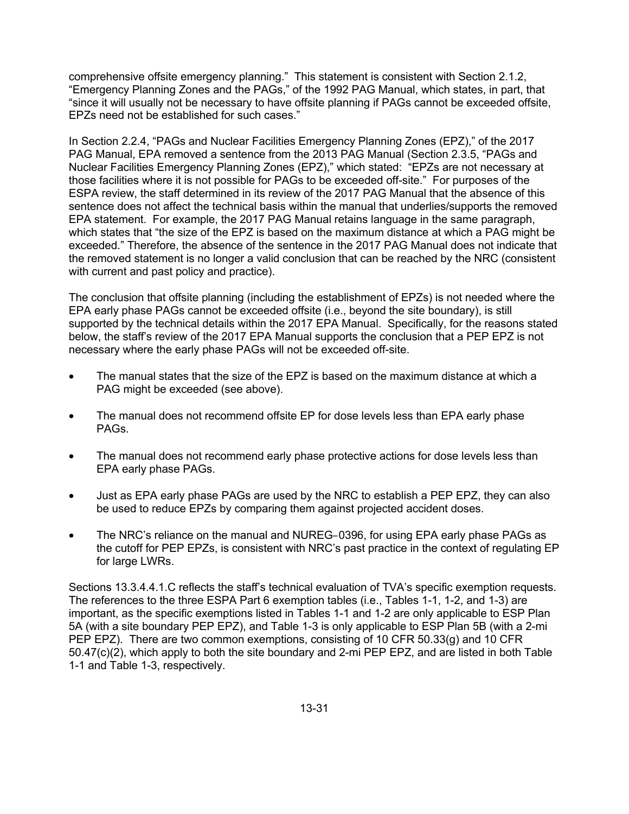comprehensive offsite emergency planning." This statement is consistent with Section 2.1.2, "Emergency Planning Zones and the PAGs," of the 1992 PAG Manual, which states, in part, that "since it will usually not be necessary to have offsite planning if PAGs cannot be exceeded offsite, EPZs need not be established for such cases."

In Section 2.2.4, "PAGs and Nuclear Facilities Emergency Planning Zones (EPZ)," of the 2017 PAG Manual, EPA removed a sentence from the 2013 PAG Manual (Section 2.3.5, "PAGs and Nuclear Facilities Emergency Planning Zones (EPZ)," which stated: "EPZs are not necessary at those facilities where it is not possible for PAGs to be exceeded off-site." For purposes of the ESPA review, the staff determined in its review of the 2017 PAG Manual that the absence of this sentence does not affect the technical basis within the manual that underlies/supports the removed EPA statement. For example, the 2017 PAG Manual retains language in the same paragraph, which states that "the size of the EPZ is based on the maximum distance at which a PAG might be exceeded." Therefore, the absence of the sentence in the 2017 PAG Manual does not indicate that the removed statement is no longer a valid conclusion that can be reached by the NRC (consistent with current and past policy and practice).

The conclusion that offsite planning (including the establishment of EPZs) is not needed where the EPA early phase PAGs cannot be exceeded offsite (i.e., beyond the site boundary), is still supported by the technical details within the 2017 EPA Manual. Specifically, for the reasons stated below, the staff's review of the 2017 EPA Manual supports the conclusion that a PEP EPZ is not necessary where the early phase PAGs will not be exceeded off-site.

- The manual states that the size of the EPZ is based on the maximum distance at which a PAG might be exceeded (see above).
- The manual does not recommend offsite EP for dose levels less than EPA early phase PAGs.
- The manual does not recommend early phase protective actions for dose levels less than EPA early phase PAGs.
- Just as EPA early phase PAGs are used by the NRC to establish a PEP EPZ, they can also be used to reduce EPZs by comparing them against projected accident doses.
- The NRC's reliance on the manual and NUREG–0396, for using EPA early phase PAGs as the cutoff for PEP EPZs, is consistent with NRC's past practice in the context of regulating EP for large LWRs.

Sections 13.3.4.4.1.C reflects the staff's technical evaluation of TVA's specific exemption requests. The references to the three ESPA Part 6 exemption tables (i.e., Tables 1-1, 1-2, and 1-3) are important, as the specific exemptions listed in Tables 1-1 and 1-2 are only applicable to ESP Plan 5A (with a site boundary PEP EPZ), and Table 1-3 is only applicable to ESP Plan 5B (with a 2-mi PEP EPZ). There are two common exemptions, consisting of 10 CFR 50.33(g) and 10 CFR 50.47(c)(2), which apply to both the site boundary and 2-mi PEP EPZ, and are listed in both Table 1-1 and Table 1-3, respectively.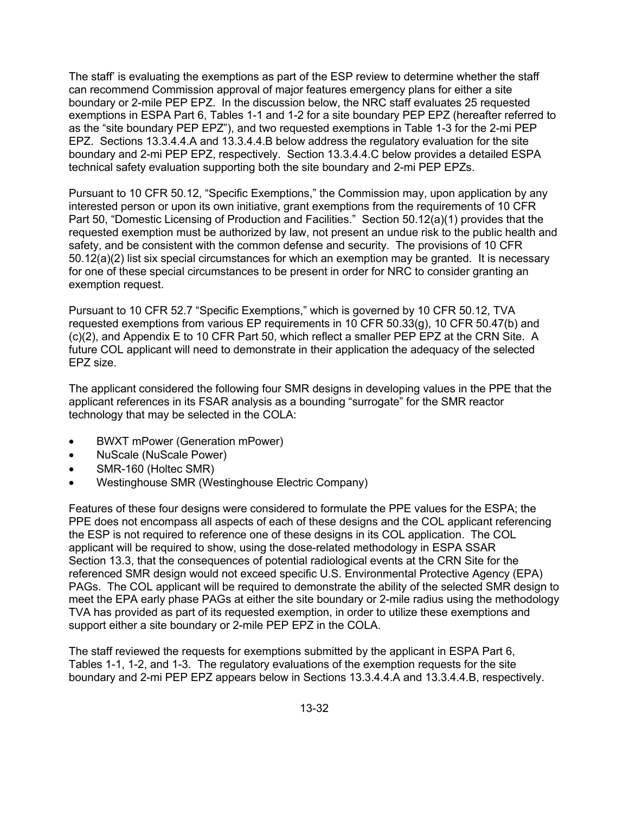The staff' is evaluating the exemptions as part of the ESP review to determine whether the staff can recommend Commission approval of major features emergency plans for either a site boundary or 2-mile PEP EPZ. In the discussion below, the NRC staff evaluates 25 requested exemptions in ESPA Part 6, Tables 1-1 and 1-2 for a site boundary PEP EPZ (hereafter referred to as the "site boundary PEP EPZ"), and two requested exemptions in Table 1-3 for the 2-mi PEP EPZ. Sections 13.3.4.4.A and 13.3.4.4.B below address the regulatory evaluation for the site boundary and 2-mi PEP EPZ, respectively. Section 13.3.4.4.C below provides a detailed ESPA technical safety evaluation supporting both the site boundary and 2-mi PEP EPZs.

Pursuant to 10 CFR 50.12, "Specific Exemptions," the Commission may, upon application by any interested person or upon its own initiative, grant exemptions from the requirements of 10 CFR Part 50, "Domestic Licensing of Production and Facilities." Section 50.12(a)(1) provides that the requested exemption must be authorized by law, not present an undue risk to the public health and safety, and be consistent with the common defense and security. The provisions of 10 CFR 50.12(a)(2) list six special circumstances for which an exemption may be granted. It is necessary for one of these special circumstances to be present in order for NRC to consider granting an exemption request.

Pursuant to 10 CFR 52.7 "Specific Exemptions," which is governed by 10 CFR 50.12, TVA requested exemptions from various EP requirements in 10 CFR 50.33(g), 10 CFR 50.47(b) and (c)(2), and Appendix E to 10 CFR Part 50, which reflect a smaller PEP EPZ at the CRN Site. A future COL applicant will need to demonstrate in their application the adequacy of the selected EPZ size.

The applicant considered the following four SMR designs in developing values in the PPE that the applicant references in its FSAR analysis as a bounding "surrogate" for the SMR reactor technology that may be selected in the COLA:

- BWXT mPower (Generation mPower)
- NuScale (NuScale Power)
- SMR-160 (Holtec SMR)
- Westinghouse SMR (Westinghouse Electric Company)

Features of these four designs were considered to formulate the PPE values for the ESPA; the PPE does not encompass all aspects of each of these designs and the COL applicant referencing the ESP is not required to reference one of these designs in its COL application. The COL applicant will be required to show, using the dose-related methodology in ESPA SSAR Section 13.3, that the consequences of potential radiological events at the CRN Site for the referenced SMR design would not exceed specific U.S. Environmental Protective Agency (EPA) PAGs. The COL applicant will be required to demonstrate the ability of the selected SMR design to meet the EPA early phase PAGs at either the site boundary or 2-mile radius using the methodology TVA has provided as part of its requested exemption, in order to utilize these exemptions and support either a site boundary or 2-mile PEP EPZ in the COLA.

The staff reviewed the requests for exemptions submitted by the applicant in ESPA Part 6, Tables 1-1, 1-2, and 1-3. The regulatory evaluations of the exemption requests for the site boundary and 2-mi PEP EPZ appears below in Sections 13.3.4.4.A and 13.3.4.4.B, respectively.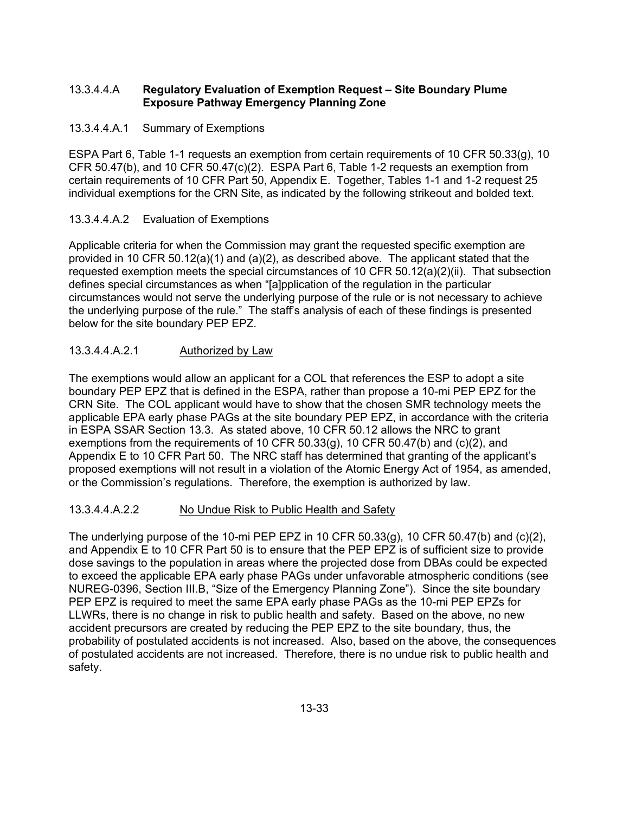### 13.3.4.4.A **Regulatory Evaluation of Exemption Request – Site Boundary Plume Exposure Pathway Emergency Planning Zone**

### 13.3.4.4.A.1 Summary of Exemptions

ESPA Part 6, Table 1-1 requests an exemption from certain requirements of 10 CFR 50.33(g), 10 CFR 50.47(b), and 10 CFR 50.47(c)(2). ESPA Part 6, Table 1-2 requests an exemption from certain requirements of 10 CFR Part 50, Appendix E. Together, Tables 1-1 and 1-2 request 25 individual exemptions for the CRN Site, as indicated by the following strikeout and bolded text.

## 13.3.4.4.A.2 Evaluation of Exemptions

Applicable criteria for when the Commission may grant the requested specific exemption are provided in 10 CFR 50.12(a)(1) and (a)(2), as described above. The applicant stated that the requested exemption meets the special circumstances of 10 CFR 50.12(a)(2)(ii). That subsection defines special circumstances as when "[a]pplication of the regulation in the particular circumstances would not serve the underlying purpose of the rule or is not necessary to achieve the underlying purpose of the rule." The staff's analysis of each of these findings is presented below for the site boundary PEP EPZ.

## 13.3.4.4.A.2.1 Authorized by Law

The exemptions would allow an applicant for a COL that references the ESP to adopt a site boundary PEP EPZ that is defined in the ESPA, rather than propose a 10-mi PEP EPZ for the CRN Site. The COL applicant would have to show that the chosen SMR technology meets the applicable EPA early phase PAGs at the site boundary PEP EPZ, in accordance with the criteria in ESPA SSAR Section 13.3. As stated above, 10 CFR 50.12 allows the NRC to grant exemptions from the requirements of 10 CFR  $50.33(q)$ , 10 CFR  $50.47(b)$  and (c)(2), and Appendix E to 10 CFR Part 50. The NRC staff has determined that granting of the applicant's proposed exemptions will not result in a violation of the Atomic Energy Act of 1954, as amended, or the Commission's regulations. Therefore, the exemption is authorized by law.

### 13.3.4.4.A.2.2 No Undue Risk to Public Health and Safety

The underlying purpose of the 10-mi PEP EPZ in 10 CFR 50.33(g), 10 CFR 50.47(b) and  $(c)(2)$ , and Appendix E to 10 CFR Part 50 is to ensure that the PEP EPZ is of sufficient size to provide dose savings to the population in areas where the projected dose from DBAs could be expected to exceed the applicable EPA early phase PAGs under unfavorable atmospheric conditions (see NUREG-0396, Section III.B, "Size of the Emergency Planning Zone"). Since the site boundary PEP EPZ is required to meet the same EPA early phase PAGs as the 10-mi PEP EPZs for LLWRs, there is no change in risk to public health and safety. Based on the above, no new accident precursors are created by reducing the PEP EPZ to the site boundary, thus, the probability of postulated accidents is not increased. Also, based on the above, the consequences of postulated accidents are not increased. Therefore, there is no undue risk to public health and safety.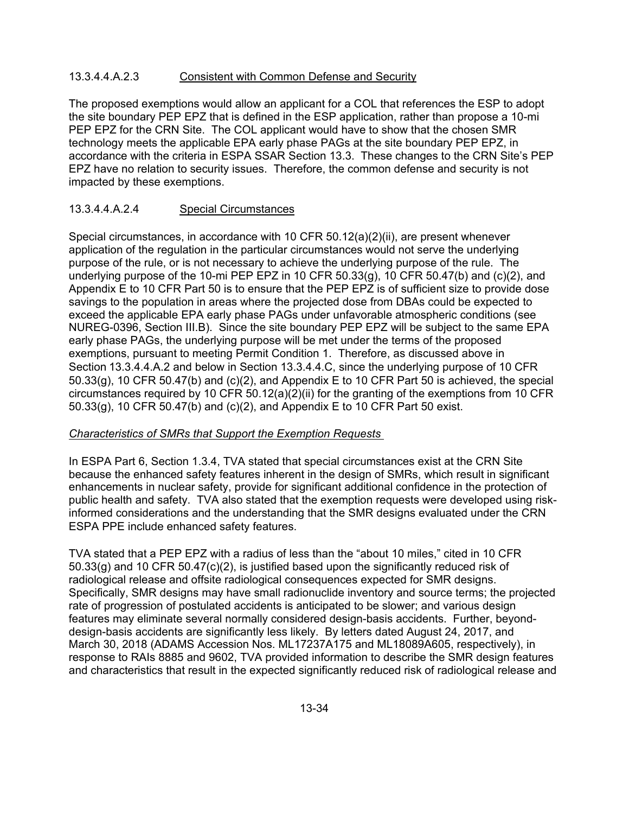### 13.3.4.4.A.2.3 Consistent with Common Defense and Security

The proposed exemptions would allow an applicant for a COL that references the ESP to adopt the site boundary PEP EPZ that is defined in the ESP application, rather than propose a 10-mi PEP EPZ for the CRN Site. The COL applicant would have to show that the chosen SMR technology meets the applicable EPA early phase PAGs at the site boundary PEP EPZ, in accordance with the criteria in ESPA SSAR Section 13.3. These changes to the CRN Site's PEP EPZ have no relation to security issues. Therefore, the common defense and security is not impacted by these exemptions.

### 13.3.4.4.A.2.4 Special Circumstances

Special circumstances, in accordance with 10 CFR 50.12(a)(2)(ii), are present whenever application of the regulation in the particular circumstances would not serve the underlying purpose of the rule, or is not necessary to achieve the underlying purpose of the rule. The underlying purpose of the 10-mi PEP EPZ in 10 CFR 50.33(g), 10 CFR 50.47(b) and (c)(2), and Appendix E to 10 CFR Part 50 is to ensure that the PEP EPZ is of sufficient size to provide dose savings to the population in areas where the projected dose from DBAs could be expected to exceed the applicable EPA early phase PAGs under unfavorable atmospheric conditions (see NUREG-0396, Section III.B). Since the site boundary PEP EPZ will be subject to the same EPA early phase PAGs, the underlying purpose will be met under the terms of the proposed exemptions, pursuant to meeting Permit Condition 1. Therefore, as discussed above in Section 13.3.4.4.A.2 and below in Section 13.3.4.4.C, since the underlying purpose of 10 CFR 50.33(g), 10 CFR 50.47(b) and (c)(2), and Appendix E to 10 CFR Part 50 is achieved, the special circumstances required by 10 CFR 50.12(a)(2)(ii) for the granting of the exemptions from 10 CFR 50.33(g), 10 CFR 50.47(b) and (c)(2), and Appendix E to 10 CFR Part 50 exist.

#### *Characteristics of SMRs that Support the Exemption Requests*

In ESPA Part 6, Section 1.3.4, TVA stated that special circumstances exist at the CRN Site because the enhanced safety features inherent in the design of SMRs, which result in significant enhancements in nuclear safety, provide for significant additional confidence in the protection of public health and safety. TVA also stated that the exemption requests were developed using riskinformed considerations and the understanding that the SMR designs evaluated under the CRN ESPA PPE include enhanced safety features.

TVA stated that a PEP EPZ with a radius of less than the "about 10 miles," cited in 10 CFR  $50.33$ (g) and 10 CFR  $50.47$ (c)(2), is justified based upon the significantly reduced risk of radiological release and offsite radiological consequences expected for SMR designs. Specifically, SMR designs may have small radionuclide inventory and source terms; the projected rate of progression of postulated accidents is anticipated to be slower; and various design features may eliminate several normally considered design-basis accidents. Further, beyonddesign-basis accidents are significantly less likely. By letters dated August 24, 2017, and March 30, 2018 (ADAMS Accession Nos. ML17237A175 and ML18089A605, respectively), in response to RAIs 8885 and 9602, TVA provided information to describe the SMR design features and characteristics that result in the expected significantly reduced risk of radiological release and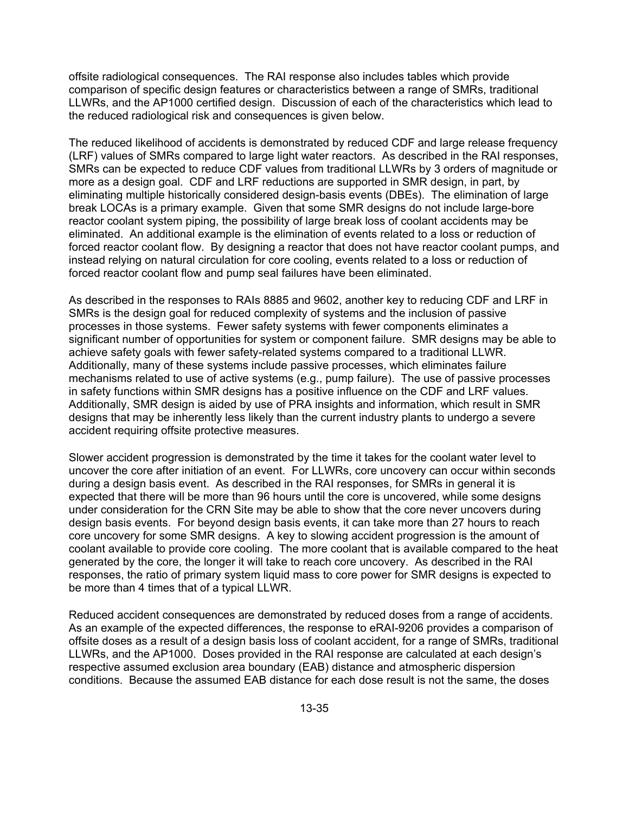offsite radiological consequences. The RAI response also includes tables which provide comparison of specific design features or characteristics between a range of SMRs, traditional LLWRs, and the AP1000 certified design. Discussion of each of the characteristics which lead to the reduced radiological risk and consequences is given below.

The reduced likelihood of accidents is demonstrated by reduced CDF and large release frequency (LRF) values of SMRs compared to large light water reactors. As described in the RAI responses, SMRs can be expected to reduce CDF values from traditional LLWRs by 3 orders of magnitude or more as a design goal. CDF and LRF reductions are supported in SMR design, in part, by eliminating multiple historically considered design-basis events (DBEs). The elimination of large break LOCAs is a primary example. Given that some SMR designs do not include large-bore reactor coolant system piping, the possibility of large break loss of coolant accidents may be eliminated. An additional example is the elimination of events related to a loss or reduction of forced reactor coolant flow. By designing a reactor that does not have reactor coolant pumps, and instead relying on natural circulation for core cooling, events related to a loss or reduction of forced reactor coolant flow and pump seal failures have been eliminated.

As described in the responses to RAIs 8885 and 9602, another key to reducing CDF and LRF in SMRs is the design goal for reduced complexity of systems and the inclusion of passive processes in those systems. Fewer safety systems with fewer components eliminates a significant number of opportunities for system or component failure. SMR designs may be able to achieve safety goals with fewer safety-related systems compared to a traditional LLWR. Additionally, many of these systems include passive processes, which eliminates failure mechanisms related to use of active systems (e.g., pump failure). The use of passive processes in safety functions within SMR designs has a positive influence on the CDF and LRF values. Additionally, SMR design is aided by use of PRA insights and information, which result in SMR designs that may be inherently less likely than the current industry plants to undergo a severe accident requiring offsite protective measures.

Slower accident progression is demonstrated by the time it takes for the coolant water level to uncover the core after initiation of an event. For LLWRs, core uncovery can occur within seconds during a design basis event. As described in the RAI responses, for SMRs in general it is expected that there will be more than 96 hours until the core is uncovered, while some designs under consideration for the CRN Site may be able to show that the core never uncovers during design basis events. For beyond design basis events, it can take more than 27 hours to reach core uncovery for some SMR designs. A key to slowing accident progression is the amount of coolant available to provide core cooling. The more coolant that is available compared to the heat generated by the core, the longer it will take to reach core uncovery. As described in the RAI responses, the ratio of primary system liquid mass to core power for SMR designs is expected to be more than 4 times that of a typical LLWR.

Reduced accident consequences are demonstrated by reduced doses from a range of accidents. As an example of the expected differences, the response to eRAI-9206 provides a comparison of offsite doses as a result of a design basis loss of coolant accident, for a range of SMRs, traditional LLWRs, and the AP1000. Doses provided in the RAI response are calculated at each design's respective assumed exclusion area boundary (EAB) distance and atmospheric dispersion conditions. Because the assumed EAB distance for each dose result is not the same, the doses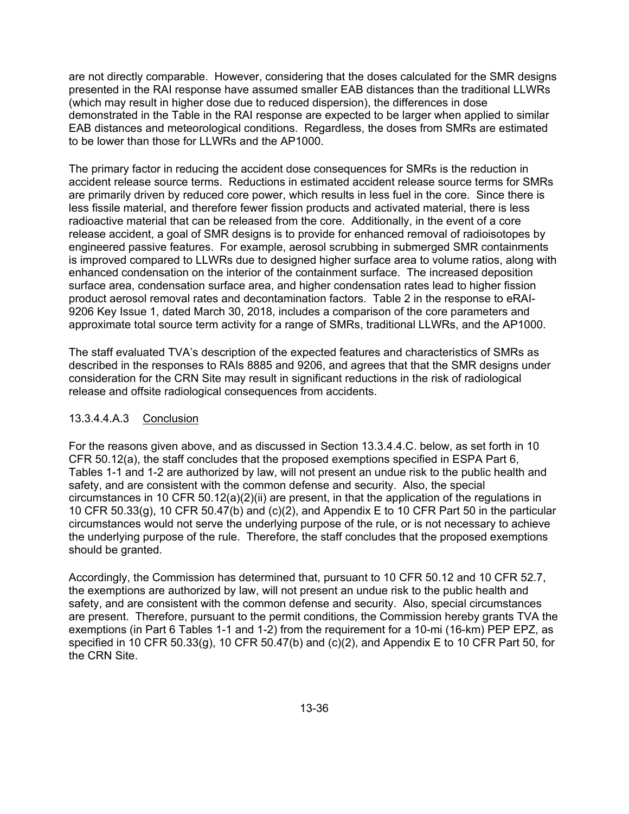are not directly comparable. However, considering that the doses calculated for the SMR designs presented in the RAI response have assumed smaller EAB distances than the traditional LLWRs (which may result in higher dose due to reduced dispersion), the differences in dose demonstrated in the Table in the RAI response are expected to be larger when applied to similar EAB distances and meteorological conditions. Regardless, the doses from SMRs are estimated to be lower than those for LLWRs and the AP1000.

The primary factor in reducing the accident dose consequences for SMRs is the reduction in accident release source terms. Reductions in estimated accident release source terms for SMRs are primarily driven by reduced core power, which results in less fuel in the core. Since there is less fissile material, and therefore fewer fission products and activated material, there is less radioactive material that can be released from the core. Additionally, in the event of a core release accident, a goal of SMR designs is to provide for enhanced removal of radioisotopes by engineered passive features. For example, aerosol scrubbing in submerged SMR containments is improved compared to LLWRs due to designed higher surface area to volume ratios, along with enhanced condensation on the interior of the containment surface. The increased deposition surface area, condensation surface area, and higher condensation rates lead to higher fission product aerosol removal rates and decontamination factors. Table 2 in the response to eRAI-9206 Key Issue 1, dated March 30, 2018, includes a comparison of the core parameters and approximate total source term activity for a range of SMRs, traditional LLWRs, and the AP1000.

The staff evaluated TVA's description of the expected features and characteristics of SMRs as described in the responses to RAIs 8885 and 9206, and agrees that that the SMR designs under consideration for the CRN Site may result in significant reductions in the risk of radiological release and offsite radiological consequences from accidents.

### 13.3.4.4.A.3 Conclusion

For the reasons given above, and as discussed in Section 13.3.4.4.C. below, as set forth in 10 CFR 50.12(a), the staff concludes that the proposed exemptions specified in ESPA Part 6, Tables 1-1 and 1-2 are authorized by law, will not present an undue risk to the public health and safety, and are consistent with the common defense and security. Also, the special circumstances in 10 CFR 50.12(a)(2)(ii) are present, in that the application of the regulations in 10 CFR 50.33(g), 10 CFR 50.47(b) and (c)(2), and Appendix E to 10 CFR Part 50 in the particular circumstances would not serve the underlying purpose of the rule, or is not necessary to achieve the underlying purpose of the rule. Therefore, the staff concludes that the proposed exemptions should be granted.

Accordingly, the Commission has determined that, pursuant to 10 CFR 50.12 and 10 CFR 52.7, the exemptions are authorized by law, will not present an undue risk to the public health and safety, and are consistent with the common defense and security. Also, special circumstances are present. Therefore, pursuant to the permit conditions, the Commission hereby grants TVA the exemptions (in Part 6 Tables 1-1 and 1-2) from the requirement for a 10-mi (16-km) PEP EPZ, as specified in 10 CFR 50.33(g), 10 CFR 50.47(b) and (c)(2), and Appendix E to 10 CFR Part 50, for the CRN Site.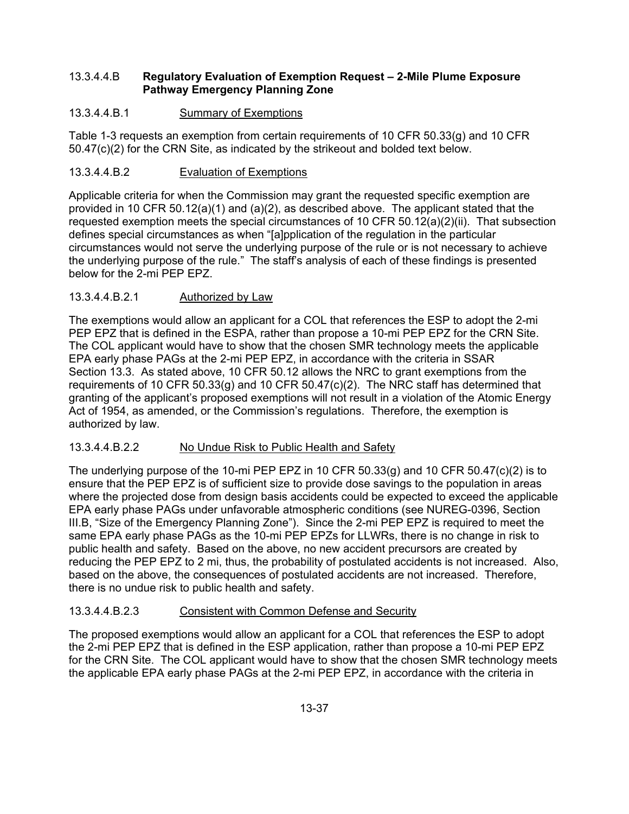## 13.3.4.4.B **Regulatory Evaluation of Exemption Request – 2-Mile Plume Exposure Pathway Emergency Planning Zone**

# 13.3.4.4.B.1 Summary of Exemptions

Table 1-3 requests an exemption from certain requirements of 10 CFR 50.33(g) and 10 CFR 50.47(c)(2) for the CRN Site, as indicated by the strikeout and bolded text below.

# 13.3.4.4.B.2 Evaluation of Exemptions

Applicable criteria for when the Commission may grant the requested specific exemption are provided in 10 CFR 50.12(a)(1) and (a)(2), as described above. The applicant stated that the requested exemption meets the special circumstances of 10 CFR 50.12(a)(2)(ii). That subsection defines special circumstances as when "[a]pplication of the regulation in the particular circumstances would not serve the underlying purpose of the rule or is not necessary to achieve the underlying purpose of the rule." The staff's analysis of each of these findings is presented below for the 2-mi PEP EPZ.

# 13.3.4.4.B.2.1 Authorized by Law

The exemptions would allow an applicant for a COL that references the ESP to adopt the 2-mi PEP EPZ that is defined in the ESPA, rather than propose a 10-mi PEP EPZ for the CRN Site. The COL applicant would have to show that the chosen SMR technology meets the applicable EPA early phase PAGs at the 2-mi PEP EPZ, in accordance with the criteria in SSAR Section 13.3. As stated above, 10 CFR 50.12 allows the NRC to grant exemptions from the requirements of 10 CFR 50.33(g) and 10 CFR 50.47(c)(2). The NRC staff has determined that granting of the applicant's proposed exemptions will not result in a violation of the Atomic Energy Act of 1954, as amended, or the Commission's regulations. Therefore, the exemption is authorized by law.

## 13.3.4.4.B.2.2 No Undue Risk to Public Health and Safety

The underlying purpose of the 10-mi PEP EPZ in 10 CFR 50.33(g) and 10 CFR 50.47(c)(2) is to ensure that the PEP EPZ is of sufficient size to provide dose savings to the population in areas where the projected dose from design basis accidents could be expected to exceed the applicable EPA early phase PAGs under unfavorable atmospheric conditions (see NUREG-0396, Section III.B, "Size of the Emergency Planning Zone"). Since the 2-mi PEP EPZ is required to meet the same EPA early phase PAGs as the 10-mi PEP EPZs for LLWRs, there is no change in risk to public health and safety. Based on the above, no new accident precursors are created by reducing the PEP EPZ to 2 mi, thus, the probability of postulated accidents is not increased. Also, based on the above, the consequences of postulated accidents are not increased. Therefore, there is no undue risk to public health and safety.

## 13.3.4.4.B.2.3 Consistent with Common Defense and Security

The proposed exemptions would allow an applicant for a COL that references the ESP to adopt the 2-mi PEP EPZ that is defined in the ESP application, rather than propose a 10-mi PEP EPZ for the CRN Site. The COL applicant would have to show that the chosen SMR technology meets the applicable EPA early phase PAGs at the 2-mi PEP EPZ, in accordance with the criteria in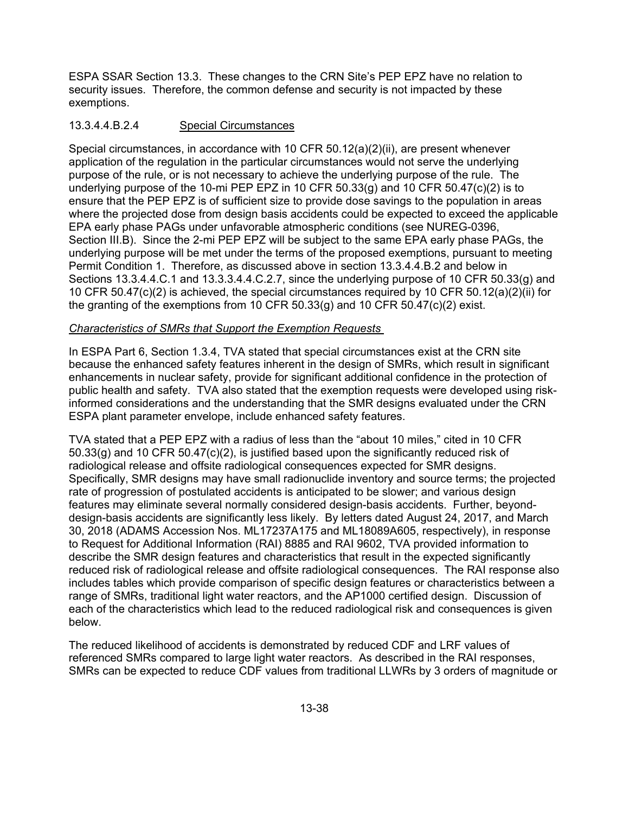ESPA SSAR Section 13.3. These changes to the CRN Site's PEP EPZ have no relation to security issues. Therefore, the common defense and security is not impacted by these exemptions.

# 13.3.4.4.B.2.4 Special Circumstances

Special circumstances, in accordance with 10 CFR 50.12(a)(2)(ii), are present whenever application of the regulation in the particular circumstances would not serve the underlying purpose of the rule, or is not necessary to achieve the underlying purpose of the rule. The underlying purpose of the 10-mi PEP EPZ in 10 CFR 50.33(g) and 10 CFR 50.47(c)(2) is to ensure that the PEP EPZ is of sufficient size to provide dose savings to the population in areas where the projected dose from design basis accidents could be expected to exceed the applicable EPA early phase PAGs under unfavorable atmospheric conditions (see NUREG-0396, Section III.B). Since the 2-mi PEP EPZ will be subject to the same EPA early phase PAGs, the underlying purpose will be met under the terms of the proposed exemptions, pursuant to meeting Permit Condition 1. Therefore, as discussed above in section 13.3.4.4.B.2 and below in Sections 13.3.4.4.C.1 and 13.3.3.4.4.C.2.7, since the underlying purpose of 10 CFR 50.33(g) and 10 CFR 50.47(c)(2) is achieved, the special circumstances required by 10 CFR 50.12(a)(2)(ii) for the granting of the exemptions from 10 CFR 50.33(g) and 10 CFR 50.47(c)(2) exist.

## *Characteristics of SMRs that Support the Exemption Requests*

In ESPA Part 6, Section 1.3.4, TVA stated that special circumstances exist at the CRN site because the enhanced safety features inherent in the design of SMRs, which result in significant enhancements in nuclear safety, provide for significant additional confidence in the protection of public health and safety. TVA also stated that the exemption requests were developed using riskinformed considerations and the understanding that the SMR designs evaluated under the CRN ESPA plant parameter envelope, include enhanced safety features.

TVA stated that a PEP EPZ with a radius of less than the "about 10 miles," cited in 10 CFR 50.33(g) and 10 CFR 50.47(c)(2), is justified based upon the significantly reduced risk of radiological release and offsite radiological consequences expected for SMR designs. Specifically, SMR designs may have small radionuclide inventory and source terms; the projected rate of progression of postulated accidents is anticipated to be slower; and various design features may eliminate several normally considered design-basis accidents. Further, beyonddesign-basis accidents are significantly less likely. By letters dated August 24, 2017, and March 30, 2018 (ADAMS Accession Nos. ML17237A175 and ML18089A605, respectively), in response to Request for Additional Information (RAI) 8885 and RAI 9602, TVA provided information to describe the SMR design features and characteristics that result in the expected significantly reduced risk of radiological release and offsite radiological consequences. The RAI response also includes tables which provide comparison of specific design features or characteristics between a range of SMRs, traditional light water reactors, and the AP1000 certified design. Discussion of each of the characteristics which lead to the reduced radiological risk and consequences is given below.

The reduced likelihood of accidents is demonstrated by reduced CDF and LRF values of referenced SMRs compared to large light water reactors. As described in the RAI responses, SMRs can be expected to reduce CDF values from traditional LLWRs by 3 orders of magnitude or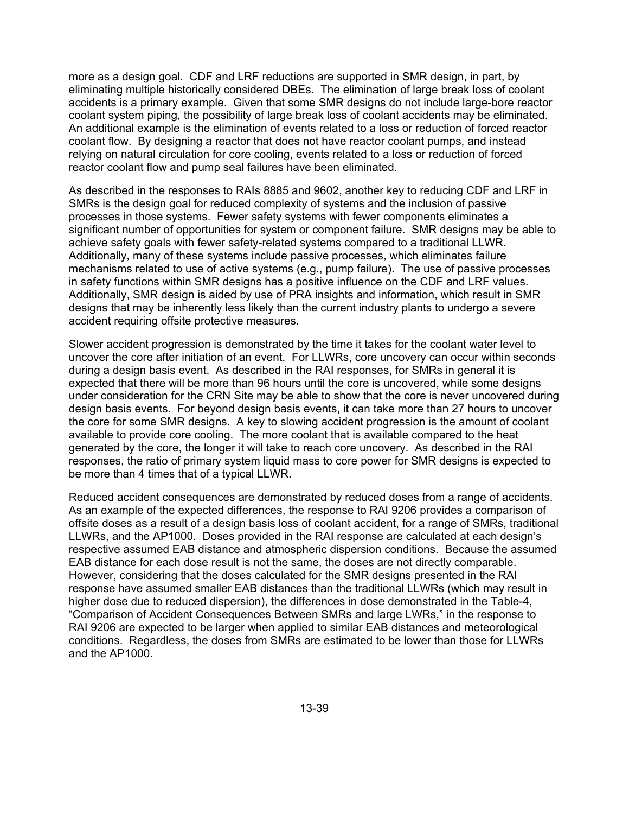more as a design goal. CDF and LRF reductions are supported in SMR design, in part, by eliminating multiple historically considered DBEs. The elimination of large break loss of coolant accidents is a primary example. Given that some SMR designs do not include large-bore reactor coolant system piping, the possibility of large break loss of coolant accidents may be eliminated. An additional example is the elimination of events related to a loss or reduction of forced reactor coolant flow. By designing a reactor that does not have reactor coolant pumps, and instead relying on natural circulation for core cooling, events related to a loss or reduction of forced reactor coolant flow and pump seal failures have been eliminated.

As described in the responses to RAIs 8885 and 9602, another key to reducing CDF and LRF in SMRs is the design goal for reduced complexity of systems and the inclusion of passive processes in those systems. Fewer safety systems with fewer components eliminates a significant number of opportunities for system or component failure. SMR designs may be able to achieve safety goals with fewer safety-related systems compared to a traditional LLWR. Additionally, many of these systems include passive processes, which eliminates failure mechanisms related to use of active systems (e.g., pump failure). The use of passive processes in safety functions within SMR designs has a positive influence on the CDF and LRF values. Additionally, SMR design is aided by use of PRA insights and information, which result in SMR designs that may be inherently less likely than the current industry plants to undergo a severe accident requiring offsite protective measures.

Slower accident progression is demonstrated by the time it takes for the coolant water level to uncover the core after initiation of an event. For LLWRs, core uncovery can occur within seconds during a design basis event. As described in the RAI responses, for SMRs in general it is expected that there will be more than 96 hours until the core is uncovered, while some designs under consideration for the CRN Site may be able to show that the core is never uncovered during design basis events. For beyond design basis events, it can take more than 27 hours to uncover the core for some SMR designs. A key to slowing accident progression is the amount of coolant available to provide core cooling. The more coolant that is available compared to the heat generated by the core, the longer it will take to reach core uncovery. As described in the RAI responses, the ratio of primary system liquid mass to core power for SMR designs is expected to be more than 4 times that of a typical LLWR.

Reduced accident consequences are demonstrated by reduced doses from a range of accidents. As an example of the expected differences, the response to RAI 9206 provides a comparison of offsite doses as a result of a design basis loss of coolant accident, for a range of SMRs, traditional LLWRs, and the AP1000. Doses provided in the RAI response are calculated at each design's respective assumed EAB distance and atmospheric dispersion conditions. Because the assumed EAB distance for each dose result is not the same, the doses are not directly comparable. However, considering that the doses calculated for the SMR designs presented in the RAI response have assumed smaller EAB distances than the traditional LLWRs (which may result in higher dose due to reduced dispersion), the differences in dose demonstrated in the Table-4, "Comparison of Accident Consequences Between SMRs and large LWRs," in the response to RAI 9206 are expected to be larger when applied to similar EAB distances and meteorological conditions. Regardless, the doses from SMRs are estimated to be lower than those for LLWRs and the AP1000.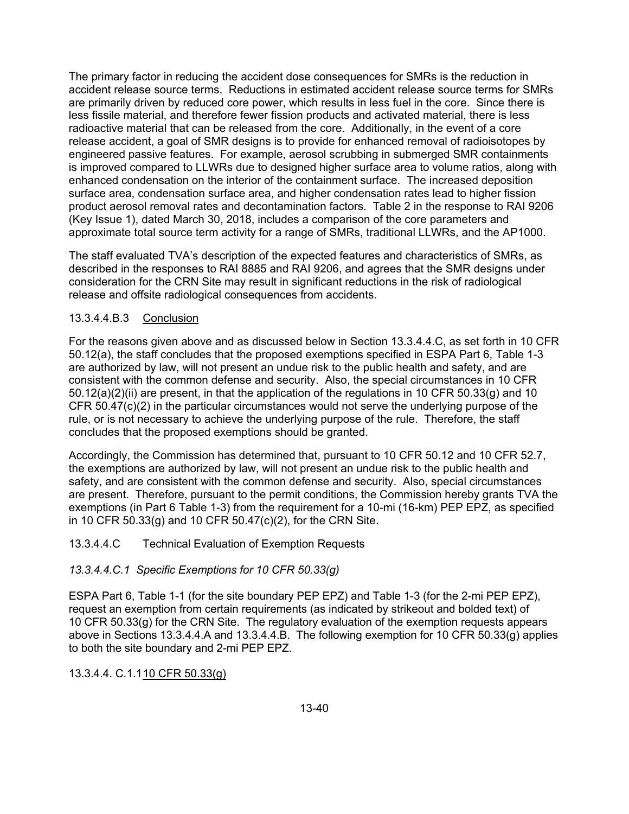The primary factor in reducing the accident dose consequences for SMRs is the reduction in accident release source terms. Reductions in estimated accident release source terms for SMRs are primarily driven by reduced core power, which results in less fuel in the core. Since there is less fissile material, and therefore fewer fission products and activated material, there is less radioactive material that can be released from the core. Additionally, in the event of a core release accident, a goal of SMR designs is to provide for enhanced removal of radioisotopes by engineered passive features. For example, aerosol scrubbing in submerged SMR containments is improved compared to LLWRs due to designed higher surface area to volume ratios, along with enhanced condensation on the interior of the containment surface. The increased deposition surface area, condensation surface area, and higher condensation rates lead to higher fission product aerosol removal rates and decontamination factors. Table 2 in the response to RAI 9206 (Key Issue 1), dated March 30, 2018, includes a comparison of the core parameters and approximate total source term activity for a range of SMRs, traditional LLWRs, and the AP1000.

The staff evaluated TVA's description of the expected features and characteristics of SMRs, as described in the responses to RAI 8885 and RAI 9206, and agrees that the SMR designs under consideration for the CRN Site may result in significant reductions in the risk of radiological release and offsite radiological consequences from accidents.

## 13.3.4.4.B.3 Conclusion

For the reasons given above and as discussed below in Section 13.3.4.4.C, as set forth in 10 CFR 50.12(a), the staff concludes that the proposed exemptions specified in ESPA Part 6, Table 1-3 are authorized by law, will not present an undue risk to the public health and safety, and are consistent with the common defense and security. Also, the special circumstances in 10 CFR 50.12(a)(2)(ii) are present, in that the application of the regulations in 10 CFR 50.33(g) and 10 CFR 50.47(c)(2) in the particular circumstances would not serve the underlying purpose of the rule, or is not necessary to achieve the underlying purpose of the rule. Therefore, the staff concludes that the proposed exemptions should be granted.

Accordingly, the Commission has determined that, pursuant to 10 CFR 50.12 and 10 CFR 52.7, the exemptions are authorized by law, will not present an undue risk to the public health and safety, and are consistent with the common defense and security. Also, special circumstances are present. Therefore, pursuant to the permit conditions, the Commission hereby grants TVA the exemptions (in Part 6 Table 1-3) from the requirement for a 10-mi (16-km) PEP EPZ, as specified in 10 CFR 50.33(g) and 10 CFR 50.47(c)(2), for the CRN Site.

### 13.3.4.4.C Technical Evaluation of Exemption Requests

### *13.3.4.4.C.1 Specific Exemptions for 10 CFR 50.33(g)*

ESPA Part 6, Table 1-1 (for the site boundary PEP EPZ) and Table 1-3 (for the 2-mi PEP EPZ), request an exemption from certain requirements (as indicated by strikeout and bolded text) of 10 CFR 50.33(g) for the CRN Site. The regulatory evaluation of the exemption requests appears above in Sections 13.3.4.4.A and 13.3.4.4.B. The following exemption for 10 CFR 50.33(g) applies to both the site boundary and 2-mi PEP EPZ.

## 13.3.4.4. C.1.1 10 CFR 50.33(g)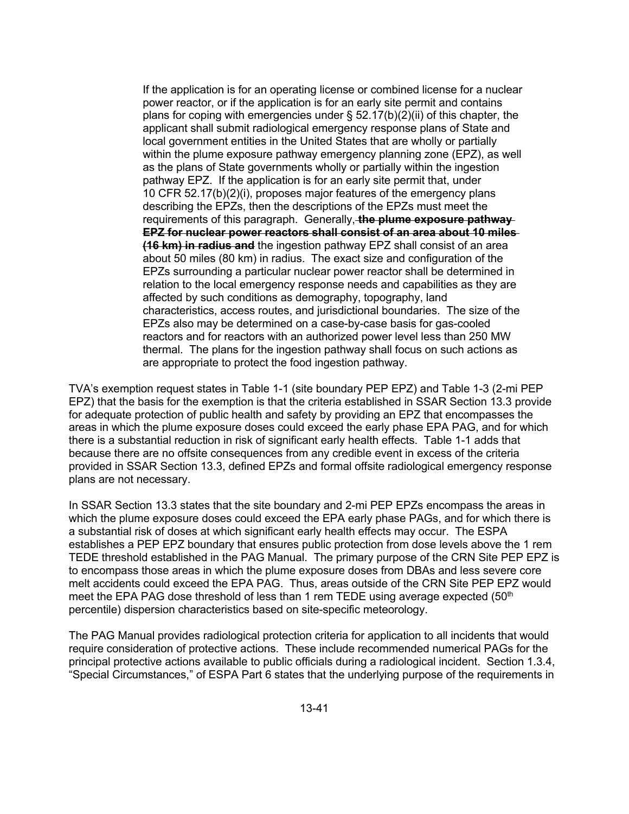If the application is for an operating license or combined license for a nuclear power reactor, or if the application is for an early site permit and contains plans for coping with emergencies under  $\S$  52.17(b)(2)(ii) of this chapter, the applicant shall submit radiological emergency response plans of State and local government entities in the United States that are wholly or partially within the plume exposure pathway emergency planning zone (EPZ), as well as the plans of State governments wholly or partially within the ingestion pathway EPZ. If the application is for an early site permit that, under 10 CFR 52.17(b)(2)(i), proposes major features of the emergency plans describing the EPZs, then the descriptions of the EPZs must meet the requirements of this paragraph. Generally, **the plume exposure pathway EPZ for nuclear power reactors shall consist of an area about 10 miles (16 km) in radius and** the ingestion pathway EPZ shall consist of an area about 50 miles (80 km) in radius. The exact size and configuration of the EPZs surrounding a particular nuclear power reactor shall be determined in relation to the local emergency response needs and capabilities as they are affected by such conditions as demography, topography, land characteristics, access routes, and jurisdictional boundaries. The size of the EPZs also may be determined on a case-by-case basis for gas-cooled reactors and for reactors with an authorized power level less than 250 MW thermal. The plans for the ingestion pathway shall focus on such actions as are appropriate to protect the food ingestion pathway.

TVA's exemption request states in Table 1-1 (site boundary PEP EPZ) and Table 1-3 (2-mi PEP EPZ) that the basis for the exemption is that the criteria established in SSAR Section 13.3 provide for adequate protection of public health and safety by providing an EPZ that encompasses the areas in which the plume exposure doses could exceed the early phase EPA PAG, and for which there is a substantial reduction in risk of significant early health effects. Table 1-1 adds that because there are no offsite consequences from any credible event in excess of the criteria provided in SSAR Section 13.3, defined EPZs and formal offsite radiological emergency response plans are not necessary.

In SSAR Section 13.3 states that the site boundary and 2-mi PEP EPZs encompass the areas in which the plume exposure doses could exceed the EPA early phase PAGs, and for which there is a substantial risk of doses at which significant early health effects may occur. The ESPA establishes a PEP EPZ boundary that ensures public protection from dose levels above the 1 rem TEDE threshold established in the PAG Manual. The primary purpose of the CRN Site PEP EPZ is to encompass those areas in which the plume exposure doses from DBAs and less severe core melt accidents could exceed the EPA PAG. Thus, areas outside of the CRN Site PEP EPZ would meet the EPA PAG dose threshold of less than 1 rem TEDE using average expected  $(50<sup>th</sup>$ percentile) dispersion characteristics based on site-specific meteorology.

The PAG Manual provides radiological protection criteria for application to all incidents that would require consideration of protective actions. These include recommended numerical PAGs for the principal protective actions available to public officials during a radiological incident. Section 1.3.4, "Special Circumstances," of ESPA Part 6 states that the underlying purpose of the requirements in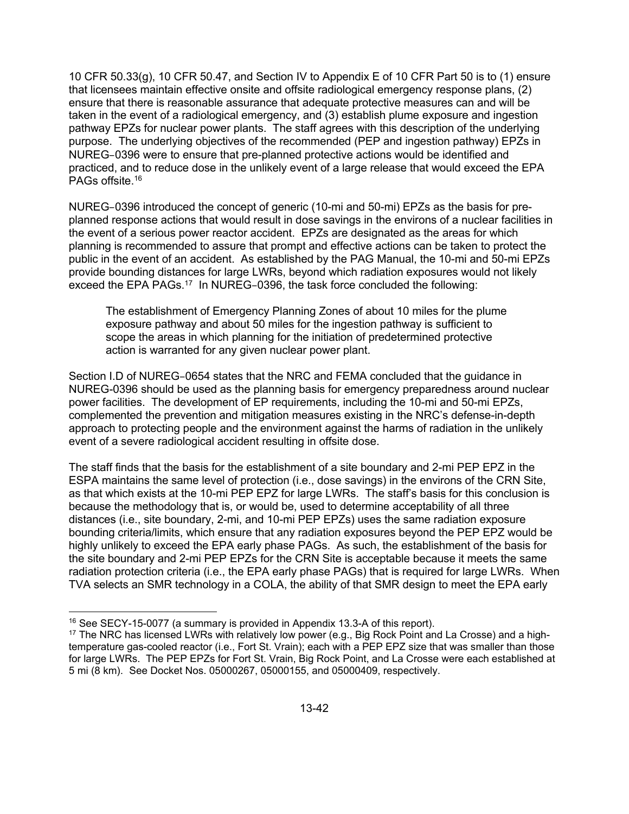10 CFR 50.33(g), 10 CFR 50.47, and Section IV to Appendix E of 10 CFR Part 50 is to (1) ensure that licensees maintain effective onsite and offsite radiological emergency response plans, (2) ensure that there is reasonable assurance that adequate protective measures can and will be taken in the event of a radiological emergency, and (3) establish plume exposure and ingestion pathway EPZs for nuclear power plants. The staff agrees with this description of the underlying purpose. The underlying objectives of the recommended (PEP and ingestion pathway) EPZs in NUREG–0396 were to ensure that pre-planned protective actions would be identified and practiced, and to reduce dose in the unlikely event of a large release that would exceed the EPA PAGs offsite.<sup>16</sup>

NUREG–0396 introduced the concept of generic (10-mi and 50-mi) EPZs as the basis for preplanned response actions that would result in dose savings in the environs of a nuclear facilities in the event of a serious power reactor accident. EPZs are designated as the areas for which planning is recommended to assure that prompt and effective actions can be taken to protect the public in the event of an accident. As established by the PAG Manual, the 10-mi and 50-mi EPZs provide bounding distances for large LWRs, beyond which radiation exposures would not likely exceed the EPA PAGs.17 In NUREG–0396, the task force concluded the following:

The establishment of Emergency Planning Zones of about 10 miles for the plume exposure pathway and about 50 miles for the ingestion pathway is sufficient to scope the areas in which planning for the initiation of predetermined protective action is warranted for any given nuclear power plant.

Section I.D of NUREG–0654 states that the NRC and FEMA concluded that the guidance in NUREG-0396 should be used as the planning basis for emergency preparedness around nuclear power facilities. The development of EP requirements, including the 10-mi and 50-mi EPZs, complemented the prevention and mitigation measures existing in the NRC's defense-in-depth approach to protecting people and the environment against the harms of radiation in the unlikely event of a severe radiological accident resulting in offsite dose.

The staff finds that the basis for the establishment of a site boundary and 2-mi PEP EPZ in the ESPA maintains the same level of protection (i.e., dose savings) in the environs of the CRN Site, as that which exists at the 10-mi PEP EPZ for large LWRs. The staff's basis for this conclusion is because the methodology that is, or would be, used to determine acceptability of all three distances (i.e., site boundary, 2-mi, and 10-mi PEP EPZs) uses the same radiation exposure bounding criteria/limits, which ensure that any radiation exposures beyond the PEP EPZ would be highly unlikely to exceed the EPA early phase PAGs. As such, the establishment of the basis for the site boundary and 2-mi PEP EPZs for the CRN Site is acceptable because it meets the same radiation protection criteria (i.e., the EPA early phase PAGs) that is required for large LWRs. When TVA selects an SMR technology in a COLA, the ability of that SMR design to meet the EPA early

1

<sup>&</sup>lt;sup>16</sup> See SECY-15-0077 (a summary is provided in Appendix 13.3-A of this report).

<sup>&</sup>lt;sup>17</sup> The NRC has licensed LWRs with relatively low power (e.g., Big Rock Point and La Crosse) and a hightemperature gas-cooled reactor (i.e., Fort St. Vrain); each with a PEP EPZ size that was smaller than those for large LWRs. The PEP EPZs for Fort St. Vrain, Big Rock Point, and La Crosse were each established at 5 mi (8 km). See Docket Nos. 05000267, 05000155, and 05000409, respectively.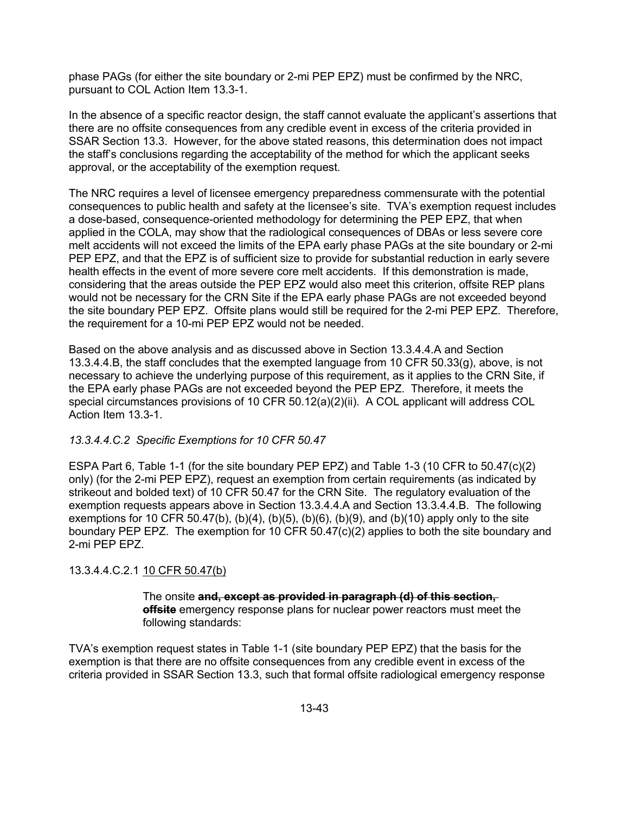phase PAGs (for either the site boundary or 2-mi PEP EPZ) must be confirmed by the NRC, pursuant to COL Action Item 13.3-1.

In the absence of a specific reactor design, the staff cannot evaluate the applicant's assertions that there are no offsite consequences from any credible event in excess of the criteria provided in SSAR Section 13.3. However, for the above stated reasons, this determination does not impact the staff's conclusions regarding the acceptability of the method for which the applicant seeks approval, or the acceptability of the exemption request.

The NRC requires a level of licensee emergency preparedness commensurate with the potential consequences to public health and safety at the licensee's site. TVA's exemption request includes a dose-based, consequence-oriented methodology for determining the PEP EPZ, that when applied in the COLA, may show that the radiological consequences of DBAs or less severe core melt accidents will not exceed the limits of the EPA early phase PAGs at the site boundary or 2-mi PEP EPZ, and that the EPZ is of sufficient size to provide for substantial reduction in early severe health effects in the event of more severe core melt accidents. If this demonstration is made, considering that the areas outside the PEP EPZ would also meet this criterion, offsite REP plans would not be necessary for the CRN Site if the EPA early phase PAGs are not exceeded beyond the site boundary PEP EPZ. Offsite plans would still be required for the 2-mi PEP EPZ. Therefore, the requirement for a 10-mi PEP EPZ would not be needed.

Based on the above analysis and as discussed above in Section 13.3.4.4.A and Section 13.3.4.4.B, the staff concludes that the exempted language from 10 CFR 50.33(g), above, is not necessary to achieve the underlying purpose of this requirement, as it applies to the CRN Site, if the EPA early phase PAGs are not exceeded beyond the PEP EPZ. Therefore, it meets the special circumstances provisions of 10 CFR 50.12(a)(2)(ii). A COL applicant will address COL Action Item 13.3-1.

## *13.3.4.4.C.2 Specific Exemptions for 10 CFR 50.47*

ESPA Part 6, Table 1-1 (for the site boundary PEP EPZ) and Table 1-3 (10 CFR to 50.47(c)(2) only) (for the 2-mi PEP EPZ), request an exemption from certain requirements (as indicated by strikeout and bolded text) of 10 CFR 50.47 for the CRN Site. The regulatory evaluation of the exemption requests appears above in Section 13.3.4.4.A and Section 13.3.4.4.B. The following exemptions for 10 CFR 50.47(b), (b)(4), (b)(5), (b)(6), (b)(9), and (b)(10) apply only to the site boundary PEP EPZ. The exemption for 10 CFR 50.47(c)(2) applies to both the site boundary and 2-mi PEP EPZ.

## 13.3.4.4.C.2.1 10 CFR 50.47(b)

The onsite **and, except as provided in paragraph (d) of this section, offsite** emergency response plans for nuclear power reactors must meet the following standards:

TVA's exemption request states in Table 1-1 (site boundary PEP EPZ) that the basis for the exemption is that there are no offsite consequences from any credible event in excess of the criteria provided in SSAR Section 13.3, such that formal offsite radiological emergency response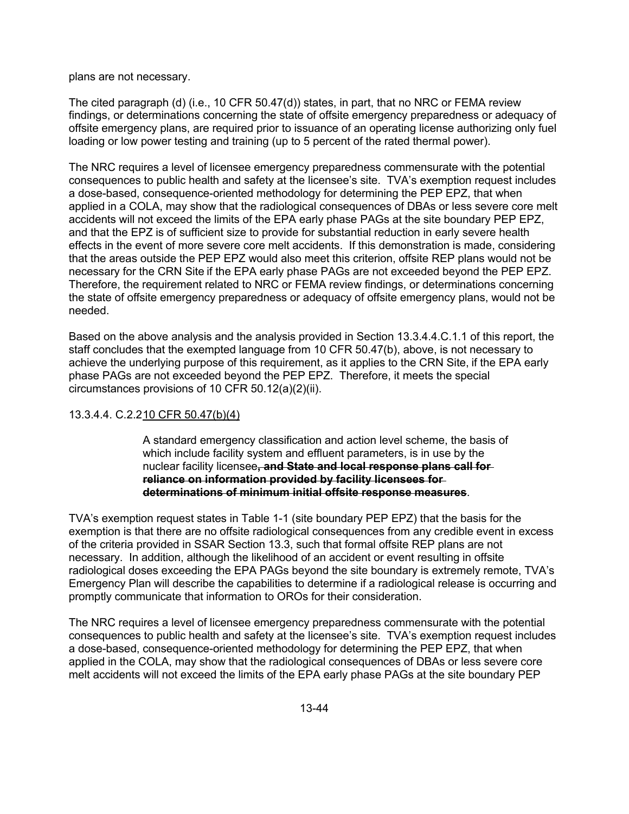plans are not necessary.

The cited paragraph (d) (i.e., 10 CFR 50.47(d)) states, in part, that no NRC or FEMA review findings, or determinations concerning the state of offsite emergency preparedness or adequacy of offsite emergency plans, are required prior to issuance of an operating license authorizing only fuel loading or low power testing and training (up to 5 percent of the rated thermal power).

The NRC requires a level of licensee emergency preparedness commensurate with the potential consequences to public health and safety at the licensee's site. TVA's exemption request includes a dose-based, consequence-oriented methodology for determining the PEP EPZ, that when applied in a COLA, may show that the radiological consequences of DBAs or less severe core melt accidents will not exceed the limits of the EPA early phase PAGs at the site boundary PEP EPZ, and that the EPZ is of sufficient size to provide for substantial reduction in early severe health effects in the event of more severe core melt accidents. If this demonstration is made, considering that the areas outside the PEP EPZ would also meet this criterion, offsite REP plans would not be necessary for the CRN Site if the EPA early phase PAGs are not exceeded beyond the PEP EPZ. Therefore, the requirement related to NRC or FEMA review findings, or determinations concerning the state of offsite emergency preparedness or adequacy of offsite emergency plans, would not be needed.

Based on the above analysis and the analysis provided in Section 13.3.4.4.C.1.1 of this report, the staff concludes that the exempted language from 10 CFR 50.47(b), above, is not necessary to achieve the underlying purpose of this requirement, as it applies to the CRN Site, if the EPA early phase PAGs are not exceeded beyond the PEP EPZ. Therefore, it meets the special circumstances provisions of 10 CFR 50.12(a)(2)(ii).

## 13.3.4.4. C.2.2 10 CFR 50.47(b)(4)

A standard emergency classification and action level scheme, the basis of which include facility system and effluent parameters, is in use by the nuclear facility licensee**, and State and local response plans call for reliance on information provided by facility licensees for determinations of minimum initial offsite response measures**.

TVA's exemption request states in Table 1-1 (site boundary PEP EPZ) that the basis for the exemption is that there are no offsite radiological consequences from any credible event in excess of the criteria provided in SSAR Section 13.3, such that formal offsite REP plans are not necessary. In addition, although the likelihood of an accident or event resulting in offsite radiological doses exceeding the EPA PAGs beyond the site boundary is extremely remote, TVA's Emergency Plan will describe the capabilities to determine if a radiological release is occurring and promptly communicate that information to OROs for their consideration.

The NRC requires a level of licensee emergency preparedness commensurate with the potential consequences to public health and safety at the licensee's site. TVA's exemption request includes a dose-based, consequence-oriented methodology for determining the PEP EPZ, that when applied in the COLA, may show that the radiological consequences of DBAs or less severe core melt accidents will not exceed the limits of the EPA early phase PAGs at the site boundary PEP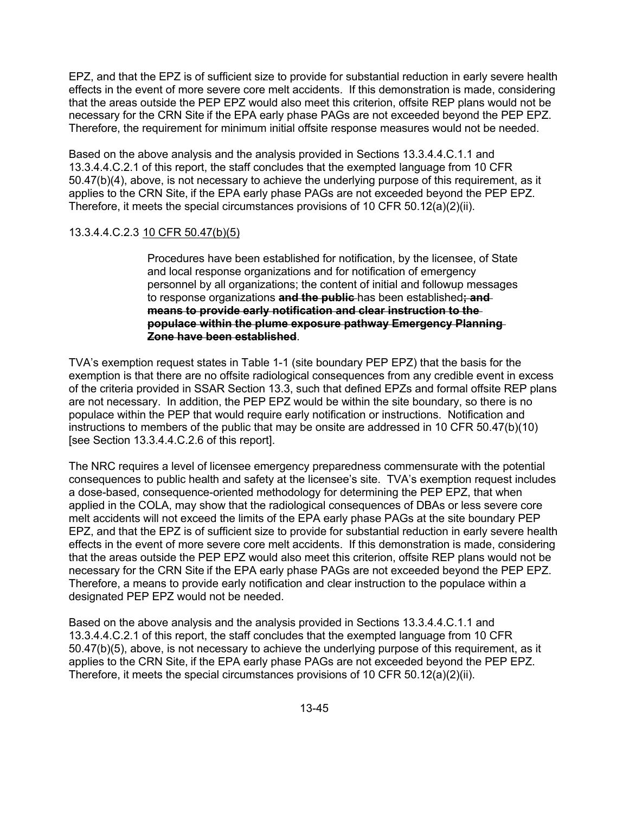EPZ, and that the EPZ is of sufficient size to provide for substantial reduction in early severe health effects in the event of more severe core melt accidents. If this demonstration is made, considering that the areas outside the PEP EPZ would also meet this criterion, offsite REP plans would not be necessary for the CRN Site if the EPA early phase PAGs are not exceeded beyond the PEP EPZ. Therefore, the requirement for minimum initial offsite response measures would not be needed.

Based on the above analysis and the analysis provided in Sections 13.3.4.4.C.1.1 and 13.3.4.4.C.2.1 of this report, the staff concludes that the exempted language from 10 CFR 50.47(b)(4), above, is not necessary to achieve the underlying purpose of this requirement, as it applies to the CRN Site, if the EPA early phase PAGs are not exceeded beyond the PEP EPZ. Therefore, it meets the special circumstances provisions of 10 CFR 50.12(a)(2)(ii).

### 13.3.4.4.C.2.3 10 CFR 50.47(b)(5)

Procedures have been established for notification, by the licensee, of State and local response organizations and for notification of emergency personnel by all organizations; the content of initial and followup messages to response organizations **and the public** has been established**; and means to provide early notification and clear instruction to the populace within the plume exposure pathway Emergency Planning Zone have been established**.

TVA's exemption request states in Table 1-1 (site boundary PEP EPZ) that the basis for the exemption is that there are no offsite radiological consequences from any credible event in excess of the criteria provided in SSAR Section 13.3, such that defined EPZs and formal offsite REP plans are not necessary. In addition, the PEP EPZ would be within the site boundary, so there is no populace within the PEP that would require early notification or instructions. Notification and instructions to members of the public that may be onsite are addressed in 10 CFR 50.47(b)(10) [see Section 13.3.4.4.C.2.6 of this report].

The NRC requires a level of licensee emergency preparedness commensurate with the potential consequences to public health and safety at the licensee's site. TVA's exemption request includes a dose-based, consequence-oriented methodology for determining the PEP EPZ, that when applied in the COLA, may show that the radiological consequences of DBAs or less severe core melt accidents will not exceed the limits of the EPA early phase PAGs at the site boundary PEP EPZ, and that the EPZ is of sufficient size to provide for substantial reduction in early severe health effects in the event of more severe core melt accidents. If this demonstration is made, considering that the areas outside the PEP EPZ would also meet this criterion, offsite REP plans would not be necessary for the CRN Site if the EPA early phase PAGs are not exceeded beyond the PEP EPZ. Therefore, a means to provide early notification and clear instruction to the populace within a designated PEP EPZ would not be needed.

Based on the above analysis and the analysis provided in Sections 13.3.4.4.C.1.1 and 13.3.4.4.C.2.1 of this report, the staff concludes that the exempted language from 10 CFR 50.47(b)(5), above, is not necessary to achieve the underlying purpose of this requirement, as it applies to the CRN Site, if the EPA early phase PAGs are not exceeded beyond the PEP EPZ. Therefore, it meets the special circumstances provisions of 10 CFR 50.12(a)(2)(ii).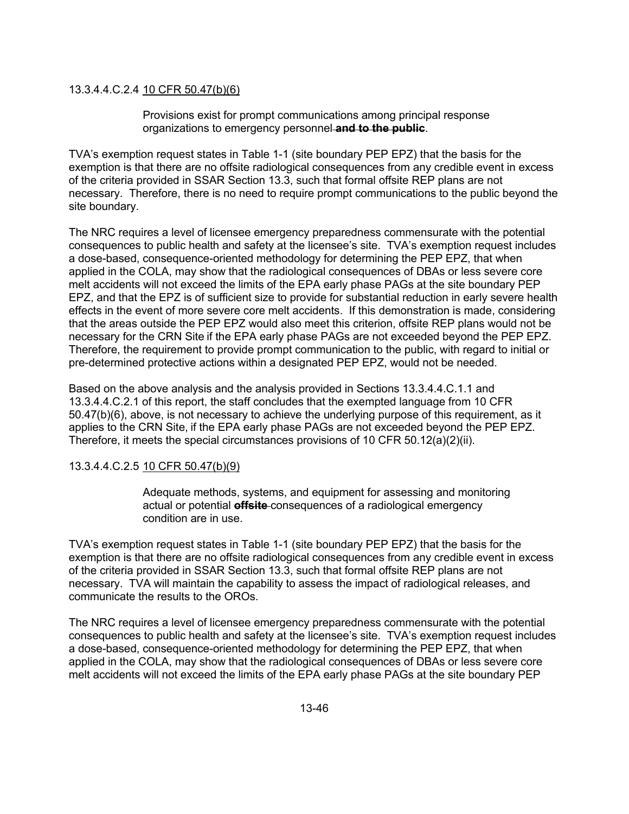### 13.3.4.4.C.2.4 10 CFR 50.47(b)(6)

Provisions exist for prompt communications among principal response organizations to emergency personnel **and to the public**.

TVA's exemption request states in Table 1-1 (site boundary PEP EPZ) that the basis for the exemption is that there are no offsite radiological consequences from any credible event in excess of the criteria provided in SSAR Section 13.3, such that formal offsite REP plans are not necessary. Therefore, there is no need to require prompt communications to the public beyond the site boundary.

The NRC requires a level of licensee emergency preparedness commensurate with the potential consequences to public health and safety at the licensee's site. TVA's exemption request includes a dose-based, consequence-oriented methodology for determining the PEP EPZ, that when applied in the COLA, may show that the radiological consequences of DBAs or less severe core melt accidents will not exceed the limits of the EPA early phase PAGs at the site boundary PEP EPZ, and that the EPZ is of sufficient size to provide for substantial reduction in early severe health effects in the event of more severe core melt accidents. If this demonstration is made, considering that the areas outside the PEP EPZ would also meet this criterion, offsite REP plans would not be necessary for the CRN Site if the EPA early phase PAGs are not exceeded beyond the PEP EPZ. Therefore, the requirement to provide prompt communication to the public, with regard to initial or pre-determined protective actions within a designated PEP EPZ, would not be needed.

Based on the above analysis and the analysis provided in Sections 13.3.4.4.C.1.1 and 13.3.4.4.C.2.1 of this report, the staff concludes that the exempted language from 10 CFR 50.47(b)(6), above, is not necessary to achieve the underlying purpose of this requirement, as it applies to the CRN Site, if the EPA early phase PAGs are not exceeded beyond the PEP EPZ. Therefore, it meets the special circumstances provisions of 10 CFR 50.12(a)(2)(ii).

### 13.3.4.4.C.2.5 10 CFR 50.47(b)(9)

Adequate methods, systems, and equipment for assessing and monitoring actual or potential **offsite** consequences of a radiological emergency condition are in use.

TVA's exemption request states in Table 1-1 (site boundary PEP EPZ) that the basis for the exemption is that there are no offsite radiological consequences from any credible event in excess of the criteria provided in SSAR Section 13.3, such that formal offsite REP plans are not necessary. TVA will maintain the capability to assess the impact of radiological releases, and communicate the results to the OROs.

The NRC requires a level of licensee emergency preparedness commensurate with the potential consequences to public health and safety at the licensee's site. TVA's exemption request includes a dose-based, consequence-oriented methodology for determining the PEP EPZ, that when applied in the COLA, may show that the radiological consequences of DBAs or less severe core melt accidents will not exceed the limits of the EPA early phase PAGs at the site boundary PEP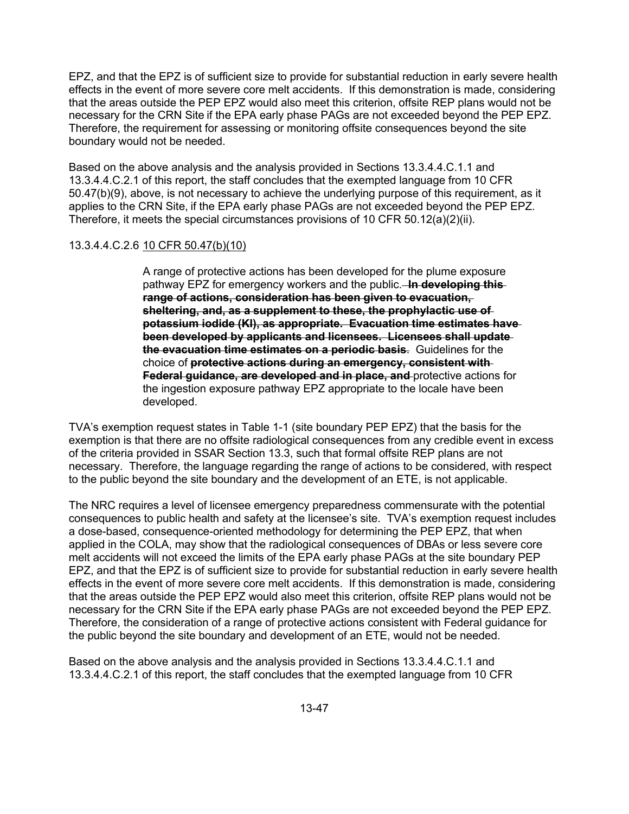EPZ, and that the EPZ is of sufficient size to provide for substantial reduction in early severe health effects in the event of more severe core melt accidents. If this demonstration is made, considering that the areas outside the PEP EPZ would also meet this criterion, offsite REP plans would not be necessary for the CRN Site if the EPA early phase PAGs are not exceeded beyond the PEP EPZ. Therefore, the requirement for assessing or monitoring offsite consequences beyond the site boundary would not be needed.

Based on the above analysis and the analysis provided in Sections 13.3.4.4.C.1.1 and 13.3.4.4.C.2.1 of this report, the staff concludes that the exempted language from 10 CFR 50.47(b)(9), above, is not necessary to achieve the underlying purpose of this requirement, as it applies to the CRN Site, if the EPA early phase PAGs are not exceeded beyond the PEP EPZ. Therefore, it meets the special circumstances provisions of 10 CFR 50.12(a)(2)(ii).

## 13.3.4.4.C.2.6 10 CFR 50.47(b)(10)

A range of protective actions has been developed for the plume exposure pathway EPZ for emergency workers and the public. **In developing this range of actions, consideration has been given to evacuation, sheltering, and, as a supplement to these, the prophylactic use of potassium iodide (KI), as appropriate. Evacuation time estimates have been developed by applicants and licensees. Licensees shall update the evacuation time estimates on a periodic basis**. Guidelines for the choice of **protective actions during an emergency, consistent with Federal guidance, are developed and in place, and** protective actions for the ingestion exposure pathway EPZ appropriate to the locale have been developed.

TVA's exemption request states in Table 1-1 (site boundary PEP EPZ) that the basis for the exemption is that there are no offsite radiological consequences from any credible event in excess of the criteria provided in SSAR Section 13.3, such that formal offsite REP plans are not necessary. Therefore, the language regarding the range of actions to be considered, with respect to the public beyond the site boundary and the development of an ETE, is not applicable.

The NRC requires a level of licensee emergency preparedness commensurate with the potential consequences to public health and safety at the licensee's site. TVA's exemption request includes a dose-based, consequence-oriented methodology for determining the PEP EPZ, that when applied in the COLA, may show that the radiological consequences of DBAs or less severe core melt accidents will not exceed the limits of the EPA early phase PAGs at the site boundary PEP EPZ, and that the EPZ is of sufficient size to provide for substantial reduction in early severe health effects in the event of more severe core melt accidents. If this demonstration is made, considering that the areas outside the PEP EPZ would also meet this criterion, offsite REP plans would not be necessary for the CRN Site if the EPA early phase PAGs are not exceeded beyond the PEP EPZ. Therefore, the consideration of a range of protective actions consistent with Federal guidance for the public beyond the site boundary and development of an ETE, would not be needed.

Based on the above analysis and the analysis provided in Sections 13.3.4.4.C.1.1 and 13.3.4.4.C.2.1 of this report, the staff concludes that the exempted language from 10 CFR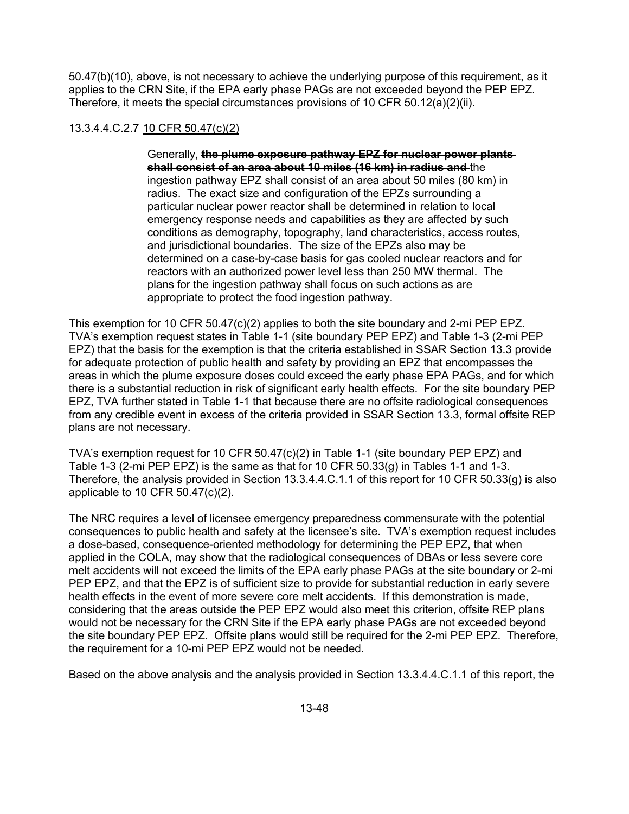50.47(b)(10), above, is not necessary to achieve the underlying purpose of this requirement, as it applies to the CRN Site, if the EPA early phase PAGs are not exceeded beyond the PEP EPZ. Therefore, it meets the special circumstances provisions of 10 CFR 50.12(a)(2)(ii).

# 13.3.4.4.C.2.7 10 CFR 50.47(c)(2)

Generally, **the plume exposure pathway EPZ for nuclear power plants shall consist of an area about 10 miles (16 km) in radius and** the ingestion pathway EPZ shall consist of an area about 50 miles (80 km) in radius. The exact size and configuration of the EPZs surrounding a particular nuclear power reactor shall be determined in relation to local emergency response needs and capabilities as they are affected by such conditions as demography, topography, land characteristics, access routes, and jurisdictional boundaries. The size of the EPZs also may be determined on a case-by-case basis for gas cooled nuclear reactors and for reactors with an authorized power level less than 250 MW thermal. The plans for the ingestion pathway shall focus on such actions as are appropriate to protect the food ingestion pathway.

This exemption for 10 CFR 50.47(c)(2) applies to both the site boundary and 2-mi PEP EPZ. TVA's exemption request states in Table 1-1 (site boundary PEP EPZ) and Table 1-3 (2-mi PEP EPZ) that the basis for the exemption is that the criteria established in SSAR Section 13.3 provide for adequate protection of public health and safety by providing an EPZ that encompasses the areas in which the plume exposure doses could exceed the early phase EPA PAGs, and for which there is a substantial reduction in risk of significant early health effects. For the site boundary PEP EPZ, TVA further stated in Table 1-1 that because there are no offsite radiological consequences from any credible event in excess of the criteria provided in SSAR Section 13.3, formal offsite REP plans are not necessary.

TVA's exemption request for 10 CFR 50.47(c)(2) in Table 1-1 (site boundary PEP EPZ) and Table 1-3 (2-mi PEP EPZ) is the same as that for 10 CFR  $50.33(q)$  in Tables 1-1 and 1-3. Therefore, the analysis provided in Section 13.3.4.4.C.1.1 of this report for 10 CFR 50.33(g) is also applicable to 10 CFR 50.47(c)(2).

The NRC requires a level of licensee emergency preparedness commensurate with the potential consequences to public health and safety at the licensee's site. TVA's exemption request includes a dose-based, consequence-oriented methodology for determining the PEP EPZ, that when applied in the COLA, may show that the radiological consequences of DBAs or less severe core melt accidents will not exceed the limits of the EPA early phase PAGs at the site boundary or 2-mi PEP EPZ, and that the EPZ is of sufficient size to provide for substantial reduction in early severe health effects in the event of more severe core melt accidents. If this demonstration is made, considering that the areas outside the PEP EPZ would also meet this criterion, offsite REP plans would not be necessary for the CRN Site if the EPA early phase PAGs are not exceeded beyond the site boundary PEP EPZ. Offsite plans would still be required for the 2-mi PEP EPZ. Therefore, the requirement for a 10-mi PEP EPZ would not be needed.

Based on the above analysis and the analysis provided in Section 13.3.4.4.C.1.1 of this report, the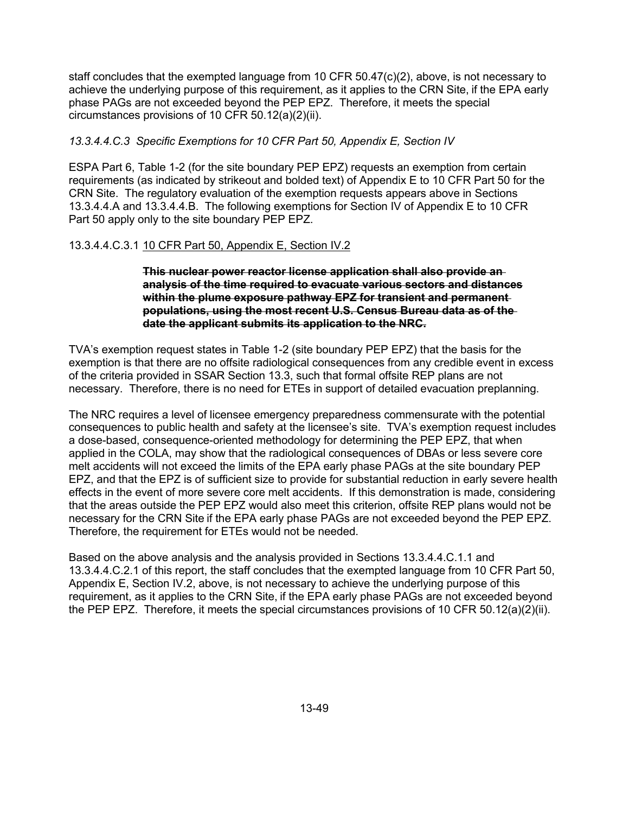staff concludes that the exempted language from 10 CFR 50.47(c)(2), above, is not necessary to achieve the underlying purpose of this requirement, as it applies to the CRN Site, if the EPA early phase PAGs are not exceeded beyond the PEP EPZ. Therefore, it meets the special circumstances provisions of 10 CFR 50.12(a)(2)(ii).

# *13.3.4.4.C.3 Specific Exemptions for 10 CFR Part 50, Appendix E, Section IV*

ESPA Part 6, Table 1-2 (for the site boundary PEP EPZ) requests an exemption from certain requirements (as indicated by strikeout and bolded text) of Appendix E to 10 CFR Part 50 for the CRN Site. The regulatory evaluation of the exemption requests appears above in Sections 13.3.4.4.A and 13.3.4.4.B. The following exemptions for Section IV of Appendix E to 10 CFR Part 50 apply only to the site boundary PEP EPZ.

# 13.3.4.4.C.3.1 10 CFR Part 50, Appendix E, Section IV.2

### **This nuclear power reactor license application shall also provide an analysis of the time required to evacuate various sectors and distances within the plume exposure pathway EPZ for transient and permanent populations, using the most recent U.S. Census Bureau data as of the date the applicant submits its application to the NRC.**

TVA's exemption request states in Table 1-2 (site boundary PEP EPZ) that the basis for the exemption is that there are no offsite radiological consequences from any credible event in excess of the criteria provided in SSAR Section 13.3, such that formal offsite REP plans are not necessary. Therefore, there is no need for ETEs in support of detailed evacuation preplanning.

The NRC requires a level of licensee emergency preparedness commensurate with the potential consequences to public health and safety at the licensee's site. TVA's exemption request includes a dose-based, consequence-oriented methodology for determining the PEP EPZ, that when applied in the COLA, may show that the radiological consequences of DBAs or less severe core melt accidents will not exceed the limits of the EPA early phase PAGs at the site boundary PEP EPZ, and that the EPZ is of sufficient size to provide for substantial reduction in early severe health effects in the event of more severe core melt accidents. If this demonstration is made, considering that the areas outside the PEP EPZ would also meet this criterion, offsite REP plans would not be necessary for the CRN Site if the EPA early phase PAGs are not exceeded beyond the PEP EPZ. Therefore, the requirement for ETEs would not be needed.

Based on the above analysis and the analysis provided in Sections 13.3.4.4.C.1.1 and 13.3.4.4.C.2.1 of this report, the staff concludes that the exempted language from 10 CFR Part 50, Appendix E, Section IV.2, above, is not necessary to achieve the underlying purpose of this requirement, as it applies to the CRN Site, if the EPA early phase PAGs are not exceeded beyond the PEP EPZ. Therefore, it meets the special circumstances provisions of 10 CFR 50.12(a)(2)(ii).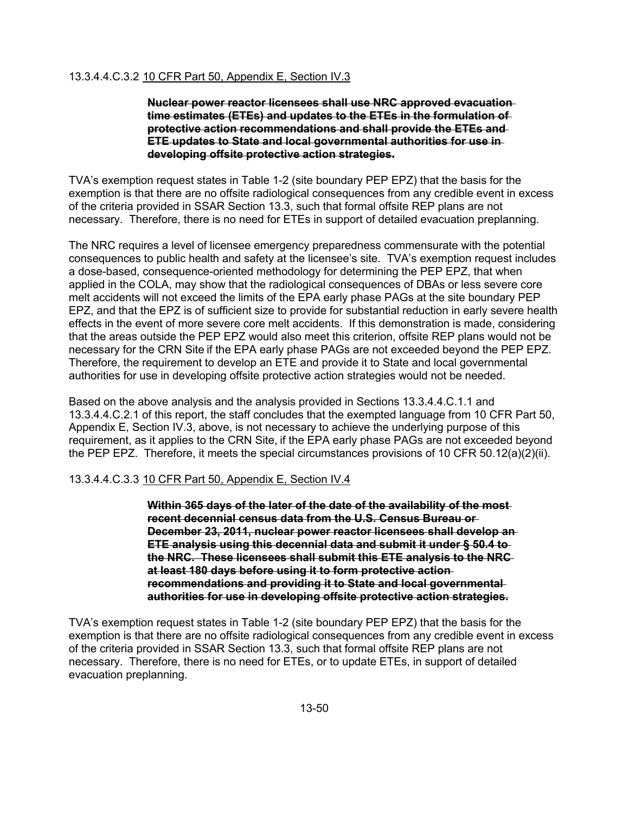## 13.3.4.4.C.3.2 10 CFR Part 50, Appendix E, Section IV.3

**Nuclear power reactor licensees shall use NRC approved evacuation time estimates (ETEs) and updates to the ETEs in the formulation of protective action recommendations and shall provide the ETEs and ETE updates to State and local governmental authorities for use in developing offsite protective action strategies.** 

TVA's exemption request states in Table 1-2 (site boundary PEP EPZ) that the basis for the exemption is that there are no offsite radiological consequences from any credible event in excess of the criteria provided in SSAR Section 13.3, such that formal offsite REP plans are not necessary. Therefore, there is no need for ETEs in support of detailed evacuation preplanning.

The NRC requires a level of licensee emergency preparedness commensurate with the potential consequences to public health and safety at the licensee's site. TVA's exemption request includes a dose-based, consequence-oriented methodology for determining the PEP EPZ, that when applied in the COLA, may show that the radiological consequences of DBAs or less severe core melt accidents will not exceed the limits of the EPA early phase PAGs at the site boundary PEP EPZ, and that the EPZ is of sufficient size to provide for substantial reduction in early severe health effects in the event of more severe core melt accidents. If this demonstration is made, considering that the areas outside the PEP EPZ would also meet this criterion, offsite REP plans would not be necessary for the CRN Site if the EPA early phase PAGs are not exceeded beyond the PEP EPZ. Therefore, the requirement to develop an ETE and provide it to State and local governmental authorities for use in developing offsite protective action strategies would not be needed.

Based on the above analysis and the analysis provided in Sections 13.3.4.4.C.1.1 and 13.3.4.4.C.2.1 of this report, the staff concludes that the exempted language from 10 CFR Part 50, Appendix E, Section IV.3, above, is not necessary to achieve the underlying purpose of this requirement, as it applies to the CRN Site, if the EPA early phase PAGs are not exceeded beyond the PEP EPZ. Therefore, it meets the special circumstances provisions of 10 CFR 50.12(a)(2)(ii).

## 13.3.4.4.C.3.3 10 CFR Part 50, Appendix E, Section IV.4

**Within 365 days of the later of the date of the availability of the most recent decennial census data from the U.S. Census Bureau or December 23, 2011, nuclear power reactor licensees shall develop an ETE analysis using this decennial data and submit it under § 50.4 to the NRC. These licensees shall submit this ETE analysis to the NRC at least 180 days before using it to form protective action recommendations and providing it to State and local governmental authorities for use in developing offsite protective action strategies.** 

TVA's exemption request states in Table 1-2 (site boundary PEP EPZ) that the basis for the exemption is that there are no offsite radiological consequences from any credible event in excess of the criteria provided in SSAR Section 13.3, such that formal offsite REP plans are not necessary. Therefore, there is no need for ETEs, or to update ETEs, in support of detailed evacuation preplanning.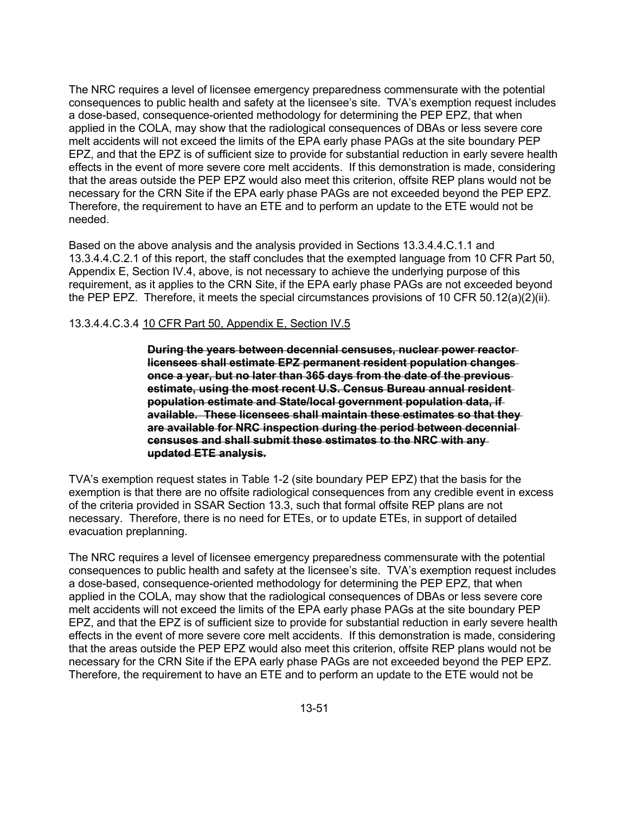The NRC requires a level of licensee emergency preparedness commensurate with the potential consequences to public health and safety at the licensee's site. TVA's exemption request includes a dose-based, consequence-oriented methodology for determining the PEP EPZ, that when applied in the COLA, may show that the radiological consequences of DBAs or less severe core melt accidents will not exceed the limits of the EPA early phase PAGs at the site boundary PEP EPZ, and that the EPZ is of sufficient size to provide for substantial reduction in early severe health effects in the event of more severe core melt accidents. If this demonstration is made, considering that the areas outside the PEP EPZ would also meet this criterion, offsite REP plans would not be necessary for the CRN Site if the EPA early phase PAGs are not exceeded beyond the PEP EPZ. Therefore, the requirement to have an ETE and to perform an update to the ETE would not be needed.

Based on the above analysis and the analysis provided in Sections 13.3.4.4.C.1.1 and 13.3.4.4.C.2.1 of this report, the staff concludes that the exempted language from 10 CFR Part 50, Appendix E, Section IV.4, above, is not necessary to achieve the underlying purpose of this requirement, as it applies to the CRN Site, if the EPA early phase PAGs are not exceeded beyond the PEP EPZ. Therefore, it meets the special circumstances provisions of 10 CFR 50.12(a)(2)(ii).

### 13.3.4.4.C.3.4 10 CFR Part 50, Appendix E, Section IV.5

**During the years between decennial censuses, nuclear power reactor licensees shall estimate EPZ permanent resident population changes once a year, but no later than 365 days from the date of the previous estimate, using the most recent U.S. Census Bureau annual resident population estimate and State/local government population data, if available. These licensees shall maintain these estimates so that they are available for NRC inspection during the period between decennial censuses and shall submit these estimates to the NRC with any updated ETE analysis.** 

TVA's exemption request states in Table 1-2 (site boundary PEP EPZ) that the basis for the exemption is that there are no offsite radiological consequences from any credible event in excess of the criteria provided in SSAR Section 13.3, such that formal offsite REP plans are not necessary. Therefore, there is no need for ETEs, or to update ETEs, in support of detailed evacuation preplanning.

The NRC requires a level of licensee emergency preparedness commensurate with the potential consequences to public health and safety at the licensee's site. TVA's exemption request includes a dose-based, consequence-oriented methodology for determining the PEP EPZ, that when applied in the COLA, may show that the radiological consequences of DBAs or less severe core melt accidents will not exceed the limits of the EPA early phase PAGs at the site boundary PEP EPZ, and that the EPZ is of sufficient size to provide for substantial reduction in early severe health effects in the event of more severe core melt accidents. If this demonstration is made, considering that the areas outside the PEP EPZ would also meet this criterion, offsite REP plans would not be necessary for the CRN Site if the EPA early phase PAGs are not exceeded beyond the PEP EPZ. Therefore, the requirement to have an ETE and to perform an update to the ETE would not be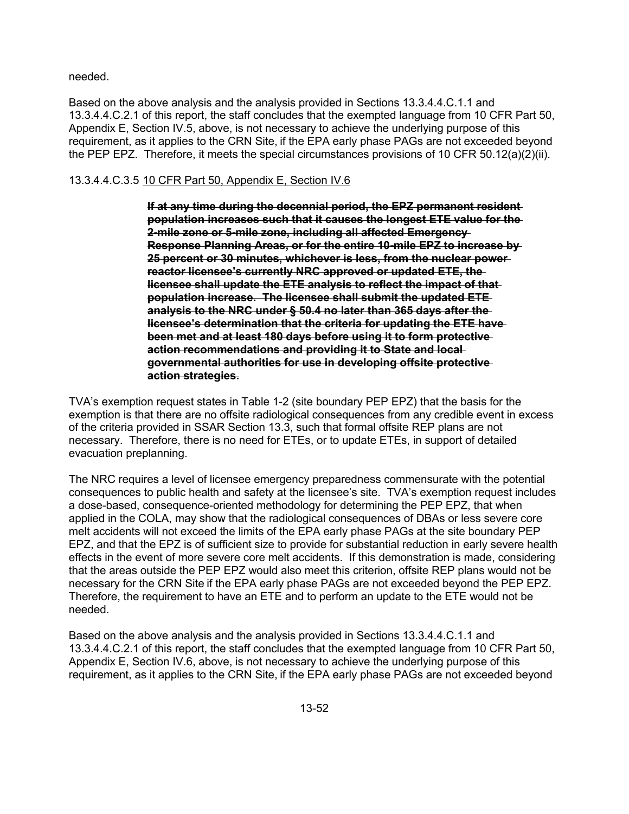needed.

Based on the above analysis and the analysis provided in Sections 13.3.4.4.C.1.1 and 13.3.4.4.C.2.1 of this report, the staff concludes that the exempted language from 10 CFR Part 50, Appendix E, Section IV.5, above, is not necessary to achieve the underlying purpose of this requirement, as it applies to the CRN Site, if the EPA early phase PAGs are not exceeded beyond the PEP EPZ. Therefore, it meets the special circumstances provisions of 10 CFR 50.12(a)(2)(ii).

# 13.3.4.4.C.3.5 10 CFR Part 50, Appendix E, Section IV.6

**If at any time during the decennial period, the EPZ permanent resident population increases such that it causes the longest ETE value for the 2-mile zone or 5-mile zone, including all affected Emergency Response Planning Areas, or for the entire 10-mile EPZ to increase by 25 percent or 30 minutes, whichever is less, from the nuclear power reactor licensee's currently NRC approved or updated ETE, the licensee shall update the ETE analysis to reflect the impact of that population increase. The licensee shall submit the updated ETE analysis to the NRC under § 50.4 no later than 365 days after the licensee's determination that the criteria for updating the ETE have been met and at least 180 days before using it to form protective action recommendations and providing it to State and local governmental authorities for use in developing offsite protective action strategies.** 

TVA's exemption request states in Table 1-2 (site boundary PEP EPZ) that the basis for the exemption is that there are no offsite radiological consequences from any credible event in excess of the criteria provided in SSAR Section 13.3, such that formal offsite REP plans are not necessary. Therefore, there is no need for ETEs, or to update ETEs, in support of detailed evacuation preplanning.

The NRC requires a level of licensee emergency preparedness commensurate with the potential consequences to public health and safety at the licensee's site. TVA's exemption request includes a dose-based, consequence-oriented methodology for determining the PEP EPZ, that when applied in the COLA, may show that the radiological consequences of DBAs or less severe core melt accidents will not exceed the limits of the EPA early phase PAGs at the site boundary PEP EPZ, and that the EPZ is of sufficient size to provide for substantial reduction in early severe health effects in the event of more severe core melt accidents. If this demonstration is made, considering that the areas outside the PEP EPZ would also meet this criterion, offsite REP plans would not be necessary for the CRN Site if the EPA early phase PAGs are not exceeded beyond the PEP EPZ. Therefore, the requirement to have an ETE and to perform an update to the ETE would not be needed.

Based on the above analysis and the analysis provided in Sections 13.3.4.4.C.1.1 and 13.3.4.4.C.2.1 of this report, the staff concludes that the exempted language from 10 CFR Part 50, Appendix E, Section IV.6, above, is not necessary to achieve the underlying purpose of this requirement, as it applies to the CRN Site, if the EPA early phase PAGs are not exceeded beyond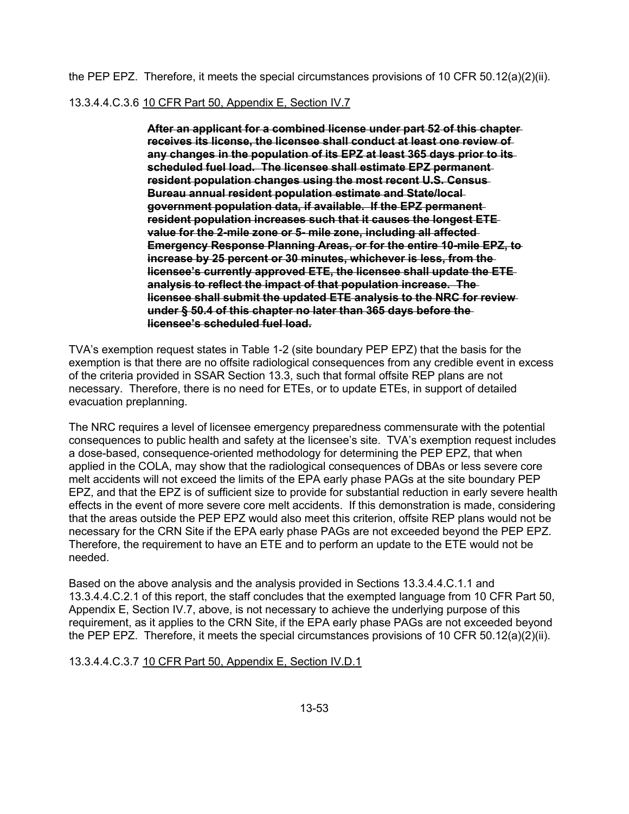the PEP EPZ. Therefore, it meets the special circumstances provisions of 10 CFR 50.12(a)(2)(ii).

13.3.4.4.C.3.6 10 CFR Part 50, Appendix E, Section IV.7

**After an applicant for a combined license under part 52 of this chapter receives its license, the licensee shall conduct at least one review of any changes in the population of its EPZ at least 365 days prior to its scheduled fuel load. The licensee shall estimate EPZ permanent resident population changes using the most recent U.S. Census Bureau annual resident population estimate and State/local government population data, if available. If the EPZ permanent resident population increases such that it causes the longest ETE value for the 2-mile zone or 5- mile zone, including all affected Emergency Response Planning Areas, or for the entire 10-mile EPZ, to increase by 25 percent or 30 minutes, whichever is less, from the licensee's currently approved ETE, the licensee shall update the ETE analysis to reflect the impact of that population increase. The licensee shall submit the updated ETE analysis to the NRC for review under § 50.4 of this chapter no later than 365 days before the licensee's scheduled fuel load.** 

TVA's exemption request states in Table 1-2 (site boundary PEP EPZ) that the basis for the exemption is that there are no offsite radiological consequences from any credible event in excess of the criteria provided in SSAR Section 13.3, such that formal offsite REP plans are not necessary. Therefore, there is no need for ETEs, or to update ETEs, in support of detailed evacuation preplanning.

The NRC requires a level of licensee emergency preparedness commensurate with the potential consequences to public health and safety at the licensee's site. TVA's exemption request includes a dose-based, consequence-oriented methodology for determining the PEP EPZ, that when applied in the COLA, may show that the radiological consequences of DBAs or less severe core melt accidents will not exceed the limits of the EPA early phase PAGs at the site boundary PEP EPZ, and that the EPZ is of sufficient size to provide for substantial reduction in early severe health effects in the event of more severe core melt accidents. If this demonstration is made, considering that the areas outside the PEP EPZ would also meet this criterion, offsite REP plans would not be necessary for the CRN Site if the EPA early phase PAGs are not exceeded beyond the PEP EPZ. Therefore, the requirement to have an ETE and to perform an update to the ETE would not be needed.

Based on the above analysis and the analysis provided in Sections 13.3.4.4.C.1.1 and 13.3.4.4.C.2.1 of this report, the staff concludes that the exempted language from 10 CFR Part 50, Appendix E, Section IV.7, above, is not necessary to achieve the underlying purpose of this requirement, as it applies to the CRN Site, if the EPA early phase PAGs are not exceeded beyond the PEP EPZ. Therefore, it meets the special circumstances provisions of 10 CFR 50.12(a)(2)(ii).

## 13.3.4.4.C.3.7 10 CFR Part 50, Appendix E, Section IV.D.1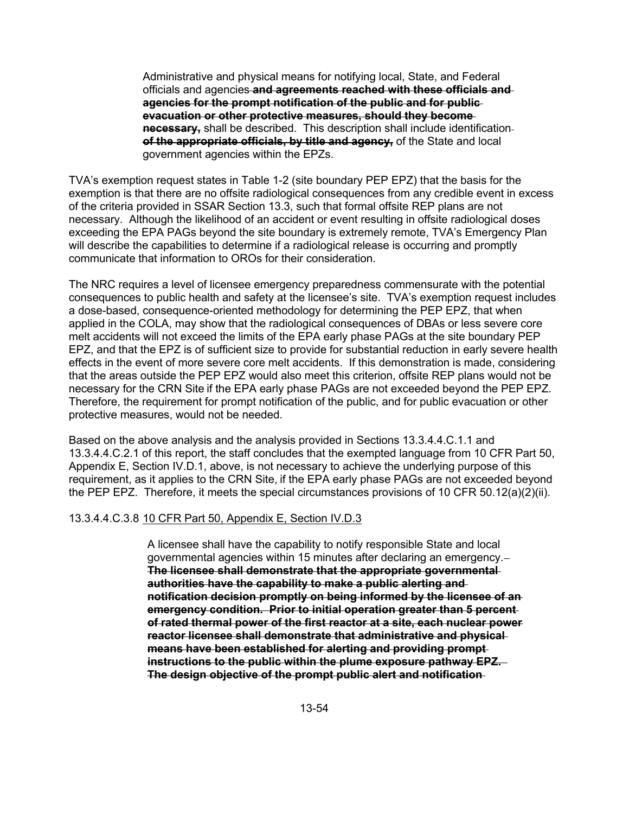Administrative and physical means for notifying local, State, and Federal officials and agencies **and agreements reached with these officials and agencies for the prompt notification of the public and for public evacuation or other protective measures, should they become necessary,** shall be described. This description shall include identification **of the appropriate officials, by title and agency,** of the State and local government agencies within the EPZs.

TVA's exemption request states in Table 1-2 (site boundary PEP EPZ) that the basis for the exemption is that there are no offsite radiological consequences from any credible event in excess of the criteria provided in SSAR Section 13.3, such that formal offsite REP plans are not necessary. Although the likelihood of an accident or event resulting in offsite radiological doses exceeding the EPA PAGs beyond the site boundary is extremely remote, TVA's Emergency Plan will describe the capabilities to determine if a radiological release is occurring and promptly communicate that information to OROs for their consideration.

The NRC requires a level of licensee emergency preparedness commensurate with the potential consequences to public health and safety at the licensee's site. TVA's exemption request includes a dose-based, consequence-oriented methodology for determining the PEP EPZ, that when applied in the COLA, may show that the radiological consequences of DBAs or less severe core melt accidents will not exceed the limits of the EPA early phase PAGs at the site boundary PEP EPZ, and that the EPZ is of sufficient size to provide for substantial reduction in early severe health effects in the event of more severe core melt accidents. If this demonstration is made, considering that the areas outside the PEP EPZ would also meet this criterion, offsite REP plans would not be necessary for the CRN Site if the EPA early phase PAGs are not exceeded beyond the PEP EPZ. Therefore, the requirement for prompt notification of the public, and for public evacuation or other protective measures, would not be needed.

Based on the above analysis and the analysis provided in Sections 13.3.4.4.C.1.1 and 13.3.4.4.C.2.1 of this report, the staff concludes that the exempted language from 10 CFR Part 50, Appendix E, Section IV.D.1, above, is not necessary to achieve the underlying purpose of this requirement, as it applies to the CRN Site, if the EPA early phase PAGs are not exceeded beyond the PEP EPZ. Therefore, it meets the special circumstances provisions of 10 CFR 50.12(a)(2)(ii).

### 13.3.4.4.C.3.8 10 CFR Part 50, Appendix E, Section IV.D.3

A licensee shall have the capability to notify responsible State and local governmental agencies within 15 minutes after declaring an emergency. **The licensee shall demonstrate that the appropriate governmental authorities have the capability to make a public alerting and notification decision promptly on being informed by the licensee of an emergency condition. Prior to initial operation greater than 5 percent of rated thermal power of the first reactor at a site, each nuclear power reactor licensee shall demonstrate that administrative and physical means have been established for alerting and providing prompt instructions to the public within the plume exposure pathway EPZ. The design objective of the prompt public alert and notification**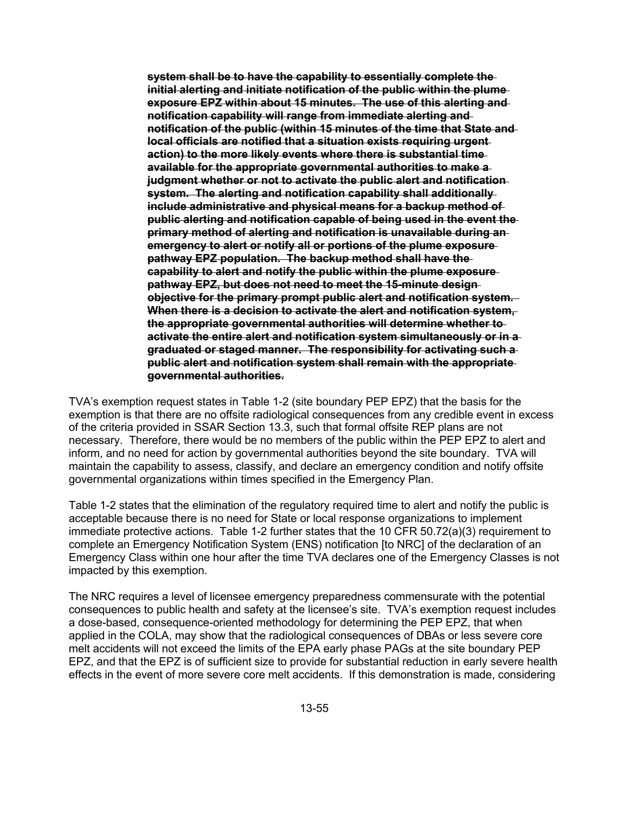**system shall be to have the capability to essentially complete the initial alerting and initiate notification of the public within the plume exposure EPZ within about 15 minutes. The use of this alerting and notification capability will range from immediate alerting and notification of the public (within 15 minutes of the time that State and local officials are notified that a situation exists requiring urgent action) to the more likely events where there is substantial time available for the appropriate governmental authorities to make a judgment whether or not to activate the public alert and notification system. The alerting and notification capability shall additionally include administrative and physical means for a backup method of public alerting and notification capable of being used in the event the primary method of alerting and notification is unavailable during an emergency to alert or notify all or portions of the plume exposure pathway EPZ population. The backup method shall have the capability to alert and notify the public within the plume exposure pathway EPZ, but does not need to meet the 15-minute design objective for the primary prompt public alert and notification system. When there is a decision to activate the alert and notification system, the appropriate governmental authorities will determine whether to activate the entire alert and notification system simultaneously or in a graduated or staged manner. The responsibility for activating such a public alert and notification system shall remain with the appropriate governmental authorities.** 

TVA's exemption request states in Table 1-2 (site boundary PEP EPZ) that the basis for the exemption is that there are no offsite radiological consequences from any credible event in excess of the criteria provided in SSAR Section 13.3, such that formal offsite REP plans are not necessary. Therefore, there would be no members of the public within the PEP EPZ to alert and inform, and no need for action by governmental authorities beyond the site boundary. TVA will maintain the capability to assess, classify, and declare an emergency condition and notify offsite governmental organizations within times specified in the Emergency Plan.

Table 1-2 states that the elimination of the regulatory required time to alert and notify the public is acceptable because there is no need for State or local response organizations to implement immediate protective actions. Table 1-2 further states that the 10 CFR 50.72(a)(3) requirement to complete an Emergency Notification System (ENS) notification [to NRC] of the declaration of an Emergency Class within one hour after the time TVA declares one of the Emergency Classes is not impacted by this exemption.

The NRC requires a level of licensee emergency preparedness commensurate with the potential consequences to public health and safety at the licensee's site. TVA's exemption request includes a dose-based, consequence-oriented methodology for determining the PEP EPZ, that when applied in the COLA, may show that the radiological consequences of DBAs or less severe core melt accidents will not exceed the limits of the EPA early phase PAGs at the site boundary PEP EPZ, and that the EPZ is of sufficient size to provide for substantial reduction in early severe health effects in the event of more severe core melt accidents. If this demonstration is made, considering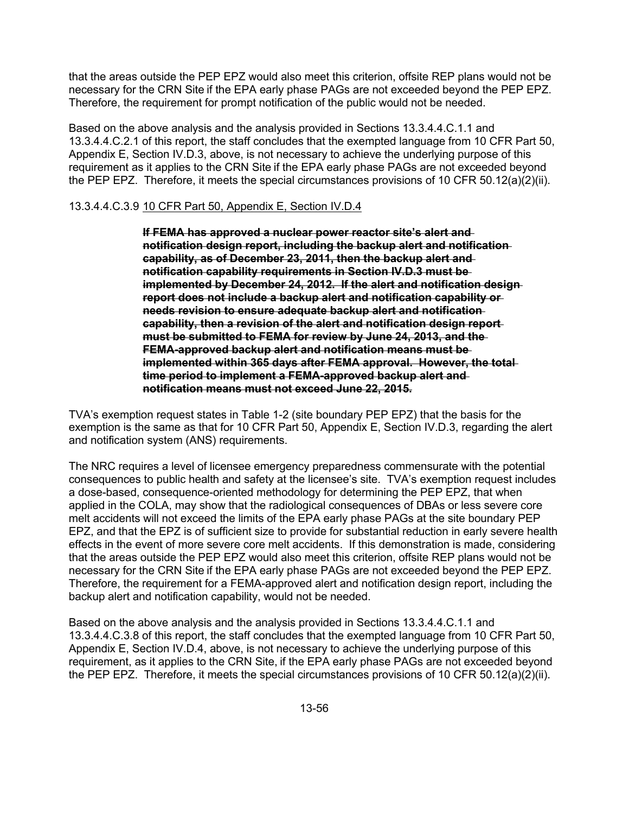that the areas outside the PEP EPZ would also meet this criterion, offsite REP plans would not be necessary for the CRN Site if the EPA early phase PAGs are not exceeded beyond the PEP EPZ. Therefore, the requirement for prompt notification of the public would not be needed.

Based on the above analysis and the analysis provided in Sections 13.3.4.4.C.1.1 and 13.3.4.4.C.2.1 of this report, the staff concludes that the exempted language from 10 CFR Part 50, Appendix E, Section IV.D.3, above, is not necessary to achieve the underlying purpose of this requirement as it applies to the CRN Site if the EPA early phase PAGs are not exceeded beyond the PEP EPZ. Therefore, it meets the special circumstances provisions of 10 CFR 50.12(a)(2)(ii).

# 13.3.4.4.C.3.9 10 CFR Part 50, Appendix E, Section IV.D.4

**If FEMA has approved a nuclear power reactor site's alert and notification design report, including the backup alert and notification capability, as of December 23, 2011, then the backup alert and notification capability requirements in Section IV.D.3 must be implemented by December 24, 2012. If the alert and notification design report does not include a backup alert and notification capability or needs revision to ensure adequate backup alert and notification capability, then a revision of the alert and notification design report must be submitted to FEMA for review by June 24, 2013, and the FEMA-approved backup alert and notification means must be implemented within 365 days after FEMA approval. However, the total time period to implement a FEMA-approved backup alert and notification means must not exceed June 22, 2015.** 

TVA's exemption request states in Table 1-2 (site boundary PEP EPZ) that the basis for the exemption is the same as that for 10 CFR Part 50, Appendix E, Section IV.D.3, regarding the alert and notification system (ANS) requirements.

The NRC requires a level of licensee emergency preparedness commensurate with the potential consequences to public health and safety at the licensee's site. TVA's exemption request includes a dose-based, consequence-oriented methodology for determining the PEP EPZ, that when applied in the COLA, may show that the radiological consequences of DBAs or less severe core melt accidents will not exceed the limits of the EPA early phase PAGs at the site boundary PEP EPZ, and that the EPZ is of sufficient size to provide for substantial reduction in early severe health effects in the event of more severe core melt accidents. If this demonstration is made, considering that the areas outside the PEP EPZ would also meet this criterion, offsite REP plans would not be necessary for the CRN Site if the EPA early phase PAGs are not exceeded beyond the PEP EPZ. Therefore, the requirement for a FEMA-approved alert and notification design report, including the backup alert and notification capability, would not be needed.

Based on the above analysis and the analysis provided in Sections 13.3.4.4.C.1.1 and 13.3.4.4.C.3.8 of this report, the staff concludes that the exempted language from 10 CFR Part 50, Appendix E, Section IV.D.4, above, is not necessary to achieve the underlying purpose of this requirement, as it applies to the CRN Site, if the EPA early phase PAGs are not exceeded beyond the PEP EPZ. Therefore, it meets the special circumstances provisions of 10 CFR 50.12(a)(2)(ii).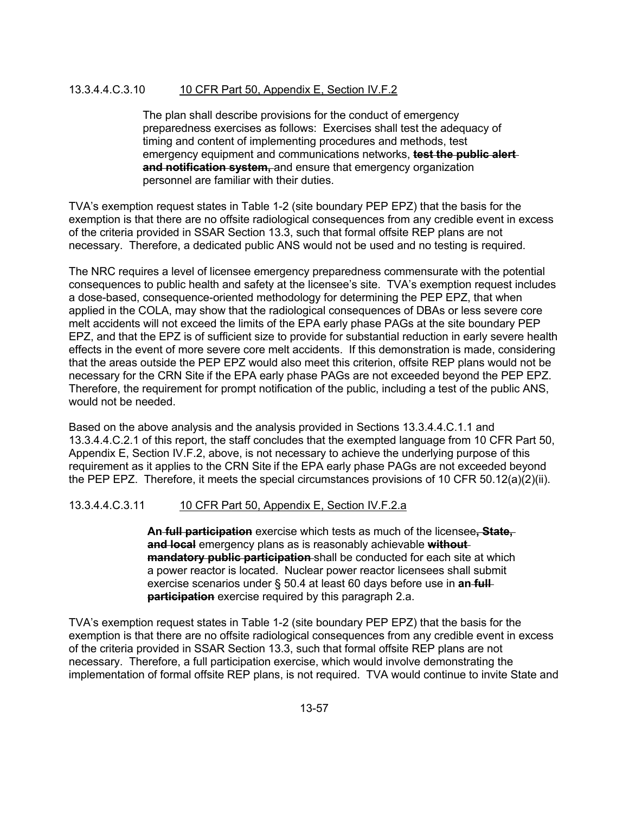## 13.3.4.4.C.3.10 10 CFR Part 50, Appendix E, Section IV.F.2

The plan shall describe provisions for the conduct of emergency preparedness exercises as follows: Exercises shall test the adequacy of timing and content of implementing procedures and methods, test emergency equipment and communications networks, **test the public alert and notification system,** and ensure that emergency organization personnel are familiar with their duties.

TVA's exemption request states in Table 1-2 (site boundary PEP EPZ) that the basis for the exemption is that there are no offsite radiological consequences from any credible event in excess of the criteria provided in SSAR Section 13.3, such that formal offsite REP plans are not necessary. Therefore, a dedicated public ANS would not be used and no testing is required.

The NRC requires a level of licensee emergency preparedness commensurate with the potential consequences to public health and safety at the licensee's site. TVA's exemption request includes a dose-based, consequence-oriented methodology for determining the PEP EPZ, that when applied in the COLA, may show that the radiological consequences of DBAs or less severe core melt accidents will not exceed the limits of the EPA early phase PAGs at the site boundary PEP EPZ, and that the EPZ is of sufficient size to provide for substantial reduction in early severe health effects in the event of more severe core melt accidents. If this demonstration is made, considering that the areas outside the PEP EPZ would also meet this criterion, offsite REP plans would not be necessary for the CRN Site if the EPA early phase PAGs are not exceeded beyond the PEP EPZ. Therefore, the requirement for prompt notification of the public, including a test of the public ANS, would not be needed.

Based on the above analysis and the analysis provided in Sections 13.3.4.4.C.1.1 and 13.3.4.4.C.2.1 of this report, the staff concludes that the exempted language from 10 CFR Part 50, Appendix E, Section IV.F.2, above, is not necessary to achieve the underlying purpose of this requirement as it applies to the CRN Site if the EPA early phase PAGs are not exceeded beyond the PEP EPZ. Therefore, it meets the special circumstances provisions of 10 CFR 50.12(a)(2)(ii).

## 13.3.4.4.C.3.11 10 CFR Part 50, Appendix E, Section IV.F.2.a

**An full participation** exercise which tests as much of the licensee**, State, and local** emergency plans as is reasonably achievable **without mandatory public participation**-shall be conducted for each site at which a power reactor is located. Nuclear power reactor licensees shall submit exercise scenarios under § 50.4 at least 60 days before use in **an full participation** exercise required by this paragraph 2.a.

TVA's exemption request states in Table 1-2 (site boundary PEP EPZ) that the basis for the exemption is that there are no offsite radiological consequences from any credible event in excess of the criteria provided in SSAR Section 13.3, such that formal offsite REP plans are not necessary. Therefore, a full participation exercise, which would involve demonstrating the implementation of formal offsite REP plans, is not required. TVA would continue to invite State and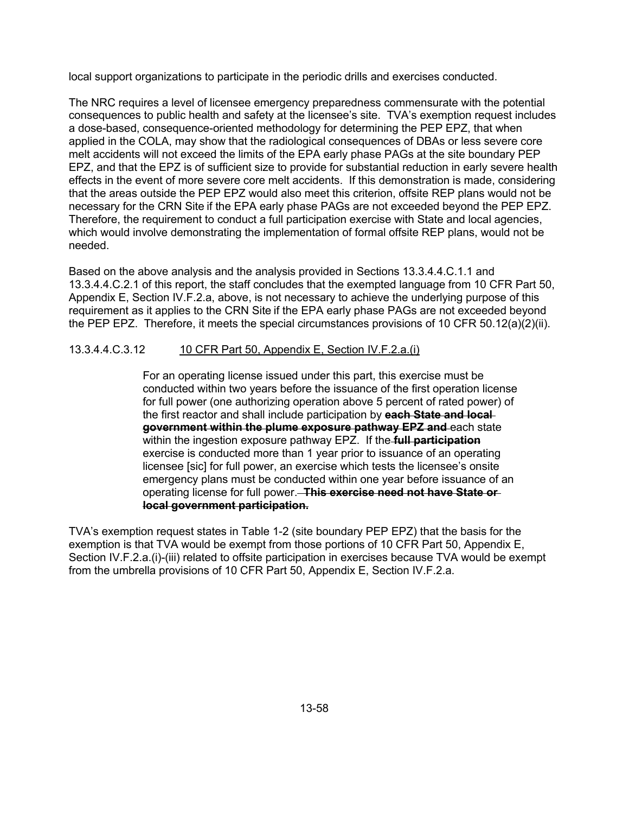local support organizations to participate in the periodic drills and exercises conducted.

The NRC requires a level of licensee emergency preparedness commensurate with the potential consequences to public health and safety at the licensee's site. TVA's exemption request includes a dose-based, consequence-oriented methodology for determining the PEP EPZ, that when applied in the COLA, may show that the radiological consequences of DBAs or less severe core melt accidents will not exceed the limits of the EPA early phase PAGs at the site boundary PEP EPZ, and that the EPZ is of sufficient size to provide for substantial reduction in early severe health effects in the event of more severe core melt accidents. If this demonstration is made, considering that the areas outside the PEP EPZ would also meet this criterion, offsite REP plans would not be necessary for the CRN Site if the EPA early phase PAGs are not exceeded beyond the PEP EPZ. Therefore, the requirement to conduct a full participation exercise with State and local agencies, which would involve demonstrating the implementation of formal offsite REP plans, would not be needed.

Based on the above analysis and the analysis provided in Sections 13.3.4.4.C.1.1 and 13.3.4.4.C.2.1 of this report, the staff concludes that the exempted language from 10 CFR Part 50, Appendix E, Section IV.F.2.a, above, is not necessary to achieve the underlying purpose of this requirement as it applies to the CRN Site if the EPA early phase PAGs are not exceeded beyond the PEP EPZ. Therefore, it meets the special circumstances provisions of 10 CFR 50.12(a)(2)(ii).

# 13.3.4.4.C.3.12 10 CFR Part 50, Appendix E, Section IV.F.2.a.(i)

For an operating license issued under this part, this exercise must be conducted within two years before the issuance of the first operation license for full power (one authorizing operation above 5 percent of rated power) of the first reactor and shall include participation by **each State and local government within the plume exposure pathway EPZ and** each state within the ingestion exposure pathway EPZ. If the **full participation** exercise is conducted more than 1 year prior to issuance of an operating licensee [sic] for full power, an exercise which tests the licensee's onsite emergency plans must be conducted within one year before issuance of an operating license for full power. **This exercise need not have State or local government participation.** 

TVA's exemption request states in Table 1-2 (site boundary PEP EPZ) that the basis for the exemption is that TVA would be exempt from those portions of 10 CFR Part 50, Appendix E, Section IV.F.2.a.(i)-(iii) related to offsite participation in exercises because TVA would be exempt from the umbrella provisions of 10 CFR Part 50, Appendix E, Section IV.F.2.a.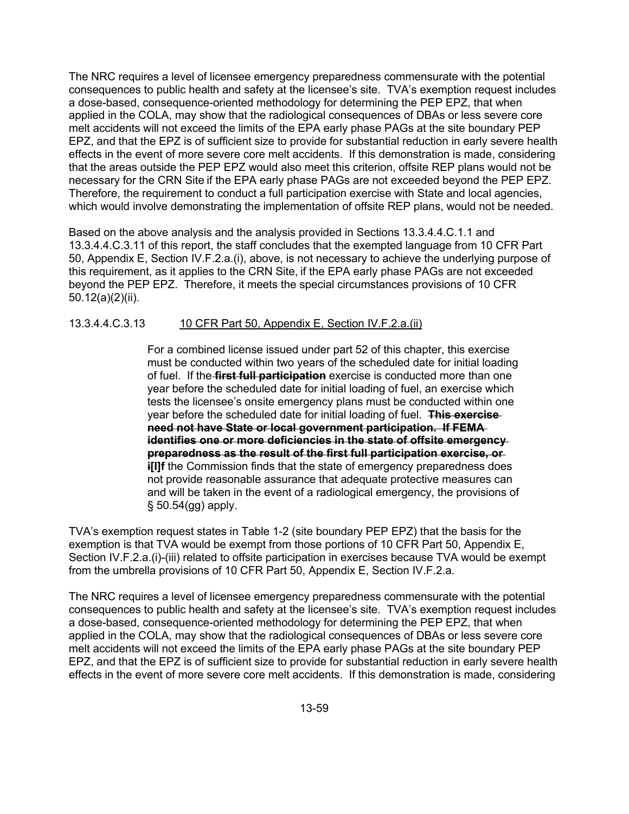The NRC requires a level of licensee emergency preparedness commensurate with the potential consequences to public health and safety at the licensee's site. TVA's exemption request includes a dose-based, consequence-oriented methodology for determining the PEP EPZ, that when applied in the COLA, may show that the radiological consequences of DBAs or less severe core melt accidents will not exceed the limits of the EPA early phase PAGs at the site boundary PEP EPZ, and that the EPZ is of sufficient size to provide for substantial reduction in early severe health effects in the event of more severe core melt accidents. If this demonstration is made, considering that the areas outside the PEP EPZ would also meet this criterion, offsite REP plans would not be necessary for the CRN Site if the EPA early phase PAGs are not exceeded beyond the PEP EPZ. Therefore, the requirement to conduct a full participation exercise with State and local agencies, which would involve demonstrating the implementation of offsite REP plans, would not be needed.

Based on the above analysis and the analysis provided in Sections 13.3.4.4.C.1.1 and 13.3.4.4.C.3.11 of this report, the staff concludes that the exempted language from 10 CFR Part 50, Appendix E, Section IV.F.2.a.(i), above, is not necessary to achieve the underlying purpose of this requirement, as it applies to the CRN Site, if the EPA early phase PAGs are not exceeded beyond the PEP EPZ. Therefore, it meets the special circumstances provisions of 10 CFR 50.12(a)(2)(ii).

## 13.3.4.4.C.3.13 10 CFR Part 50, Appendix E, Section IV.F.2.a.(ii)

For a combined license issued under part 52 of this chapter, this exercise must be conducted within two years of the scheduled date for initial loading of fuel. If the **first full participation** exercise is conducted more than one year before the scheduled date for initial loading of fuel, an exercise which tests the licensee's onsite emergency plans must be conducted within one year before the scheduled date for initial loading of fuel. **This exercise need not have State or local government participation. If FEMA identifies one or more deficiencies in the state of offsite emergency preparedness as the result of the first full participation exercise, or i[I]f** the Commission finds that the state of emergency preparedness does not provide reasonable assurance that adequate protective measures can and will be taken in the event of a radiological emergency, the provisions of § 50.54(gg) apply.

TVA's exemption request states in Table 1-2 (site boundary PEP EPZ) that the basis for the exemption is that TVA would be exempt from those portions of 10 CFR Part 50, Appendix E, Section IV.F.2.a.(i)-(iii) related to offsite participation in exercises because TVA would be exempt from the umbrella provisions of 10 CFR Part 50, Appendix E, Section IV.F.2.a.

The NRC requires a level of licensee emergency preparedness commensurate with the potential consequences to public health and safety at the licensee's site. TVA's exemption request includes a dose-based, consequence-oriented methodology for determining the PEP EPZ, that when applied in the COLA, may show that the radiological consequences of DBAs or less severe core melt accidents will not exceed the limits of the EPA early phase PAGs at the site boundary PEP EPZ, and that the EPZ is of sufficient size to provide for substantial reduction in early severe health effects in the event of more severe core melt accidents. If this demonstration is made, considering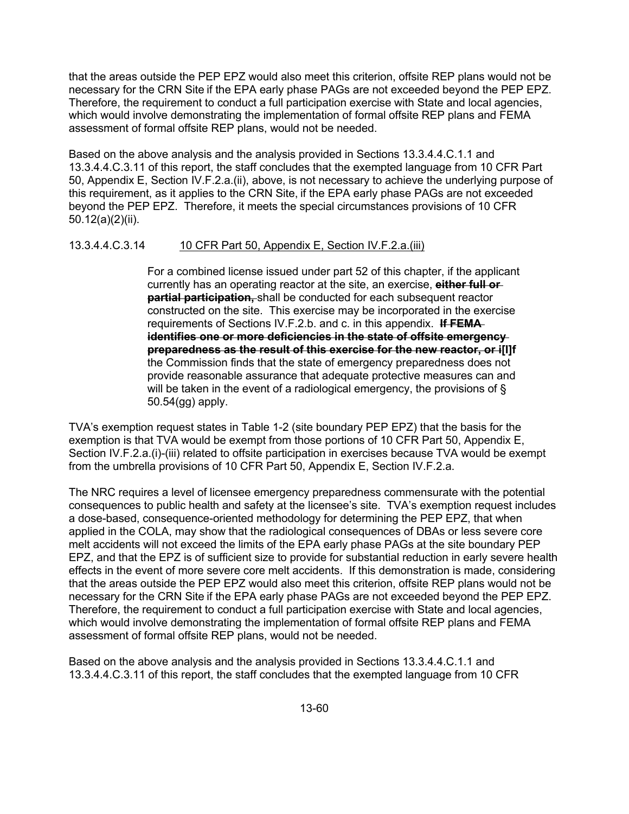that the areas outside the PEP EPZ would also meet this criterion, offsite REP plans would not be necessary for the CRN Site if the EPA early phase PAGs are not exceeded beyond the PEP EPZ. Therefore, the requirement to conduct a full participation exercise with State and local agencies, which would involve demonstrating the implementation of formal offsite REP plans and FEMA assessment of formal offsite REP plans, would not be needed.

Based on the above analysis and the analysis provided in Sections 13.3.4.4.C.1.1 and 13.3.4.4.C.3.11 of this report, the staff concludes that the exempted language from 10 CFR Part 50, Appendix E, Section IV.F.2.a.(ii), above, is not necessary to achieve the underlying purpose of this requirement, as it applies to the CRN Site, if the EPA early phase PAGs are not exceeded beyond the PEP EPZ. Therefore, it meets the special circumstances provisions of 10 CFR 50.12(a)(2)(ii).

## 13.3.4.4.C.3.14 10 CFR Part 50, Appendix E, Section IV.F.2.a.(iii)

For a combined license issued under part 52 of this chapter, if the applicant currently has an operating reactor at the site, an exercise, **either full or partial participation,** shall be conducted for each subsequent reactor constructed on the site. This exercise may be incorporated in the exercise requirements of Sections IV.F.2.b. and c. in this appendix. **If FEMA identifies one or more deficiencies in the state of offsite emergency preparedness as the result of this exercise for the new reactor, or i[I]f**  the Commission finds that the state of emergency preparedness does not provide reasonable assurance that adequate protective measures can and will be taken in the event of a radiological emergency, the provisions of § 50.54(gg) apply.

TVA's exemption request states in Table 1-2 (site boundary PEP EPZ) that the basis for the exemption is that TVA would be exempt from those portions of 10 CFR Part 50, Appendix E, Section IV.F.2.a.(i)-(iii) related to offsite participation in exercises because TVA would be exempt from the umbrella provisions of 10 CFR Part 50, Appendix E, Section IV.F.2.a.

The NRC requires a level of licensee emergency preparedness commensurate with the potential consequences to public health and safety at the licensee's site. TVA's exemption request includes a dose-based, consequence-oriented methodology for determining the PEP EPZ, that when applied in the COLA, may show that the radiological consequences of DBAs or less severe core melt accidents will not exceed the limits of the EPA early phase PAGs at the site boundary PEP EPZ, and that the EPZ is of sufficient size to provide for substantial reduction in early severe health effects in the event of more severe core melt accidents. If this demonstration is made, considering that the areas outside the PEP EPZ would also meet this criterion, offsite REP plans would not be necessary for the CRN Site if the EPA early phase PAGs are not exceeded beyond the PEP EPZ. Therefore, the requirement to conduct a full participation exercise with State and local agencies, which would involve demonstrating the implementation of formal offsite REP plans and FEMA assessment of formal offsite REP plans, would not be needed.

Based on the above analysis and the analysis provided in Sections 13.3.4.4.C.1.1 and 13.3.4.4.C.3.11 of this report, the staff concludes that the exempted language from 10 CFR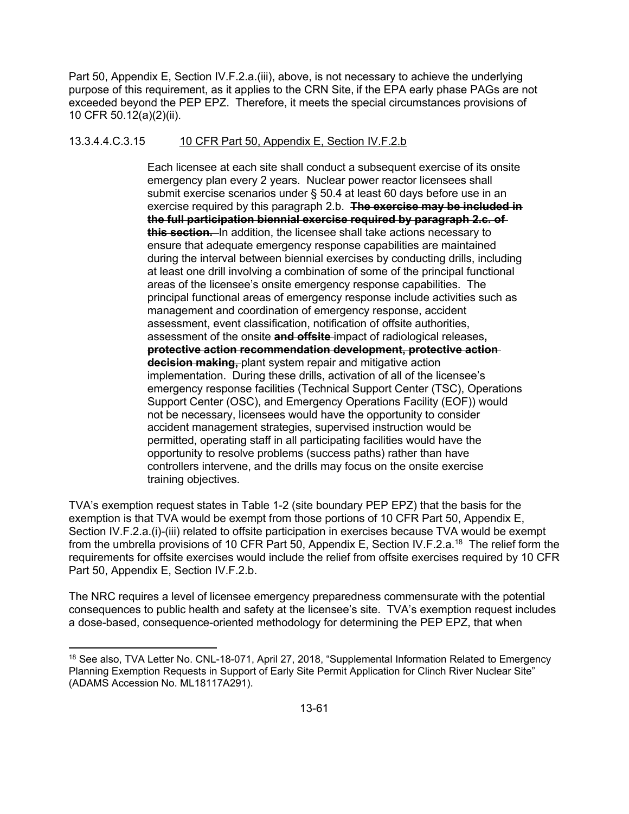Part 50, Appendix E, Section IV.F.2.a.(iii), above, is not necessary to achieve the underlying purpose of this requirement, as it applies to the CRN Site, if the EPA early phase PAGs are not exceeded beyond the PEP EPZ. Therefore, it meets the special circumstances provisions of 10 CFR 50.12(a)(2)(ii).

### 13.3.4.4.C.3.15 10 CFR Part 50, Appendix E, Section IV.F.2.b

Each licensee at each site shall conduct a subsequent exercise of its onsite emergency plan every 2 years. Nuclear power reactor licensees shall submit exercise scenarios under § 50.4 at least 60 days before use in an exercise required by this paragraph 2.b. **The exercise may be included in the full participation biennial exercise required by paragraph 2.c. of this section.** In addition, the licensee shall take actions necessary to ensure that adequate emergency response capabilities are maintained during the interval between biennial exercises by conducting drills, including at least one drill involving a combination of some of the principal functional areas of the licensee's onsite emergency response capabilities. The principal functional areas of emergency response include activities such as management and coordination of emergency response, accident assessment, event classification, notification of offsite authorities, assessment of the onsite **and offsite** impact of radiological releases**, protective action recommendation development, protective action decision making,** plant system repair and mitigative action implementation. During these drills, activation of all of the licensee's emergency response facilities (Technical Support Center (TSC), Operations Support Center (OSC), and Emergency Operations Facility (EOF)) would not be necessary, licensees would have the opportunity to consider accident management strategies, supervised instruction would be permitted, operating staff in all participating facilities would have the opportunity to resolve problems (success paths) rather than have controllers intervene, and the drills may focus on the onsite exercise training objectives.

TVA's exemption request states in Table 1-2 (site boundary PEP EPZ) that the basis for the exemption is that TVA would be exempt from those portions of 10 CFR Part 50, Appendix E, Section IV.F.2.a.(i)-(iii) related to offsite participation in exercises because TVA would be exempt from the umbrella provisions of 10 CFR Part 50, Appendix E, Section IV.F.2.a.<sup>18</sup> The relief form the requirements for offsite exercises would include the relief from offsite exercises required by 10 CFR Part 50, Appendix E, Section IV.F.2.b.

The NRC requires a level of licensee emergency preparedness commensurate with the potential consequences to public health and safety at the licensee's site. TVA's exemption request includes a dose-based, consequence-oriented methodology for determining the PEP EPZ, that when

**.** 

<sup>&</sup>lt;sup>18</sup> See also, TVA Letter No. CNL-18-071, April 27, 2018, "Supplemental Information Related to Emergency Planning Exemption Requests in Support of Early Site Permit Application for Clinch River Nuclear Site" (ADAMS Accession No. ML18117A291).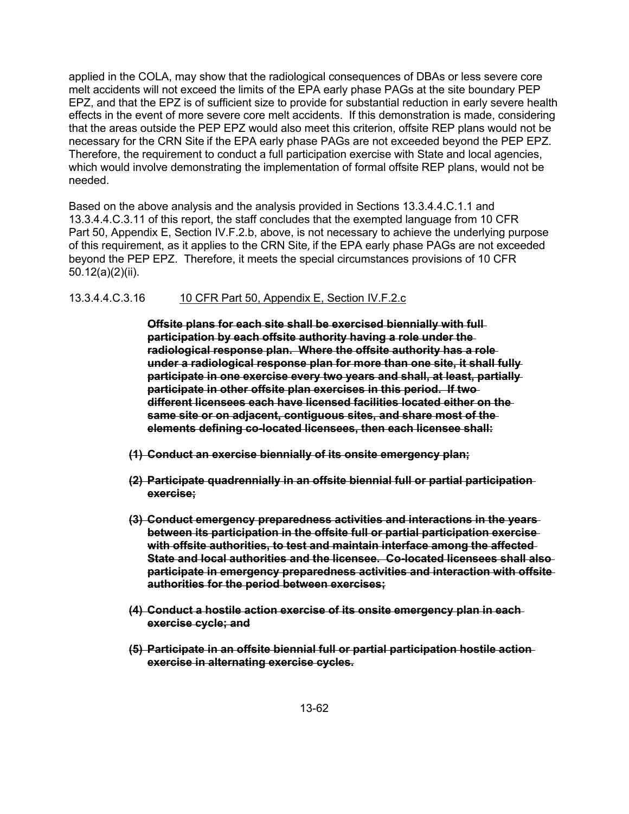applied in the COLA, may show that the radiological consequences of DBAs or less severe core melt accidents will not exceed the limits of the EPA early phase PAGs at the site boundary PEP EPZ, and that the EPZ is of sufficient size to provide for substantial reduction in early severe health effects in the event of more severe core melt accidents. If this demonstration is made, considering that the areas outside the PEP EPZ would also meet this criterion, offsite REP plans would not be necessary for the CRN Site if the EPA early phase PAGs are not exceeded beyond the PEP EPZ. Therefore, the requirement to conduct a full participation exercise with State and local agencies, which would involve demonstrating the implementation of formal offsite REP plans, would not be needed.

Based on the above analysis and the analysis provided in Sections 13.3.4.4.C.1.1 and 13.3.4.4.C.3.11 of this report, the staff concludes that the exempted language from 10 CFR Part 50, Appendix E, Section IV.F.2.b, above, is not necessary to achieve the underlying purpose of this requirement, as it applies to the CRN Site, if the EPA early phase PAGs are not exceeded beyond the PEP EPZ. Therefore, it meets the special circumstances provisions of 10 CFR 50.12(a)(2)(ii).

### 13.3.4.4.C.3.16 10 CFR Part 50, Appendix E, Section IV.F.2.c

**Offsite plans for each site shall be exercised biennially with full participation by each offsite authority having a role under the radiological response plan. Where the offsite authority has a role under a radiological response plan for more than one site, it shall fully participate in one exercise every two years and shall, at least, partially**  participate in other offsite plan exercises in this period. If two**different licensees each have licensed facilities located either on the same site or on adjacent, contiguous sites, and share most of the elements defining co-located licensees, then each licensee shall:** 

- **(1) Conduct an exercise biennially of its onsite emergency plan;**
- **(2) Participate quadrennially in an offsite biennial full or partial participation exercise;**
- **(3) Conduct emergency preparedness activities and interactions in the years between its participation in the offsite full or partial participation exercise with offsite authorities, to test and maintain interface among the affected State and local authorities and the licensee. Co-located licensees shall also participate in emergency preparedness activities and interaction with offsite authorities for the period between exercises;**
- **(4) Conduct a hostile action exercise of its onsite emergency plan in each exercise cycle; and**
- **(5) Participate in an offsite biennial full or partial participation hostile action exercise in alternating exercise cycles.**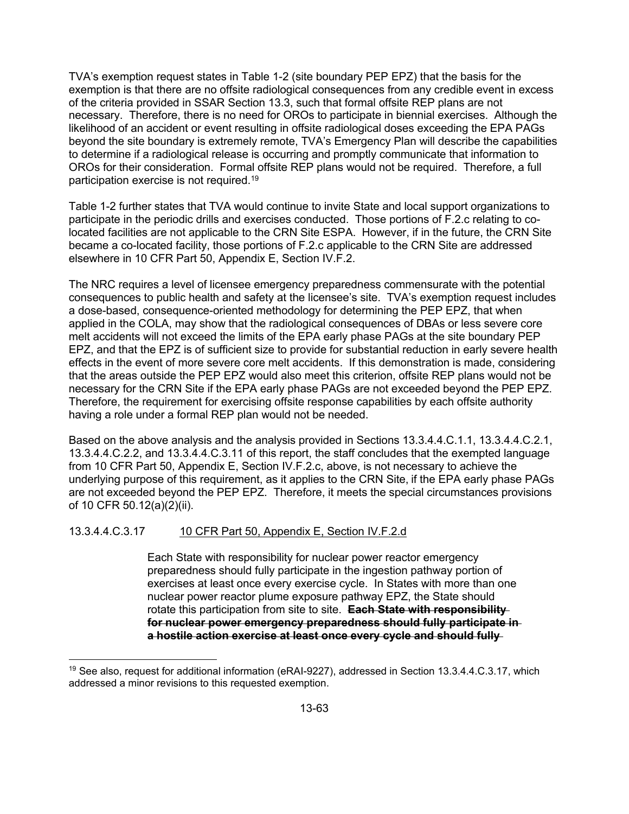TVA's exemption request states in Table 1-2 (site boundary PEP EPZ) that the basis for the exemption is that there are no offsite radiological consequences from any credible event in excess of the criteria provided in SSAR Section 13.3, such that formal offsite REP plans are not necessary. Therefore, there is no need for OROs to participate in biennial exercises. Although the likelihood of an accident or event resulting in offsite radiological doses exceeding the EPA PAGs beyond the site boundary is extremely remote, TVA's Emergency Plan will describe the capabilities to determine if a radiological release is occurring and promptly communicate that information to OROs for their consideration. Formal offsite REP plans would not be required. Therefore, a full participation exercise is not required.19

Table 1-2 further states that TVA would continue to invite State and local support organizations to participate in the periodic drills and exercises conducted. Those portions of F.2.c relating to colocated facilities are not applicable to the CRN Site ESPA. However, if in the future, the CRN Site became a co-located facility, those portions of F.2.c applicable to the CRN Site are addressed elsewhere in 10 CFR Part 50, Appendix E, Section IV.F.2.

The NRC requires a level of licensee emergency preparedness commensurate with the potential consequences to public health and safety at the licensee's site. TVA's exemption request includes a dose-based, consequence-oriented methodology for determining the PEP EPZ, that when applied in the COLA, may show that the radiological consequences of DBAs or less severe core melt accidents will not exceed the limits of the EPA early phase PAGs at the site boundary PEP EPZ, and that the EPZ is of sufficient size to provide for substantial reduction in early severe health effects in the event of more severe core melt accidents. If this demonstration is made, considering that the areas outside the PEP EPZ would also meet this criterion, offsite REP plans would not be necessary for the CRN Site if the EPA early phase PAGs are not exceeded beyond the PEP EPZ. Therefore, the requirement for exercising offsite response capabilities by each offsite authority having a role under a formal REP plan would not be needed.

Based on the above analysis and the analysis provided in Sections 13.3.4.4.C.1.1, 13.3.4.4.C.2.1, 13.3.4.4.C.2.2, and 13.3.4.4.C.3.11 of this report, the staff concludes that the exempted language from 10 CFR Part 50, Appendix E, Section IV.F.2.c, above, is not necessary to achieve the underlying purpose of this requirement, as it applies to the CRN Site, if the EPA early phase PAGs are not exceeded beyond the PEP EPZ. Therefore, it meets the special circumstances provisions of 10 CFR 50.12(a)(2)(ii).

## 13.3.4.4.C.3.17 10 CFR Part 50, Appendix E, Section IV.F.2.d

Each State with responsibility for nuclear power reactor emergency preparedness should fully participate in the ingestion pathway portion of exercises at least once every exercise cycle. In States with more than one nuclear power reactor plume exposure pathway EPZ, the State should rotate this participation from site to site. **Each State with responsibility for nuclear power emergency preparedness should fully participate in a hostile action exercise at least once every cycle and should fully** 

**<sup>.</sup>**  $19$  See also, request for additional information (eRAI-9227), addressed in Section 13.3.4.4.C.3.17, which addressed a minor revisions to this requested exemption.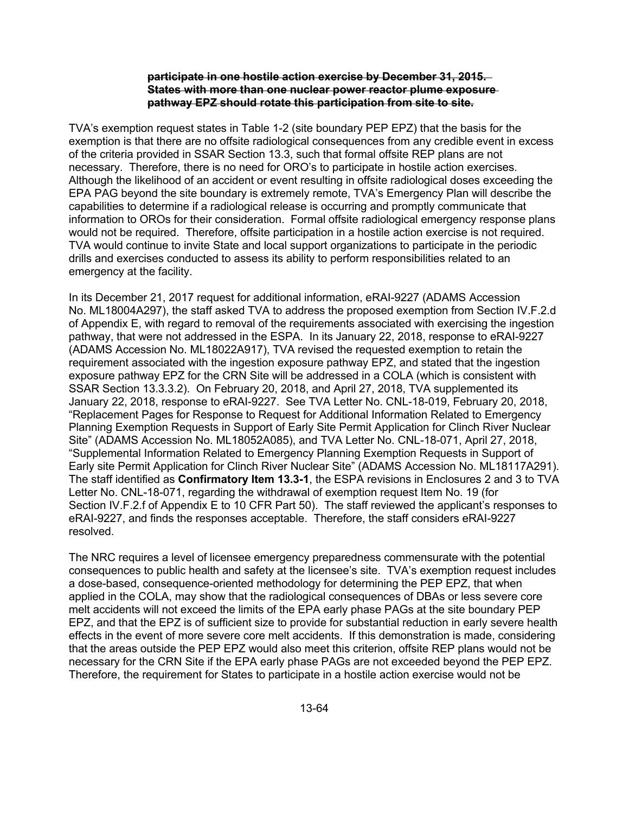### **participate in one hostile action exercise by December 31, 2015. States with more than one nuclear power reactor plume exposure pathway EPZ should rotate this participation from site to site.**

TVA's exemption request states in Table 1-2 (site boundary PEP EPZ) that the basis for the exemption is that there are no offsite radiological consequences from any credible event in excess of the criteria provided in SSAR Section 13.3, such that formal offsite REP plans are not necessary. Therefore, there is no need for ORO's to participate in hostile action exercises. Although the likelihood of an accident or event resulting in offsite radiological doses exceeding the EPA PAG beyond the site boundary is extremely remote, TVA's Emergency Plan will describe the capabilities to determine if a radiological release is occurring and promptly communicate that information to OROs for their consideration. Formal offsite radiological emergency response plans would not be required. Therefore, offsite participation in a hostile action exercise is not required. TVA would continue to invite State and local support organizations to participate in the periodic drills and exercises conducted to assess its ability to perform responsibilities related to an emergency at the facility.

In its December 21, 2017 request for additional information, eRAI-9227 (ADAMS Accession No. ML18004A297), the staff asked TVA to address the proposed exemption from Section IV.F.2.d of Appendix E, with regard to removal of the requirements associated with exercising the ingestion pathway, that were not addressed in the ESPA. In its January 22, 2018, response to eRAI-9227 (ADAMS Accession No. ML18022A917), TVA revised the requested exemption to retain the requirement associated with the ingestion exposure pathway EPZ, and stated that the ingestion exposure pathway EPZ for the CRN Site will be addressed in a COLA (which is consistent with SSAR Section 13.3.3.2). On February 20, 2018, and April 27, 2018, TVA supplemented its January 22, 2018, response to eRAI-9227. See TVA Letter No. CNL-18-019, February 20, 2018, "Replacement Pages for Response to Request for Additional Information Related to Emergency Planning Exemption Requests in Support of Early Site Permit Application for Clinch River Nuclear Site" (ADAMS Accession No. ML18052A085), and TVA Letter No. CNL-18-071, April 27, 2018, "Supplemental Information Related to Emergency Planning Exemption Requests in Support of Early site Permit Application for Clinch River Nuclear Site" (ADAMS Accession No. ML18117A291). The staff identified as **Confirmatory Item 13.3-1**, the ESPA revisions in Enclosures 2 and 3 to TVA Letter No. CNL-18-071, regarding the withdrawal of exemption request Item No. 19 (for Section IV.F.2.f of Appendix E to 10 CFR Part 50). The staff reviewed the applicant's responses to eRAI-9227, and finds the responses acceptable. Therefore, the staff considers eRAI-9227 resolved.

The NRC requires a level of licensee emergency preparedness commensurate with the potential consequences to public health and safety at the licensee's site. TVA's exemption request includes a dose-based, consequence-oriented methodology for determining the PEP EPZ, that when applied in the COLA, may show that the radiological consequences of DBAs or less severe core melt accidents will not exceed the limits of the EPA early phase PAGs at the site boundary PEP EPZ, and that the EPZ is of sufficient size to provide for substantial reduction in early severe health effects in the event of more severe core melt accidents. If this demonstration is made, considering that the areas outside the PEP EPZ would also meet this criterion, offsite REP plans would not be necessary for the CRN Site if the EPA early phase PAGs are not exceeded beyond the PEP EPZ. Therefore, the requirement for States to participate in a hostile action exercise would not be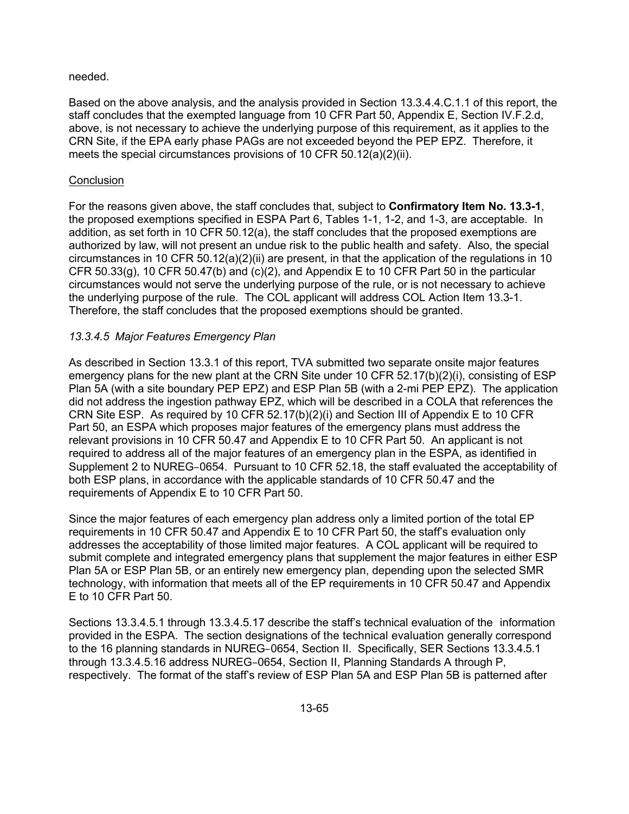### needed.

Based on the above analysis, and the analysis provided in Section 13.3.4.4.C.1.1 of this report, the staff concludes that the exempted language from 10 CFR Part 50, Appendix E, Section IV.F.2.d, above, is not necessary to achieve the underlying purpose of this requirement, as it applies to the CRN Site, if the EPA early phase PAGs are not exceeded beyond the PEP EPZ. Therefore, it meets the special circumstances provisions of 10 CFR 50.12(a)(2)(ii).

## **Conclusion**

For the reasons given above, the staff concludes that, subject to **Confirmatory Item No. 13.3-1**, the proposed exemptions specified in ESPA Part 6, Tables 1-1, 1-2, and 1-3, are acceptable. In addition, as set forth in 10 CFR 50.12(a), the staff concludes that the proposed exemptions are authorized by law, will not present an undue risk to the public health and safety. Also, the special circumstances in 10 CFR 50.12(a)(2)(ii) are present, in that the application of the regulations in 10 CFR 50.33 $(g)$ , 10 CFR 50.47 $(b)$  and  $(c)(2)$ , and Appendix E to 10 CFR Part 50 in the particular circumstances would not serve the underlying purpose of the rule, or is not necessary to achieve the underlying purpose of the rule. The COL applicant will address COL Action Item 13.3-1. Therefore, the staff concludes that the proposed exemptions should be granted.

## *13.3.4.5 Major Features Emergency Plan*

As described in Section 13.3.1 of this report, TVA submitted two separate onsite major features emergency plans for the new plant at the CRN Site under 10 CFR 52.17(b)(2)(i), consisting of ESP Plan 5A (with a site boundary PEP EPZ) and ESP Plan 5B (with a 2-mi PEP EPZ). The application did not address the ingestion pathway EPZ, which will be described in a COLA that references the CRN Site ESP. As required by 10 CFR 52.17(b)(2)(i) and Section III of Appendix E to 10 CFR Part 50, an ESPA which proposes major features of the emergency plans must address the relevant provisions in 10 CFR 50.47 and Appendix E to 10 CFR Part 50. An applicant is not required to address all of the major features of an emergency plan in the ESPA, as identified in Supplement 2 to NUREG–0654. Pursuant to 10 CFR 52.18, the staff evaluated the acceptability of both ESP plans, in accordance with the applicable standards of 10 CFR 50.47 and the requirements of Appendix E to 10 CFR Part 50.

Since the major features of each emergency plan address only a limited portion of the total EP requirements in 10 CFR 50.47 and Appendix E to 10 CFR Part 50, the staff's evaluation only addresses the acceptability of those limited major features. A COL applicant will be required to submit complete and integrated emergency plans that supplement the major features in either ESP Plan 5A or ESP Plan 5B, or an entirely new emergency plan, depending upon the selected SMR technology, with information that meets all of the EP requirements in 10 CFR 50.47 and Appendix E to 10 CFR Part 50.

Sections 13.3.4.5.1 through 13.3.4.5.17 describe the staff's technical evaluation of the information provided in the ESPA. The section designations of the technical evaluation generally correspond to the 16 planning standards in NUREG–0654, Section II. Specifically, SER Sections 13.3.4.5.1 through 13.3.4.5.16 address NUREG–0654, Section II, Planning Standards A through P, respectively. The format of the staff's review of ESP Plan 5A and ESP Plan 5B is patterned after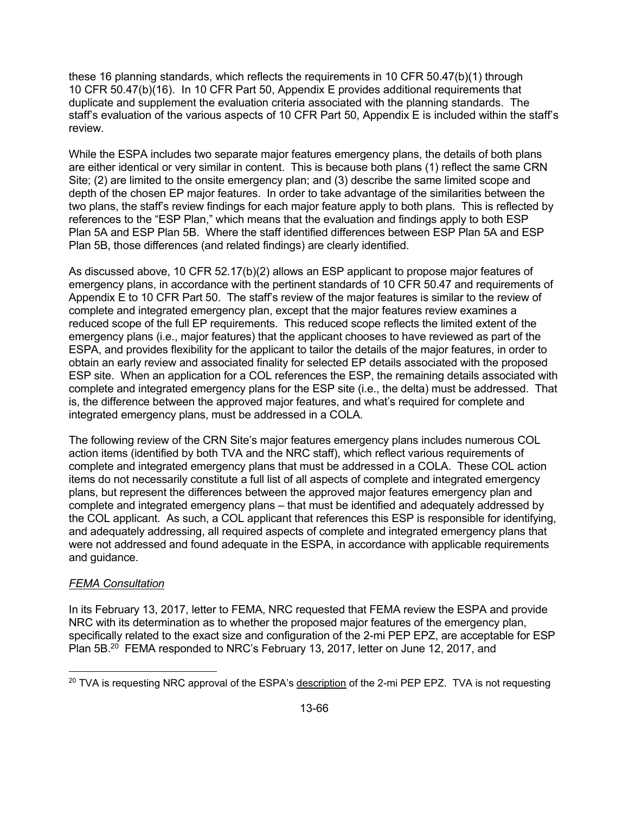these 16 planning standards, which reflects the requirements in 10 CFR 50.47(b)(1) through 10 CFR 50.47(b)(16). In 10 CFR Part 50, Appendix E provides additional requirements that duplicate and supplement the evaluation criteria associated with the planning standards. The staff's evaluation of the various aspects of 10 CFR Part 50, Appendix E is included within the staff's review.

While the ESPA includes two separate major features emergency plans, the details of both plans are either identical or very similar in content. This is because both plans (1) reflect the same CRN Site; (2) are limited to the onsite emergency plan; and (3) describe the same limited scope and depth of the chosen EP major features. In order to take advantage of the similarities between the two plans, the staff's review findings for each major feature apply to both plans. This is reflected by references to the "ESP Plan," which means that the evaluation and findings apply to both ESP Plan 5A and ESP Plan 5B. Where the staff identified differences between ESP Plan 5A and ESP Plan 5B, those differences (and related findings) are clearly identified.

As discussed above, 10 CFR 52.17(b)(2) allows an ESP applicant to propose major features of emergency plans, in accordance with the pertinent standards of 10 CFR 50.47 and requirements of Appendix E to 10 CFR Part 50. The staff's review of the major features is similar to the review of complete and integrated emergency plan, except that the major features review examines a reduced scope of the full EP requirements. This reduced scope reflects the limited extent of the emergency plans (i.e., major features) that the applicant chooses to have reviewed as part of the ESPA, and provides flexibility for the applicant to tailor the details of the major features, in order to obtain an early review and associated finality for selected EP details associated with the proposed ESP site. When an application for a COL references the ESP, the remaining details associated with complete and integrated emergency plans for the ESP site (i.e., the delta) must be addressed. That is, the difference between the approved major features, and what's required for complete and integrated emergency plans, must be addressed in a COLA.

The following review of the CRN Site's major features emergency plans includes numerous COL action items (identified by both TVA and the NRC staff), which reflect various requirements of complete and integrated emergency plans that must be addressed in a COLA. These COL action items do not necessarily constitute a full list of all aspects of complete and integrated emergency plans, but represent the differences between the approved major features emergency plan and complete and integrated emergency plans – that must be identified and adequately addressed by the COL applicant. As such, a COL applicant that references this ESP is responsible for identifying, and adequately addressing, all required aspects of complete and integrated emergency plans that were not addressed and found adequate in the ESPA, in accordance with applicable requirements and guidance.

### *FEMA Consultation*

**.** 

In its February 13, 2017, letter to FEMA, NRC requested that FEMA review the ESPA and provide NRC with its determination as to whether the proposed major features of the emergency plan, specifically related to the exact size and configuration of the 2-mi PEP EPZ, are acceptable for ESP Plan 5B.<sup>20</sup> FEMA responded to NRC's February 13, 2017, letter on June 12, 2017, and

 $20$  TVA is requesting NRC approval of the ESPA's description of the 2-mi PEP EPZ. TVA is not requesting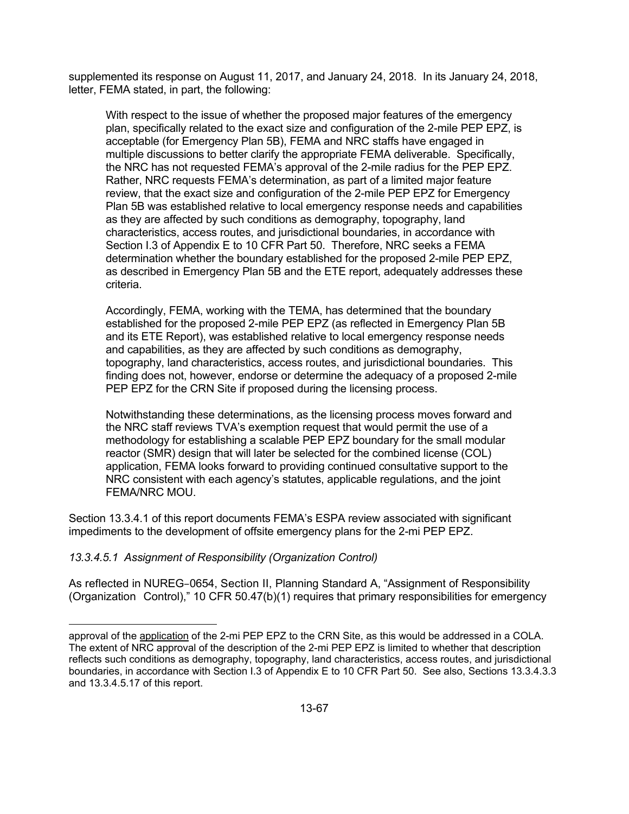supplemented its response on August 11, 2017, and January 24, 2018. In its January 24, 2018, letter, FEMA stated, in part, the following:

With respect to the issue of whether the proposed major features of the emergency plan, specifically related to the exact size and configuration of the 2-mile PEP EPZ, is acceptable (for Emergency Plan 5B), FEMA and NRC staffs have engaged in multiple discussions to better clarify the appropriate FEMA deliverable. Specifically, the NRC has not requested FEMA's approval of the 2-mile radius for the PEP EPZ. Rather, NRC requests FEMA's determination, as part of a limited major feature review, that the exact size and configuration of the 2-mile PEP EPZ for Emergency Plan 5B was established relative to local emergency response needs and capabilities as they are affected by such conditions as demography, topography, land characteristics, access routes, and jurisdictional boundaries, in accordance with Section I.3 of Appendix E to 10 CFR Part 50. Therefore, NRC seeks a FEMA determination whether the boundary established for the proposed 2-mile PEP EPZ, as described in Emergency Plan 5B and the ETE report, adequately addresses these criteria.

Accordingly, FEMA, working with the TEMA, has determined that the boundary established for the proposed 2-mile PEP EPZ (as reflected in Emergency Plan 5B and its ETE Report), was established relative to local emergency response needs and capabilities, as they are affected by such conditions as demography, topography, land characteristics, access routes, and jurisdictional boundaries. This finding does not, however, endorse or determine the adequacy of a proposed 2-mile PEP EPZ for the CRN Site if proposed during the licensing process.

Notwithstanding these determinations, as the licensing process moves forward and the NRC staff reviews TVA's exemption request that would permit the use of a methodology for establishing a scalable PEP EPZ boundary for the small modular reactor (SMR) design that will later be selected for the combined license (COL) application, FEMA looks forward to providing continued consultative support to the NRC consistent with each agency's statutes, applicable regulations, and the joint FEMA/NRC MOU.

Section 13.3.4.1 of this report documents FEMA's ESPA review associated with significant impediments to the development of offsite emergency plans for the 2-mi PEP EPZ.

### *13.3.4.5.1 Assignment of Responsibility (Organization Control)*

As reflected in NUREG–0654, Section II, Planning Standard A, "Assignment of Responsibility (Organization Control)," 10 CFR 50.47(b)(1) requires that primary responsibilities for emergency

**<sup>.</sup>** approval of the application of the 2-mi PEP EPZ to the CRN Site, as this would be addressed in a COLA. The extent of NRC approval of the description of the 2-mi PEP EPZ is limited to whether that description reflects such conditions as demography, topography, land characteristics, access routes, and jurisdictional boundaries, in accordance with Section I.3 of Appendix E to 10 CFR Part 50. See also, Sections 13.3.4.3.3 and 13.3.4.5.17 of this report.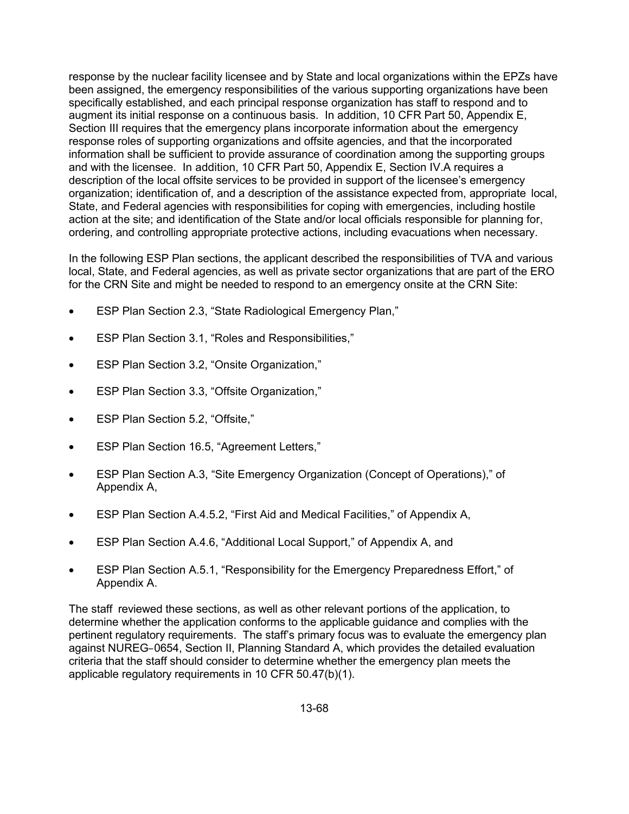response by the nuclear facility licensee and by State and local organizations within the EPZs have been assigned, the emergency responsibilities of the various supporting organizations have been specifically established, and each principal response organization has staff to respond and to augment its initial response on a continuous basis. In addition, 10 CFR Part 50, Appendix E, Section III requires that the emergency plans incorporate information about the emergency response roles of supporting organizations and offsite agencies, and that the incorporated information shall be sufficient to provide assurance of coordination among the supporting groups and with the licensee. In addition, 10 CFR Part 50, Appendix E, Section IV.A requires a description of the local offsite services to be provided in support of the licensee's emergency organization; identification of, and a description of the assistance expected from, appropriate local, State, and Federal agencies with responsibilities for coping with emergencies, including hostile action at the site; and identification of the State and/or local officials responsible for planning for, ordering, and controlling appropriate protective actions, including evacuations when necessary.

In the following ESP Plan sections, the applicant described the responsibilities of TVA and various local, State, and Federal agencies, as well as private sector organizations that are part of the ERO for the CRN Site and might be needed to respond to an emergency onsite at the CRN Site:

- ESP Plan Section 2.3, "State Radiological Emergency Plan,"
- ESP Plan Section 3.1, "Roles and Responsibilities,"
- ESP Plan Section 3.2, "Onsite Organization,"
- ESP Plan Section 3.3, "Offsite Organization,"
- ESP Plan Section 5.2, "Offsite,"
- ESP Plan Section 16.5, "Agreement Letters,"
- ESP Plan Section A.3, "Site Emergency Organization (Concept of Operations)," of Appendix A,
- ESP Plan Section A.4.5.2, "First Aid and Medical Facilities," of Appendix A,
- ESP Plan Section A.4.6, "Additional Local Support," of Appendix A, and
- ESP Plan Section A.5.1, "Responsibility for the Emergency Preparedness Effort," of Appendix A.

The staff reviewed these sections, as well as other relevant portions of the application, to determine whether the application conforms to the applicable guidance and complies with the pertinent regulatory requirements. The staff's primary focus was to evaluate the emergency plan against NUREG–0654, Section II, Planning Standard A, which provides the detailed evaluation criteria that the staff should consider to determine whether the emergency plan meets the applicable regulatory requirements in 10 CFR 50.47(b)(1).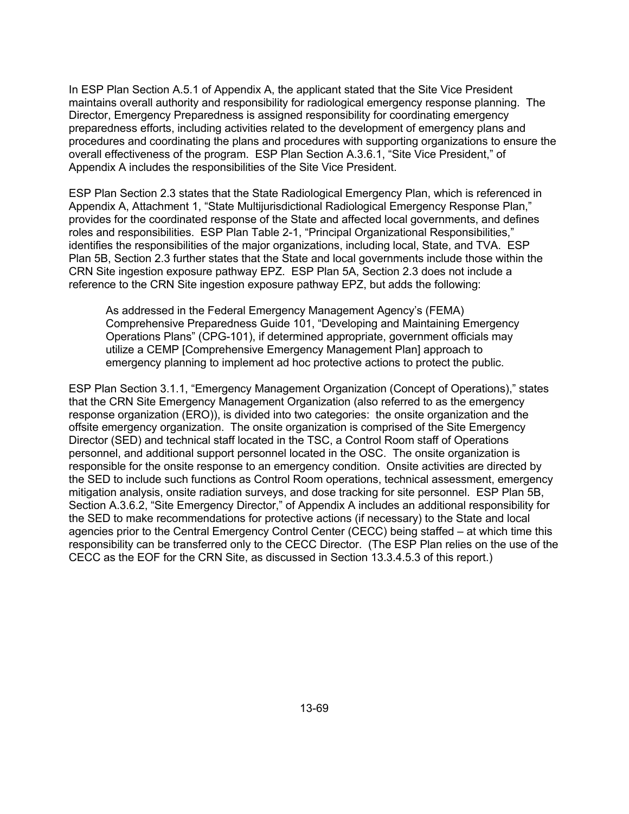In ESP Plan Section A.5.1 of Appendix A, the applicant stated that the Site Vice President maintains overall authority and responsibility for radiological emergency response planning. The Director, Emergency Preparedness is assigned responsibility for coordinating emergency preparedness efforts, including activities related to the development of emergency plans and procedures and coordinating the plans and procedures with supporting organizations to ensure the overall effectiveness of the program. ESP Plan Section A.3.6.1, "Site Vice President," of Appendix A includes the responsibilities of the Site Vice President.

ESP Plan Section 2.3 states that the State Radiological Emergency Plan, which is referenced in Appendix A, Attachment 1, "State Multijurisdictional Radiological Emergency Response Plan," provides for the coordinated response of the State and affected local governments, and defines roles and responsibilities. ESP Plan Table 2-1, "Principal Organizational Responsibilities," identifies the responsibilities of the major organizations, including local, State, and TVA. ESP Plan 5B, Section 2.3 further states that the State and local governments include those within the CRN Site ingestion exposure pathway EPZ. ESP Plan 5A, Section 2.3 does not include a reference to the CRN Site ingestion exposure pathway EPZ, but adds the following:

As addressed in the Federal Emergency Management Agency's (FEMA) Comprehensive Preparedness Guide 101, "Developing and Maintaining Emergency Operations Plans" (CPG-101), if determined appropriate, government officials may utilize a CEMP [Comprehensive Emergency Management Plan] approach to emergency planning to implement ad hoc protective actions to protect the public.

ESP Plan Section 3.1.1, "Emergency Management Organization (Concept of Operations)," states that the CRN Site Emergency Management Organization (also referred to as the emergency response organization (ERO)), is divided into two categories: the onsite organization and the offsite emergency organization. The onsite organization is comprised of the Site Emergency Director (SED) and technical staff located in the TSC, a Control Room staff of Operations personnel, and additional support personnel located in the OSC. The onsite organization is responsible for the onsite response to an emergency condition. Onsite activities are directed by the SED to include such functions as Control Room operations, technical assessment, emergency mitigation analysis, onsite radiation surveys, and dose tracking for site personnel. ESP Plan 5B, Section A.3.6.2, "Site Emergency Director," of Appendix A includes an additional responsibility for the SED to make recommendations for protective actions (if necessary) to the State and local agencies prior to the Central Emergency Control Center (CECC) being staffed – at which time this responsibility can be transferred only to the CECC Director. (The ESP Plan relies on the use of the CECC as the EOF for the CRN Site, as discussed in Section 13.3.4.5.3 of this report.)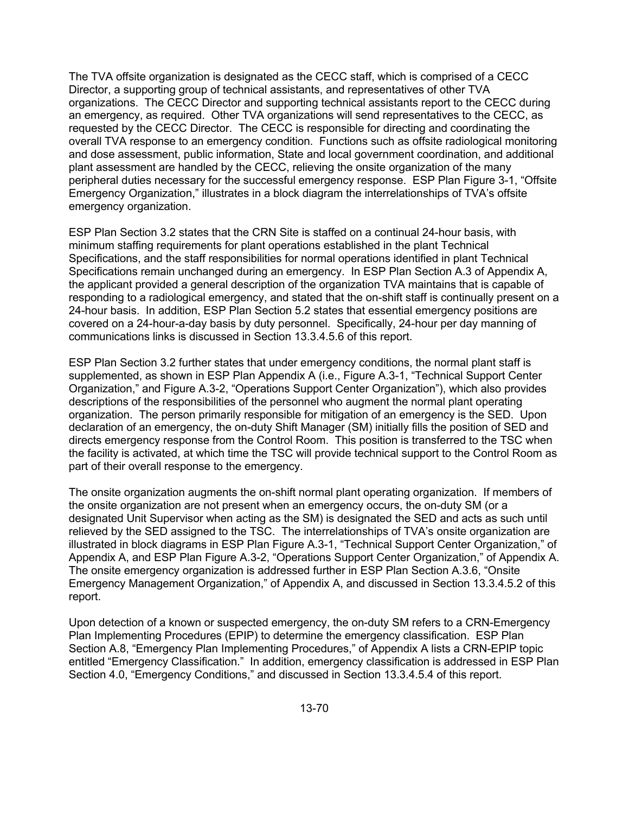The TVA offsite organization is designated as the CECC staff, which is comprised of a CECC Director, a supporting group of technical assistants, and representatives of other TVA organizations. The CECC Director and supporting technical assistants report to the CECC during an emergency, as required. Other TVA organizations will send representatives to the CECC, as requested by the CECC Director. The CECC is responsible for directing and coordinating the overall TVA response to an emergency condition. Functions such as offsite radiological monitoring and dose assessment, public information, State and local government coordination, and additional plant assessment are handled by the CECC, relieving the onsite organization of the many peripheral duties necessary for the successful emergency response. ESP Plan Figure 3-1, "Offsite Emergency Organization," illustrates in a block diagram the interrelationships of TVA's offsite emergency organization.

ESP Plan Section 3.2 states that the CRN Site is staffed on a continual 24-hour basis, with minimum staffing requirements for plant operations established in the plant Technical Specifications, and the staff responsibilities for normal operations identified in plant Technical Specifications remain unchanged during an emergency. In ESP Plan Section A.3 of Appendix A, the applicant provided a general description of the organization TVA maintains that is capable of responding to a radiological emergency, and stated that the on-shift staff is continually present on a 24-hour basis. In addition, ESP Plan Section 5.2 states that essential emergency positions are covered on a 24-hour-a-day basis by duty personnel. Specifically, 24-hour per day manning of communications links is discussed in Section 13.3.4.5.6 of this report.

ESP Plan Section 3.2 further states that under emergency conditions, the normal plant staff is supplemented, as shown in ESP Plan Appendix A (i.e., Figure A.3-1, "Technical Support Center Organization," and Figure A.3-2, "Operations Support Center Organization"), which also provides descriptions of the responsibilities of the personnel who augment the normal plant operating organization. The person primarily responsible for mitigation of an emergency is the SED. Upon declaration of an emergency, the on-duty Shift Manager (SM) initially fills the position of SED and directs emergency response from the Control Room. This position is transferred to the TSC when the facility is activated, at which time the TSC will provide technical support to the Control Room as part of their overall response to the emergency.

The onsite organization augments the on-shift normal plant operating organization. If members of the onsite organization are not present when an emergency occurs, the on-duty SM (or a designated Unit Supervisor when acting as the SM) is designated the SED and acts as such until relieved by the SED assigned to the TSC. The interrelationships of TVA's onsite organization are illustrated in block diagrams in ESP Plan Figure A.3-1, "Technical Support Center Organization," of Appendix A, and ESP Plan Figure A.3-2, "Operations Support Center Organization," of Appendix A. The onsite emergency organization is addressed further in ESP Plan Section A.3.6, "Onsite Emergency Management Organization," of Appendix A, and discussed in Section 13.3.4.5.2 of this report.

Upon detection of a known or suspected emergency, the on-duty SM refers to a CRN-Emergency Plan Implementing Procedures (EPIP) to determine the emergency classification. ESP Plan Section A.8, "Emergency Plan Implementing Procedures," of Appendix A lists a CRN-EPIP topic entitled "Emergency Classification." In addition, emergency classification is addressed in ESP Plan Section 4.0, "Emergency Conditions," and discussed in Section 13.3.4.5.4 of this report.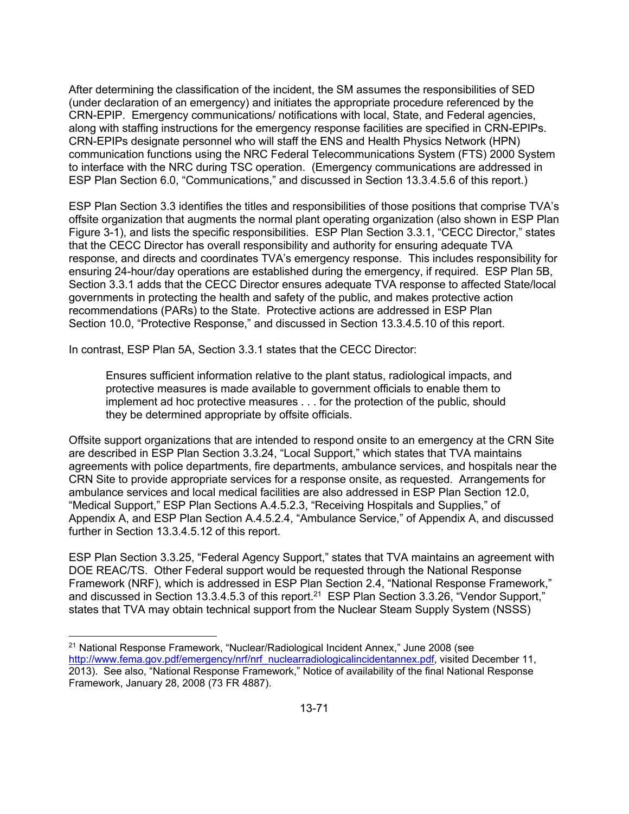After determining the classification of the incident, the SM assumes the responsibilities of SED (under declaration of an emergency) and initiates the appropriate procedure referenced by the CRN-EPIP. Emergency communications/ notifications with local, State, and Federal agencies, along with staffing instructions for the emergency response facilities are specified in CRN-EPIPs. CRN-EPIPs designate personnel who will staff the ENS and Health Physics Network (HPN) communication functions using the NRC Federal Telecommunications System (FTS) 2000 System to interface with the NRC during TSC operation. (Emergency communications are addressed in ESP Plan Section 6.0, "Communications," and discussed in Section 13.3.4.5.6 of this report.)

ESP Plan Section 3.3 identifies the titles and responsibilities of those positions that comprise TVA's offsite organization that augments the normal plant operating organization (also shown in ESP Plan Figure 3-1), and lists the specific responsibilities. ESP Plan Section 3.3.1, "CECC Director," states that the CECC Director has overall responsibility and authority for ensuring adequate TVA response, and directs and coordinates TVA's emergency response. This includes responsibility for ensuring 24-hour/day operations are established during the emergency, if required. ESP Plan 5B, Section 3.3.1 adds that the CECC Director ensures adequate TVA response to affected State/local governments in protecting the health and safety of the public, and makes protective action recommendations (PARs) to the State. Protective actions are addressed in ESP Plan Section 10.0, "Protective Response," and discussed in Section 13.3.4.5.10 of this report.

In contrast, ESP Plan 5A, Section 3.3.1 states that the CECC Director:

**.** 

Ensures sufficient information relative to the plant status, radiological impacts, and protective measures is made available to government officials to enable them to implement ad hoc protective measures . . . for the protection of the public, should they be determined appropriate by offsite officials.

Offsite support organizations that are intended to respond onsite to an emergency at the CRN Site are described in ESP Plan Section 3.3.24, "Local Support," which states that TVA maintains agreements with police departments, fire departments, ambulance services, and hospitals near the CRN Site to provide appropriate services for a response onsite, as requested. Arrangements for ambulance services and local medical facilities are also addressed in ESP Plan Section 12.0, "Medical Support," ESP Plan Sections A.4.5.2.3, "Receiving Hospitals and Supplies," of Appendix A, and ESP Plan Section A.4.5.2.4, "Ambulance Service," of Appendix A, and discussed further in Section 13.3.4.5.12 of this report.

ESP Plan Section 3.3.25, "Federal Agency Support," states that TVA maintains an agreement with DOE REAC/TS. Other Federal support would be requested through the National Response Framework (NRF), which is addressed in ESP Plan Section 2.4, "National Response Framework," and discussed in Section 13.3.4.5.3 of this report.<sup>21</sup> ESP Plan Section 3.3.26, "Vendor Support," states that TVA may obtain technical support from the Nuclear Steam Supply System (NSSS)

 $21$  National Response Framework, "Nuclear/Radiological Incident Annex," June 2008 (see http://www.fema.gov.pdf/emergency/nrf/nrf\_nuclearradiologicalincidentannex.pdf, visited December 11, 2013). See also, "National Response Framework," Notice of availability of the final National Response Framework, January 28, 2008 (73 FR 4887).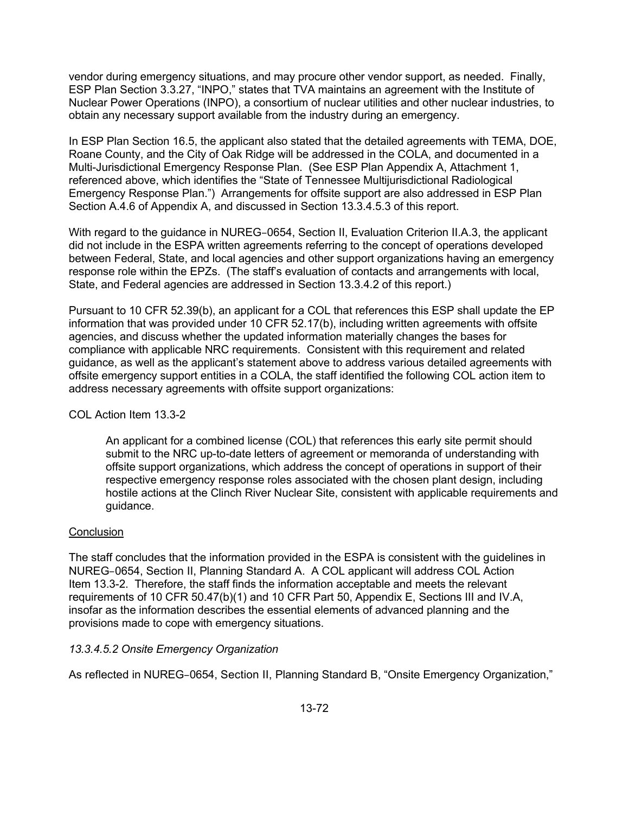vendor during emergency situations, and may procure other vendor support, as needed. Finally, ESP Plan Section 3.3.27, "INPO," states that TVA maintains an agreement with the Institute of Nuclear Power Operations (INPO), a consortium of nuclear utilities and other nuclear industries, to obtain any necessary support available from the industry during an emergency.

In ESP Plan Section 16.5, the applicant also stated that the detailed agreements with TEMA, DOE, Roane County, and the City of Oak Ridge will be addressed in the COLA, and documented in a Multi-Jurisdictional Emergency Response Plan. (See ESP Plan Appendix A, Attachment 1, referenced above, which identifies the "State of Tennessee Multijurisdictional Radiological Emergency Response Plan.") Arrangements for offsite support are also addressed in ESP Plan Section A.4.6 of Appendix A, and discussed in Section 13.3.4.5.3 of this report.

With regard to the guidance in NUREG–0654, Section II, Evaluation Criterion II.A.3, the applicant did not include in the ESPA written agreements referring to the concept of operations developed between Federal, State, and local agencies and other support organizations having an emergency response role within the EPZs. (The staff's evaluation of contacts and arrangements with local, State, and Federal agencies are addressed in Section 13.3.4.2 of this report.)

Pursuant to 10 CFR 52.39(b), an applicant for a COL that references this ESP shall update the EP information that was provided under 10 CFR 52.17(b), including written agreements with offsite agencies, and discuss whether the updated information materially changes the bases for compliance with applicable NRC requirements. Consistent with this requirement and related guidance, as well as the applicant's statement above to address various detailed agreements with offsite emergency support entities in a COLA, the staff identified the following COL action item to address necessary agreements with offsite support organizations:

## COL Action Item 13.3-2

An applicant for a combined license (COL) that references this early site permit should submit to the NRC up-to-date letters of agreement or memoranda of understanding with offsite support organizations, which address the concept of operations in support of their respective emergency response roles associated with the chosen plant design, including hostile actions at the Clinch River Nuclear Site, consistent with applicable requirements and guidance.

## **Conclusion**

The staff concludes that the information provided in the ESPA is consistent with the guidelines in NUREG–0654, Section II, Planning Standard A. A COL applicant will address COL Action Item 13.3-2. Therefore, the staff finds the information acceptable and meets the relevant requirements of 10 CFR 50.47(b)(1) and 10 CFR Part 50, Appendix E, Sections III and IV.A, insofar as the information describes the essential elements of advanced planning and the provisions made to cope with emergency situations.

## *13.3.4.5.2 Onsite Emergency Organization*

As reflected in NUREG–0654, Section II, Planning Standard B, "Onsite Emergency Organization,"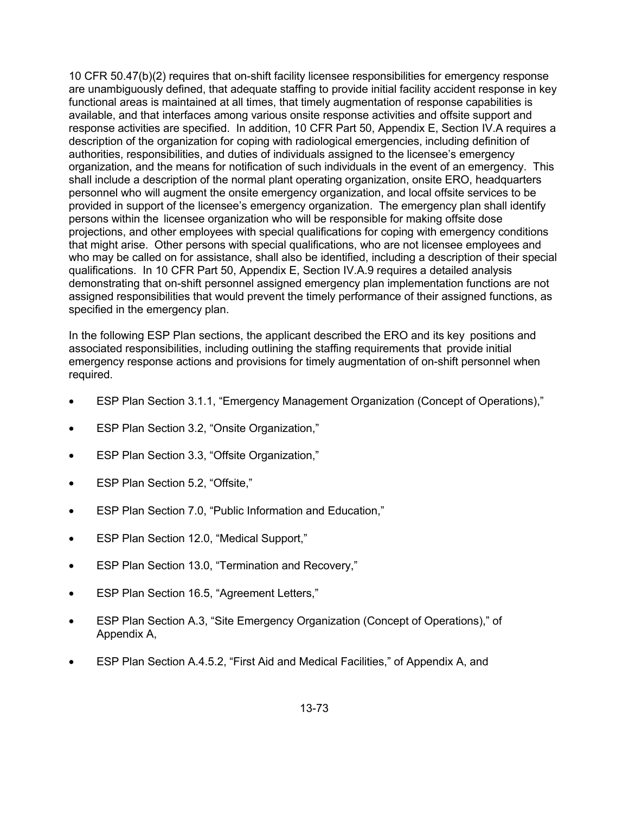10 CFR 50.47(b)(2) requires that on-shift facility licensee responsibilities for emergency response are unambiguously defined, that adequate staffing to provide initial facility accident response in key functional areas is maintained at all times, that timely augmentation of response capabilities is available, and that interfaces among various onsite response activities and offsite support and response activities are specified. In addition, 10 CFR Part 50, Appendix E, Section IV.A requires a description of the organization for coping with radiological emergencies, including definition of authorities, responsibilities, and duties of individuals assigned to the licensee's emergency organization, and the means for notification of such individuals in the event of an emergency. This shall include a description of the normal plant operating organization, onsite ERO, headquarters personnel who will augment the onsite emergency organization, and local offsite services to be provided in support of the licensee's emergency organization. The emergency plan shall identify persons within the licensee organization who will be responsible for making offsite dose projections, and other employees with special qualifications for coping with emergency conditions that might arise. Other persons with special qualifications, who are not licensee employees and who may be called on for assistance, shall also be identified, including a description of their special qualifications. In 10 CFR Part 50, Appendix E, Section IV.A.9 requires a detailed analysis demonstrating that on-shift personnel assigned emergency plan implementation functions are not assigned responsibilities that would prevent the timely performance of their assigned functions, as specified in the emergency plan.

In the following ESP Plan sections, the applicant described the ERO and its key positions and associated responsibilities, including outlining the staffing requirements that provide initial emergency response actions and provisions for timely augmentation of on-shift personnel when required.

- ESP Plan Section 3.1.1, "Emergency Management Organization (Concept of Operations),"
- ESP Plan Section 3.2, "Onsite Organization,"
- ESP Plan Section 3.3, "Offsite Organization,"
- ESP Plan Section 5.2, "Offsite,"
- ESP Plan Section 7.0, "Public Information and Education,"
- ESP Plan Section 12.0, "Medical Support,"
- ESP Plan Section 13.0, "Termination and Recovery,"
- ESP Plan Section 16.5, "Agreement Letters,"
- ESP Plan Section A.3, "Site Emergency Organization (Concept of Operations)," of Appendix A,
- ESP Plan Section A.4.5.2, "First Aid and Medical Facilities," of Appendix A, and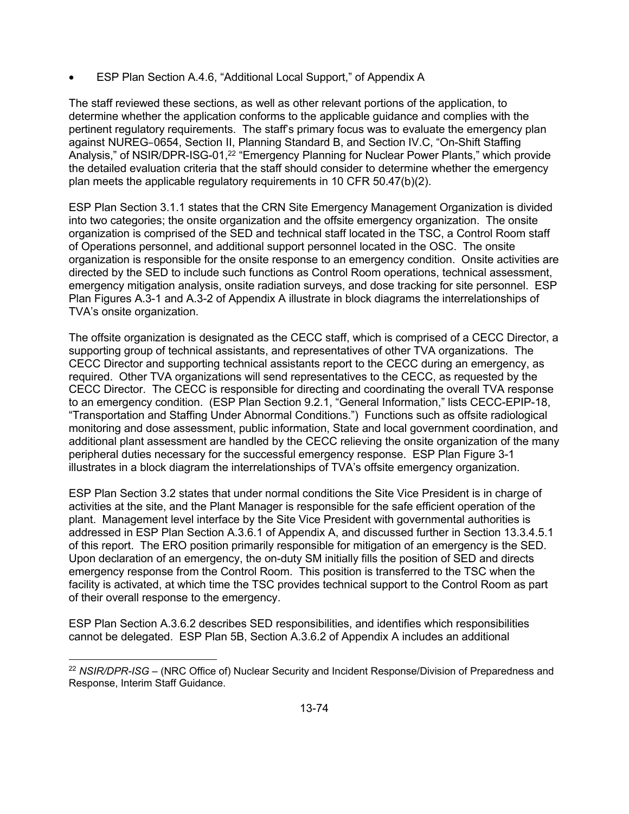• ESP Plan Section A.4.6, "Additional Local Support," of Appendix A

The staff reviewed these sections, as well as other relevant portions of the application, to determine whether the application conforms to the applicable guidance and complies with the pertinent regulatory requirements. The staff's primary focus was to evaluate the emergency plan against NUREG–0654, Section II, Planning Standard B, and Section IV.C, "On-Shift Staffing Analysis," of NSIR/DPR-ISG-01,<sup>22</sup> "Emergency Planning for Nuclear Power Plants," which provide the detailed evaluation criteria that the staff should consider to determine whether the emergency plan meets the applicable regulatory requirements in 10 CFR 50.47(b)(2).

ESP Plan Section 3.1.1 states that the CRN Site Emergency Management Organization is divided into two categories; the onsite organization and the offsite emergency organization. The onsite organization is comprised of the SED and technical staff located in the TSC, a Control Room staff of Operations personnel, and additional support personnel located in the OSC. The onsite organization is responsible for the onsite response to an emergency condition. Onsite activities are directed by the SED to include such functions as Control Room operations, technical assessment, emergency mitigation analysis, onsite radiation surveys, and dose tracking for site personnel. ESP Plan Figures A.3-1 and A.3-2 of Appendix A illustrate in block diagrams the interrelationships of TVA's onsite organization.

The offsite organization is designated as the CECC staff, which is comprised of a CECC Director, a supporting group of technical assistants, and representatives of other TVA organizations. The CECC Director and supporting technical assistants report to the CECC during an emergency, as required. Other TVA organizations will send representatives to the CECC, as requested by the CECC Director. The CECC is responsible for directing and coordinating the overall TVA response to an emergency condition. (ESP Plan Section 9.2.1, "General Information," lists CECC-EPIP-18, "Transportation and Staffing Under Abnormal Conditions.") Functions such as offsite radiological monitoring and dose assessment, public information, State and local government coordination, and additional plant assessment are handled by the CECC relieving the onsite organization of the many peripheral duties necessary for the successful emergency response. ESP Plan Figure 3-1 illustrates in a block diagram the interrelationships of TVA's offsite emergency organization.

ESP Plan Section 3.2 states that under normal conditions the Site Vice President is in charge of activities at the site, and the Plant Manager is responsible for the safe efficient operation of the plant. Management level interface by the Site Vice President with governmental authorities is addressed in ESP Plan Section A.3.6.1 of Appendix A, and discussed further in Section 13.3.4.5.1 of this report. The ERO position primarily responsible for mitigation of an emergency is the SED. Upon declaration of an emergency, the on-duty SM initially fills the position of SED and directs emergency response from the Control Room. This position is transferred to the TSC when the facility is activated, at which time the TSC provides technical support to the Control Room as part of their overall response to the emergency.

ESP Plan Section A.3.6.2 describes SED responsibilities, and identifies which responsibilities cannot be delegated. ESP Plan 5B, Section A.3.6.2 of Appendix A includes an additional

**<sup>.</sup>** <sup>22</sup> *NSIR/DPR-ISG* – (NRC Office of) Nuclear Security and Incident Response/Division of Preparedness and Response, Interim Staff Guidance.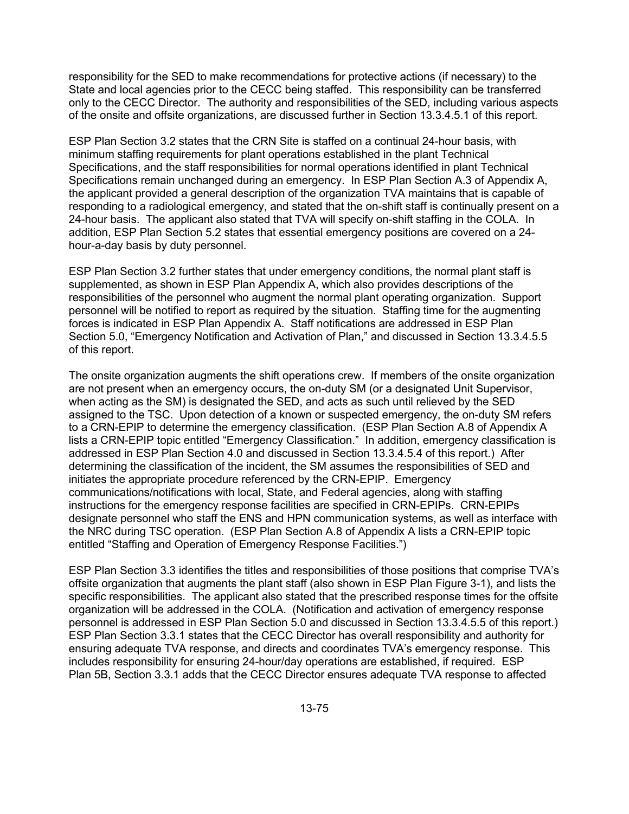responsibility for the SED to make recommendations for protective actions (if necessary) to the State and local agencies prior to the CECC being staffed. This responsibility can be transferred only to the CECC Director. The authority and responsibilities of the SED, including various aspects of the onsite and offsite organizations, are discussed further in Section 13.3.4.5.1 of this report.

ESP Plan Section 3.2 states that the CRN Site is staffed on a continual 24-hour basis, with minimum staffing requirements for plant operations established in the plant Technical Specifications, and the staff responsibilities for normal operations identified in plant Technical Specifications remain unchanged during an emergency. In ESP Plan Section A.3 of Appendix A, the applicant provided a general description of the organization TVA maintains that is capable of responding to a radiological emergency, and stated that the on-shift staff is continually present on a 24-hour basis. The applicant also stated that TVA will specify on-shift staffing in the COLA. In addition, ESP Plan Section 5.2 states that essential emergency positions are covered on a 24 hour-a-day basis by duty personnel.

ESP Plan Section 3.2 further states that under emergency conditions, the normal plant staff is supplemented, as shown in ESP Plan Appendix A, which also provides descriptions of the responsibilities of the personnel who augment the normal plant operating organization. Support personnel will be notified to report as required by the situation. Staffing time for the augmenting forces is indicated in ESP Plan Appendix A. Staff notifications are addressed in ESP Plan Section 5.0, "Emergency Notification and Activation of Plan," and discussed in Section 13.3.4.5.5 of this report.

The onsite organization augments the shift operations crew. If members of the onsite organization are not present when an emergency occurs, the on-duty SM (or a designated Unit Supervisor, when acting as the SM) is designated the SED, and acts as such until relieved by the SED assigned to the TSC. Upon detection of a known or suspected emergency, the on-duty SM refers to a CRN-EPIP to determine the emergency classification. (ESP Plan Section A.8 of Appendix A lists a CRN-EPIP topic entitled "Emergency Classification." In addition, emergency classification is addressed in ESP Plan Section 4.0 and discussed in Section 13.3.4.5.4 of this report.) After determining the classification of the incident, the SM assumes the responsibilities of SED and initiates the appropriate procedure referenced by the CRN-EPIP. Emergency communications/notifications with local, State, and Federal agencies, along with staffing instructions for the emergency response facilities are specified in CRN-EPIPs. CRN-EPIPs designate personnel who staff the ENS and HPN communication systems, as well as interface with the NRC during TSC operation. (ESP Plan Section A.8 of Appendix A lists a CRN-EPIP topic entitled "Staffing and Operation of Emergency Response Facilities.")

ESP Plan Section 3.3 identifies the titles and responsibilities of those positions that comprise TVA's offsite organization that augments the plant staff (also shown in ESP Plan Figure 3-1), and lists the specific responsibilities. The applicant also stated that the prescribed response times for the offsite organization will be addressed in the COLA. (Notification and activation of emergency response personnel is addressed in ESP Plan Section 5.0 and discussed in Section 13.3.4.5.5 of this report.) ESP Plan Section 3.3.1 states that the CECC Director has overall responsibility and authority for ensuring adequate TVA response, and directs and coordinates TVA's emergency response. This includes responsibility for ensuring 24-hour/day operations are established, if required. ESP Plan 5B, Section 3.3.1 adds that the CECC Director ensures adequate TVA response to affected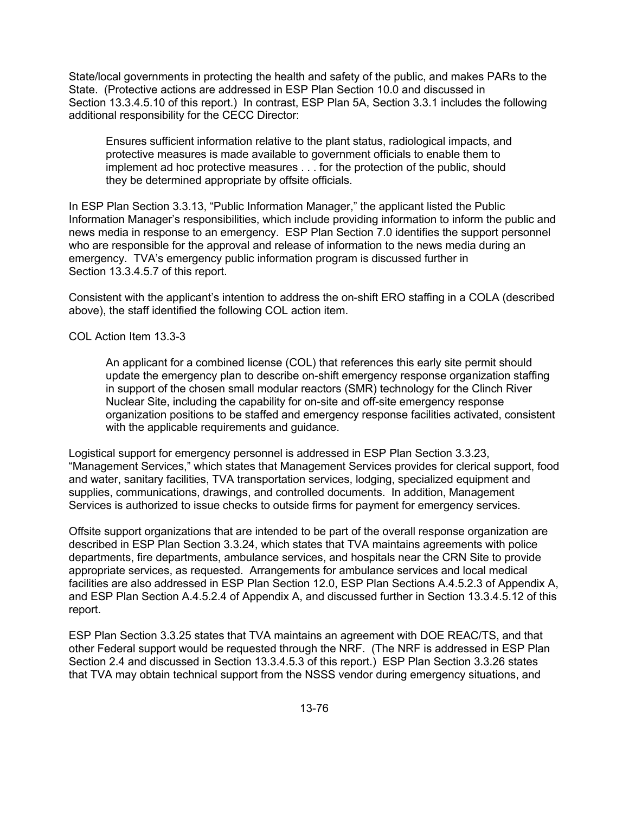State/local governments in protecting the health and safety of the public, and makes PARs to the State. (Protective actions are addressed in ESP Plan Section 10.0 and discussed in Section 13.3.4.5.10 of this report.) In contrast, ESP Plan 5A, Section 3.3.1 includes the following additional responsibility for the CECC Director:

Ensures sufficient information relative to the plant status, radiological impacts, and protective measures is made available to government officials to enable them to implement ad hoc protective measures . . . for the protection of the public, should they be determined appropriate by offsite officials.

In ESP Plan Section 3.3.13, "Public Information Manager," the applicant listed the Public Information Manager's responsibilities, which include providing information to inform the public and news media in response to an emergency. ESP Plan Section 7.0 identifies the support personnel who are responsible for the approval and release of information to the news media during an emergency. TVA's emergency public information program is discussed further in Section 13.3.4.5.7 of this report.

Consistent with the applicant's intention to address the on-shift ERO staffing in a COLA (described above), the staff identified the following COL action item.

#### COL Action Item 13.3-3

An applicant for a combined license (COL) that references this early site permit should update the emergency plan to describe on-shift emergency response organization staffing in support of the chosen small modular reactors (SMR) technology for the Clinch River Nuclear Site, including the capability for on-site and off-site emergency response organization positions to be staffed and emergency response facilities activated, consistent with the applicable requirements and guidance.

Logistical support for emergency personnel is addressed in ESP Plan Section 3.3.23, "Management Services," which states that Management Services provides for clerical support, food and water, sanitary facilities, TVA transportation services, lodging, specialized equipment and supplies, communications, drawings, and controlled documents. In addition, Management Services is authorized to issue checks to outside firms for payment for emergency services.

Offsite support organizations that are intended to be part of the overall response organization are described in ESP Plan Section 3.3.24, which states that TVA maintains agreements with police departments, fire departments, ambulance services, and hospitals near the CRN Site to provide appropriate services, as requested. Arrangements for ambulance services and local medical facilities are also addressed in ESP Plan Section 12.0, ESP Plan Sections A.4.5.2.3 of Appendix A, and ESP Plan Section A.4.5.2.4 of Appendix A, and discussed further in Section 13.3.4.5.12 of this report.

ESP Plan Section 3.3.25 states that TVA maintains an agreement with DOE REAC/TS, and that other Federal support would be requested through the NRF. (The NRF is addressed in ESP Plan Section 2.4 and discussed in Section 13.3.4.5.3 of this report.) ESP Plan Section 3.3.26 states that TVA may obtain technical support from the NSSS vendor during emergency situations, and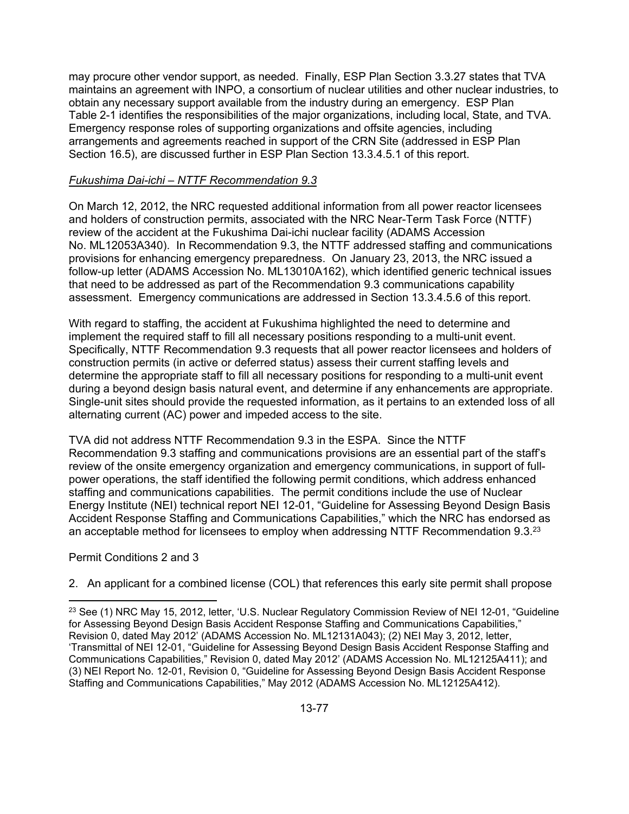may procure other vendor support, as needed. Finally, ESP Plan Section 3.3.27 states that TVA maintains an agreement with INPO, a consortium of nuclear utilities and other nuclear industries, to obtain any necessary support available from the industry during an emergency. ESP Plan Table 2-1 identifies the responsibilities of the major organizations, including local, State, and TVA. Emergency response roles of supporting organizations and offsite agencies, including arrangements and agreements reached in support of the CRN Site (addressed in ESP Plan Section 16.5), are discussed further in ESP Plan Section 13.3.4.5.1 of this report.

#### *Fukushima Dai-ichi – NTTF Recommendation 9.3*

On March 12, 2012, the NRC requested additional information from all power reactor licensees and holders of construction permits, associated with the NRC Near-Term Task Force (NTTF) review of the accident at the Fukushima Dai-ichi nuclear facility (ADAMS Accession No. ML12053A340). In Recommendation 9.3, the NTTF addressed staffing and communications provisions for enhancing emergency preparedness. On January 23, 2013, the NRC issued a follow-up letter (ADAMS Accession No. ML13010A162), which identified generic technical issues that need to be addressed as part of the Recommendation 9.3 communications capability assessment. Emergency communications are addressed in Section 13.3.4.5.6 of this report.

With regard to staffing, the accident at Fukushima highlighted the need to determine and implement the required staff to fill all necessary positions responding to a multi-unit event. Specifically, NTTF Recommendation 9.3 requests that all power reactor licensees and holders of construction permits (in active or deferred status) assess their current staffing levels and determine the appropriate staff to fill all necessary positions for responding to a multi-unit event during a beyond design basis natural event, and determine if any enhancements are appropriate. Single-unit sites should provide the requested information, as it pertains to an extended loss of all alternating current (AC) power and impeded access to the site.

TVA did not address NTTF Recommendation 9.3 in the ESPA. Since the NTTF Recommendation 9.3 staffing and communications provisions are an essential part of the staff's review of the onsite emergency organization and emergency communications, in support of fullpower operations, the staff identified the following permit conditions, which address enhanced staffing and communications capabilities. The permit conditions include the use of Nuclear Energy Institute (NEI) technical report NEI 12-01, "Guideline for Assessing Beyond Design Basis Accident Response Staffing and Communications Capabilities," which the NRC has endorsed as an acceptable method for licensees to employ when addressing NTTF Recommendation 9.3.<sup>23</sup>

## Permit Conditions 2 and 3

 $\overline{\phantom{a}}$ 

2. An applicant for a combined license (COL) that references this early site permit shall propose

 $^{23}$  See (1) NRC May 15, 2012, letter, 'U.S. Nuclear Regulatory Commission Review of NEI 12-01, "Guideline for Assessing Beyond Design Basis Accident Response Staffing and Communications Capabilities," Revision 0, dated May 2012' (ADAMS Accession No. ML12131A043); (2) NEI May 3, 2012, letter, 'Transmittal of NEI 12-01, "Guideline for Assessing Beyond Design Basis Accident Response Staffing and Communications Capabilities," Revision 0, dated May 2012' (ADAMS Accession No. ML12125A411); and (3) NEI Report No. 12-01, Revision 0, "Guideline for Assessing Beyond Design Basis Accident Response Staffing and Communications Capabilities," May 2012 (ADAMS Accession No. ML12125A412).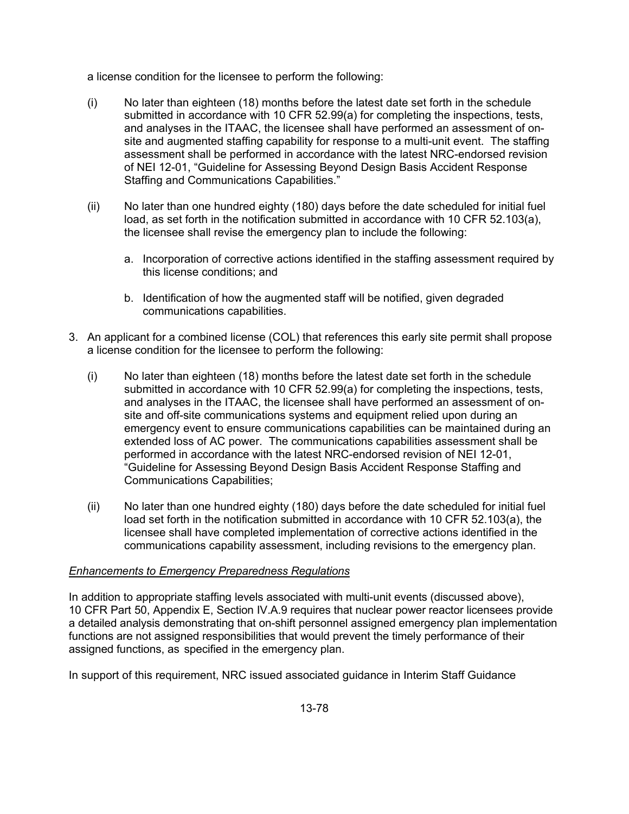a license condition for the licensee to perform the following:

- (i) No later than eighteen (18) months before the latest date set forth in the schedule submitted in accordance with 10 CFR 52.99(a) for completing the inspections, tests, and analyses in the ITAAC, the licensee shall have performed an assessment of onsite and augmented staffing capability for response to a multi-unit event. The staffing assessment shall be performed in accordance with the latest NRC-endorsed revision of NEI 12-01, "Guideline for Assessing Beyond Design Basis Accident Response Staffing and Communications Capabilities."
- (ii) No later than one hundred eighty (180) days before the date scheduled for initial fuel load, as set forth in the notification submitted in accordance with 10 CFR 52.103(a), the licensee shall revise the emergency plan to include the following:
	- a. Incorporation of corrective actions identified in the staffing assessment required by this license conditions; and
	- b. Identification of how the augmented staff will be notified, given degraded communications capabilities.
- 3. An applicant for a combined license (COL) that references this early site permit shall propose a license condition for the licensee to perform the following:
	- (i) No later than eighteen (18) months before the latest date set forth in the schedule submitted in accordance with 10 CFR 52.99(a) for completing the inspections, tests, and analyses in the ITAAC, the licensee shall have performed an assessment of onsite and off-site communications systems and equipment relied upon during an emergency event to ensure communications capabilities can be maintained during an extended loss of AC power. The communications capabilities assessment shall be performed in accordance with the latest NRC-endorsed revision of NEI 12-01, "Guideline for Assessing Beyond Design Basis Accident Response Staffing and Communications Capabilities;
	- (ii) No later than one hundred eighty (180) days before the date scheduled for initial fuel load set forth in the notification submitted in accordance with 10 CFR 52.103(a), the licensee shall have completed implementation of corrective actions identified in the communications capability assessment, including revisions to the emergency plan.

## *Enhancements to Emergency Preparedness Regulations*

In addition to appropriate staffing levels associated with multi-unit events (discussed above), 10 CFR Part 50, Appendix E, Section IV.A.9 requires that nuclear power reactor licensees provide a detailed analysis demonstrating that on-shift personnel assigned emergency plan implementation functions are not assigned responsibilities that would prevent the timely performance of their assigned functions, as specified in the emergency plan.

In support of this requirement, NRC issued associated guidance in Interim Staff Guidance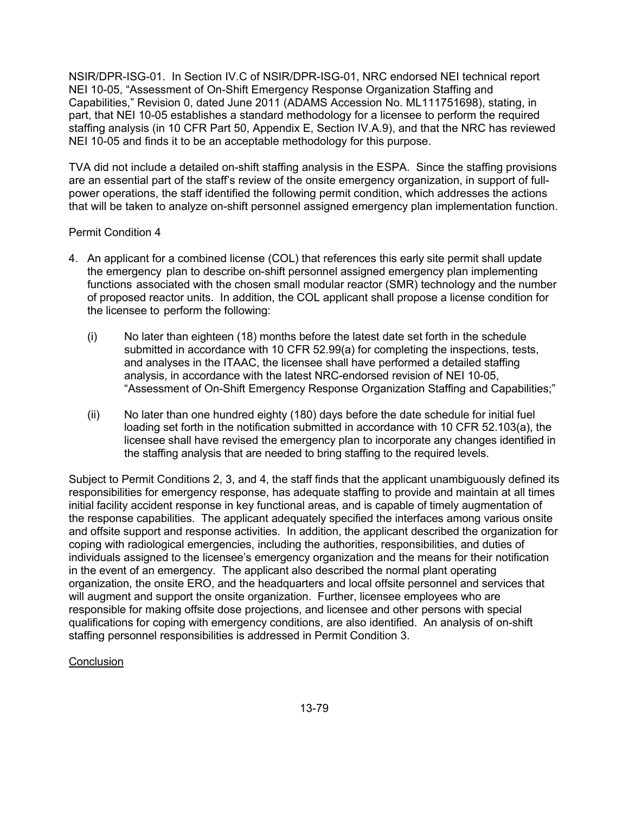NSIR/DPR-ISG-01. In Section IV.C of NSIR/DPR-ISG-01, NRC endorsed NEI technical report NEI 10-05, "Assessment of On-Shift Emergency Response Organization Staffing and Capabilities," Revision 0, dated June 2011 (ADAMS Accession No. ML111751698), stating, in part, that NEI 10-05 establishes a standard methodology for a licensee to perform the required staffing analysis (in 10 CFR Part 50, Appendix E, Section IV.A.9), and that the NRC has reviewed NEI 10-05 and finds it to be an acceptable methodology for this purpose.

TVA did not include a detailed on-shift staffing analysis in the ESPA. Since the staffing provisions are an essential part of the staff's review of the onsite emergency organization, in support of fullpower operations, the staff identified the following permit condition, which addresses the actions that will be taken to analyze on-shift personnel assigned emergency plan implementation function.

## Permit Condition 4

- 4. An applicant for a combined license (COL) that references this early site permit shall update the emergency plan to describe on-shift personnel assigned emergency plan implementing functions associated with the chosen small modular reactor (SMR) technology and the number of proposed reactor units. In addition, the COL applicant shall propose a license condition for the licensee to perform the following:
	- (i) No later than eighteen (18) months before the latest date set forth in the schedule submitted in accordance with 10 CFR 52.99(a) for completing the inspections, tests, and analyses in the ITAAC, the licensee shall have performed a detailed staffing analysis, in accordance with the latest NRC-endorsed revision of NEI 10-05, "Assessment of On-Shift Emergency Response Organization Staffing and Capabilities;"
	- (ii) No later than one hundred eighty (180) days before the date schedule for initial fuel loading set forth in the notification submitted in accordance with 10 CFR 52.103(a), the licensee shall have revised the emergency plan to incorporate any changes identified in the staffing analysis that are needed to bring staffing to the required levels.

Subject to Permit Conditions 2, 3, and 4, the staff finds that the applicant unambiguously defined its responsibilities for emergency response, has adequate staffing to provide and maintain at all times initial facility accident response in key functional areas, and is capable of timely augmentation of the response capabilities. The applicant adequately specified the interfaces among various onsite and offsite support and response activities. In addition, the applicant described the organization for coping with radiological emergencies, including the authorities, responsibilities, and duties of individuals assigned to the licensee's emergency organization and the means for their notification in the event of an emergency. The applicant also described the normal plant operating organization, the onsite ERO, and the headquarters and local offsite personnel and services that will augment and support the onsite organization. Further, licensee employees who are responsible for making offsite dose projections, and licensee and other persons with special qualifications for coping with emergency conditions, are also identified. An analysis of on-shift staffing personnel responsibilities is addressed in Permit Condition 3.

## **Conclusion**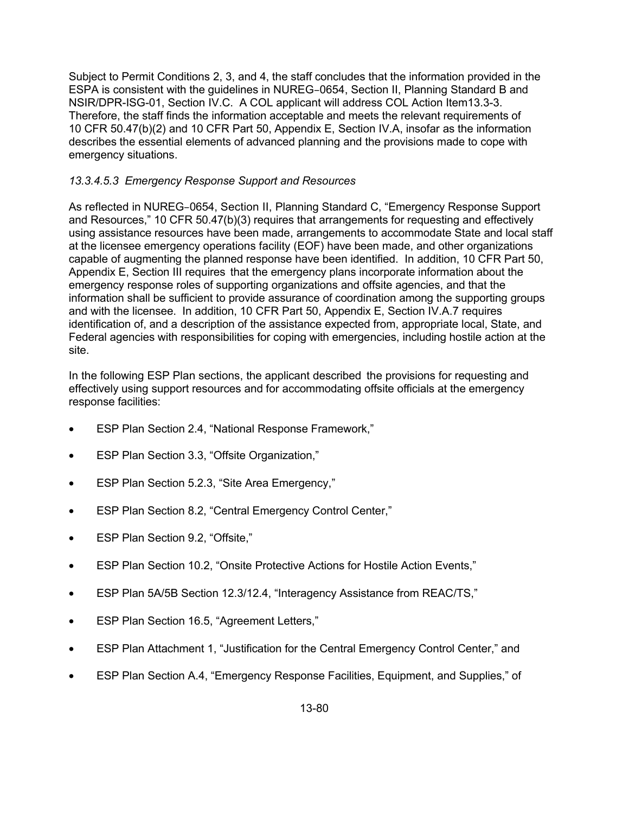Subject to Permit Conditions 2, 3, and 4, the staff concludes that the information provided in the ESPA is consistent with the guidelines in NUREG–0654, Section II, Planning Standard B and NSIR/DPR-ISG-01, Section IV.C. A COL applicant will address COL Action Item13.3-3. Therefore, the staff finds the information acceptable and meets the relevant requirements of 10 CFR 50.47(b)(2) and 10 CFR Part 50, Appendix E, Section IV.A, insofar as the information describes the essential elements of advanced planning and the provisions made to cope with emergency situations.

# *13.3.4.5.3 Emergency Response Support and Resources*

As reflected in NUREG–0654, Section II, Planning Standard C, "Emergency Response Support and Resources," 10 CFR 50.47(b)(3) requires that arrangements for requesting and effectively using assistance resources have been made, arrangements to accommodate State and local staff at the licensee emergency operations facility (EOF) have been made, and other organizations capable of augmenting the planned response have been identified. In addition, 10 CFR Part 50, Appendix E, Section III requires that the emergency plans incorporate information about the emergency response roles of supporting organizations and offsite agencies, and that the information shall be sufficient to provide assurance of coordination among the supporting groups and with the licensee. In addition, 10 CFR Part 50, Appendix E, Section IV.A.7 requires identification of, and a description of the assistance expected from, appropriate local, State, and Federal agencies with responsibilities for coping with emergencies, including hostile action at the site.

In the following ESP Plan sections, the applicant described the provisions for requesting and effectively using support resources and for accommodating offsite officials at the emergency response facilities:

- ESP Plan Section 2.4, "National Response Framework,"
- ESP Plan Section 3.3, "Offsite Organization,"
- ESP Plan Section 5.2.3, "Site Area Emergency,"
- ESP Plan Section 8.2, "Central Emergency Control Center,"
- ESP Plan Section 9.2, "Offsite,"
- ESP Plan Section 10.2, "Onsite Protective Actions for Hostile Action Events,"
- ESP Plan 5A/5B Section 12.3/12.4, "Interagency Assistance from REAC/TS,"
- ESP Plan Section 16.5, "Agreement Letters,"
- ESP Plan Attachment 1, "Justification for the Central Emergency Control Center," and
- ESP Plan Section A.4, "Emergency Response Facilities, Equipment, and Supplies," of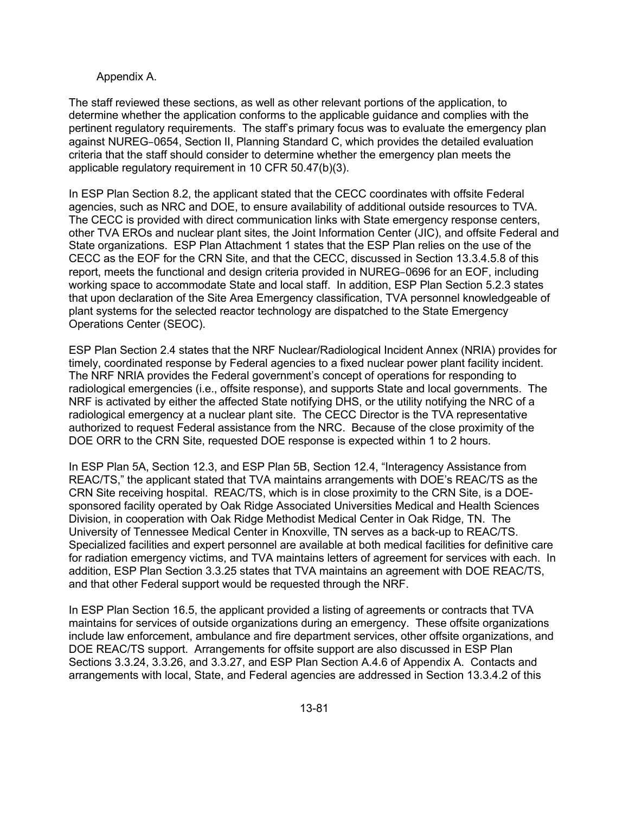#### Appendix A.

The staff reviewed these sections, as well as other relevant portions of the application, to determine whether the application conforms to the applicable guidance and complies with the pertinent regulatory requirements. The staff's primary focus was to evaluate the emergency plan against NUREG–0654, Section II, Planning Standard C, which provides the detailed evaluation criteria that the staff should consider to determine whether the emergency plan meets the applicable regulatory requirement in 10 CFR 50.47(b)(3).

In ESP Plan Section 8.2, the applicant stated that the CECC coordinates with offsite Federal agencies, such as NRC and DOE, to ensure availability of additional outside resources to TVA. The CECC is provided with direct communication links with State emergency response centers, other TVA EROs and nuclear plant sites, the Joint Information Center (JIC), and offsite Federal and State organizations. ESP Plan Attachment 1 states that the ESP Plan relies on the use of the CECC as the EOF for the CRN Site, and that the CECC, discussed in Section 13.3.4.5.8 of this report, meets the functional and design criteria provided in NUREG–0696 for an EOF, including working space to accommodate State and local staff. In addition, ESP Plan Section 5.2.3 states that upon declaration of the Site Area Emergency classification, TVA personnel knowledgeable of plant systems for the selected reactor technology are dispatched to the State Emergency Operations Center (SEOC).

ESP Plan Section 2.4 states that the NRF Nuclear/Radiological Incident Annex (NRIA) provides for timely, coordinated response by Federal agencies to a fixed nuclear power plant facility incident. The NRF NRIA provides the Federal government's concept of operations for responding to radiological emergencies (i.e., offsite response), and supports State and local governments. The NRF is activated by either the affected State notifying DHS, or the utility notifying the NRC of a radiological emergency at a nuclear plant site. The CECC Director is the TVA representative authorized to request Federal assistance from the NRC. Because of the close proximity of the DOE ORR to the CRN Site, requested DOE response is expected within 1 to 2 hours.

In ESP Plan 5A, Section 12.3, and ESP Plan 5B, Section 12.4, "Interagency Assistance from REAC/TS," the applicant stated that TVA maintains arrangements with DOE's REAC/TS as the CRN Site receiving hospital. REAC/TS, which is in close proximity to the CRN Site, is a DOEsponsored facility operated by Oak Ridge Associated Universities Medical and Health Sciences Division, in cooperation with Oak Ridge Methodist Medical Center in Oak Ridge, TN. The University of Tennessee Medical Center in Knoxville, TN serves as a back-up to REAC/TS. Specialized facilities and expert personnel are available at both medical facilities for definitive care for radiation emergency victims, and TVA maintains letters of agreement for services with each. In addition, ESP Plan Section 3.3.25 states that TVA maintains an agreement with DOE REAC/TS, and that other Federal support would be requested through the NRF.

In ESP Plan Section 16.5, the applicant provided a listing of agreements or contracts that TVA maintains for services of outside organizations during an emergency. These offsite organizations include law enforcement, ambulance and fire department services, other offsite organizations, and DOE REAC/TS support. Arrangements for offsite support are also discussed in ESP Plan Sections 3.3.24, 3.3.26, and 3.3.27, and ESP Plan Section A.4.6 of Appendix A. Contacts and arrangements with local, State, and Federal agencies are addressed in Section 13.3.4.2 of this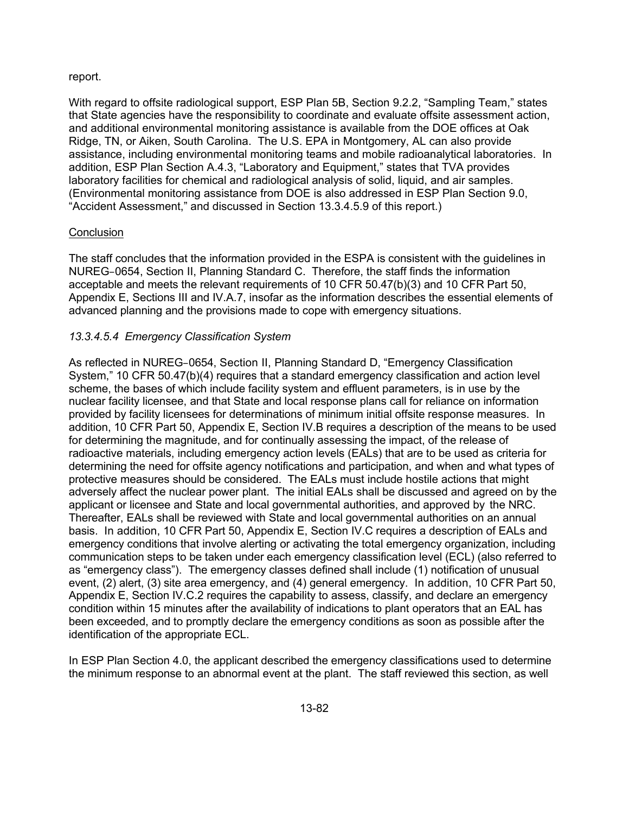#### report.

With regard to offsite radiological support, ESP Plan 5B, Section 9.2.2, "Sampling Team," states that State agencies have the responsibility to coordinate and evaluate offsite assessment action, and additional environmental monitoring assistance is available from the DOE offices at Oak Ridge, TN, or Aiken, South Carolina. The U.S. EPA in Montgomery, AL can also provide assistance, including environmental monitoring teams and mobile radioanalytical laboratories. In addition, ESP Plan Section A.4.3, "Laboratory and Equipment," states that TVA provides laboratory facilities for chemical and radiological analysis of solid, liquid, and air samples. (Environmental monitoring assistance from DOE is also addressed in ESP Plan Section 9.0, "Accident Assessment," and discussed in Section 13.3.4.5.9 of this report.)

## **Conclusion**

The staff concludes that the information provided in the ESPA is consistent with the guidelines in NUREG–0654, Section II, Planning Standard C. Therefore, the staff finds the information acceptable and meets the relevant requirements of 10 CFR 50.47(b)(3) and 10 CFR Part 50, Appendix E, Sections III and IV.A.7, insofar as the information describes the essential elements of advanced planning and the provisions made to cope with emergency situations.

# *13.3.4.5.4 Emergency Classification System*

As reflected in NUREG–0654, Section II, Planning Standard D, "Emergency Classification System," 10 CFR 50.47(b)(4) requires that a standard emergency classification and action level scheme, the bases of which include facility system and effluent parameters, is in use by the nuclear facility licensee, and that State and local response plans call for reliance on information provided by facility licensees for determinations of minimum initial offsite response measures. In addition, 10 CFR Part 50, Appendix E, Section IV.B requires a description of the means to be used for determining the magnitude, and for continually assessing the impact, of the release of radioactive materials, including emergency action levels (EALs) that are to be used as criteria for determining the need for offsite agency notifications and participation, and when and what types of protective measures should be considered. The EALs must include hostile actions that might adversely affect the nuclear power plant. The initial EALs shall be discussed and agreed on by the applicant or licensee and State and local governmental authorities, and approved by the NRC. Thereafter, EALs shall be reviewed with State and local governmental authorities on an annual basis. In addition, 10 CFR Part 50, Appendix E, Section IV.C requires a description of EALs and emergency conditions that involve alerting or activating the total emergency organization, including communication steps to be taken under each emergency classification level (ECL) (also referred to as "emergency class"). The emergency classes defined shall include (1) notification of unusual event, (2) alert, (3) site area emergency, and (4) general emergency. In addition, 10 CFR Part 50, Appendix E, Section IV.C.2 requires the capability to assess, classify, and declare an emergency condition within 15 minutes after the availability of indications to plant operators that an EAL has been exceeded, and to promptly declare the emergency conditions as soon as possible after the identification of the appropriate ECL.

In ESP Plan Section 4.0, the applicant described the emergency classifications used to determine the minimum response to an abnormal event at the plant. The staff reviewed this section, as well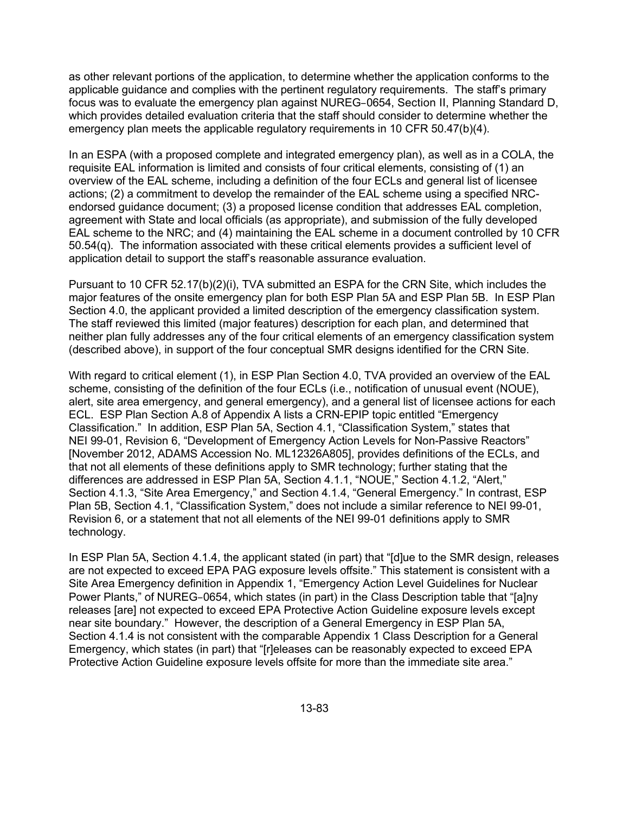as other relevant portions of the application, to determine whether the application conforms to the applicable guidance and complies with the pertinent regulatory requirements. The staff's primary focus was to evaluate the emergency plan against NUREG–0654, Section II, Planning Standard D, which provides detailed evaluation criteria that the staff should consider to determine whether the emergency plan meets the applicable regulatory requirements in 10 CFR 50.47(b)(4).

In an ESPA (with a proposed complete and integrated emergency plan), as well as in a COLA, the requisite EAL information is limited and consists of four critical elements, consisting of (1) an overview of the EAL scheme, including a definition of the four ECLs and general list of licensee actions; (2) a commitment to develop the remainder of the EAL scheme using a specified NRCendorsed guidance document; (3) a proposed license condition that addresses EAL completion, agreement with State and local officials (as appropriate), and submission of the fully developed EAL scheme to the NRC; and (4) maintaining the EAL scheme in a document controlled by 10 CFR 50.54(q). The information associated with these critical elements provides a sufficient level of application detail to support the staff's reasonable assurance evaluation.

Pursuant to 10 CFR 52.17(b)(2)(i), TVA submitted an ESPA for the CRN Site, which includes the major features of the onsite emergency plan for both ESP Plan 5A and ESP Plan 5B. In ESP Plan Section 4.0, the applicant provided a limited description of the emergency classification system. The staff reviewed this limited (major features) description for each plan, and determined that neither plan fully addresses any of the four critical elements of an emergency classification system (described above), in support of the four conceptual SMR designs identified for the CRN Site.

With regard to critical element (1), in ESP Plan Section 4.0, TVA provided an overview of the EAL scheme, consisting of the definition of the four ECLs (i.e., notification of unusual event (NOUE), alert, site area emergency, and general emergency), and a general list of licensee actions for each ECL. ESP Plan Section A.8 of Appendix A lists a CRN-EPIP topic entitled "Emergency Classification." In addition, ESP Plan 5A, Section 4.1, "Classification System," states that NEI 99-01, Revision 6, "Development of Emergency Action Levels for Non-Passive Reactors" [November 2012, ADAMS Accession No. ML12326A805], provides definitions of the ECLs, and that not all elements of these definitions apply to SMR technology; further stating that the differences are addressed in ESP Plan 5A, Section 4.1.1, "NOUE," Section 4.1.2, "Alert," Section 4.1.3, "Site Area Emergency," and Section 4.1.4, "General Emergency." In contrast, ESP Plan 5B, Section 4.1, "Classification System," does not include a similar reference to NEI 99-01, Revision 6, or a statement that not all elements of the NEI 99-01 definitions apply to SMR technology.

In ESP Plan 5A, Section 4.1.4, the applicant stated (in part) that "[d]ue to the SMR design, releases are not expected to exceed EPA PAG exposure levels offsite." This statement is consistent with a Site Area Emergency definition in Appendix 1, "Emergency Action Level Guidelines for Nuclear Power Plants," of NUREG–0654, which states (in part) in the Class Description table that "[a]ny releases [are] not expected to exceed EPA Protective Action Guideline exposure levels except near site boundary." However, the description of a General Emergency in ESP Plan 5A, Section 4.1.4 is not consistent with the comparable Appendix 1 Class Description for a General Emergency, which states (in part) that "[r]eleases can be reasonably expected to exceed EPA Protective Action Guideline exposure levels offsite for more than the immediate site area."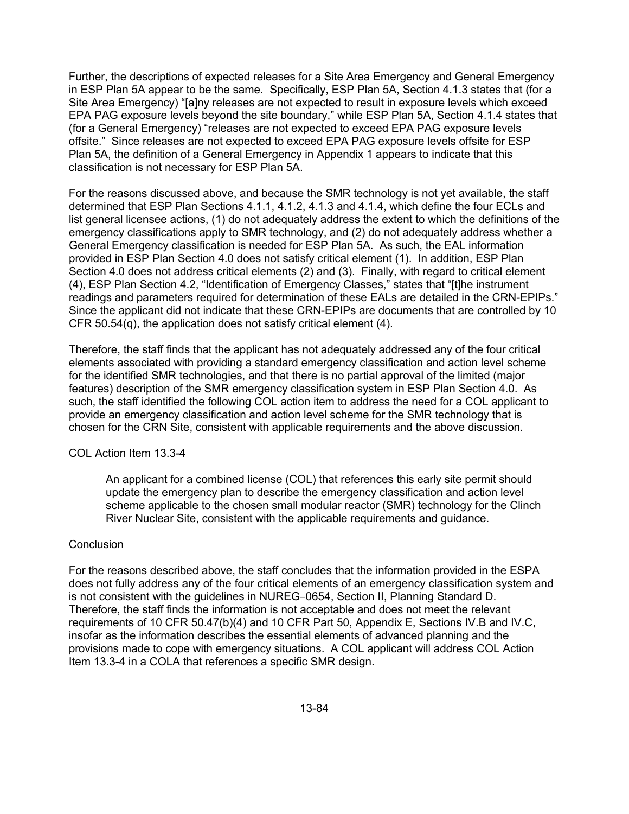Further, the descriptions of expected releases for a Site Area Emergency and General Emergency in ESP Plan 5A appear to be the same. Specifically, ESP Plan 5A, Section 4.1.3 states that (for a Site Area Emergency) "[a]ny releases are not expected to result in exposure levels which exceed EPA PAG exposure levels beyond the site boundary," while ESP Plan 5A, Section 4.1.4 states that (for a General Emergency) "releases are not expected to exceed EPA PAG exposure levels offsite." Since releases are not expected to exceed EPA PAG exposure levels offsite for ESP Plan 5A, the definition of a General Emergency in Appendix 1 appears to indicate that this classification is not necessary for ESP Plan 5A.

For the reasons discussed above, and because the SMR technology is not yet available, the staff determined that ESP Plan Sections 4.1.1, 4.1.2, 4.1.3 and 4.1.4, which define the four ECLs and list general licensee actions, (1) do not adequately address the extent to which the definitions of the emergency classifications apply to SMR technology, and (2) do not adequately address whether a General Emergency classification is needed for ESP Plan 5A. As such, the EAL information provided in ESP Plan Section 4.0 does not satisfy critical element (1). In addition, ESP Plan Section 4.0 does not address critical elements (2) and (3). Finally, with regard to critical element (4), ESP Plan Section 4.2, "Identification of Emergency Classes," states that "[t]he instrument readings and parameters required for determination of these EALs are detailed in the CRN-EPIPs." Since the applicant did not indicate that these CRN-EPIPs are documents that are controlled by 10 CFR 50.54(q), the application does not satisfy critical element (4).

Therefore, the staff finds that the applicant has not adequately addressed any of the four critical elements associated with providing a standard emergency classification and action level scheme for the identified SMR technologies, and that there is no partial approval of the limited (major features) description of the SMR emergency classification system in ESP Plan Section 4.0. As such, the staff identified the following COL action item to address the need for a COL applicant to provide an emergency classification and action level scheme for the SMR technology that is chosen for the CRN Site, consistent with applicable requirements and the above discussion.

#### COL Action Item 13.3-4

An applicant for a combined license (COL) that references this early site permit should update the emergency plan to describe the emergency classification and action level scheme applicable to the chosen small modular reactor (SMR) technology for the Clinch River Nuclear Site, consistent with the applicable requirements and guidance.

#### **Conclusion**

For the reasons described above, the staff concludes that the information provided in the ESPA does not fully address any of the four critical elements of an emergency classification system and is not consistent with the guidelines in NUREG–0654, Section II, Planning Standard D. Therefore, the staff finds the information is not acceptable and does not meet the relevant requirements of 10 CFR 50.47(b)(4) and 10 CFR Part 50, Appendix E, Sections IV.B and IV.C, insofar as the information describes the essential elements of advanced planning and the provisions made to cope with emergency situations. A COL applicant will address COL Action Item 13.3-4 in a COLA that references a specific SMR design.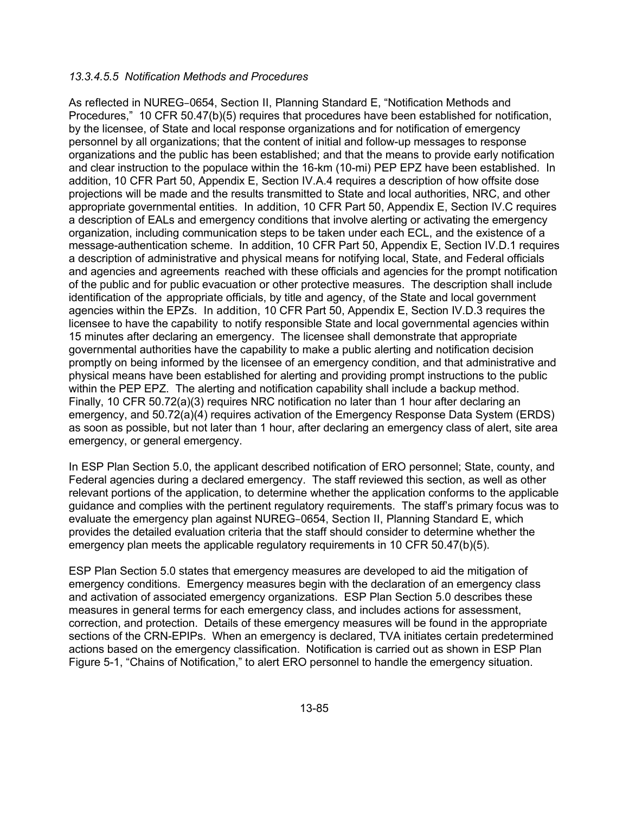#### *13.3.4.5.5 Notification Methods and Procedures*

As reflected in NUREG–0654, Section II, Planning Standard E, "Notification Methods and Procedures," 10 CFR 50.47(b)(5) requires that procedures have been established for notification, by the licensee, of State and local response organizations and for notification of emergency personnel by all organizations; that the content of initial and follow-up messages to response organizations and the public has been established; and that the means to provide early notification and clear instruction to the populace within the 16-km (10-mi) PEP EPZ have been established. In addition, 10 CFR Part 50, Appendix E, Section IV.A.4 requires a description of how offsite dose projections will be made and the results transmitted to State and local authorities, NRC, and other appropriate governmental entities. In addition, 10 CFR Part 50, Appendix E, Section IV.C requires a description of EALs and emergency conditions that involve alerting or activating the emergency organization, including communication steps to be taken under each ECL, and the existence of a message-authentication scheme. In addition, 10 CFR Part 50, Appendix E, Section IV.D.1 requires a description of administrative and physical means for notifying local, State, and Federal officials and agencies and agreements reached with these officials and agencies for the prompt notification of the public and for public evacuation or other protective measures. The description shall include identification of the appropriate officials, by title and agency, of the State and local government agencies within the EPZs. In addition, 10 CFR Part 50, Appendix E, Section IV.D.3 requires the licensee to have the capability to notify responsible State and local governmental agencies within 15 minutes after declaring an emergency. The licensee shall demonstrate that appropriate governmental authorities have the capability to make a public alerting and notification decision promptly on being informed by the licensee of an emergency condition, and that administrative and physical means have been established for alerting and providing prompt instructions to the public within the PEP EPZ. The alerting and notification capability shall include a backup method. Finally, 10 CFR 50.72(a)(3) requires NRC notification no later than 1 hour after declaring an emergency, and 50.72(a)(4) requires activation of the Emergency Response Data System (ERDS) as soon as possible, but not later than 1 hour, after declaring an emergency class of alert, site area emergency, or general emergency.

In ESP Plan Section 5.0, the applicant described notification of ERO personnel; State, county, and Federal agencies during a declared emergency. The staff reviewed this section, as well as other relevant portions of the application, to determine whether the application conforms to the applicable guidance and complies with the pertinent regulatory requirements. The staff's primary focus was to evaluate the emergency plan against NUREG–0654, Section II, Planning Standard E, which provides the detailed evaluation criteria that the staff should consider to determine whether the emergency plan meets the applicable regulatory requirements in 10 CFR 50.47(b)(5).

ESP Plan Section 5.0 states that emergency measures are developed to aid the mitigation of emergency conditions. Emergency measures begin with the declaration of an emergency class and activation of associated emergency organizations. ESP Plan Section 5.0 describes these measures in general terms for each emergency class, and includes actions for assessment, correction, and protection. Details of these emergency measures will be found in the appropriate sections of the CRN-EPIPs. When an emergency is declared, TVA initiates certain predetermined actions based on the emergency classification. Notification is carried out as shown in ESP Plan Figure 5-1, "Chains of Notification," to alert ERO personnel to handle the emergency situation.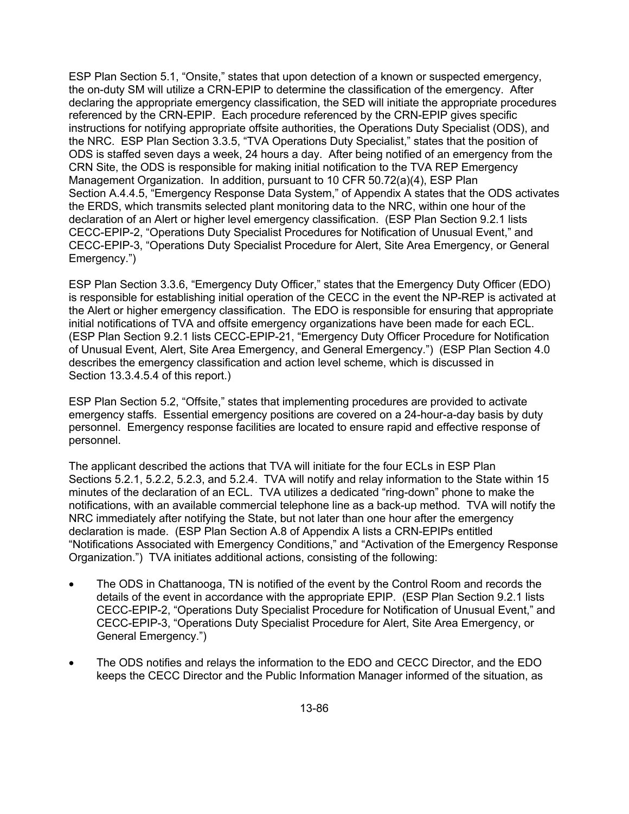ESP Plan Section 5.1, "Onsite," states that upon detection of a known or suspected emergency, the on-duty SM will utilize a CRN-EPIP to determine the classification of the emergency. After declaring the appropriate emergency classification, the SED will initiate the appropriate procedures referenced by the CRN-EPIP. Each procedure referenced by the CRN-EPIP gives specific instructions for notifying appropriate offsite authorities, the Operations Duty Specialist (ODS), and the NRC. ESP Plan Section 3.3.5, "TVA Operations Duty Specialist," states that the position of ODS is staffed seven days a week, 24 hours a day. After being notified of an emergency from the CRN Site, the ODS is responsible for making initial notification to the TVA REP Emergency Management Organization. In addition, pursuant to 10 CFR 50.72(a)(4), ESP Plan Section A.4.4.5, "Emergency Response Data System," of Appendix A states that the ODS activates the ERDS, which transmits selected plant monitoring data to the NRC, within one hour of the declaration of an Alert or higher level emergency classification. (ESP Plan Section 9.2.1 lists CECC-EPIP-2, "Operations Duty Specialist Procedures for Notification of Unusual Event," and CECC-EPIP-3, "Operations Duty Specialist Procedure for Alert, Site Area Emergency, or General Emergency.")

ESP Plan Section 3.3.6, "Emergency Duty Officer," states that the Emergency Duty Officer (EDO) is responsible for establishing initial operation of the CECC in the event the NP-REP is activated at the Alert or higher emergency classification. The EDO is responsible for ensuring that appropriate initial notifications of TVA and offsite emergency organizations have been made for each ECL. (ESP Plan Section 9.2.1 lists CECC-EPIP-21, "Emergency Duty Officer Procedure for Notification of Unusual Event, Alert, Site Area Emergency, and General Emergency.") (ESP Plan Section 4.0 describes the emergency classification and action level scheme, which is discussed in Section 13.3.4.5.4 of this report.)

ESP Plan Section 5.2, "Offsite," states that implementing procedures are provided to activate emergency staffs. Essential emergency positions are covered on a 24-hour-a-day basis by duty personnel. Emergency response facilities are located to ensure rapid and effective response of personnel.

The applicant described the actions that TVA will initiate for the four ECLs in ESP Plan Sections 5.2.1, 5.2.2, 5.2.3, and 5.2.4. TVA will notify and relay information to the State within 15 minutes of the declaration of an ECL. TVA utilizes a dedicated "ring-down" phone to make the notifications, with an available commercial telephone line as a back-up method. TVA will notify the NRC immediately after notifying the State, but not later than one hour after the emergency declaration is made. (ESP Plan Section A.8 of Appendix A lists a CRN-EPIPs entitled "Notifications Associated with Emergency Conditions," and "Activation of the Emergency Response Organization.") TVA initiates additional actions, consisting of the following:

- The ODS in Chattanooga, TN is notified of the event by the Control Room and records the details of the event in accordance with the appropriate EPIP. (ESP Plan Section 9.2.1 lists CECC-EPIP-2, "Operations Duty Specialist Procedure for Notification of Unusual Event," and CECC-EPIP-3, "Operations Duty Specialist Procedure for Alert, Site Area Emergency, or General Emergency.")
- The ODS notifies and relays the information to the EDO and CECC Director, and the EDO keeps the CECC Director and the Public Information Manager informed of the situation, as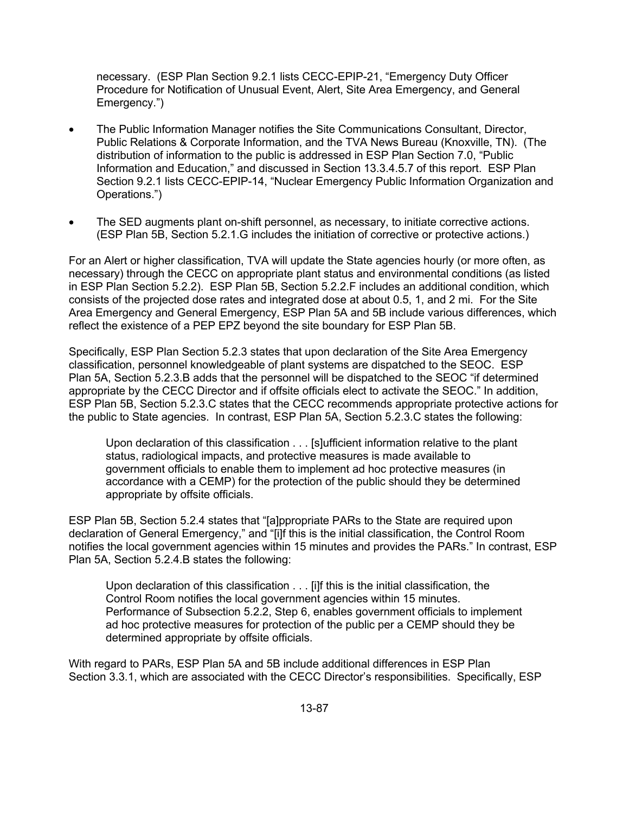necessary. (ESP Plan Section 9.2.1 lists CECC-EPIP-21, "Emergency Duty Officer Procedure for Notification of Unusual Event, Alert, Site Area Emergency, and General Emergency.")

- The Public Information Manager notifies the Site Communications Consultant, Director, Public Relations & Corporate Information, and the TVA News Bureau (Knoxville, TN). (The distribution of information to the public is addressed in ESP Plan Section 7.0, "Public Information and Education," and discussed in Section 13.3.4.5.7 of this report. ESP Plan Section 9.2.1 lists CECC-EPIP-14, "Nuclear Emergency Public Information Organization and Operations.")
- The SED augments plant on-shift personnel, as necessary, to initiate corrective actions. (ESP Plan 5B, Section 5.2.1.G includes the initiation of corrective or protective actions.)

For an Alert or higher classification, TVA will update the State agencies hourly (or more often, as necessary) through the CECC on appropriate plant status and environmental conditions (as listed in ESP Plan Section 5.2.2). ESP Plan 5B, Section 5.2.2.F includes an additional condition, which consists of the projected dose rates and integrated dose at about 0.5, 1, and 2 mi. For the Site Area Emergency and General Emergency, ESP Plan 5A and 5B include various differences, which reflect the existence of a PEP EPZ beyond the site boundary for ESP Plan 5B.

Specifically, ESP Plan Section 5.2.3 states that upon declaration of the Site Area Emergency classification, personnel knowledgeable of plant systems are dispatched to the SEOC. ESP Plan 5A, Section 5.2.3.B adds that the personnel will be dispatched to the SEOC "if determined appropriate by the CECC Director and if offsite officials elect to activate the SEOC." In addition, ESP Plan 5B, Section 5.2.3.C states that the CECC recommends appropriate protective actions for the public to State agencies. In contrast, ESP Plan 5A, Section 5.2.3.C states the following:

Upon declaration of this classification . . . [s]ufficient information relative to the plant status, radiological impacts, and protective measures is made available to government officials to enable them to implement ad hoc protective measures (in accordance with a CEMP) for the protection of the public should they be determined appropriate by offsite officials.

ESP Plan 5B, Section 5.2.4 states that "[a]ppropriate PARs to the State are required upon declaration of General Emergency," and "[i]f this is the initial classification, the Control Room notifies the local government agencies within 15 minutes and provides the PARs." In contrast, ESP Plan 5A, Section 5.2.4.B states the following:

Upon declaration of this classification . . . [i]f this is the initial classification, the Control Room notifies the local government agencies within 15 minutes. Performance of Subsection 5.2.2, Step 6, enables government officials to implement ad hoc protective measures for protection of the public per a CEMP should they be determined appropriate by offsite officials.

With regard to PARs, ESP Plan 5A and 5B include additional differences in ESP Plan Section 3.3.1, which are associated with the CECC Director's responsibilities. Specifically, ESP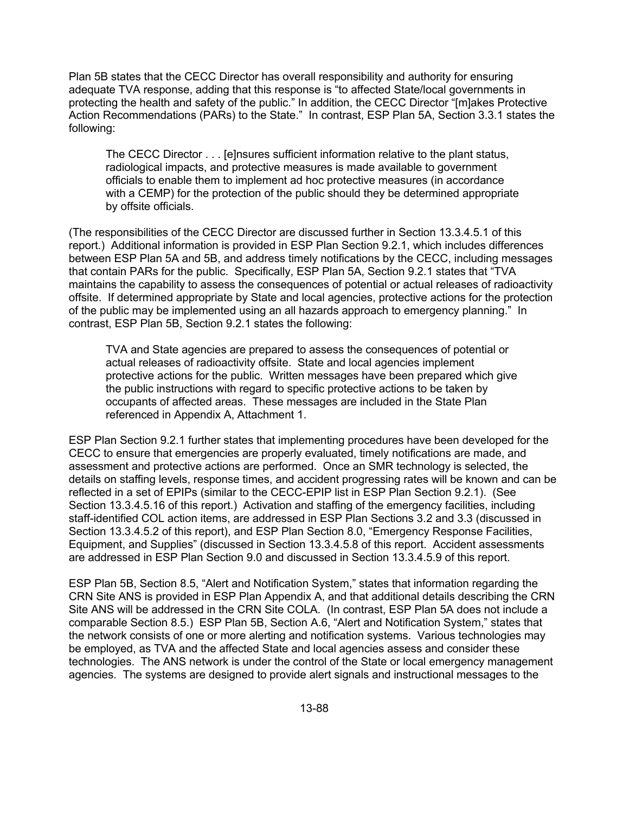Plan 5B states that the CECC Director has overall responsibility and authority for ensuring adequate TVA response, adding that this response is "to affected State/local governments in protecting the health and safety of the public." In addition, the CECC Director "[m]akes Protective Action Recommendations (PARs) to the State." In contrast, ESP Plan 5A, Section 3.3.1 states the following:

The CECC Director . . . [e]nsures sufficient information relative to the plant status, radiological impacts, and protective measures is made available to government officials to enable them to implement ad hoc protective measures (in accordance with a CEMP) for the protection of the public should they be determined appropriate by offsite officials.

(The responsibilities of the CECC Director are discussed further in Section 13.3.4.5.1 of this report.) Additional information is provided in ESP Plan Section 9.2.1, which includes differences between ESP Plan 5A and 5B, and address timely notifications by the CECC, including messages that contain PARs for the public. Specifically, ESP Plan 5A, Section 9.2.1 states that "TVA maintains the capability to assess the consequences of potential or actual releases of radioactivity offsite. If determined appropriate by State and local agencies, protective actions for the protection of the public may be implemented using an all hazards approach to emergency planning." In contrast, ESP Plan 5B, Section 9.2.1 states the following:

TVA and State agencies are prepared to assess the consequences of potential or actual releases of radioactivity offsite. State and local agencies implement protective actions for the public. Written messages have been prepared which give the public instructions with regard to specific protective actions to be taken by occupants of affected areas. These messages are included in the State Plan referenced in Appendix A, Attachment 1.

ESP Plan Section 9.2.1 further states that implementing procedures have been developed for the CECC to ensure that emergencies are properly evaluated, timely notifications are made, and assessment and protective actions are performed. Once an SMR technology is selected, the details on staffing levels, response times, and accident progressing rates will be known and can be reflected in a set of EPIPs (similar to the CECC-EPIP list in ESP Plan Section 9.2.1). (See Section 13.3.4.5.16 of this report.) Activation and staffing of the emergency facilities, including staff-identified COL action items, are addressed in ESP Plan Sections 3.2 and 3.3 (discussed in Section 13.3.4.5.2 of this report), and ESP Plan Section 8.0, "Emergency Response Facilities, Equipment, and Supplies" (discussed in Section 13.3.4.5.8 of this report. Accident assessments are addressed in ESP Plan Section 9.0 and discussed in Section 13.3.4.5.9 of this report.

ESP Plan 5B, Section 8.5, "Alert and Notification System," states that information regarding the CRN Site ANS is provided in ESP Plan Appendix A, and that additional details describing the CRN Site ANS will be addressed in the CRN Site COLA. (In contrast, ESP Plan 5A does not include a comparable Section 8.5.) ESP Plan 5B, Section A.6, "Alert and Notification System," states that the network consists of one or more alerting and notification systems. Various technologies may be employed, as TVA and the affected State and local agencies assess and consider these technologies. The ANS network is under the control of the State or local emergency management agencies. The systems are designed to provide alert signals and instructional messages to the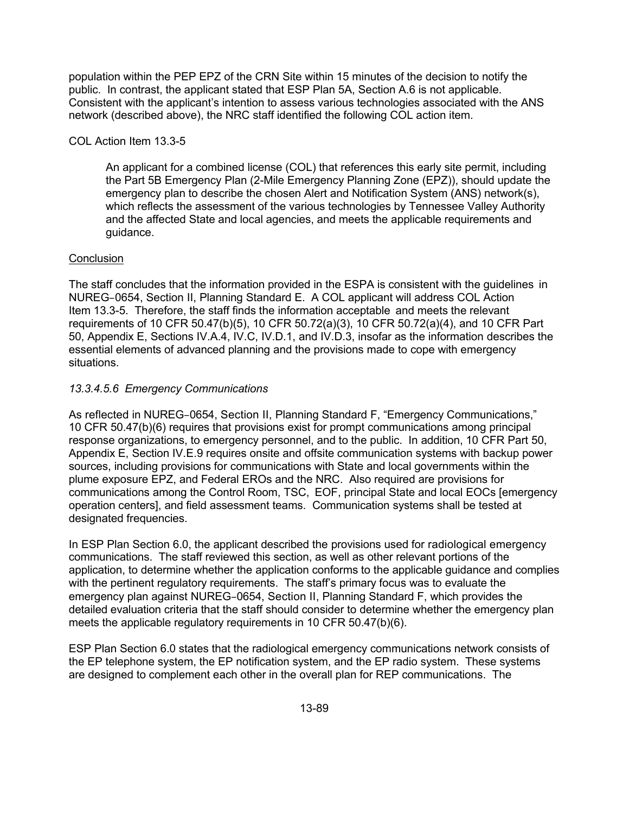population within the PEP EPZ of the CRN Site within 15 minutes of the decision to notify the public. In contrast, the applicant stated that ESP Plan 5A, Section A.6 is not applicable. Consistent with the applicant's intention to assess various technologies associated with the ANS network (described above), the NRC staff identified the following COL action item.

# COL Action Item 13.3-5

An applicant for a combined license (COL) that references this early site permit, including the Part 5B Emergency Plan (2-Mile Emergency Planning Zone (EPZ)), should update the emergency plan to describe the chosen Alert and Notification System (ANS) network(s), which reflects the assessment of the various technologies by Tennessee Valley Authority and the affected State and local agencies, and meets the applicable requirements and guidance.

## **Conclusion**

The staff concludes that the information provided in the ESPA is consistent with the guidelines in NUREG–0654, Section II, Planning Standard E. A COL applicant will address COL Action Item 13.3-5. Therefore, the staff finds the information acceptable and meets the relevant requirements of 10 CFR 50.47(b)(5), 10 CFR 50.72(a)(3), 10 CFR 50.72(a)(4), and 10 CFR Part 50, Appendix E, Sections IV.A.4, IV.C, IV.D.1, and IV.D.3, insofar as the information describes the essential elements of advanced planning and the provisions made to cope with emergency situations.

# *13.3.4.5.6 Emergency Communications*

As reflected in NUREG–0654, Section II, Planning Standard F, "Emergency Communications," 10 CFR 50.47(b)(6) requires that provisions exist for prompt communications among principal response organizations, to emergency personnel, and to the public. In addition, 10 CFR Part 50, Appendix E, Section IV.E.9 requires onsite and offsite communication systems with backup power sources, including provisions for communications with State and local governments within the plume exposure EPZ, and Federal EROs and the NRC. Also required are provisions for communications among the Control Room, TSC, EOF, principal State and local EOCs [emergency operation centers], and field assessment teams. Communication systems shall be tested at designated frequencies.

In ESP Plan Section 6.0, the applicant described the provisions used for radiological emergency communications. The staff reviewed this section, as well as other relevant portions of the application, to determine whether the application conforms to the applicable guidance and complies with the pertinent regulatory requirements. The staff's primary focus was to evaluate the emergency plan against NUREG–0654, Section II, Planning Standard F, which provides the detailed evaluation criteria that the staff should consider to determine whether the emergency plan meets the applicable regulatory requirements in 10 CFR 50.47(b)(6).

ESP Plan Section 6.0 states that the radiological emergency communications network consists of the EP telephone system, the EP notification system, and the EP radio system. These systems are designed to complement each other in the overall plan for REP communications. The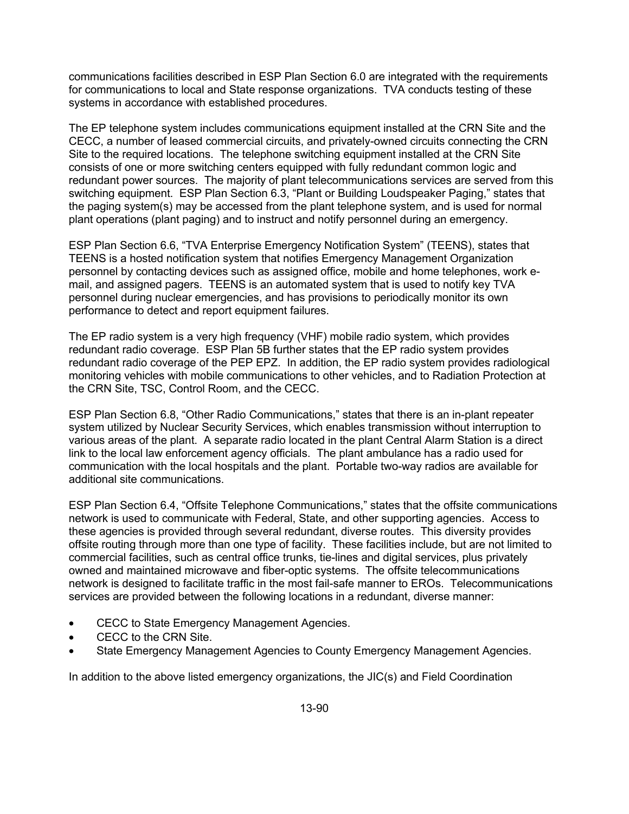communications facilities described in ESP Plan Section 6.0 are integrated with the requirements for communications to local and State response organizations. TVA conducts testing of these systems in accordance with established procedures.

The EP telephone system includes communications equipment installed at the CRN Site and the CECC, a number of leased commercial circuits, and privately-owned circuits connecting the CRN Site to the required locations. The telephone switching equipment installed at the CRN Site consists of one or more switching centers equipped with fully redundant common logic and redundant power sources. The majority of plant telecommunications services are served from this switching equipment. ESP Plan Section 6.3, "Plant or Building Loudspeaker Paging," states that the paging system(s) may be accessed from the plant telephone system, and is used for normal plant operations (plant paging) and to instruct and notify personnel during an emergency.

ESP Plan Section 6.6, "TVA Enterprise Emergency Notification System" (TEENS), states that TEENS is a hosted notification system that notifies Emergency Management Organization personnel by contacting devices such as assigned office, mobile and home telephones, work email, and assigned pagers. TEENS is an automated system that is used to notify key TVA personnel during nuclear emergencies, and has provisions to periodically monitor its own performance to detect and report equipment failures.

The EP radio system is a very high frequency (VHF) mobile radio system, which provides redundant radio coverage. ESP Plan 5B further states that the EP radio system provides redundant radio coverage of the PEP EPZ. In addition, the EP radio system provides radiological monitoring vehicles with mobile communications to other vehicles, and to Radiation Protection at the CRN Site, TSC, Control Room, and the CECC.

ESP Plan Section 6.8, "Other Radio Communications," states that there is an in-plant repeater system utilized by Nuclear Security Services, which enables transmission without interruption to various areas of the plant. A separate radio located in the plant Central Alarm Station is a direct link to the local law enforcement agency officials. The plant ambulance has a radio used for communication with the local hospitals and the plant. Portable two-way radios are available for additional site communications.

ESP Plan Section 6.4, "Offsite Telephone Communications," states that the offsite communications network is used to communicate with Federal, State, and other supporting agencies. Access to these agencies is provided through several redundant, diverse routes. This diversity provides offsite routing through more than one type of facility. These facilities include, but are not limited to commercial facilities, such as central office trunks, tie-lines and digital services, plus privately owned and maintained microwave and fiber-optic systems. The offsite telecommunications network is designed to facilitate traffic in the most fail-safe manner to EROs. Telecommunications services are provided between the following locations in a redundant, diverse manner:

- CECC to State Emergency Management Agencies.
- CECC to the CRN Site.
- State Emergency Management Agencies to County Emergency Management Agencies.

In addition to the above listed emergency organizations, the JIC(s) and Field Coordination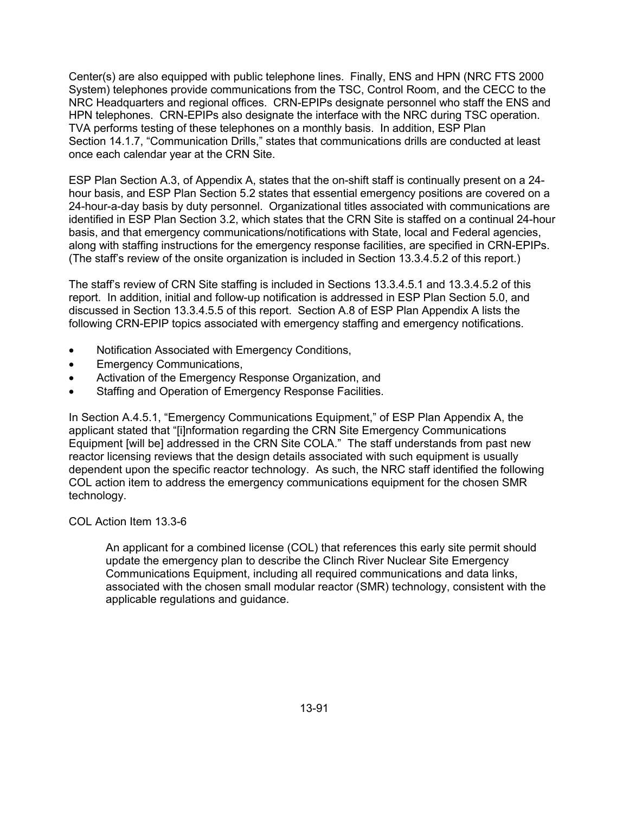Center(s) are also equipped with public telephone lines. Finally, ENS and HPN (NRC FTS 2000 System) telephones provide communications from the TSC, Control Room, and the CECC to the NRC Headquarters and regional offices. CRN-EPIPs designate personnel who staff the ENS and HPN telephones. CRN-EPIPs also designate the interface with the NRC during TSC operation. TVA performs testing of these telephones on a monthly basis. In addition, ESP Plan Section 14.1.7, "Communication Drills," states that communications drills are conducted at least once each calendar year at the CRN Site.

ESP Plan Section A.3, of Appendix A, states that the on-shift staff is continually present on a 24 hour basis, and ESP Plan Section 5.2 states that essential emergency positions are covered on a 24-hour-a-day basis by duty personnel. Organizational titles associated with communications are identified in ESP Plan Section 3.2, which states that the CRN Site is staffed on a continual 24-hour basis, and that emergency communications/notifications with State, local and Federal agencies, along with staffing instructions for the emergency response facilities, are specified in CRN-EPIPs. (The staff's review of the onsite organization is included in Section 13.3.4.5.2 of this report.)

The staff's review of CRN Site staffing is included in Sections 13.3.4.5.1 and 13.3.4.5.2 of this report. In addition, initial and follow-up notification is addressed in ESP Plan Section 5.0, and discussed in Section 13.3.4.5.5 of this report. Section A.8 of ESP Plan Appendix A lists the following CRN-EPIP topics associated with emergency staffing and emergency notifications.

- Notification Associated with Emergency Conditions,
- Emergency Communications,
- Activation of the Emergency Response Organization, and
- Staffing and Operation of Emergency Response Facilities.

In Section A.4.5.1, "Emergency Communications Equipment," of ESP Plan Appendix A, the applicant stated that "[i]nformation regarding the CRN Site Emergency Communications Equipment [will be] addressed in the CRN Site COLA." The staff understands from past new reactor licensing reviews that the design details associated with such equipment is usually dependent upon the specific reactor technology. As such, the NRC staff identified the following COL action item to address the emergency communications equipment for the chosen SMR technology.

COL Action Item 13.3-6

An applicant for a combined license (COL) that references this early site permit should update the emergency plan to describe the Clinch River Nuclear Site Emergency Communications Equipment, including all required communications and data links, associated with the chosen small modular reactor (SMR) technology, consistent with the applicable regulations and guidance.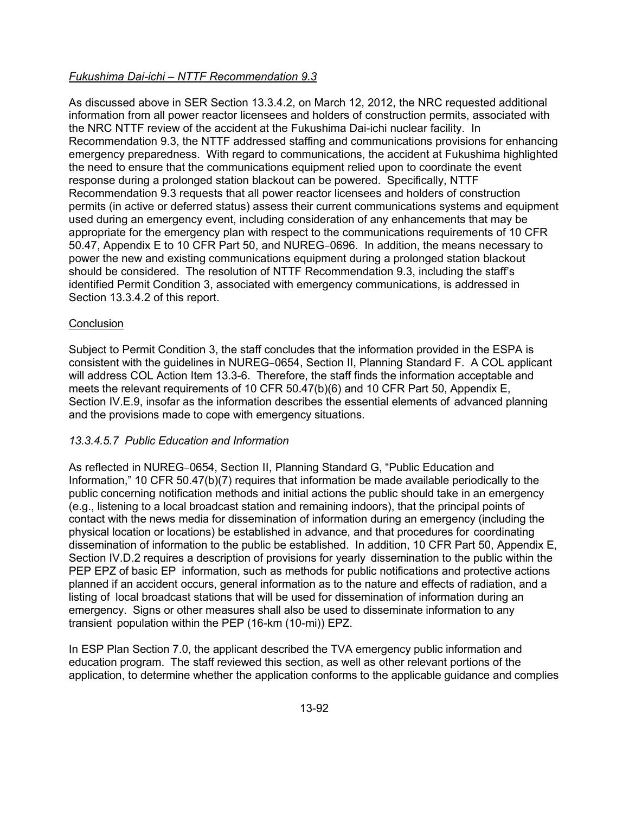# *Fukushima Dai-ichi – NTTF Recommendation 9.3*

As discussed above in SER Section 13.3.4.2, on March 12, 2012, the NRC requested additional information from all power reactor licensees and holders of construction permits, associated with the NRC NTTF review of the accident at the Fukushima Dai-ichi nuclear facility. In Recommendation 9.3, the NTTF addressed staffing and communications provisions for enhancing emergency preparedness. With regard to communications, the accident at Fukushima highlighted the need to ensure that the communications equipment relied upon to coordinate the event response during a prolonged station blackout can be powered. Specifically, NTTF Recommendation 9.3 requests that all power reactor licensees and holders of construction permits (in active or deferred status) assess their current communications systems and equipment used during an emergency event, including consideration of any enhancements that may be appropriate for the emergency plan with respect to the communications requirements of 10 CFR 50.47, Appendix E to 10 CFR Part 50, and NUREG–0696. In addition, the means necessary to power the new and existing communications equipment during a prolonged station blackout should be considered. The resolution of NTTF Recommendation 9.3, including the staff's identified Permit Condition 3, associated with emergency communications, is addressed in Section 13.3.4.2 of this report.

## **Conclusion**

Subject to Permit Condition 3, the staff concludes that the information provided in the ESPA is consistent with the guidelines in NUREG–0654, Section II, Planning Standard F. A COL applicant will address COL Action Item 13.3-6. Therefore, the staff finds the information acceptable and meets the relevant requirements of 10 CFR 50.47(b)(6) and 10 CFR Part 50, Appendix E, Section IV.E.9, insofar as the information describes the essential elements of advanced planning and the provisions made to cope with emergency situations.

## *13.3.4.5.7 Public Education and Information*

As reflected in NUREG–0654, Section II, Planning Standard G, "Public Education and Information," 10 CFR 50.47(b)(7) requires that information be made available periodically to the public concerning notification methods and initial actions the public should take in an emergency (e.g., listening to a local broadcast station and remaining indoors), that the principal points of contact with the news media for dissemination of information during an emergency (including the physical location or locations) be established in advance, and that procedures for coordinating dissemination of information to the public be established. In addition, 10 CFR Part 50, Appendix E, Section IV.D.2 requires a description of provisions for yearly dissemination to the public within the PEP EPZ of basic EP information, such as methods for public notifications and protective actions planned if an accident occurs, general information as to the nature and effects of radiation, and a listing of local broadcast stations that will be used for dissemination of information during an emergency. Signs or other measures shall also be used to disseminate information to any transient population within the PEP (16-km (10-mi)) EPZ.

In ESP Plan Section 7.0, the applicant described the TVA emergency public information and education program. The staff reviewed this section, as well as other relevant portions of the application, to determine whether the application conforms to the applicable guidance and complies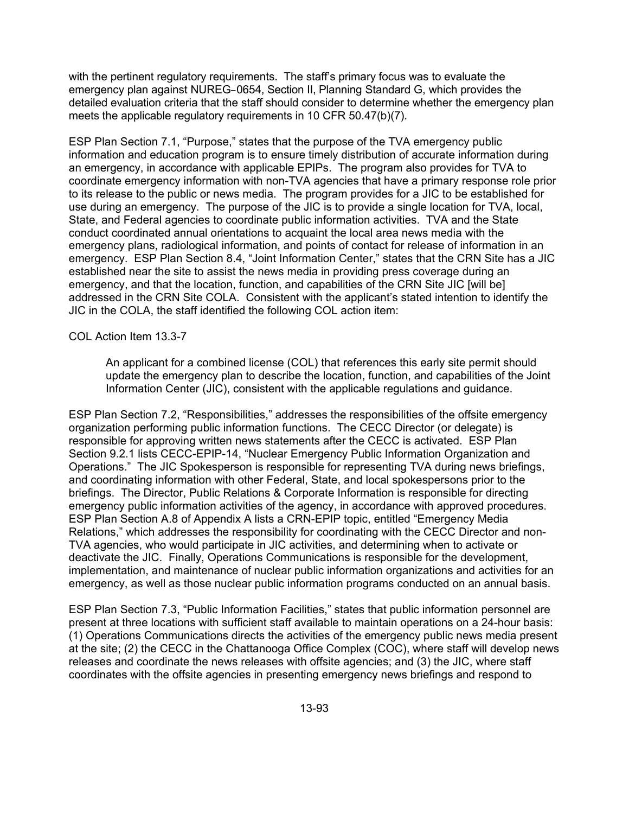with the pertinent regulatory requirements. The staff's primary focus was to evaluate the emergency plan against NUREG–0654, Section II, Planning Standard G, which provides the detailed evaluation criteria that the staff should consider to determine whether the emergency plan meets the applicable regulatory requirements in 10 CFR 50.47(b)(7).

ESP Plan Section 7.1, "Purpose," states that the purpose of the TVA emergency public information and education program is to ensure timely distribution of accurate information during an emergency, in accordance with applicable EPIPs. The program also provides for TVA to coordinate emergency information with non-TVA agencies that have a primary response role prior to its release to the public or news media. The program provides for a JIC to be established for use during an emergency. The purpose of the JIC is to provide a single location for TVA, local, State, and Federal agencies to coordinate public information activities. TVA and the State conduct coordinated annual orientations to acquaint the local area news media with the emergency plans, radiological information, and points of contact for release of information in an emergency. ESP Plan Section 8.4, "Joint Information Center," states that the CRN Site has a JIC established near the site to assist the news media in providing press coverage during an emergency, and that the location, function, and capabilities of the CRN Site JIC [will be] addressed in the CRN Site COLA. Consistent with the applicant's stated intention to identify the JIC in the COLA, the staff identified the following COL action item:

#### COL Action Item 13.3-7

An applicant for a combined license (COL) that references this early site permit should update the emergency plan to describe the location, function, and capabilities of the Joint Information Center (JIC), consistent with the applicable regulations and guidance.

ESP Plan Section 7.2, "Responsibilities," addresses the responsibilities of the offsite emergency organization performing public information functions. The CECC Director (or delegate) is responsible for approving written news statements after the CECC is activated. ESP Plan Section 9.2.1 lists CECC-EPIP-14, "Nuclear Emergency Public Information Organization and Operations." The JIC Spokesperson is responsible for representing TVA during news briefings, and coordinating information with other Federal, State, and local spokespersons prior to the briefings. The Director, Public Relations & Corporate Information is responsible for directing emergency public information activities of the agency, in accordance with approved procedures. ESP Plan Section A.8 of Appendix A lists a CRN-EPIP topic, entitled "Emergency Media Relations," which addresses the responsibility for coordinating with the CECC Director and non-TVA agencies, who would participate in JIC activities, and determining when to activate or deactivate the JIC. Finally, Operations Communications is responsible for the development, implementation, and maintenance of nuclear public information organizations and activities for an emergency, as well as those nuclear public information programs conducted on an annual basis.

ESP Plan Section 7.3, "Public Information Facilities," states that public information personnel are present at three locations with sufficient staff available to maintain operations on a 24-hour basis: (1) Operations Communications directs the activities of the emergency public news media present at the site; (2) the CECC in the Chattanooga Office Complex (COC), where staff will develop news releases and coordinate the news releases with offsite agencies; and (3) the JIC, where staff coordinates with the offsite agencies in presenting emergency news briefings and respond to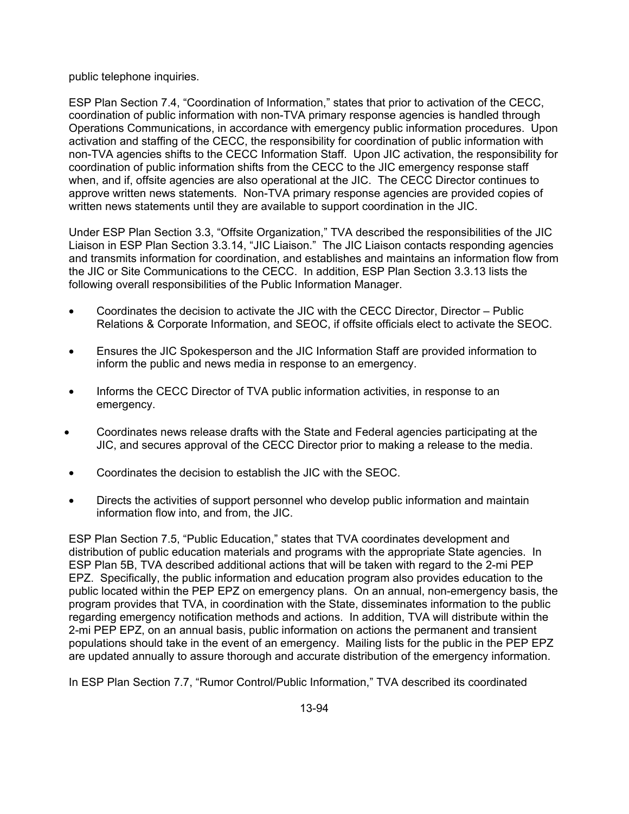public telephone inquiries.

ESP Plan Section 7.4, "Coordination of Information," states that prior to activation of the CECC, coordination of public information with non-TVA primary response agencies is handled through Operations Communications, in accordance with emergency public information procedures. Upon activation and staffing of the CECC, the responsibility for coordination of public information with non-TVA agencies shifts to the CECC Information Staff. Upon JIC activation, the responsibility for coordination of public information shifts from the CECC to the JIC emergency response staff when, and if, offsite agencies are also operational at the JIC. The CECC Director continues to approve written news statements. Non-TVA primary response agencies are provided copies of written news statements until they are available to support coordination in the JIC.

Under ESP Plan Section 3.3, "Offsite Organization," TVA described the responsibilities of the JIC Liaison in ESP Plan Section 3.3.14, "JIC Liaison." The JIC Liaison contacts responding agencies and transmits information for coordination, and establishes and maintains an information flow from the JIC or Site Communications to the CECC. In addition, ESP Plan Section 3.3.13 lists the following overall responsibilities of the Public Information Manager.

- Coordinates the decision to activate the JIC with the CECC Director, Director Public Relations & Corporate Information, and SEOC, if offsite officials elect to activate the SEOC.
- Ensures the JIC Spokesperson and the JIC Information Staff are provided information to inform the public and news media in response to an emergency.
- Informs the CECC Director of TVA public information activities, in response to an emergency.
- Coordinates news release drafts with the State and Federal agencies participating at the JIC, and secures approval of the CECC Director prior to making a release to the media.
- Coordinates the decision to establish the JIC with the SEOC.
- Directs the activities of support personnel who develop public information and maintain information flow into, and from, the JIC.

ESP Plan Section 7.5, "Public Education," states that TVA coordinates development and distribution of public education materials and programs with the appropriate State agencies. In ESP Plan 5B, TVA described additional actions that will be taken with regard to the 2-mi PEP EPZ. Specifically, the public information and education program also provides education to the public located within the PEP EPZ on emergency plans. On an annual, non-emergency basis, the program provides that TVA, in coordination with the State, disseminates information to the public regarding emergency notification methods and actions. In addition, TVA will distribute within the 2-mi PEP EPZ, on an annual basis, public information on actions the permanent and transient populations should take in the event of an emergency. Mailing lists for the public in the PEP EPZ are updated annually to assure thorough and accurate distribution of the emergency information.

In ESP Plan Section 7.7, "Rumor Control/Public Information," TVA described its coordinated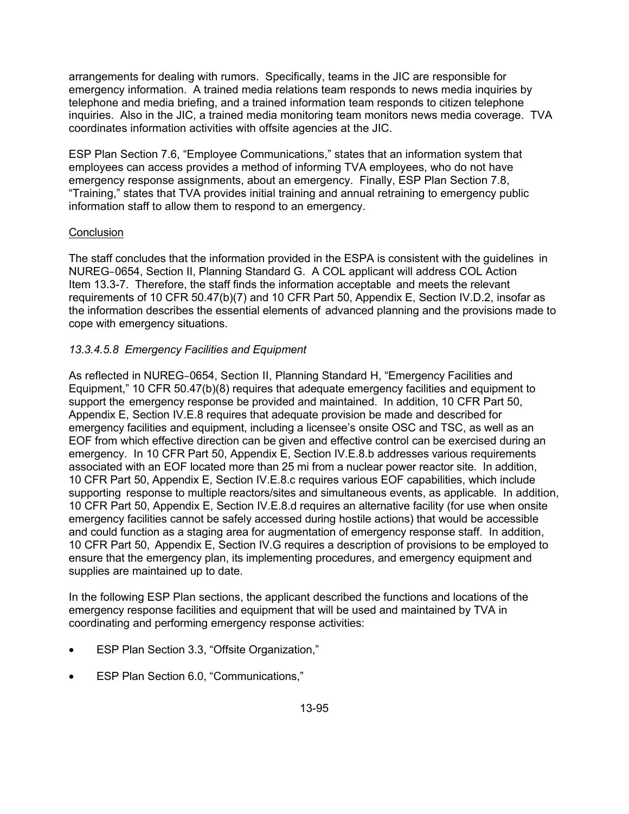arrangements for dealing with rumors. Specifically, teams in the JIC are responsible for emergency information. A trained media relations team responds to news media inquiries by telephone and media briefing, and a trained information team responds to citizen telephone inquiries. Also in the JIC, a trained media monitoring team monitors news media coverage. TVA coordinates information activities with offsite agencies at the JIC.

ESP Plan Section 7.6, "Employee Communications," states that an information system that employees can access provides a method of informing TVA employees, who do not have emergency response assignments, about an emergency. Finally, ESP Plan Section 7.8, "Training," states that TVA provides initial training and annual retraining to emergency public information staff to allow them to respond to an emergency.

## **Conclusion**

The staff concludes that the information provided in the ESPA is consistent with the guidelines in NUREG–0654, Section II, Planning Standard G. A COL applicant will address COL Action Item 13.3-7. Therefore, the staff finds the information acceptable and meets the relevant requirements of 10 CFR 50.47(b)(7) and 10 CFR Part 50, Appendix E, Section IV.D.2, insofar as the information describes the essential elements of advanced planning and the provisions made to cope with emergency situations.

# *13.3.4.5.8 Emergency Facilities and Equipment*

As reflected in NUREG–0654, Section II, Planning Standard H, "Emergency Facilities and Equipment," 10 CFR 50.47(b)(8) requires that adequate emergency facilities and equipment to support the emergency response be provided and maintained. In addition, 10 CFR Part 50, Appendix E, Section IV.E.8 requires that adequate provision be made and described for emergency facilities and equipment, including a licensee's onsite OSC and TSC, as well as an EOF from which effective direction can be given and effective control can be exercised during an emergency. In 10 CFR Part 50, Appendix E, Section IV.E.8.b addresses various requirements associated with an EOF located more than 25 mi from a nuclear power reactor site. In addition, 10 CFR Part 50, Appendix E, Section IV.E.8.c requires various EOF capabilities, which include supporting response to multiple reactors/sites and simultaneous events, as applicable. In addition, 10 CFR Part 50, Appendix E, Section IV.E.8.d requires an alternative facility (for use when onsite emergency facilities cannot be safely accessed during hostile actions) that would be accessible and could function as a staging area for augmentation of emergency response staff. In addition, 10 CFR Part 50, Appendix E, Section IV.G requires a description of provisions to be employed to ensure that the emergency plan, its implementing procedures, and emergency equipment and supplies are maintained up to date.

In the following ESP Plan sections, the applicant described the functions and locations of the emergency response facilities and equipment that will be used and maintained by TVA in coordinating and performing emergency response activities:

- ESP Plan Section 3.3, "Offsite Organization,"
- ESP Plan Section 6.0, "Communications,"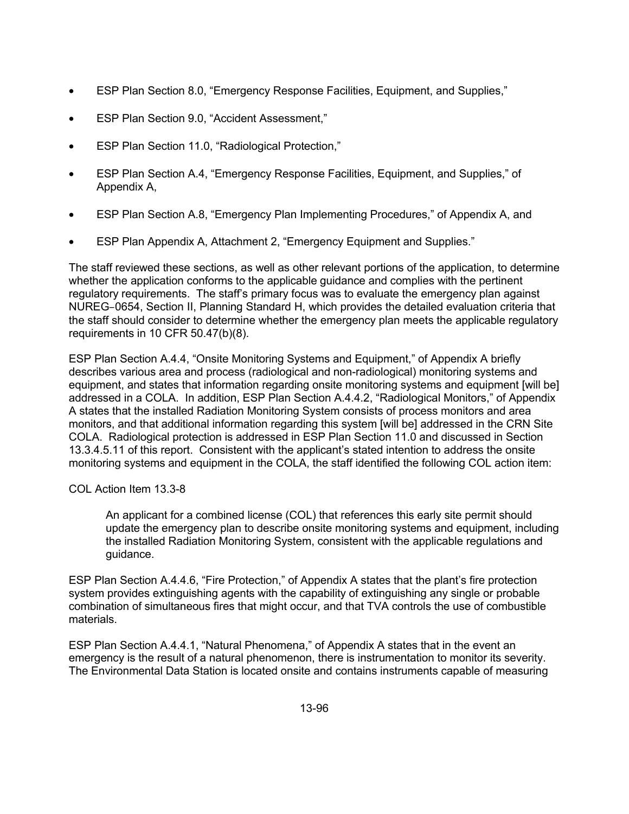- ESP Plan Section 8.0, "Emergency Response Facilities, Equipment, and Supplies,"
- ESP Plan Section 9.0, "Accident Assessment,"
- ESP Plan Section 11.0, "Radiological Protection,"
- ESP Plan Section A.4, "Emergency Response Facilities, Equipment, and Supplies," of Appendix A,
- ESP Plan Section A.8, "Emergency Plan Implementing Procedures," of Appendix A, and
- ESP Plan Appendix A, Attachment 2, "Emergency Equipment and Supplies."

The staff reviewed these sections, as well as other relevant portions of the application, to determine whether the application conforms to the applicable guidance and complies with the pertinent regulatory requirements. The staff's primary focus was to evaluate the emergency plan against NUREG–0654, Section II, Planning Standard H, which provides the detailed evaluation criteria that the staff should consider to determine whether the emergency plan meets the applicable regulatory requirements in 10 CFR 50.47(b)(8).

ESP Plan Section A.4.4, "Onsite Monitoring Systems and Equipment," of Appendix A briefly describes various area and process (radiological and non-radiological) monitoring systems and equipment, and states that information regarding onsite monitoring systems and equipment [will be] addressed in a COLA. In addition, ESP Plan Section A.4.4.2, "Radiological Monitors," of Appendix A states that the installed Radiation Monitoring System consists of process monitors and area monitors, and that additional information regarding this system [will be] addressed in the CRN Site COLA. Radiological protection is addressed in ESP Plan Section 11.0 and discussed in Section 13.3.4.5.11 of this report. Consistent with the applicant's stated intention to address the onsite monitoring systems and equipment in the COLA, the staff identified the following COL action item:

COL Action Item 13.3-8

An applicant for a combined license (COL) that references this early site permit should update the emergency plan to describe onsite monitoring systems and equipment, including the installed Radiation Monitoring System, consistent with the applicable regulations and guidance.

ESP Plan Section A.4.4.6, "Fire Protection," of Appendix A states that the plant's fire protection system provides extinguishing agents with the capability of extinguishing any single or probable combination of simultaneous fires that might occur, and that TVA controls the use of combustible materials.

ESP Plan Section A.4.4.1, "Natural Phenomena," of Appendix A states that in the event an emergency is the result of a natural phenomenon, there is instrumentation to monitor its severity. The Environmental Data Station is located onsite and contains instruments capable of measuring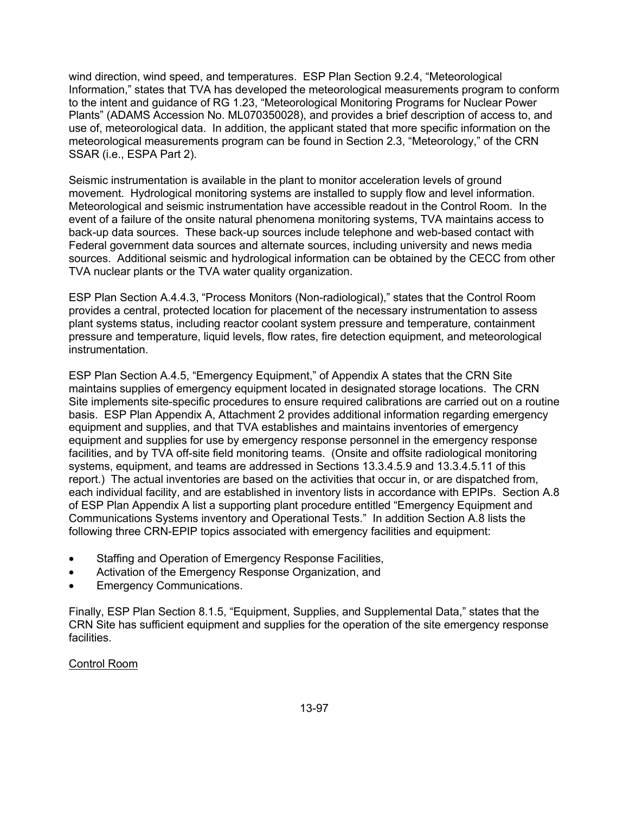wind direction, wind speed, and temperatures. ESP Plan Section 9.2.4, "Meteorological Information," states that TVA has developed the meteorological measurements program to conform to the intent and guidance of RG 1.23, "Meteorological Monitoring Programs for Nuclear Power Plants" (ADAMS Accession No. ML070350028), and provides a brief description of access to, and use of, meteorological data. In addition, the applicant stated that more specific information on the meteorological measurements program can be found in Section 2.3, "Meteorology," of the CRN SSAR (i.e., ESPA Part 2).

Seismic instrumentation is available in the plant to monitor acceleration levels of ground movement. Hydrological monitoring systems are installed to supply flow and level information. Meteorological and seismic instrumentation have accessible readout in the Control Room. In the event of a failure of the onsite natural phenomena monitoring systems, TVA maintains access to back-up data sources. These back-up sources include telephone and web-based contact with Federal government data sources and alternate sources, including university and news media sources. Additional seismic and hydrological information can be obtained by the CECC from other TVA nuclear plants or the TVA water quality organization.

ESP Plan Section A.4.4.3, "Process Monitors (Non-radiological)," states that the Control Room provides a central, protected location for placement of the necessary instrumentation to assess plant systems status, including reactor coolant system pressure and temperature, containment pressure and temperature, liquid levels, flow rates, fire detection equipment, and meteorological instrumentation.

ESP Plan Section A.4.5, "Emergency Equipment," of Appendix A states that the CRN Site maintains supplies of emergency equipment located in designated storage locations. The CRN Site implements site-specific procedures to ensure required calibrations are carried out on a routine basis. ESP Plan Appendix A, Attachment 2 provides additional information regarding emergency equipment and supplies, and that TVA establishes and maintains inventories of emergency equipment and supplies for use by emergency response personnel in the emergency response facilities, and by TVA off-site field monitoring teams. (Onsite and offsite radiological monitoring systems, equipment, and teams are addressed in Sections 13.3.4.5.9 and 13.3.4.5.11 of this report.) The actual inventories are based on the activities that occur in, or are dispatched from, each individual facility, and are established in inventory lists in accordance with EPIPs. Section A.8 of ESP Plan Appendix A list a supporting plant procedure entitled "Emergency Equipment and Communications Systems inventory and Operational Tests." In addition Section A.8 lists the following three CRN-EPIP topics associated with emergency facilities and equipment:

- Staffing and Operation of Emergency Response Facilities,
- Activation of the Emergency Response Organization, and
- **Emergency Communications.**

Finally, ESP Plan Section 8.1.5, "Equipment, Supplies, and Supplemental Data," states that the CRN Site has sufficient equipment and supplies for the operation of the site emergency response facilities.

#### Control Room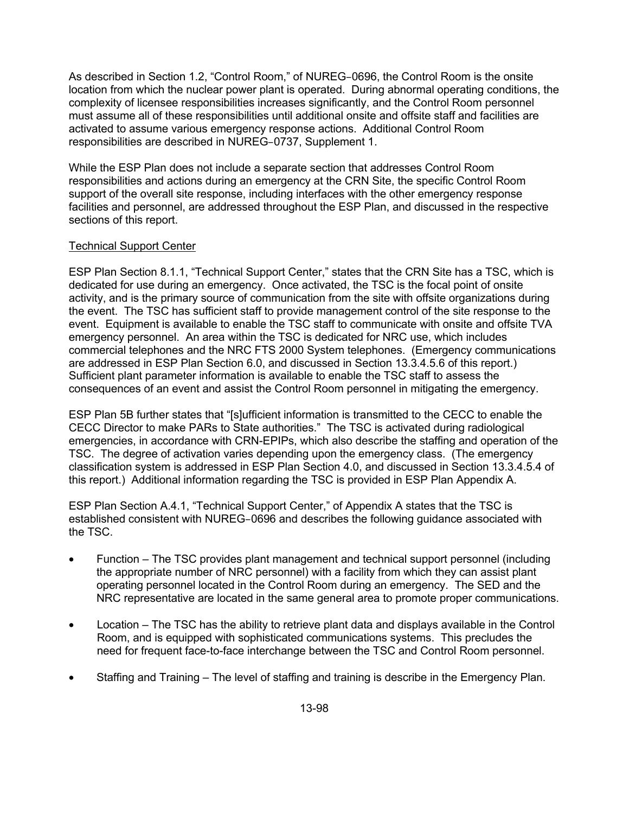As described in Section 1.2, "Control Room," of NUREG–0696, the Control Room is the onsite location from which the nuclear power plant is operated. During abnormal operating conditions, the complexity of licensee responsibilities increases significantly, and the Control Room personnel must assume all of these responsibilities until additional onsite and offsite staff and facilities are activated to assume various emergency response actions. Additional Control Room responsibilities are described in NUREG–0737, Supplement 1.

While the ESP Plan does not include a separate section that addresses Control Room responsibilities and actions during an emergency at the CRN Site, the specific Control Room support of the overall site response, including interfaces with the other emergency response facilities and personnel, are addressed throughout the ESP Plan, and discussed in the respective sections of this report.

## Technical Support Center

ESP Plan Section 8.1.1, "Technical Support Center," states that the CRN Site has a TSC, which is dedicated for use during an emergency. Once activated, the TSC is the focal point of onsite activity, and is the primary source of communication from the site with offsite organizations during the event. The TSC has sufficient staff to provide management control of the site response to the event. Equipment is available to enable the TSC staff to communicate with onsite and offsite TVA emergency personnel. An area within the TSC is dedicated for NRC use, which includes commercial telephones and the NRC FTS 2000 System telephones. (Emergency communications are addressed in ESP Plan Section 6.0, and discussed in Section 13.3.4.5.6 of this report.) Sufficient plant parameter information is available to enable the TSC staff to assess the consequences of an event and assist the Control Room personnel in mitigating the emergency.

ESP Plan 5B further states that "[s]ufficient information is transmitted to the CECC to enable the CECC Director to make PARs to State authorities." The TSC is activated during radiological emergencies, in accordance with CRN-EPIPs, which also describe the staffing and operation of the TSC. The degree of activation varies depending upon the emergency class. (The emergency classification system is addressed in ESP Plan Section 4.0, and discussed in Section 13.3.4.5.4 of this report.) Additional information regarding the TSC is provided in ESP Plan Appendix A.

ESP Plan Section A.4.1, "Technical Support Center," of Appendix A states that the TSC is established consistent with NUREG–0696 and describes the following guidance associated with the TSC.

- Function The TSC provides plant management and technical support personnel (including the appropriate number of NRC personnel) with a facility from which they can assist plant operating personnel located in the Control Room during an emergency. The SED and the NRC representative are located in the same general area to promote proper communications.
- Location The TSC has the ability to retrieve plant data and displays available in the Control Room, and is equipped with sophisticated communications systems. This precludes the need for frequent face-to-face interchange between the TSC and Control Room personnel.
- Staffing and Training The level of staffing and training is describe in the Emergency Plan.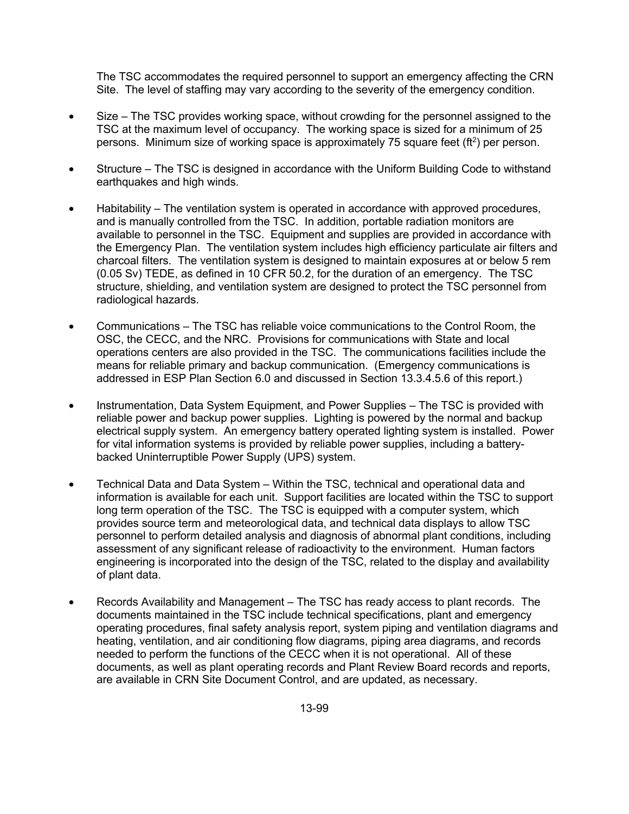The TSC accommodates the required personnel to support an emergency affecting the CRN Site. The level of staffing may vary according to the severity of the emergency condition.

- Size The TSC provides working space, without crowding for the personnel assigned to the TSC at the maximum level of occupancy. The working space is sized for a minimum of 25 persons. Minimum size of working space is approximately 75 square feet ( $ft<sup>2</sup>$ ) per person.
- Structure The TSC is designed in accordance with the Uniform Building Code to withstand earthquakes and high winds.
- Habitability The ventilation system is operated in accordance with approved procedures, and is manually controlled from the TSC. In addition, portable radiation monitors are available to personnel in the TSC. Equipment and supplies are provided in accordance with the Emergency Plan. The ventilation system includes high efficiency particulate air filters and charcoal filters. The ventilation system is designed to maintain exposures at or below 5 rem (0.05 Sv) TEDE, as defined in 10 CFR 50.2, for the duration of an emergency. The TSC structure, shielding, and ventilation system are designed to protect the TSC personnel from radiological hazards.
- Communications The TSC has reliable voice communications to the Control Room, the OSC, the CECC, and the NRC. Provisions for communications with State and local operations centers are also provided in the TSC. The communications facilities include the means for reliable primary and backup communication. (Emergency communications is addressed in ESP Plan Section 6.0 and discussed in Section 13.3.4.5.6 of this report.)
- Instrumentation, Data System Equipment, and Power Supplies The TSC is provided with reliable power and backup power supplies. Lighting is powered by the normal and backup electrical supply system. An emergency battery operated lighting system is installed. Power for vital information systems is provided by reliable power supplies, including a batterybacked Uninterruptible Power Supply (UPS) system.
- Technical Data and Data System Within the TSC, technical and operational data and information is available for each unit. Support facilities are located within the TSC to support long term operation of the TSC. The TSC is equipped with a computer system, which provides source term and meteorological data, and technical data displays to allow TSC personnel to perform detailed analysis and diagnosis of abnormal plant conditions, including assessment of any significant release of radioactivity to the environment. Human factors engineering is incorporated into the design of the TSC, related to the display and availability of plant data.
- Records Availability and Management The TSC has ready access to plant records. The documents maintained in the TSC include technical specifications, plant and emergency operating procedures, final safety analysis report, system piping and ventilation diagrams and heating, ventilation, and air conditioning flow diagrams, piping area diagrams, and records needed to perform the functions of the CECC when it is not operational. All of these documents, as well as plant operating records and Plant Review Board records and reports, are available in CRN Site Document Control, and are updated, as necessary.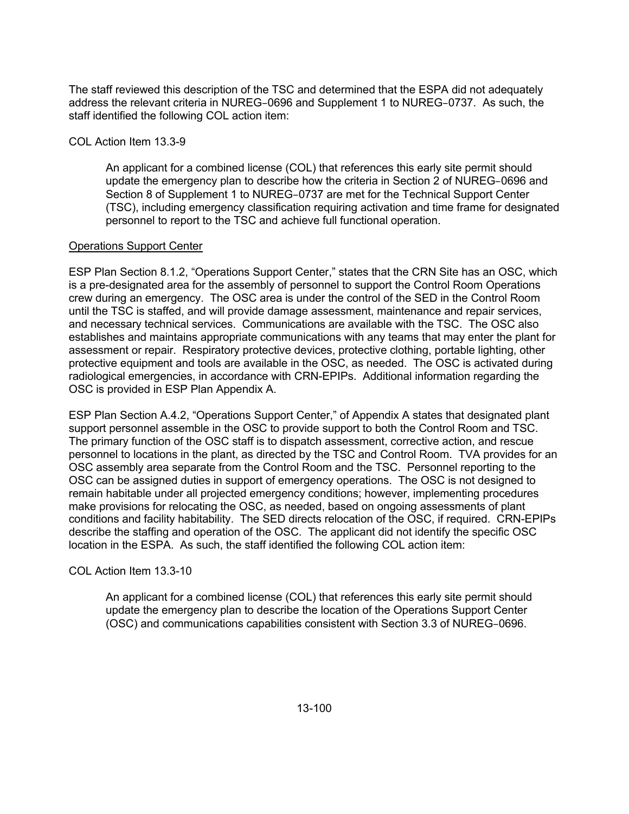The staff reviewed this description of the TSC and determined that the ESPA did not adequately address the relevant criteria in NUREG–0696 and Supplement 1 to NUREG–0737. As such, the staff identified the following COL action item:

## COL Action Item 13.3-9

An applicant for a combined license (COL) that references this early site permit should update the emergency plan to describe how the criteria in Section 2 of NUREG–0696 and Section 8 of Supplement 1 to NUREG–0737 are met for the Technical Support Center (TSC), including emergency classification requiring activation and time frame for designated personnel to report to the TSC and achieve full functional operation.

#### Operations Support Center

ESP Plan Section 8.1.2, "Operations Support Center," states that the CRN Site has an OSC, which is a pre-designated area for the assembly of personnel to support the Control Room Operations crew during an emergency. The OSC area is under the control of the SED in the Control Room until the TSC is staffed, and will provide damage assessment, maintenance and repair services, and necessary technical services. Communications are available with the TSC. The OSC also establishes and maintains appropriate communications with any teams that may enter the plant for assessment or repair. Respiratory protective devices, protective clothing, portable lighting, other protective equipment and tools are available in the OSC, as needed. The OSC is activated during radiological emergencies, in accordance with CRN-EPIPs. Additional information regarding the OSC is provided in ESP Plan Appendix A.

ESP Plan Section A.4.2, "Operations Support Center," of Appendix A states that designated plant support personnel assemble in the OSC to provide support to both the Control Room and TSC. The primary function of the OSC staff is to dispatch assessment, corrective action, and rescue personnel to locations in the plant, as directed by the TSC and Control Room. TVA provides for an OSC assembly area separate from the Control Room and the TSC. Personnel reporting to the OSC can be assigned duties in support of emergency operations. The OSC is not designed to remain habitable under all projected emergency conditions; however, implementing procedures make provisions for relocating the OSC, as needed, based on ongoing assessments of plant conditions and facility habitability. The SED directs relocation of the OSC, if required. CRN-EPIPs describe the staffing and operation of the OSC. The applicant did not identify the specific OSC location in the ESPA. As such, the staff identified the following COL action item:

COL Action Item 13.3-10

An applicant for a combined license (COL) that references this early site permit should update the emergency plan to describe the location of the Operations Support Center (OSC) and communications capabilities consistent with Section 3.3 of NUREG–0696.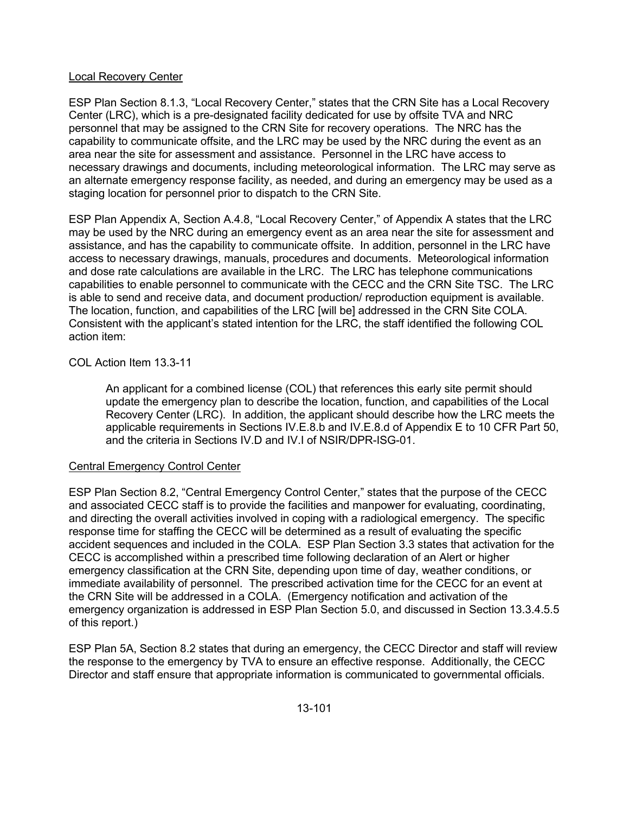#### Local Recovery Center

ESP Plan Section 8.1.3, "Local Recovery Center," states that the CRN Site has a Local Recovery Center (LRC), which is a pre-designated facility dedicated for use by offsite TVA and NRC personnel that may be assigned to the CRN Site for recovery operations. The NRC has the capability to communicate offsite, and the LRC may be used by the NRC during the event as an area near the site for assessment and assistance. Personnel in the LRC have access to necessary drawings and documents, including meteorological information. The LRC may serve as an alternate emergency response facility, as needed, and during an emergency may be used as a staging location for personnel prior to dispatch to the CRN Site.

ESP Plan Appendix A, Section A.4.8, "Local Recovery Center," of Appendix A states that the LRC may be used by the NRC during an emergency event as an area near the site for assessment and assistance, and has the capability to communicate offsite. In addition, personnel in the LRC have access to necessary drawings, manuals, procedures and documents. Meteorological information and dose rate calculations are available in the LRC. The LRC has telephone communications capabilities to enable personnel to communicate with the CECC and the CRN Site TSC. The LRC is able to send and receive data, and document production/ reproduction equipment is available. The location, function, and capabilities of the LRC [will be] addressed in the CRN Site COLA. Consistent with the applicant's stated intention for the LRC, the staff identified the following COL action item:

COL Action Item 13.3-11

An applicant for a combined license (COL) that references this early site permit should update the emergency plan to describe the location, function, and capabilities of the Local Recovery Center (LRC). In addition, the applicant should describe how the LRC meets the applicable requirements in Sections IV.E.8.b and IV.E.8.d of Appendix E to 10 CFR Part 50, and the criteria in Sections IV.D and IV.I of NSIR/DPR-ISG-01.

# Central Emergency Control Center

ESP Plan Section 8.2, "Central Emergency Control Center," states that the purpose of the CECC and associated CECC staff is to provide the facilities and manpower for evaluating, coordinating, and directing the overall activities involved in coping with a radiological emergency. The specific response time for staffing the CECC will be determined as a result of evaluating the specific accident sequences and included in the COLA. ESP Plan Section 3.3 states that activation for the CECC is accomplished within a prescribed time following declaration of an Alert or higher emergency classification at the CRN Site, depending upon time of day, weather conditions, or immediate availability of personnel. The prescribed activation time for the CECC for an event at the CRN Site will be addressed in a COLA. (Emergency notification and activation of the emergency organization is addressed in ESP Plan Section 5.0, and discussed in Section 13.3.4.5.5 of this report.)

ESP Plan 5A, Section 8.2 states that during an emergency, the CECC Director and staff will review the response to the emergency by TVA to ensure an effective response. Additionally, the CECC Director and staff ensure that appropriate information is communicated to governmental officials.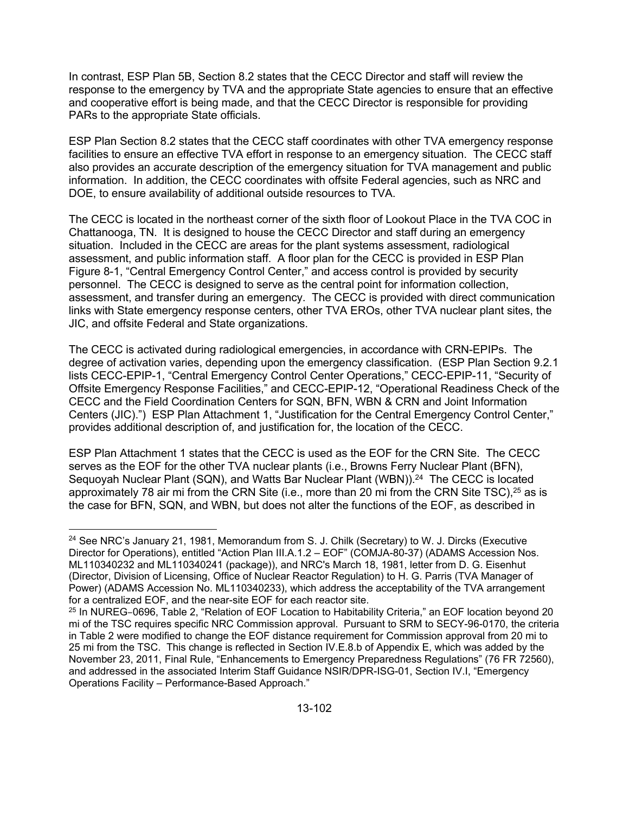In contrast, ESP Plan 5B, Section 8.2 states that the CECC Director and staff will review the response to the emergency by TVA and the appropriate State agencies to ensure that an effective and cooperative effort is being made, and that the CECC Director is responsible for providing PARs to the appropriate State officials.

ESP Plan Section 8.2 states that the CECC staff coordinates with other TVA emergency response facilities to ensure an effective TVA effort in response to an emergency situation. The CECC staff also provides an accurate description of the emergency situation for TVA management and public information. In addition, the CECC coordinates with offsite Federal agencies, such as NRC and DOE, to ensure availability of additional outside resources to TVA.

The CECC is located in the northeast corner of the sixth floor of Lookout Place in the TVA COC in Chattanooga, TN. It is designed to house the CECC Director and staff during an emergency situation. Included in the CECC are areas for the plant systems assessment, radiological assessment, and public information staff. A floor plan for the CECC is provided in ESP Plan Figure 8-1, "Central Emergency Control Center," and access control is provided by security personnel. The CECC is designed to serve as the central point for information collection, assessment, and transfer during an emergency. The CECC is provided with direct communication links with State emergency response centers, other TVA EROs, other TVA nuclear plant sites, the JIC, and offsite Federal and State organizations.

The CECC is activated during radiological emergencies, in accordance with CRN-EPIPs. The degree of activation varies, depending upon the emergency classification. (ESP Plan Section 9.2.1 lists CECC-EPIP-1, "Central Emergency Control Center Operations," CECC-EPIP-11, "Security of Offsite Emergency Response Facilities," and CECC-EPIP-12, "Operational Readiness Check of the CECC and the Field Coordination Centers for SQN, BFN, WBN & CRN and Joint Information Centers (JIC).") ESP Plan Attachment 1, "Justification for the Central Emergency Control Center," provides additional description of, and justification for, the location of the CECC.

ESP Plan Attachment 1 states that the CECC is used as the EOF for the CRN Site. The CECC serves as the EOF for the other TVA nuclear plants (i.e., Browns Ferry Nuclear Plant (BFN), Sequoyah Nuclear Plant (SQN), and Watts Bar Nuclear Plant (WBN)).<sup>24</sup> The CECC is located approximately 78 air mi from the CRN Site (i.e., more than 20 mi from the CRN Site TSC),  $25$  as is the case for BFN, SQN, and WBN, but does not alter the functions of the EOF, as described in

**<sup>.</sup>** <sup>24</sup> See NRC's January 21, 1981, Memorandum from S. J. Chilk (Secretary) to W. J. Dircks (Executive Director for Operations), entitled "Action Plan III.A.1.2 – EOF" (COMJA-80-37) (ADAMS Accession Nos. ML110340232 and ML110340241 (package)), and NRC's March 18, 1981, letter from D. G. Eisenhut (Director, Division of Licensing, Office of Nuclear Reactor Regulation) to H. G. Parris (TVA Manager of Power) (ADAMS Accession No. ML110340233), which address the acceptability of the TVA arrangement for a centralized EOF, and the near-site EOF for each reactor site.

<sup>&</sup>lt;sup>25</sup> In NUREG-0696, Table 2, "Relation of EOF Location to Habitability Criteria," an EOF location beyond 20 mi of the TSC requires specific NRC Commission approval. Pursuant to SRM to SECY-96-0170, the criteria in Table 2 were modified to change the EOF distance requirement for Commission approval from 20 mi to 25 mi from the TSC. This change is reflected in Section IV.E.8.b of Appendix E, which was added by the November 23, 2011, Final Rule, "Enhancements to Emergency Preparedness Regulations" (76 FR 72560), and addressed in the associated Interim Staff Guidance NSIR/DPR-ISG-01, Section IV.I, "Emergency Operations Facility – Performance-Based Approach."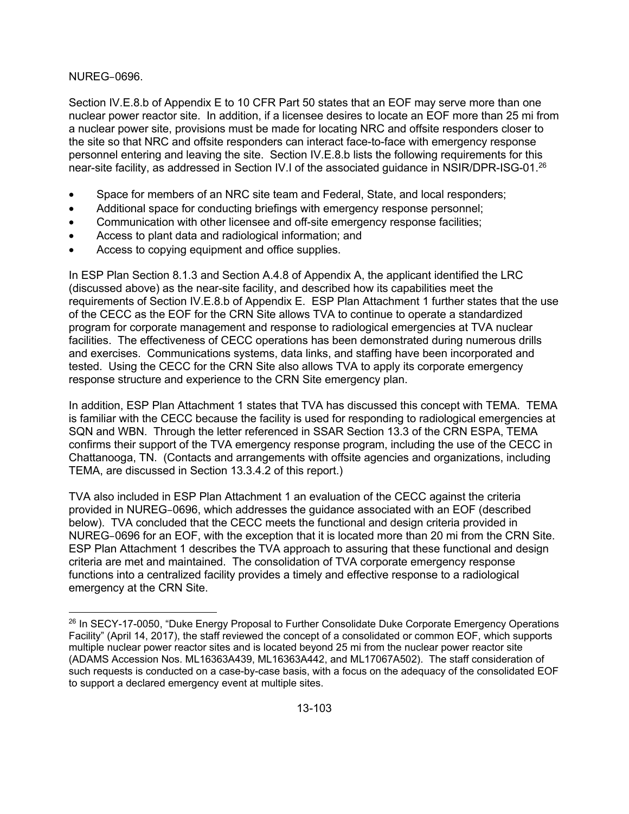#### NUREG–0696.

**.** 

Section IV.E.8.b of Appendix E to 10 CFR Part 50 states that an EOF may serve more than one nuclear power reactor site. In addition, if a licensee desires to locate an EOF more than 25 mi from a nuclear power site, provisions must be made for locating NRC and offsite responders closer to the site so that NRC and offsite responders can interact face-to-face with emergency response personnel entering and leaving the site. Section IV.E.8.b lists the following requirements for this near-site facility, as addressed in Section IV.I of the associated guidance in NSIR/DPR-ISG-01.<sup>26</sup>

- Space for members of an NRC site team and Federal, State, and local responders;
- Additional space for conducting briefings with emergency response personnel;
- Communication with other licensee and off-site emergency response facilities;
- Access to plant data and radiological information; and
- Access to copying equipment and office supplies.

In ESP Plan Section 8.1.3 and Section A.4.8 of Appendix A, the applicant identified the LRC (discussed above) as the near-site facility, and described how its capabilities meet the requirements of Section IV.E.8.b of Appendix E. ESP Plan Attachment 1 further states that the use of the CECC as the EOF for the CRN Site allows TVA to continue to operate a standardized program for corporate management and response to radiological emergencies at TVA nuclear facilities. The effectiveness of CECC operations has been demonstrated during numerous drills and exercises. Communications systems, data links, and staffing have been incorporated and tested. Using the CECC for the CRN Site also allows TVA to apply its corporate emergency response structure and experience to the CRN Site emergency plan.

In addition, ESP Plan Attachment 1 states that TVA has discussed this concept with TEMA. TEMA is familiar with the CECC because the facility is used for responding to radiological emergencies at SQN and WBN. Through the letter referenced in SSAR Section 13.3 of the CRN ESPA, TEMA confirms their support of the TVA emergency response program, including the use of the CECC in Chattanooga, TN. (Contacts and arrangements with offsite agencies and organizations, including TEMA, are discussed in Section 13.3.4.2 of this report.)

TVA also included in ESP Plan Attachment 1 an evaluation of the CECC against the criteria provided in NUREG–0696, which addresses the guidance associated with an EOF (described below). TVA concluded that the CECC meets the functional and design criteria provided in NUREG–0696 for an EOF, with the exception that it is located more than 20 mi from the CRN Site. ESP Plan Attachment 1 describes the TVA approach to assuring that these functional and design criteria are met and maintained. The consolidation of TVA corporate emergency response functions into a centralized facility provides a timely and effective response to a radiological emergency at the CRN Site.

<sup>&</sup>lt;sup>26</sup> In SECY-17-0050, "Duke Energy Proposal to Further Consolidate Duke Corporate Emergency Operations Facility" (April 14, 2017), the staff reviewed the concept of a consolidated or common EOF, which supports multiple nuclear power reactor sites and is located beyond 25 mi from the nuclear power reactor site (ADAMS Accession Nos. ML16363A439, ML16363A442, and ML17067A502). The staff consideration of such requests is conducted on a case-by-case basis, with a focus on the adequacy of the consolidated EOF to support a declared emergency event at multiple sites.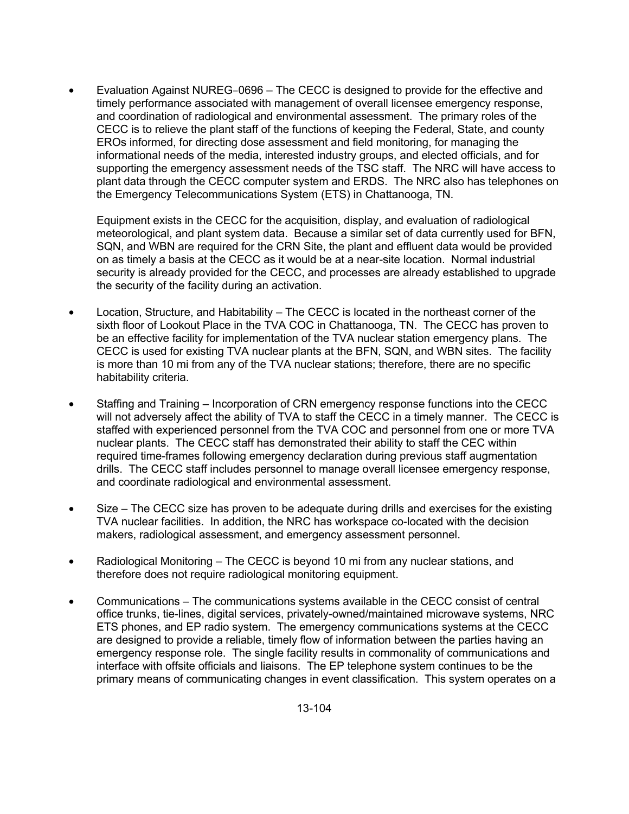• Evaluation Against NUREG–0696 – The CECC is designed to provide for the effective and timely performance associated with management of overall licensee emergency response, and coordination of radiological and environmental assessment. The primary roles of the CECC is to relieve the plant staff of the functions of keeping the Federal, State, and county EROs informed, for directing dose assessment and field monitoring, for managing the informational needs of the media, interested industry groups, and elected officials, and for supporting the emergency assessment needs of the TSC staff. The NRC will have access to plant data through the CECC computer system and ERDS. The NRC also has telephones on the Emergency Telecommunications System (ETS) in Chattanooga, TN.

Equipment exists in the CECC for the acquisition, display, and evaluation of radiological meteorological, and plant system data. Because a similar set of data currently used for BFN, SQN, and WBN are required for the CRN Site, the plant and effluent data would be provided on as timely a basis at the CECC as it would be at a near-site location. Normal industrial security is already provided for the CECC, and processes are already established to upgrade the security of the facility during an activation.

- Location, Structure, and Habitability The CECC is located in the northeast corner of the sixth floor of Lookout Place in the TVA COC in Chattanooga, TN. The CECC has proven to be an effective facility for implementation of the TVA nuclear station emergency plans. The CECC is used for existing TVA nuclear plants at the BFN, SQN, and WBN sites. The facility is more than 10 mi from any of the TVA nuclear stations; therefore, there are no specific habitability criteria.
- Staffing and Training Incorporation of CRN emergency response functions into the CECC will not adversely affect the ability of TVA to staff the CECC in a timely manner. The CECC is staffed with experienced personnel from the TVA COC and personnel from one or more TVA nuclear plants. The CECC staff has demonstrated their ability to staff the CEC within required time-frames following emergency declaration during previous staff augmentation drills. The CECC staff includes personnel to manage overall licensee emergency response, and coordinate radiological and environmental assessment.
- Size The CECC size has proven to be adequate during drills and exercises for the existing TVA nuclear facilities. In addition, the NRC has workspace co-located with the decision makers, radiological assessment, and emergency assessment personnel.
- Radiological Monitoring The CECC is beyond 10 mi from any nuclear stations, and therefore does not require radiological monitoring equipment.
- Communications The communications systems available in the CECC consist of central office trunks, tie-lines, digital services, privately-owned/maintained microwave systems, NRC ETS phones, and EP radio system. The emergency communications systems at the CECC are designed to provide a reliable, timely flow of information between the parties having an emergency response role. The single facility results in commonality of communications and interface with offsite officials and liaisons. The EP telephone system continues to be the primary means of communicating changes in event classification. This system operates on a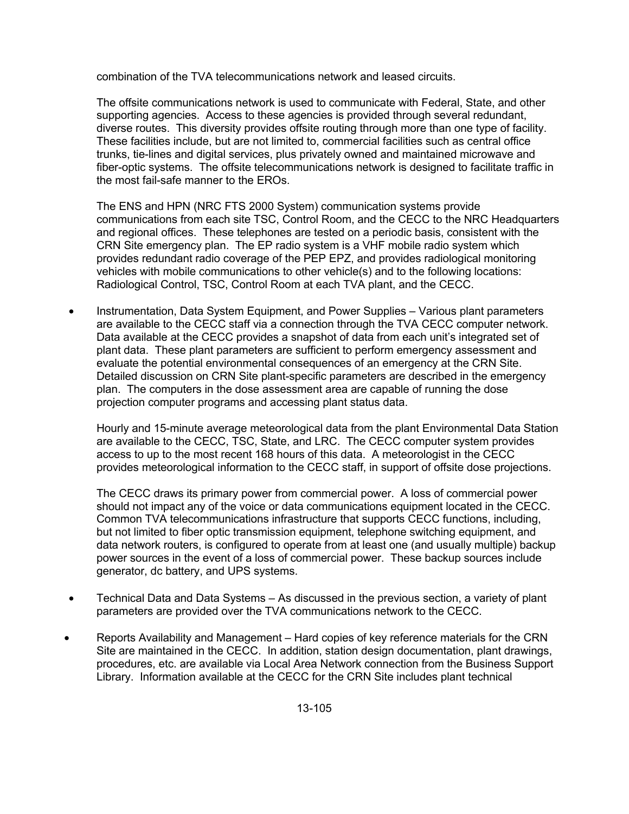combination of the TVA telecommunications network and leased circuits.

The offsite communications network is used to communicate with Federal, State, and other supporting agencies. Access to these agencies is provided through several redundant, diverse routes. This diversity provides offsite routing through more than one type of facility. These facilities include, but are not limited to, commercial facilities such as central office trunks, tie-lines and digital services, plus privately owned and maintained microwave and fiber-optic systems. The offsite telecommunications network is designed to facilitate traffic in the most fail-safe manner to the EROs.

The ENS and HPN (NRC FTS 2000 System) communication systems provide communications from each site TSC, Control Room, and the CECC to the NRC Headquarters and regional offices. These telephones are tested on a periodic basis, consistent with the CRN Site emergency plan. The EP radio system is a VHF mobile radio system which provides redundant radio coverage of the PEP EPZ, and provides radiological monitoring vehicles with mobile communications to other vehicle(s) and to the following locations: Radiological Control, TSC, Control Room at each TVA plant, and the CECC.

• Instrumentation, Data System Equipment, and Power Supplies – Various plant parameters are available to the CECC staff via a connection through the TVA CECC computer network. Data available at the CECC provides a snapshot of data from each unit's integrated set of plant data. These plant parameters are sufficient to perform emergency assessment and evaluate the potential environmental consequences of an emergency at the CRN Site. Detailed discussion on CRN Site plant-specific parameters are described in the emergency plan. The computers in the dose assessment area are capable of running the dose projection computer programs and accessing plant status data.

Hourly and 15-minute average meteorological data from the plant Environmental Data Station are available to the CECC, TSC, State, and LRC. The CECC computer system provides access to up to the most recent 168 hours of this data. A meteorologist in the CECC provides meteorological information to the CECC staff, in support of offsite dose projections.

The CECC draws its primary power from commercial power. A loss of commercial power should not impact any of the voice or data communications equipment located in the CECC. Common TVA telecommunications infrastructure that supports CECC functions, including, but not limited to fiber optic transmission equipment, telephone switching equipment, and data network routers, is configured to operate from at least one (and usually multiple) backup power sources in the event of a loss of commercial power. These backup sources include generator, dc battery, and UPS systems.

- Technical Data and Data Systems As discussed in the previous section, a variety of plant parameters are provided over the TVA communications network to the CECC.
- Reports Availability and Management Hard copies of key reference materials for the CRN Site are maintained in the CECC. In addition, station design documentation, plant drawings, procedures, etc. are available via Local Area Network connection from the Business Support Library. Information available at the CECC for the CRN Site includes plant technical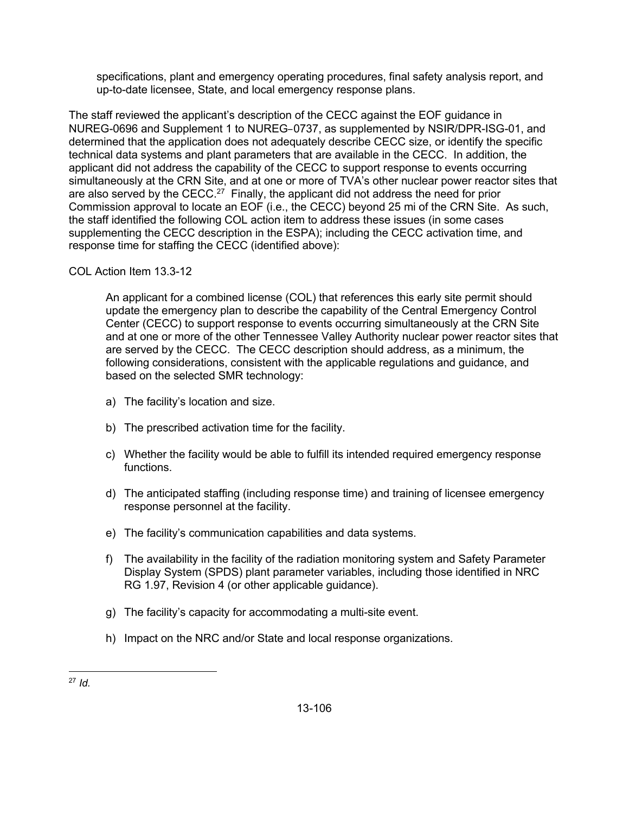specifications, plant and emergency operating procedures, final safety analysis report, and up-to-date licensee, State, and local emergency response plans.

The staff reviewed the applicant's description of the CECC against the EOF guidance in NUREG-0696 and Supplement 1 to NUREG–0737, as supplemented by NSIR/DPR-ISG-01, and determined that the application does not adequately describe CECC size, or identify the specific technical data systems and plant parameters that are available in the CECC. In addition, the applicant did not address the capability of the CECC to support response to events occurring simultaneously at the CRN Site, and at one or more of TVA's other nuclear power reactor sites that are also served by the CECC.<sup>27</sup> Finally, the applicant did not address the need for prior Commission approval to locate an EOF (i.e., the CECC) beyond 25 mi of the CRN Site. As such, the staff identified the following COL action item to address these issues (in some cases supplementing the CECC description in the ESPA); including the CECC activation time, and response time for staffing the CECC (identified above):

# COL Action Item 13.3-12

An applicant for a combined license (COL) that references this early site permit should update the emergency plan to describe the capability of the Central Emergency Control Center (CECC) to support response to events occurring simultaneously at the CRN Site and at one or more of the other Tennessee Valley Authority nuclear power reactor sites that are served by the CECC. The CECC description should address, as a minimum, the following considerations, consistent with the applicable regulations and guidance, and based on the selected SMR technology:

- a) The facility's location and size.
- b) The prescribed activation time for the facility.
- c) Whether the facility would be able to fulfill its intended required emergency response functions.
- d) The anticipated staffing (including response time) and training of licensee emergency response personnel at the facility.
- e) The facility's communication capabilities and data systems.
- f) The availability in the facility of the radiation monitoring system and Safety Parameter Display System (SPDS) plant parameter variables, including those identified in NRC RG 1.97, Revision 4 (or other applicable guidance).
- g) The facility's capacity for accommodating a multi-site event.
- h) Impact on the NRC and/or State and local response organizations.

 $\overline{a}$ <sup>27</sup> *Id.*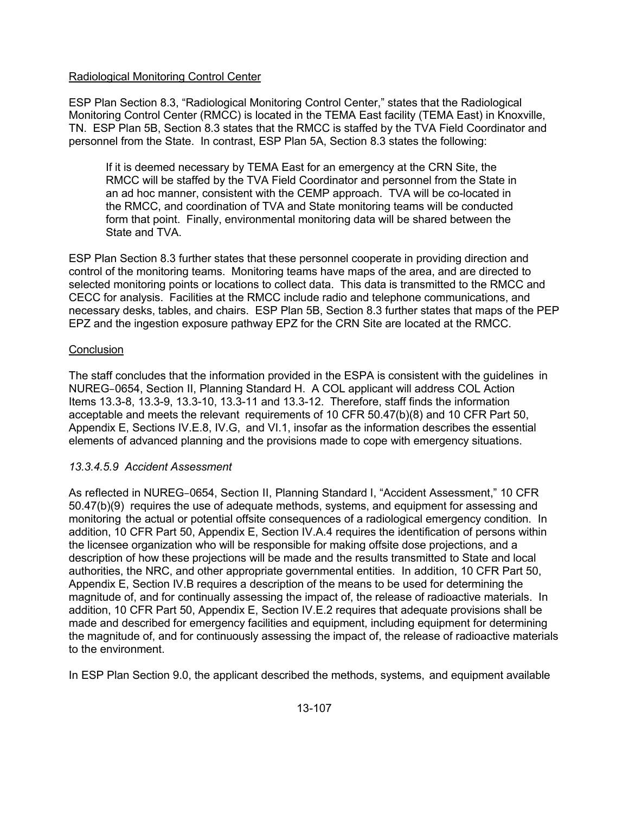## Radiological Monitoring Control Center

ESP Plan Section 8.3, "Radiological Monitoring Control Center," states that the Radiological Monitoring Control Center (RMCC) is located in the TEMA East facility (TEMA East) in Knoxville, TN. ESP Plan 5B, Section 8.3 states that the RMCC is staffed by the TVA Field Coordinator and personnel from the State. In contrast, ESP Plan 5A, Section 8.3 states the following:

If it is deemed necessary by TEMA East for an emergency at the CRN Site, the RMCC will be staffed by the TVA Field Coordinator and personnel from the State in an ad hoc manner, consistent with the CEMP approach. TVA will be co-located in the RMCC, and coordination of TVA and State monitoring teams will be conducted form that point. Finally, environmental monitoring data will be shared between the State and TVA.

ESP Plan Section 8.3 further states that these personnel cooperate in providing direction and control of the monitoring teams. Monitoring teams have maps of the area, and are directed to selected monitoring points or locations to collect data. This data is transmitted to the RMCC and CECC for analysis. Facilities at the RMCC include radio and telephone communications, and necessary desks, tables, and chairs. ESP Plan 5B, Section 8.3 further states that maps of the PEP EPZ and the ingestion exposure pathway EPZ for the CRN Site are located at the RMCC.

#### **Conclusion**

The staff concludes that the information provided in the ESPA is consistent with the guidelines in NUREG–0654, Section II, Planning Standard H. A COL applicant will address COL Action Items 13.3-8, 13.3-9, 13.3-10, 13.3-11 and 13.3-12. Therefore, staff finds the information acceptable and meets the relevant requirements of 10 CFR 50.47(b)(8) and 10 CFR Part 50, Appendix E, Sections IV.E.8, IV.G, and VI.1, insofar as the information describes the essential elements of advanced planning and the provisions made to cope with emergency situations.

## *13.3.4.5.9 Accident Assessment*

As reflected in NUREG–0654, Section II, Planning Standard I, "Accident Assessment," 10 CFR 50.47(b)(9) requires the use of adequate methods, systems, and equipment for assessing and monitoring the actual or potential offsite consequences of a radiological emergency condition. In addition, 10 CFR Part 50, Appendix E, Section IV.A.4 requires the identification of persons within the licensee organization who will be responsible for making offsite dose projections, and a description of how these projections will be made and the results transmitted to State and local authorities, the NRC, and other appropriate governmental entities. In addition, 10 CFR Part 50, Appendix E, Section IV.B requires a description of the means to be used for determining the magnitude of, and for continually assessing the impact of, the release of radioactive materials. In addition, 10 CFR Part 50, Appendix E, Section IV.E.2 requires that adequate provisions shall be made and described for emergency facilities and equipment, including equipment for determining the magnitude of, and for continuously assessing the impact of, the release of radioactive materials to the environment.

In ESP Plan Section 9.0, the applicant described the methods, systems, and equipment available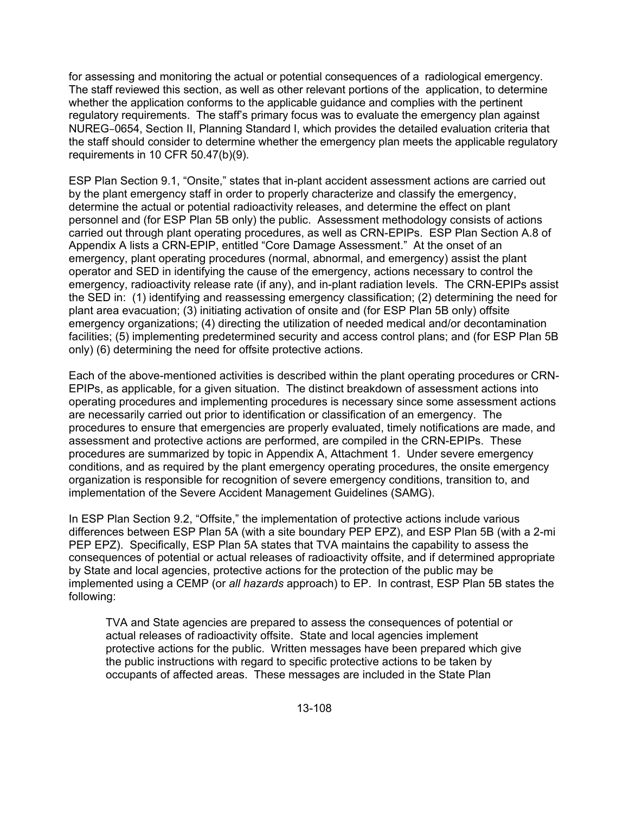for assessing and monitoring the actual or potential consequences of a radiological emergency. The staff reviewed this section, as well as other relevant portions of the application, to determine whether the application conforms to the applicable guidance and complies with the pertinent regulatory requirements. The staff's primary focus was to evaluate the emergency plan against NUREG–0654, Section II, Planning Standard I, which provides the detailed evaluation criteria that the staff should consider to determine whether the emergency plan meets the applicable regulatory requirements in 10 CFR 50.47(b)(9).

ESP Plan Section 9.1, "Onsite," states that in-plant accident assessment actions are carried out by the plant emergency staff in order to properly characterize and classify the emergency, determine the actual or potential radioactivity releases, and determine the effect on plant personnel and (for ESP Plan 5B only) the public. Assessment methodology consists of actions carried out through plant operating procedures, as well as CRN-EPIPs. ESP Plan Section A.8 of Appendix A lists a CRN-EPIP, entitled "Core Damage Assessment." At the onset of an emergency, plant operating procedures (normal, abnormal, and emergency) assist the plant operator and SED in identifying the cause of the emergency, actions necessary to control the emergency, radioactivity release rate (if any), and in-plant radiation levels. The CRN-EPIPs assist the SED in: (1) identifying and reassessing emergency classification; (2) determining the need for plant area evacuation; (3) initiating activation of onsite and (for ESP Plan 5B only) offsite emergency organizations; (4) directing the utilization of needed medical and/or decontamination facilities; (5) implementing predetermined security and access control plans; and (for ESP Plan 5B only) (6) determining the need for offsite protective actions.

Each of the above-mentioned activities is described within the plant operating procedures or CRN-EPIPs, as applicable, for a given situation. The distinct breakdown of assessment actions into operating procedures and implementing procedures is necessary since some assessment actions are necessarily carried out prior to identification or classification of an emergency. The procedures to ensure that emergencies are properly evaluated, timely notifications are made, and assessment and protective actions are performed, are compiled in the CRN-EPIPs. These procedures are summarized by topic in Appendix A, Attachment 1. Under severe emergency conditions, and as required by the plant emergency operating procedures, the onsite emergency organization is responsible for recognition of severe emergency conditions, transition to, and implementation of the Severe Accident Management Guidelines (SAMG).

In ESP Plan Section 9.2, "Offsite," the implementation of protective actions include various differences between ESP Plan 5A (with a site boundary PEP EPZ), and ESP Plan 5B (with a 2-mi PEP EPZ). Specifically, ESP Plan 5A states that TVA maintains the capability to assess the consequences of potential or actual releases of radioactivity offsite, and if determined appropriate by State and local agencies, protective actions for the protection of the public may be implemented using a CEMP (or *all hazards* approach) to EP. In contrast, ESP Plan 5B states the following:

TVA and State agencies are prepared to assess the consequences of potential or actual releases of radioactivity offsite. State and local agencies implement protective actions for the public. Written messages have been prepared which give the public instructions with regard to specific protective actions to be taken by occupants of affected areas. These messages are included in the State Plan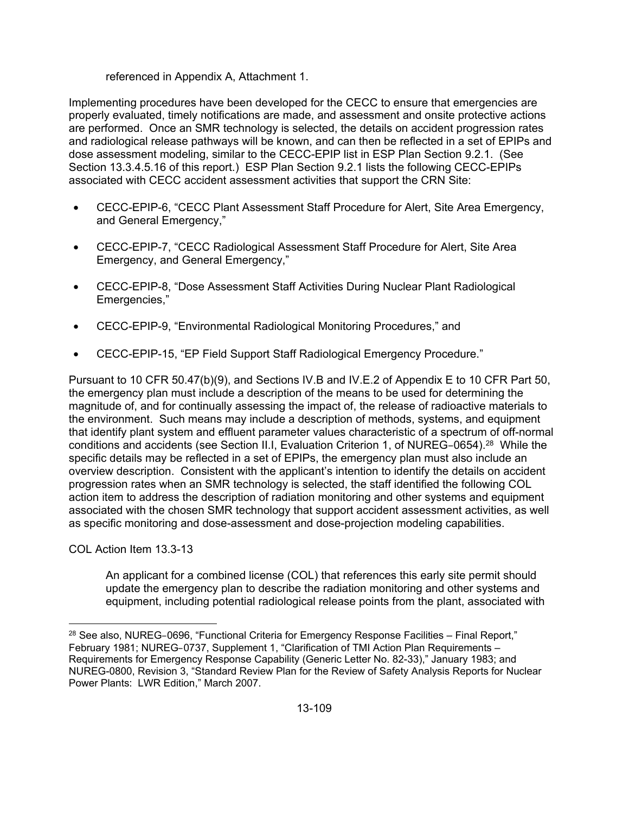### referenced in Appendix A, Attachment 1.

Implementing procedures have been developed for the CECC to ensure that emergencies are properly evaluated, timely notifications are made, and assessment and onsite protective actions are performed. Once an SMR technology is selected, the details on accident progression rates and radiological release pathways will be known, and can then be reflected in a set of EPIPs and dose assessment modeling, similar to the CECC-EPIP list in ESP Plan Section 9.2.1. (See Section 13.3.4.5.16 of this report.) ESP Plan Section 9.2.1 lists the following CECC-EPIPs associated with CECC accident assessment activities that support the CRN Site:

- CECC-EPIP-6, "CECC Plant Assessment Staff Procedure for Alert, Site Area Emergency, and General Emergency,"
- CECC-EPIP-7, "CECC Radiological Assessment Staff Procedure for Alert, Site Area Emergency, and General Emergency,"
- CECC-EPIP-8, "Dose Assessment Staff Activities During Nuclear Plant Radiological Emergencies,"
- CECC-EPIP-9, "Environmental Radiological Monitoring Procedures," and
- CECC-EPIP-15, "EP Field Support Staff Radiological Emergency Procedure."

Pursuant to 10 CFR 50.47(b)(9), and Sections IV.B and IV.E.2 of Appendix E to 10 CFR Part 50, the emergency plan must include a description of the means to be used for determining the magnitude of, and for continually assessing the impact of, the release of radioactive materials to the environment. Such means may include a description of methods, systems, and equipment that identify plant system and effluent parameter values characteristic of a spectrum of off-normal conditions and accidents (see Section II.I, Evaluation Criterion 1, of NUREG-0654).<sup>28</sup> While the specific details may be reflected in a set of EPIPs, the emergency plan must also include an overview description. Consistent with the applicant's intention to identify the details on accident progression rates when an SMR technology is selected, the staff identified the following COL action item to address the description of radiation monitoring and other systems and equipment associated with the chosen SMR technology that support accident assessment activities, as well as specific monitoring and dose-assessment and dose-projection modeling capabilities.

COL Action Item 13.3-13

An applicant for a combined license (COL) that references this early site permit should update the emergency plan to describe the radiation monitoring and other systems and equipment, including potential radiological release points from the plant, associated with

**<sup>.</sup>**  $^{28}$  See also, NUREG-0696, "Functional Criteria for Emergency Response Facilities – Final Report," February 1981; NUREG–0737, Supplement 1, "Clarification of TMI Action Plan Requirements – Requirements for Emergency Response Capability (Generic Letter No. 82-33)," January 1983; and NUREG-0800, Revision 3, "Standard Review Plan for the Review of Safety Analysis Reports for Nuclear Power Plants: LWR Edition," March 2007.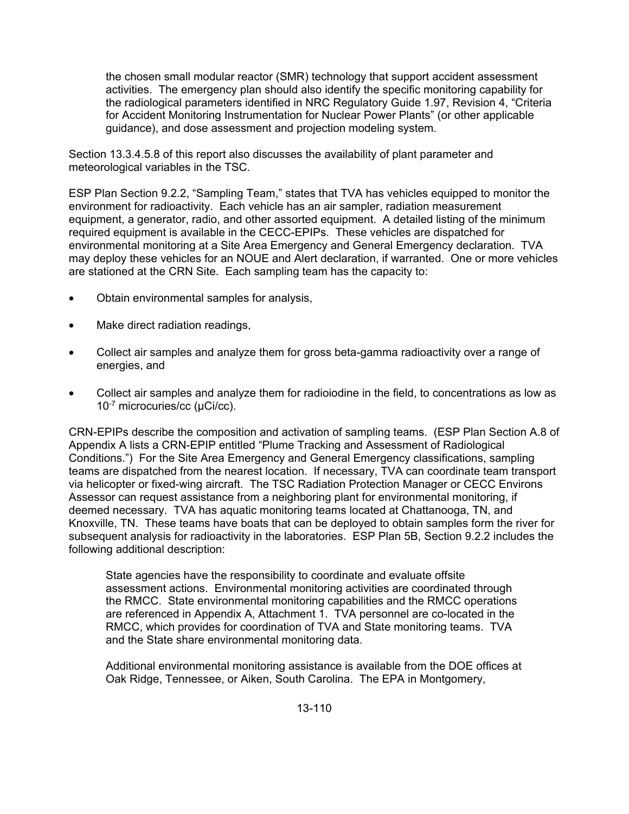the chosen small modular reactor (SMR) technology that support accident assessment activities. The emergency plan should also identify the specific monitoring capability for the radiological parameters identified in NRC Regulatory Guide 1.97, Revision 4, "Criteria for Accident Monitoring Instrumentation for Nuclear Power Plants" (or other applicable guidance), and dose assessment and projection modeling system.

Section 13.3.4.5.8 of this report also discusses the availability of plant parameter and meteorological variables in the TSC.

ESP Plan Section 9.2.2, "Sampling Team," states that TVA has vehicles equipped to monitor the environment for radioactivity. Each vehicle has an air sampler, radiation measurement equipment, a generator, radio, and other assorted equipment. A detailed listing of the minimum required equipment is available in the CECC-EPIPs. These vehicles are dispatched for environmental monitoring at a Site Area Emergency and General Emergency declaration. TVA may deploy these vehicles for an NOUE and Alert declaration, if warranted. One or more vehicles are stationed at the CRN Site. Each sampling team has the capacity to:

- Obtain environmental samples for analysis,
- Make direct radiation readings,
- Collect air samples and analyze them for gross beta-gamma radioactivity over a range of energies, and
- Collect air samples and analyze them for radioiodine in the field, to concentrations as low as 10-7 microcuries/cc (µCi/cc).

CRN-EPIPs describe the composition and activation of sampling teams. (ESP Plan Section A.8 of Appendix A lists a CRN-EPIP entitled "Plume Tracking and Assessment of Radiological Conditions.") For the Site Area Emergency and General Emergency classifications, sampling teams are dispatched from the nearest location. If necessary, TVA can coordinate team transport via helicopter or fixed-wing aircraft. The TSC Radiation Protection Manager or CECC Environs Assessor can request assistance from a neighboring plant for environmental monitoring, if deemed necessary. TVA has aquatic monitoring teams located at Chattanooga, TN, and Knoxville, TN. These teams have boats that can be deployed to obtain samples form the river for subsequent analysis for radioactivity in the laboratories. ESP Plan 5B, Section 9.2.2 includes the following additional description:

State agencies have the responsibility to coordinate and evaluate offsite assessment actions. Environmental monitoring activities are coordinated through the RMCC. State environmental monitoring capabilities and the RMCC operations are referenced in Appendix A, Attachment 1. TVA personnel are co-located in the RMCC, which provides for coordination of TVA and State monitoring teams. TVA and the State share environmental monitoring data.

Additional environmental monitoring assistance is available from the DOE offices at Oak Ridge, Tennessee, or Aiken, South Carolina. The EPA in Montgomery,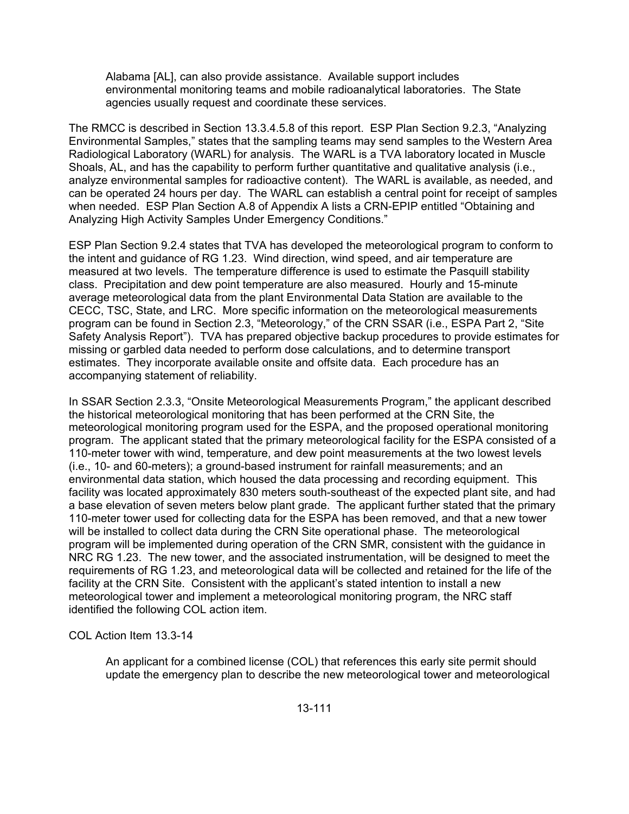Alabama [AL], can also provide assistance. Available support includes environmental monitoring teams and mobile radioanalytical laboratories. The State agencies usually request and coordinate these services.

The RMCC is described in Section 13.3.4.5.8 of this report. ESP Plan Section 9.2.3, "Analyzing Environmental Samples," states that the sampling teams may send samples to the Western Area Radiological Laboratory (WARL) for analysis. The WARL is a TVA laboratory located in Muscle Shoals, AL, and has the capability to perform further quantitative and qualitative analysis (i.e., analyze environmental samples for radioactive content). The WARL is available, as needed, and can be operated 24 hours per day. The WARL can establish a central point for receipt of samples when needed. ESP Plan Section A.8 of Appendix A lists a CRN-EPIP entitled "Obtaining and Analyzing High Activity Samples Under Emergency Conditions."

ESP Plan Section 9.2.4 states that TVA has developed the meteorological program to conform to the intent and guidance of RG 1.23. Wind direction, wind speed, and air temperature are measured at two levels. The temperature difference is used to estimate the Pasquill stability class. Precipitation and dew point temperature are also measured. Hourly and 15-minute average meteorological data from the plant Environmental Data Station are available to the CECC, TSC, State, and LRC. More specific information on the meteorological measurements program can be found in Section 2.3, "Meteorology," of the CRN SSAR (i.e., ESPA Part 2, "Site Safety Analysis Report"). TVA has prepared objective backup procedures to provide estimates for missing or garbled data needed to perform dose calculations, and to determine transport estimates. They incorporate available onsite and offsite data. Each procedure has an accompanying statement of reliability.

In SSAR Section 2.3.3, "Onsite Meteorological Measurements Program," the applicant described the historical meteorological monitoring that has been performed at the CRN Site, the meteorological monitoring program used for the ESPA, and the proposed operational monitoring program. The applicant stated that the primary meteorological facility for the ESPA consisted of a 110-meter tower with wind, temperature, and dew point measurements at the two lowest levels (i.e., 10- and 60-meters); a ground-based instrument for rainfall measurements; and an environmental data station, which housed the data processing and recording equipment. This facility was located approximately 830 meters south-southeast of the expected plant site, and had a base elevation of seven meters below plant grade. The applicant further stated that the primary 110-meter tower used for collecting data for the ESPA has been removed, and that a new tower will be installed to collect data during the CRN Site operational phase. The meteorological program will be implemented during operation of the CRN SMR, consistent with the guidance in NRC RG 1.23. The new tower, and the associated instrumentation, will be designed to meet the requirements of RG 1.23, and meteorological data will be collected and retained for the life of the facility at the CRN Site. Consistent with the applicant's stated intention to install a new meteorological tower and implement a meteorological monitoring program, the NRC staff identified the following COL action item.

COL Action Item 13.3-14

An applicant for a combined license (COL) that references this early site permit should update the emergency plan to describe the new meteorological tower and meteorological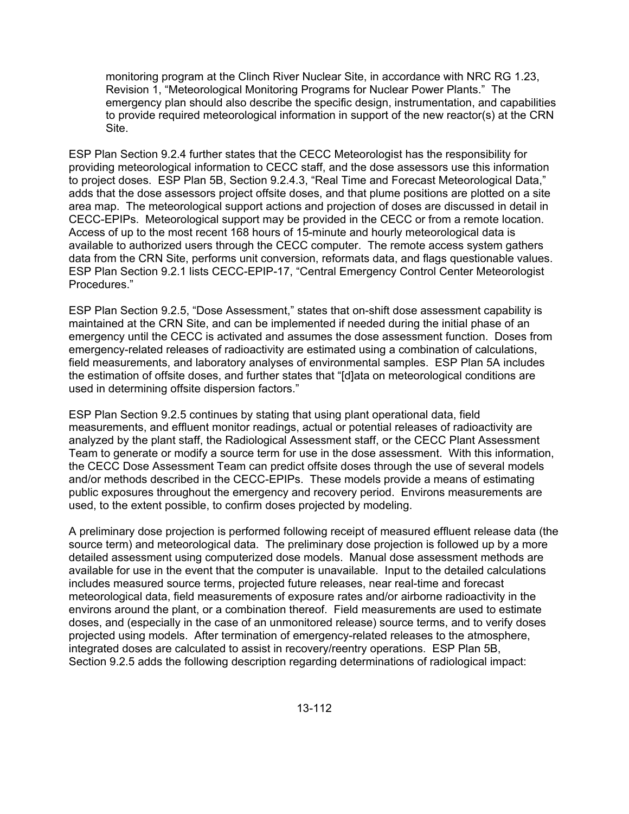monitoring program at the Clinch River Nuclear Site, in accordance with NRC RG 1.23, Revision 1, "Meteorological Monitoring Programs for Nuclear Power Plants." The emergency plan should also describe the specific design, instrumentation, and capabilities to provide required meteorological information in support of the new reactor(s) at the CRN Site.

ESP Plan Section 9.2.4 further states that the CECC Meteorologist has the responsibility for providing meteorological information to CECC staff, and the dose assessors use this information to project doses. ESP Plan 5B, Section 9.2.4.3, "Real Time and Forecast Meteorological Data," adds that the dose assessors project offsite doses, and that plume positions are plotted on a site area map. The meteorological support actions and projection of doses are discussed in detail in CECC-EPIPs. Meteorological support may be provided in the CECC or from a remote location. Access of up to the most recent 168 hours of 15-minute and hourly meteorological data is available to authorized users through the CECC computer. The remote access system gathers data from the CRN Site, performs unit conversion, reformats data, and flags questionable values. ESP Plan Section 9.2.1 lists CECC-EPIP-17, "Central Emergency Control Center Meteorologist Procedures."

ESP Plan Section 9.2.5, "Dose Assessment," states that on-shift dose assessment capability is maintained at the CRN Site, and can be implemented if needed during the initial phase of an emergency until the CECC is activated and assumes the dose assessment function. Doses from emergency-related releases of radioactivity are estimated using a combination of calculations, field measurements, and laboratory analyses of environmental samples. ESP Plan 5A includes the estimation of offsite doses, and further states that "[d]ata on meteorological conditions are used in determining offsite dispersion factors."

ESP Plan Section 9.2.5 continues by stating that using plant operational data, field measurements, and effluent monitor readings, actual or potential releases of radioactivity are analyzed by the plant staff, the Radiological Assessment staff, or the CECC Plant Assessment Team to generate or modify a source term for use in the dose assessment. With this information, the CECC Dose Assessment Team can predict offsite doses through the use of several models and/or methods described in the CECC-EPIPs. These models provide a means of estimating public exposures throughout the emergency and recovery period. Environs measurements are used, to the extent possible, to confirm doses projected by modeling.

A preliminary dose projection is performed following receipt of measured effluent release data (the source term) and meteorological data. The preliminary dose projection is followed up by a more detailed assessment using computerized dose models. Manual dose assessment methods are available for use in the event that the computer is unavailable. Input to the detailed calculations includes measured source terms, projected future releases, near real-time and forecast meteorological data, field measurements of exposure rates and/or airborne radioactivity in the environs around the plant, or a combination thereof. Field measurements are used to estimate doses, and (especially in the case of an unmonitored release) source terms, and to verify doses projected using models. After termination of emergency-related releases to the atmosphere, integrated doses are calculated to assist in recovery/reentry operations. ESP Plan 5B, Section 9.2.5 adds the following description regarding determinations of radiological impact: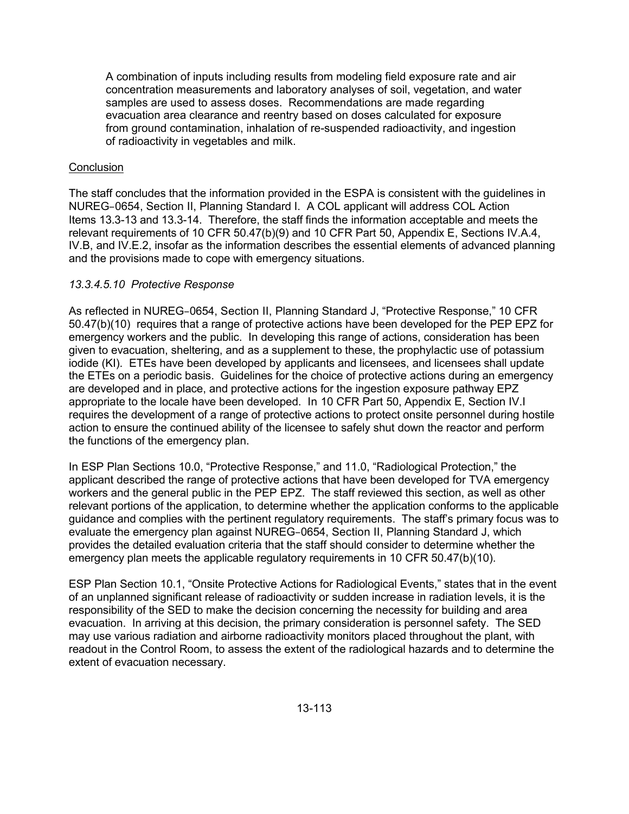A combination of inputs including results from modeling field exposure rate and air concentration measurements and laboratory analyses of soil, vegetation, and water samples are used to assess doses. Recommendations are made regarding evacuation area clearance and reentry based on doses calculated for exposure from ground contamination, inhalation of re-suspended radioactivity, and ingestion of radioactivity in vegetables and milk.

## **Conclusion**

The staff concludes that the information provided in the ESPA is consistent with the guidelines in NUREG–0654, Section II, Planning Standard I. A COL applicant will address COL Action Items 13.3-13 and 13.3-14. Therefore, the staff finds the information acceptable and meets the relevant requirements of 10 CFR 50.47(b)(9) and 10 CFR Part 50, Appendix E, Sections IV.A.4, IV.B, and IV.E.2, insofar as the information describes the essential elements of advanced planning and the provisions made to cope with emergency situations.

## *13.3.4.5.10 Protective Response*

As reflected in NUREG–0654, Section II, Planning Standard J, "Protective Response," 10 CFR 50.47(b)(10) requires that a range of protective actions have been developed for the PEP EPZ for emergency workers and the public. In developing this range of actions, consideration has been given to evacuation, sheltering, and as a supplement to these, the prophylactic use of potassium iodide (KI). ETEs have been developed by applicants and licensees, and licensees shall update the ETEs on a periodic basis. Guidelines for the choice of protective actions during an emergency are developed and in place, and protective actions for the ingestion exposure pathway EPZ appropriate to the locale have been developed. In 10 CFR Part 50, Appendix E, Section IV.I requires the development of a range of protective actions to protect onsite personnel during hostile action to ensure the continued ability of the licensee to safely shut down the reactor and perform the functions of the emergency plan.

In ESP Plan Sections 10.0, "Protective Response," and 11.0, "Radiological Protection," the applicant described the range of protective actions that have been developed for TVA emergency workers and the general public in the PEP EPZ. The staff reviewed this section, as well as other relevant portions of the application, to determine whether the application conforms to the applicable guidance and complies with the pertinent regulatory requirements. The staff's primary focus was to evaluate the emergency plan against NUREG–0654, Section II, Planning Standard J, which provides the detailed evaluation criteria that the staff should consider to determine whether the emergency plan meets the applicable regulatory requirements in 10 CFR 50.47(b)(10).

ESP Plan Section 10.1, "Onsite Protective Actions for Radiological Events," states that in the event of an unplanned significant release of radioactivity or sudden increase in radiation levels, it is the responsibility of the SED to make the decision concerning the necessity for building and area evacuation. In arriving at this decision, the primary consideration is personnel safety. The SED may use various radiation and airborne radioactivity monitors placed throughout the plant, with readout in the Control Room, to assess the extent of the radiological hazards and to determine the extent of evacuation necessary.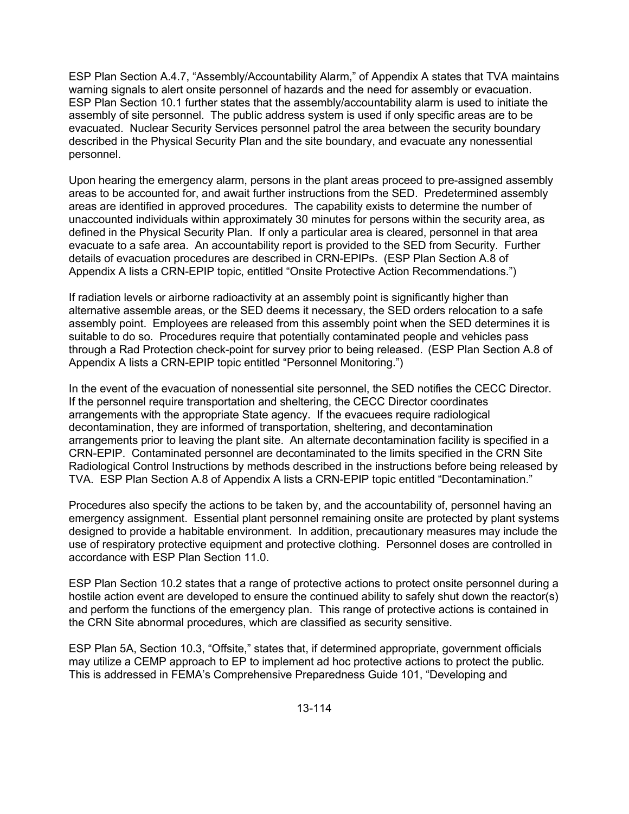ESP Plan Section A.4.7, "Assembly/Accountability Alarm," of Appendix A states that TVA maintains warning signals to alert onsite personnel of hazards and the need for assembly or evacuation. ESP Plan Section 10.1 further states that the assembly/accountability alarm is used to initiate the assembly of site personnel. The public address system is used if only specific areas are to be evacuated. Nuclear Security Services personnel patrol the area between the security boundary described in the Physical Security Plan and the site boundary, and evacuate any nonessential personnel.

Upon hearing the emergency alarm, persons in the plant areas proceed to pre-assigned assembly areas to be accounted for, and await further instructions from the SED. Predetermined assembly areas are identified in approved procedures. The capability exists to determine the number of unaccounted individuals within approximately 30 minutes for persons within the security area, as defined in the Physical Security Plan. If only a particular area is cleared, personnel in that area evacuate to a safe area. An accountability report is provided to the SED from Security. Further details of evacuation procedures are described in CRN-EPIPs. (ESP Plan Section A.8 of Appendix A lists a CRN-EPIP topic, entitled "Onsite Protective Action Recommendations.")

If radiation levels or airborne radioactivity at an assembly point is significantly higher than alternative assemble areas, or the SED deems it necessary, the SED orders relocation to a safe assembly point. Employees are released from this assembly point when the SED determines it is suitable to do so. Procedures require that potentially contaminated people and vehicles pass through a Rad Protection check-point for survey prior to being released. (ESP Plan Section A.8 of Appendix A lists a CRN-EPIP topic entitled "Personnel Monitoring.")

In the event of the evacuation of nonessential site personnel, the SED notifies the CECC Director. If the personnel require transportation and sheltering, the CECC Director coordinates arrangements with the appropriate State agency. If the evacuees require radiological decontamination, they are informed of transportation, sheltering, and decontamination arrangements prior to leaving the plant site. An alternate decontamination facility is specified in a CRN-EPIP. Contaminated personnel are decontaminated to the limits specified in the CRN Site Radiological Control Instructions by methods described in the instructions before being released by TVA. ESP Plan Section A.8 of Appendix A lists a CRN-EPIP topic entitled "Decontamination."

Procedures also specify the actions to be taken by, and the accountability of, personnel having an emergency assignment. Essential plant personnel remaining onsite are protected by plant systems designed to provide a habitable environment. In addition, precautionary measures may include the use of respiratory protective equipment and protective clothing. Personnel doses are controlled in accordance with ESP Plan Section 11.0.

ESP Plan Section 10.2 states that a range of protective actions to protect onsite personnel during a hostile action event are developed to ensure the continued ability to safely shut down the reactor(s) and perform the functions of the emergency plan. This range of protective actions is contained in the CRN Site abnormal procedures, which are classified as security sensitive.

ESP Plan 5A, Section 10.3, "Offsite," states that, if determined appropriate, government officials may utilize a CEMP approach to EP to implement ad hoc protective actions to protect the public. This is addressed in FEMA's Comprehensive Preparedness Guide 101, "Developing and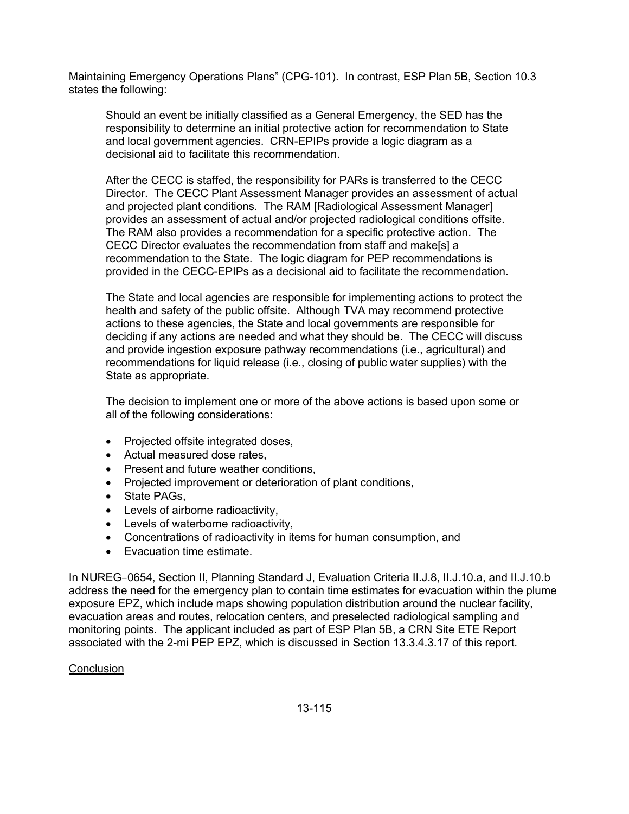Maintaining Emergency Operations Plans" (CPG-101). In contrast, ESP Plan 5B, Section 10.3 states the following:

Should an event be initially classified as a General Emergency, the SED has the responsibility to determine an initial protective action for recommendation to State and local government agencies. CRN-EPIPs provide a logic diagram as a decisional aid to facilitate this recommendation.

After the CECC is staffed, the responsibility for PARs is transferred to the CECC Director. The CECC Plant Assessment Manager provides an assessment of actual and projected plant conditions. The RAM [Radiological Assessment Manager] provides an assessment of actual and/or projected radiological conditions offsite. The RAM also provides a recommendation for a specific protective action. The CECC Director evaluates the recommendation from staff and make[s] a recommendation to the State. The logic diagram for PEP recommendations is provided in the CECC-EPIPs as a decisional aid to facilitate the recommendation.

The State and local agencies are responsible for implementing actions to protect the health and safety of the public offsite. Although TVA may recommend protective actions to these agencies, the State and local governments are responsible for deciding if any actions are needed and what they should be. The CECC will discuss and provide ingestion exposure pathway recommendations (i.e., agricultural) and recommendations for liquid release (i.e., closing of public water supplies) with the State as appropriate.

The decision to implement one or more of the above actions is based upon some or all of the following considerations:

- Projected offsite integrated doses,
- Actual measured dose rates,
- Present and future weather conditions,
- Projected improvement or deterioration of plant conditions,
- State PAGs.
- Levels of airborne radioactivity,
- Levels of waterborne radioactivity,
- Concentrations of radioactivity in items for human consumption, and
- Evacuation time estimate.

In NUREG–0654, Section II, Planning Standard J, Evaluation Criteria II.J.8, II.J.10.a, and II.J.10.b address the need for the emergency plan to contain time estimates for evacuation within the plume exposure EPZ, which include maps showing population distribution around the nuclear facility, evacuation areas and routes, relocation centers, and preselected radiological sampling and monitoring points. The applicant included as part of ESP Plan 5B, a CRN Site ETE Report associated with the 2-mi PEP EPZ, which is discussed in Section 13.3.4.3.17 of this report.

#### **Conclusion**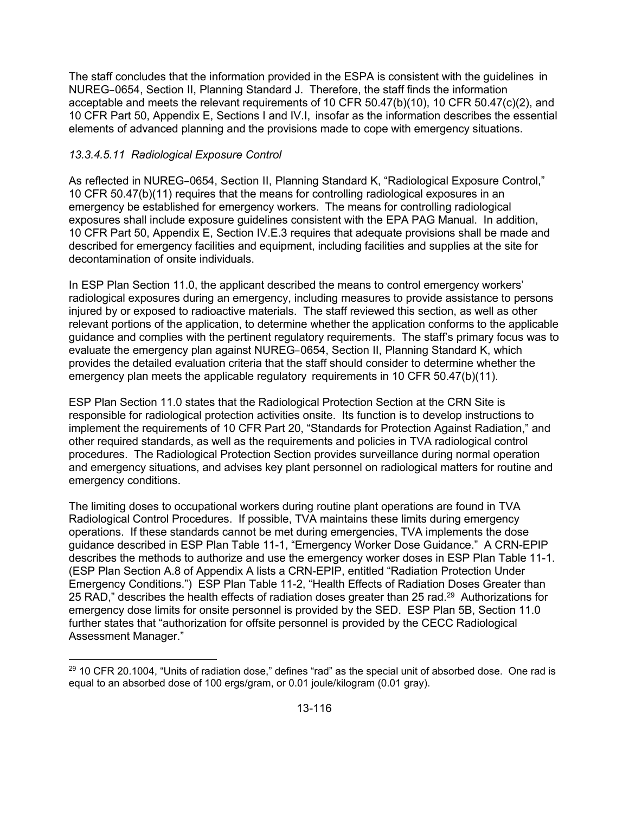The staff concludes that the information provided in the ESPA is consistent with the guidelines in NUREG–0654, Section II, Planning Standard J. Therefore, the staff finds the information acceptable and meets the relevant requirements of 10 CFR 50.47(b)(10), 10 CFR 50.47(c)(2), and 10 CFR Part 50, Appendix E, Sections I and IV.I, insofar as the information describes the essential elements of advanced planning and the provisions made to cope with emergency situations.

## *13.3.4.5.11 Radiological Exposure Control*

As reflected in NUREG–0654, Section II, Planning Standard K, "Radiological Exposure Control," 10 CFR 50.47(b)(11) requires that the means for controlling radiological exposures in an emergency be established for emergency workers. The means for controlling radiological exposures shall include exposure guidelines consistent with the EPA PAG Manual. In addition, 10 CFR Part 50, Appendix E, Section IV.E.3 requires that adequate provisions shall be made and described for emergency facilities and equipment, including facilities and supplies at the site for decontamination of onsite individuals.

In ESP Plan Section 11.0, the applicant described the means to control emergency workers' radiological exposures during an emergency, including measures to provide assistance to persons injured by or exposed to radioactive materials. The staff reviewed this section, as well as other relevant portions of the application, to determine whether the application conforms to the applicable guidance and complies with the pertinent regulatory requirements. The staff's primary focus was to evaluate the emergency plan against NUREG–0654, Section II, Planning Standard K, which provides the detailed evaluation criteria that the staff should consider to determine whether the emergency plan meets the applicable regulatory requirements in 10 CFR 50.47(b)(11).

ESP Plan Section 11.0 states that the Radiological Protection Section at the CRN Site is responsible for radiological protection activities onsite. Its function is to develop instructions to implement the requirements of 10 CFR Part 20, "Standards for Protection Against Radiation," and other required standards, as well as the requirements and policies in TVA radiological control procedures. The Radiological Protection Section provides surveillance during normal operation and emergency situations, and advises key plant personnel on radiological matters for routine and emergency conditions.

The limiting doses to occupational workers during routine plant operations are found in TVA Radiological Control Procedures. If possible, TVA maintains these limits during emergency operations. If these standards cannot be met during emergencies, TVA implements the dose guidance described in ESP Plan Table 11-1, "Emergency Worker Dose Guidance." A CRN-EPIP describes the methods to authorize and use the emergency worker doses in ESP Plan Table 11-1. (ESP Plan Section A.8 of Appendix A lists a CRN-EPIP, entitled "Radiation Protection Under Emergency Conditions.") ESP Plan Table 11-2, "Health Effects of Radiation Doses Greater than 25 RAD," describes the health effects of radiation doses greater than 25 rad.<sup>29</sup> Authorizations for emergency dose limits for onsite personnel is provided by the SED. ESP Plan 5B, Section 11.0 further states that "authorization for offsite personnel is provided by the CECC Radiological Assessment Manager."

**<sup>.</sup>**  $^{29}$  10 CFR 20.1004, "Units of radiation dose," defines "rad" as the special unit of absorbed dose. One rad is equal to an absorbed dose of 100 ergs/gram, or 0.01 joule/kilogram (0.01 gray).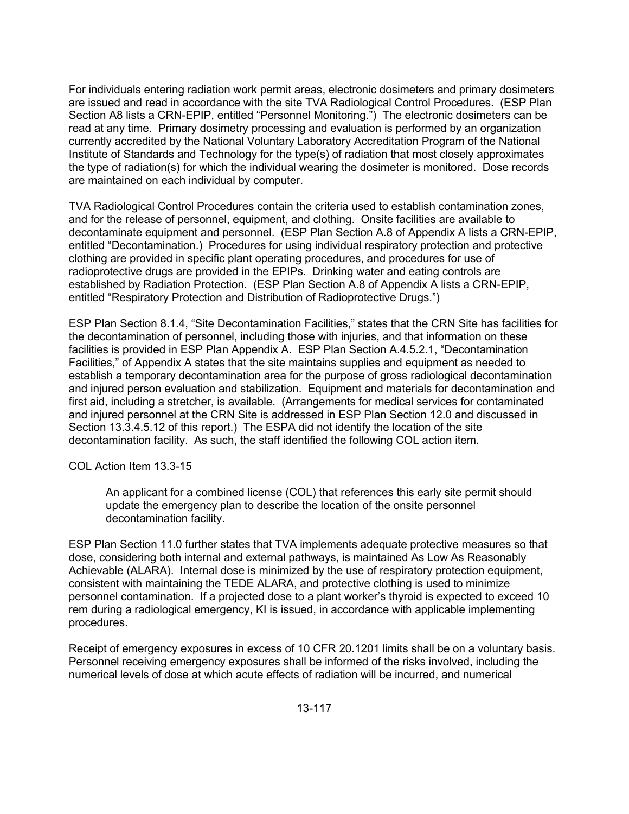For individuals entering radiation work permit areas, electronic dosimeters and primary dosimeters are issued and read in accordance with the site TVA Radiological Control Procedures. (ESP Plan Section A8 lists a CRN-EPIP, entitled "Personnel Monitoring.") The electronic dosimeters can be read at any time. Primary dosimetry processing and evaluation is performed by an organization currently accredited by the National Voluntary Laboratory Accreditation Program of the National Institute of Standards and Technology for the type(s) of radiation that most closely approximates the type of radiation(s) for which the individual wearing the dosimeter is monitored. Dose records are maintained on each individual by computer.

TVA Radiological Control Procedures contain the criteria used to establish contamination zones, and for the release of personnel, equipment, and clothing. Onsite facilities are available to decontaminate equipment and personnel. (ESP Plan Section A.8 of Appendix A lists a CRN-EPIP, entitled "Decontamination.) Procedures for using individual respiratory protection and protective clothing are provided in specific plant operating procedures, and procedures for use of radioprotective drugs are provided in the EPIPs. Drinking water and eating controls are established by Radiation Protection. (ESP Plan Section A.8 of Appendix A lists a CRN-EPIP, entitled "Respiratory Protection and Distribution of Radioprotective Drugs.")

ESP Plan Section 8.1.4, "Site Decontamination Facilities," states that the CRN Site has facilities for the decontamination of personnel, including those with injuries, and that information on these facilities is provided in ESP Plan Appendix A. ESP Plan Section A.4.5.2.1, "Decontamination Facilities," of Appendix A states that the site maintains supplies and equipment as needed to establish a temporary decontamination area for the purpose of gross radiological decontamination and injured person evaluation and stabilization. Equipment and materials for decontamination and first aid, including a stretcher, is available. (Arrangements for medical services for contaminated and injured personnel at the CRN Site is addressed in ESP Plan Section 12.0 and discussed in Section 13.3.4.5.12 of this report.) The ESPA did not identify the location of the site decontamination facility. As such, the staff identified the following COL action item.

COL Action Item 13.3-15

An applicant for a combined license (COL) that references this early site permit should update the emergency plan to describe the location of the onsite personnel decontamination facility.

ESP Plan Section 11.0 further states that TVA implements adequate protective measures so that dose, considering both internal and external pathways, is maintained As Low As Reasonably Achievable (ALARA). Internal dose is minimized by the use of respiratory protection equipment, consistent with maintaining the TEDE ALARA, and protective clothing is used to minimize personnel contamination. If a projected dose to a plant worker's thyroid is expected to exceed 10 rem during a radiological emergency, KI is issued, in accordance with applicable implementing procedures.

Receipt of emergency exposures in excess of 10 CFR 20.1201 limits shall be on a voluntary basis. Personnel receiving emergency exposures shall be informed of the risks involved, including the numerical levels of dose at which acute effects of radiation will be incurred, and numerical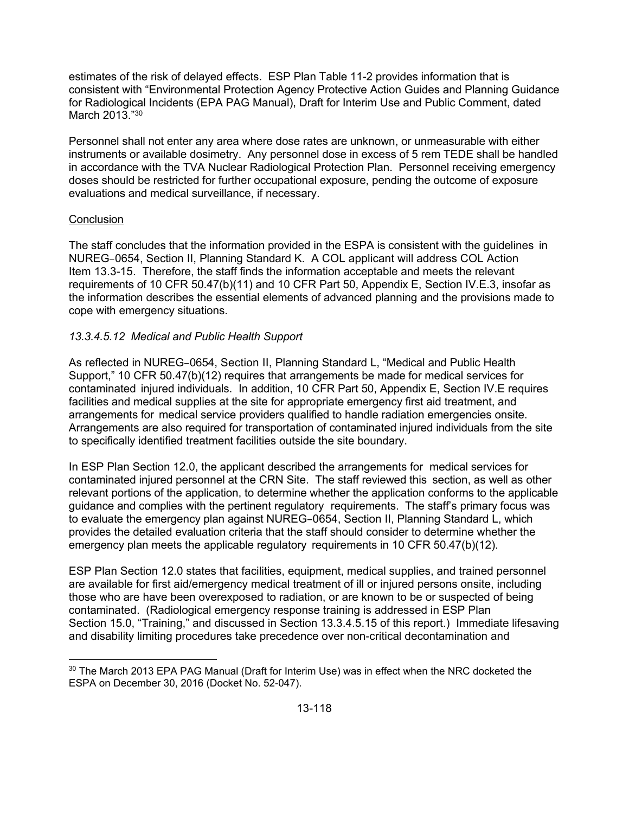estimates of the risk of delayed effects. ESP Plan Table 11-2 provides information that is consistent with "Environmental Protection Agency Protective Action Guides and Planning Guidance for Radiological Incidents (EPA PAG Manual), Draft for Interim Use and Public Comment, dated March 2013."30

Personnel shall not enter any area where dose rates are unknown, or unmeasurable with either instruments or available dosimetry. Any personnel dose in excess of 5 rem TEDE shall be handled in accordance with the TVA Nuclear Radiological Protection Plan. Personnel receiving emergency doses should be restricted for further occupational exposure, pending the outcome of exposure evaluations and medical surveillance, if necessary.

## **Conclusion**

The staff concludes that the information provided in the ESPA is consistent with the guidelines in NUREG–0654, Section II, Planning Standard K. A COL applicant will address COL Action Item 13.3-15. Therefore, the staff finds the information acceptable and meets the relevant requirements of 10 CFR 50.47(b)(11) and 10 CFR Part 50, Appendix E, Section IV.E.3, insofar as the information describes the essential elements of advanced planning and the provisions made to cope with emergency situations.

# *13.3.4.5.12 Medical and Public Health Support*

As reflected in NUREG–0654, Section II, Planning Standard L, "Medical and Public Health Support," 10 CFR 50.47(b)(12) requires that arrangements be made for medical services for contaminated injured individuals. In addition, 10 CFR Part 50, Appendix E, Section IV.E requires facilities and medical supplies at the site for appropriate emergency first aid treatment, and arrangements for medical service providers qualified to handle radiation emergencies onsite. Arrangements are also required for transportation of contaminated injured individuals from the site to specifically identified treatment facilities outside the site boundary.

In ESP Plan Section 12.0, the applicant described the arrangements for medical services for contaminated injured personnel at the CRN Site. The staff reviewed this section, as well as other relevant portions of the application, to determine whether the application conforms to the applicable guidance and complies with the pertinent regulatory requirements. The staff's primary focus was to evaluate the emergency plan against NUREG–0654, Section II, Planning Standard L, which provides the detailed evaluation criteria that the staff should consider to determine whether the emergency plan meets the applicable regulatory requirements in 10 CFR 50.47(b)(12).

ESP Plan Section 12.0 states that facilities, equipment, medical supplies, and trained personnel are available for first aid/emergency medical treatment of ill or injured persons onsite, including those who are have been overexposed to radiation, or are known to be or suspected of being contaminated. (Radiological emergency response training is addressed in ESP Plan Section 15.0, "Training," and discussed in Section 13.3.4.5.15 of this report.) Immediate lifesaving and disability limiting procedures take precedence over non-critical decontamination and

**<sup>.</sup>**  $30$  The March 2013 EPA PAG Manual (Draft for Interim Use) was in effect when the NRC docketed the ESPA on December 30, 2016 (Docket No. 52-047).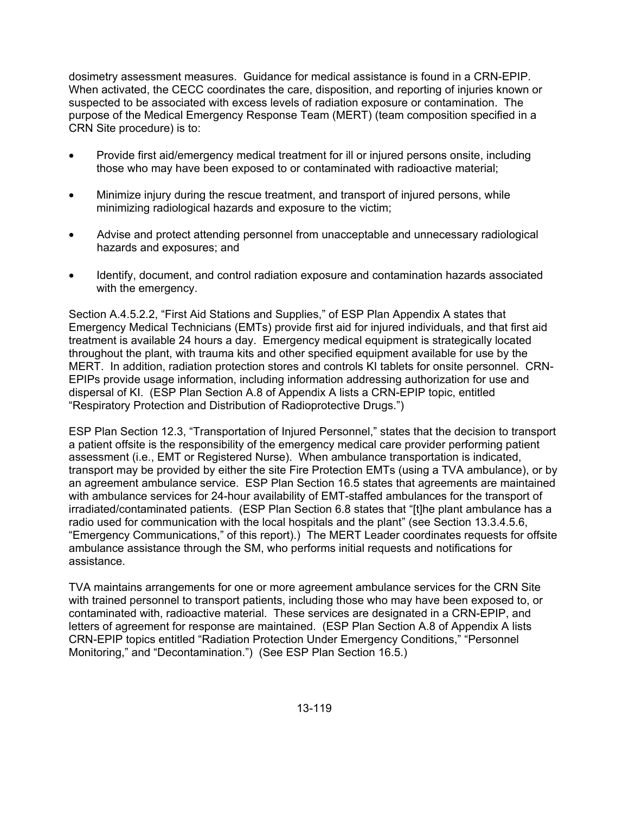dosimetry assessment measures. Guidance for medical assistance is found in a CRN-EPIP. When activated, the CECC coordinates the care, disposition, and reporting of injuries known or suspected to be associated with excess levels of radiation exposure or contamination. The purpose of the Medical Emergency Response Team (MERT) (team composition specified in a CRN Site procedure) is to:

- Provide first aid/emergency medical treatment for ill or injured persons onsite, including those who may have been exposed to or contaminated with radioactive material;
- Minimize injury during the rescue treatment, and transport of injured persons, while minimizing radiological hazards and exposure to the victim;
- Advise and protect attending personnel from unacceptable and unnecessary radiological hazards and exposures; and
- Identify, document, and control radiation exposure and contamination hazards associated with the emergency.

Section A.4.5.2.2, "First Aid Stations and Supplies," of ESP Plan Appendix A states that Emergency Medical Technicians (EMTs) provide first aid for injured individuals, and that first aid treatment is available 24 hours a day. Emergency medical equipment is strategically located throughout the plant, with trauma kits and other specified equipment available for use by the MERT. In addition, radiation protection stores and controls KI tablets for onsite personnel. CRN-EPIPs provide usage information, including information addressing authorization for use and dispersal of KI. (ESP Plan Section A.8 of Appendix A lists a CRN-EPIP topic, entitled "Respiratory Protection and Distribution of Radioprotective Drugs.")

ESP Plan Section 12.3, "Transportation of Injured Personnel," states that the decision to transport a patient offsite is the responsibility of the emergency medical care provider performing patient assessment (i.e., EMT or Registered Nurse). When ambulance transportation is indicated, transport may be provided by either the site Fire Protection EMTs (using a TVA ambulance), or by an agreement ambulance service. ESP Plan Section 16.5 states that agreements are maintained with ambulance services for 24-hour availability of EMT-staffed ambulances for the transport of irradiated/contaminated patients. (ESP Plan Section 6.8 states that "[t]he plant ambulance has a radio used for communication with the local hospitals and the plant" (see Section 13.3.4.5.6, "Emergency Communications," of this report).) The MERT Leader coordinates requests for offsite ambulance assistance through the SM, who performs initial requests and notifications for assistance.

TVA maintains arrangements for one or more agreement ambulance services for the CRN Site with trained personnel to transport patients, including those who may have been exposed to, or contaminated with, radioactive material. These services are designated in a CRN-EPIP, and letters of agreement for response are maintained. (ESP Plan Section A.8 of Appendix A lists CRN-EPIP topics entitled "Radiation Protection Under Emergency Conditions," "Personnel Monitoring," and "Decontamination.") (See ESP Plan Section 16.5.)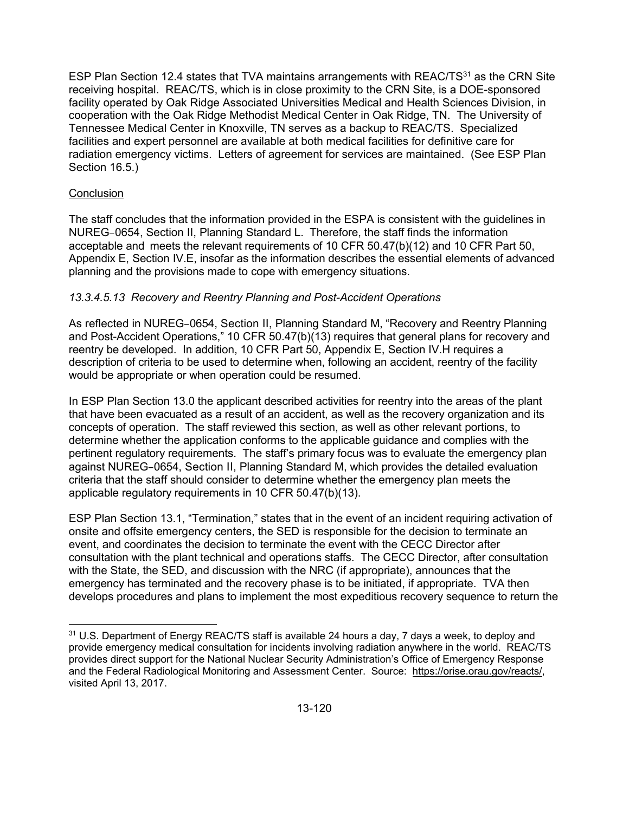ESP Plan Section 12.4 states that TVA maintains arrangements with REAC/TS $31$  as the CRN Site receiving hospital. REAC/TS, which is in close proximity to the CRN Site, is a DOE-sponsored facility operated by Oak Ridge Associated Universities Medical and Health Sciences Division, in cooperation with the Oak Ridge Methodist Medical Center in Oak Ridge, TN. The University of Tennessee Medical Center in Knoxville, TN serves as a backup to REAC/TS. Specialized facilities and expert personnel are available at both medical facilities for definitive care for radiation emergency victims. Letters of agreement for services are maintained. (See ESP Plan Section 16.5.)

## **Conclusion**

The staff concludes that the information provided in the ESPA is consistent with the guidelines in NUREG–0654, Section II, Planning Standard L. Therefore, the staff finds the information acceptable and meets the relevant requirements of 10 CFR 50.47(b)(12) and 10 CFR Part 50, Appendix E, Section IV.E, insofar as the information describes the essential elements of advanced planning and the provisions made to cope with emergency situations.

## *13.3.4.5.13 Recovery and Reentry Planning and Post-Accident Operations*

As reflected in NUREG–0654, Section II, Planning Standard M, "Recovery and Reentry Planning and Post-Accident Operations," 10 CFR 50.47(b)(13) requires that general plans for recovery and reentry be developed. In addition, 10 CFR Part 50, Appendix E, Section IV.H requires a description of criteria to be used to determine when, following an accident, reentry of the facility would be appropriate or when operation could be resumed.

In ESP Plan Section 13.0 the applicant described activities for reentry into the areas of the plant that have been evacuated as a result of an accident, as well as the recovery organization and its concepts of operation. The staff reviewed this section, as well as other relevant portions, to determine whether the application conforms to the applicable guidance and complies with the pertinent regulatory requirements. The staff's primary focus was to evaluate the emergency plan against NUREG–0654, Section II, Planning Standard M, which provides the detailed evaluation criteria that the staff should consider to determine whether the emergency plan meets the applicable regulatory requirements in 10 CFR 50.47(b)(13).

ESP Plan Section 13.1, "Termination," states that in the event of an incident requiring activation of onsite and offsite emergency centers, the SED is responsible for the decision to terminate an event, and coordinates the decision to terminate the event with the CECC Director after consultation with the plant technical and operations staffs. The CECC Director, after consultation with the State, the SED, and discussion with the NRC (if appropriate), announces that the emergency has terminated and the recovery phase is to be initiated, if appropriate. TVA then develops procedures and plans to implement the most expeditious recovery sequence to return the

**<sup>.</sup>** <sup>31</sup> U.S. Department of Energy REAC/TS staff is available 24 hours a day, 7 days a week, to deploy and provide emergency medical consultation for incidents involving radiation anywhere in the world. REAC/TS provides direct support for the National Nuclear Security Administration's Office of Emergency Response and the Federal Radiological Monitoring and Assessment Center. Source: https://orise.orau.gov/reacts/, visited April 13, 2017.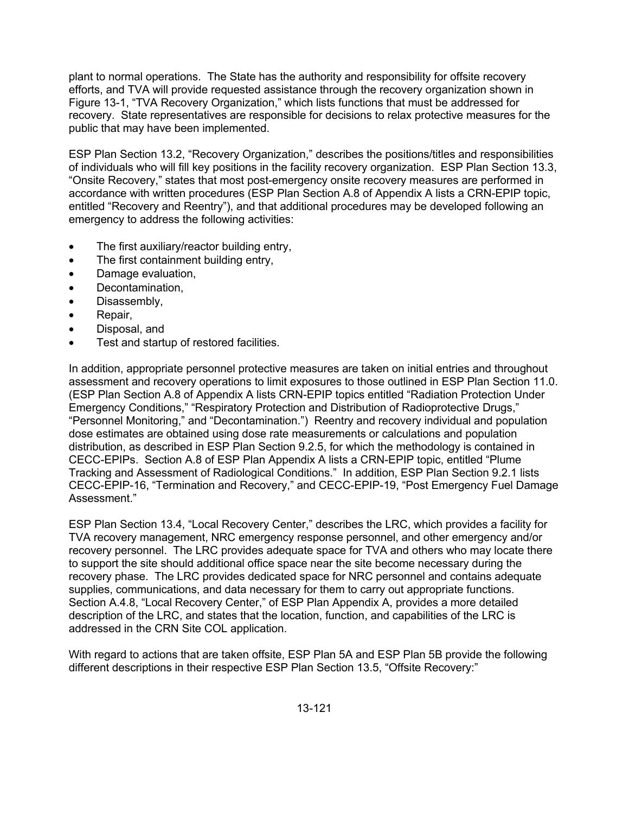plant to normal operations. The State has the authority and responsibility for offsite recovery efforts, and TVA will provide requested assistance through the recovery organization shown in Figure 13-1, "TVA Recovery Organization," which lists functions that must be addressed for recovery. State representatives are responsible for decisions to relax protective measures for the public that may have been implemented.

ESP Plan Section 13.2, "Recovery Organization," describes the positions/titles and responsibilities of individuals who will fill key positions in the facility recovery organization. ESP Plan Section 13.3, "Onsite Recovery," states that most post-emergency onsite recovery measures are performed in accordance with written procedures (ESP Plan Section A.8 of Appendix A lists a CRN-EPIP topic, entitled "Recovery and Reentry"), and that additional procedures may be developed following an emergency to address the following activities:

- The first auxiliary/reactor building entry,
- The first containment building entry,
- Damage evaluation,
- Decontamination,
- Disassembly,
- Repair,
- Disposal, and
- Test and startup of restored facilities.

In addition, appropriate personnel protective measures are taken on initial entries and throughout assessment and recovery operations to limit exposures to those outlined in ESP Plan Section 11.0. (ESP Plan Section A.8 of Appendix A lists CRN-EPIP topics entitled "Radiation Protection Under Emergency Conditions," "Respiratory Protection and Distribution of Radioprotective Drugs," "Personnel Monitoring," and "Decontamination.") Reentry and recovery individual and population dose estimates are obtained using dose rate measurements or calculations and population distribution, as described in ESP Plan Section 9.2.5, for which the methodology is contained in CECC-EPIPs. Section A.8 of ESP Plan Appendix A lists a CRN-EPIP topic, entitled "Plume Tracking and Assessment of Radiological Conditions." In addition, ESP Plan Section 9.2.1 lists CECC-EPIP-16, "Termination and Recovery," and CECC-EPIP-19, "Post Emergency Fuel Damage Assessment."

ESP Plan Section 13.4, "Local Recovery Center," describes the LRC, which provides a facility for TVA recovery management, NRC emergency response personnel, and other emergency and/or recovery personnel. The LRC provides adequate space for TVA and others who may locate there to support the site should additional office space near the site become necessary during the recovery phase. The LRC provides dedicated space for NRC personnel and contains adequate supplies, communications, and data necessary for them to carry out appropriate functions. Section A.4.8, "Local Recovery Center," of ESP Plan Appendix A, provides a more detailed description of the LRC, and states that the location, function, and capabilities of the LRC is addressed in the CRN Site COL application.

With regard to actions that are taken offsite, ESP Plan 5A and ESP Plan 5B provide the following different descriptions in their respective ESP Plan Section 13.5, "Offsite Recovery:"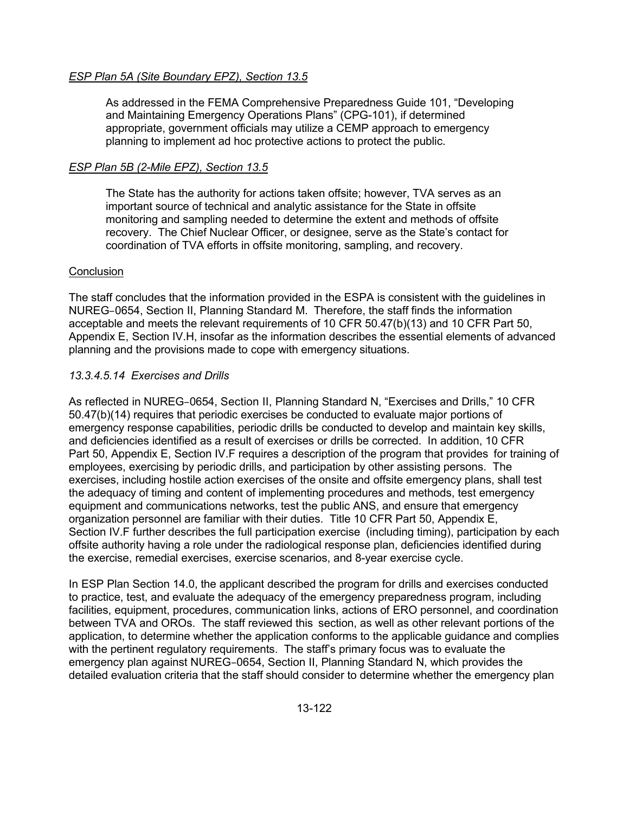## *ESP Plan 5A (Site Boundary EPZ), Section 13.5*

As addressed in the FEMA Comprehensive Preparedness Guide 101, "Developing and Maintaining Emergency Operations Plans" (CPG-101), if determined appropriate, government officials may utilize a CEMP approach to emergency planning to implement ad hoc protective actions to protect the public.

## *ESP Plan 5B (2-Mile EPZ), Section 13.5*

The State has the authority for actions taken offsite; however, TVA serves as an important source of technical and analytic assistance for the State in offsite monitoring and sampling needed to determine the extent and methods of offsite recovery. The Chief Nuclear Officer, or designee, serve as the State's contact for coordination of TVA efforts in offsite monitoring, sampling, and recovery.

## **Conclusion**

The staff concludes that the information provided in the ESPA is consistent with the guidelines in NUREG–0654, Section II, Planning Standard M. Therefore, the staff finds the information acceptable and meets the relevant requirements of 10 CFR 50.47(b)(13) and 10 CFR Part 50, Appendix E, Section IV.H, insofar as the information describes the essential elements of advanced planning and the provisions made to cope with emergency situations.

## *13.3.4.5.14 Exercises and Drills*

As reflected in NUREG–0654, Section II, Planning Standard N, "Exercises and Drills," 10 CFR 50.47(b)(14) requires that periodic exercises be conducted to evaluate major portions of emergency response capabilities, periodic drills be conducted to develop and maintain key skills, and deficiencies identified as a result of exercises or drills be corrected. In addition, 10 CFR Part 50, Appendix E, Section IV.F requires a description of the program that provides for training of employees, exercising by periodic drills, and participation by other assisting persons. The exercises, including hostile action exercises of the onsite and offsite emergency plans, shall test the adequacy of timing and content of implementing procedures and methods, test emergency equipment and communications networks, test the public ANS, and ensure that emergency organization personnel are familiar with their duties. Title 10 CFR Part 50, Appendix E, Section IV.F further describes the full participation exercise (including timing), participation by each offsite authority having a role under the radiological response plan, deficiencies identified during the exercise, remedial exercises, exercise scenarios, and 8-year exercise cycle.

In ESP Plan Section 14.0, the applicant described the program for drills and exercises conducted to practice, test, and evaluate the adequacy of the emergency preparedness program, including facilities, equipment, procedures, communication links, actions of ERO personnel, and coordination between TVA and OROs. The staff reviewed this section, as well as other relevant portions of the application, to determine whether the application conforms to the applicable guidance and complies with the pertinent regulatory requirements. The staff's primary focus was to evaluate the emergency plan against NUREG–0654, Section II, Planning Standard N, which provides the detailed evaluation criteria that the staff should consider to determine whether the emergency plan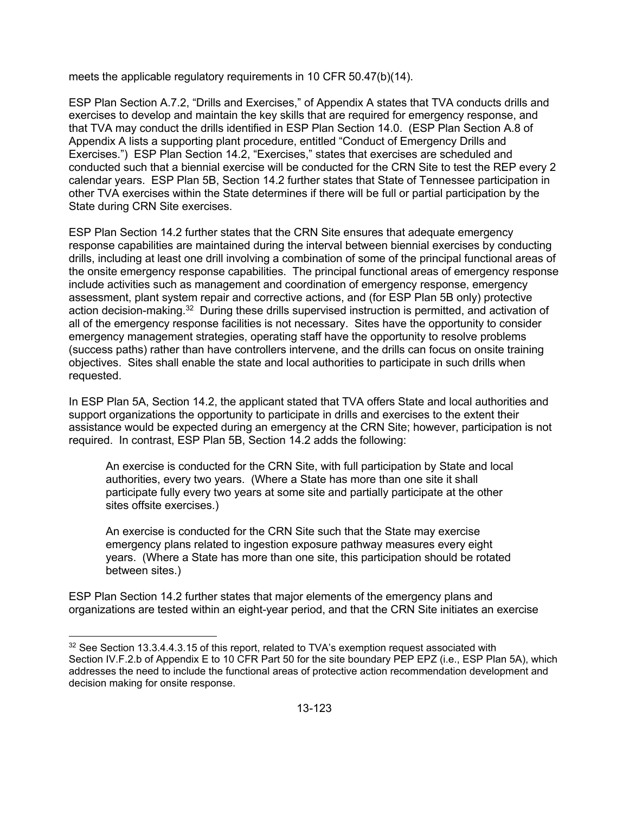meets the applicable regulatory requirements in 10 CFR 50.47(b)(14).

ESP Plan Section A.7.2, "Drills and Exercises," of Appendix A states that TVA conducts drills and exercises to develop and maintain the key skills that are required for emergency response, and that TVA may conduct the drills identified in ESP Plan Section 14.0. (ESP Plan Section A.8 of Appendix A lists a supporting plant procedure, entitled "Conduct of Emergency Drills and Exercises.") ESP Plan Section 14.2, "Exercises," states that exercises are scheduled and conducted such that a biennial exercise will be conducted for the CRN Site to test the REP every 2 calendar years. ESP Plan 5B, Section 14.2 further states that State of Tennessee participation in other TVA exercises within the State determines if there will be full or partial participation by the State during CRN Site exercises.

ESP Plan Section 14.2 further states that the CRN Site ensures that adequate emergency response capabilities are maintained during the interval between biennial exercises by conducting drills, including at least one drill involving a combination of some of the principal functional areas of the onsite emergency response capabilities. The principal functional areas of emergency response include activities such as management and coordination of emergency response, emergency assessment, plant system repair and corrective actions, and (for ESP Plan 5B only) protective action decision-making.<sup>32</sup> During these drills supervised instruction is permitted, and activation of all of the emergency response facilities is not necessary. Sites have the opportunity to consider emergency management strategies, operating staff have the opportunity to resolve problems (success paths) rather than have controllers intervene, and the drills can focus on onsite training objectives. Sites shall enable the state and local authorities to participate in such drills when requested.

In ESP Plan 5A, Section 14.2, the applicant stated that TVA offers State and local authorities and support organizations the opportunity to participate in drills and exercises to the extent their assistance would be expected during an emergency at the CRN Site; however, participation is not required. In contrast, ESP Plan 5B, Section 14.2 adds the following:

An exercise is conducted for the CRN Site, with full participation by State and local authorities, every two years. (Where a State has more than one site it shall participate fully every two years at some site and partially participate at the other sites offsite exercises.)

An exercise is conducted for the CRN Site such that the State may exercise emergency plans related to ingestion exposure pathway measures every eight years. (Where a State has more than one site, this participation should be rotated between sites.)

ESP Plan Section 14.2 further states that major elements of the emergency plans and organizations are tested within an eight-year period, and that the CRN Site initiates an exercise

 $\overline{a}$ 

 $32$  See Section 13.3.4.4.3.15 of this report, related to TVA's exemption request associated with Section IV.F.2.b of Appendix E to 10 CFR Part 50 for the site boundary PEP EPZ (i.e., ESP Plan 5A), which addresses the need to include the functional areas of protective action recommendation development and decision making for onsite response.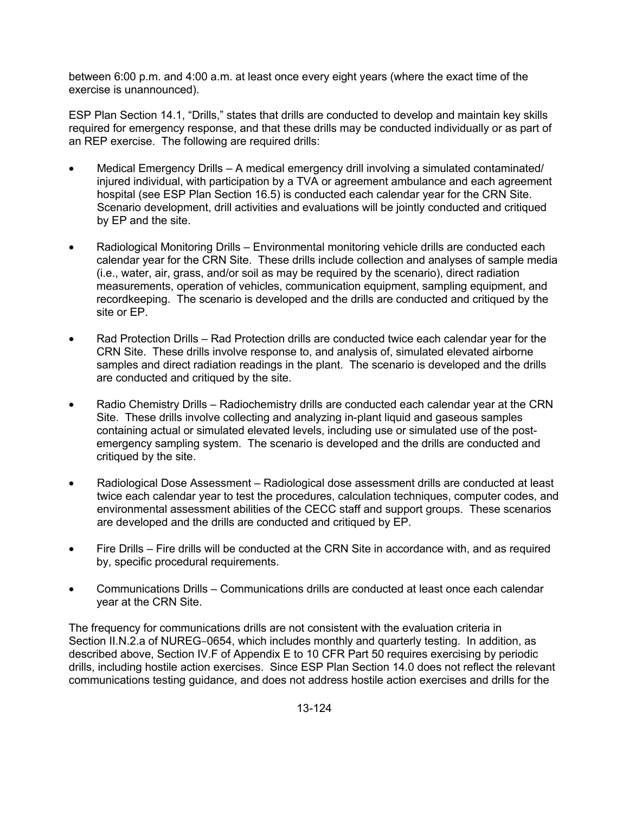between 6:00 p.m. and 4:00 a.m. at least once every eight years (where the exact time of the exercise is unannounced).

ESP Plan Section 14.1, "Drills," states that drills are conducted to develop and maintain key skills required for emergency response, and that these drills may be conducted individually or as part of an REP exercise. The following are required drills:

- Medical Emergency Drills A medical emergency drill involving a simulated contaminated/ injured individual, with participation by a TVA or agreement ambulance and each agreement hospital (see ESP Plan Section 16.5) is conducted each calendar year for the CRN Site. Scenario development, drill activities and evaluations will be jointly conducted and critiqued by EP and the site.
- Radiological Monitoring Drills Environmental monitoring vehicle drills are conducted each calendar year for the CRN Site. These drills include collection and analyses of sample media (i.e., water, air, grass, and/or soil as may be required by the scenario), direct radiation measurements, operation of vehicles, communication equipment, sampling equipment, and recordkeeping. The scenario is developed and the drills are conducted and critiqued by the site or EP.
- Rad Protection Drills Rad Protection drills are conducted twice each calendar year for the CRN Site. These drills involve response to, and analysis of, simulated elevated airborne samples and direct radiation readings in the plant. The scenario is developed and the drills are conducted and critiqued by the site.
- Radio Chemistry Drills Radiochemistry drills are conducted each calendar year at the CRN Site. These drills involve collecting and analyzing in-plant liquid and gaseous samples containing actual or simulated elevated levels, including use or simulated use of the postemergency sampling system. The scenario is developed and the drills are conducted and critiqued by the site.
- Radiological Dose Assessment Radiological dose assessment drills are conducted at least twice each calendar year to test the procedures, calculation techniques, computer codes, and environmental assessment abilities of the CECC staff and support groups. These scenarios are developed and the drills are conducted and critiqued by EP.
- Fire Drills Fire drills will be conducted at the CRN Site in accordance with, and as required by, specific procedural requirements.
- Communications Drills Communications drills are conducted at least once each calendar year at the CRN Site.

The frequency for communications drills are not consistent with the evaluation criteria in Section II.N.2.a of NUREG–0654, which includes monthly and quarterly testing. In addition, as described above, Section IV.F of Appendix E to 10 CFR Part 50 requires exercising by periodic drills, including hostile action exercises. Since ESP Plan Section 14.0 does not reflect the relevant communications testing guidance, and does not address hostile action exercises and drills for the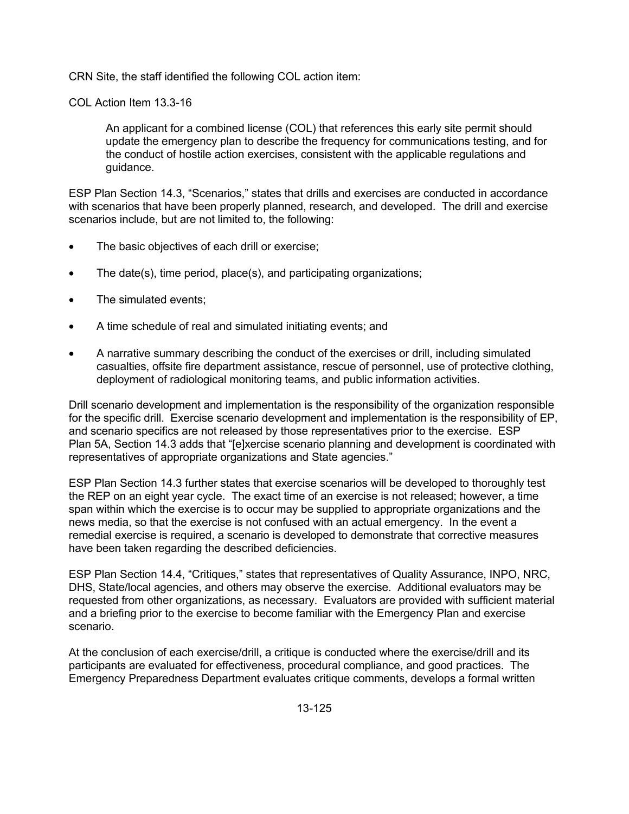CRN Site, the staff identified the following COL action item:

COL Action Item 13.3-16

An applicant for a combined license (COL) that references this early site permit should update the emergency plan to describe the frequency for communications testing, and for the conduct of hostile action exercises, consistent with the applicable regulations and guidance.

ESP Plan Section 14.3, "Scenarios," states that drills and exercises are conducted in accordance with scenarios that have been properly planned, research, and developed. The drill and exercise scenarios include, but are not limited to, the following:

- The basic objectives of each drill or exercise;
- The date(s), time period, place(s), and participating organizations;
- The simulated events;
- A time schedule of real and simulated initiating events; and
- A narrative summary describing the conduct of the exercises or drill, including simulated casualties, offsite fire department assistance, rescue of personnel, use of protective clothing, deployment of radiological monitoring teams, and public information activities.

Drill scenario development and implementation is the responsibility of the organization responsible for the specific drill. Exercise scenario development and implementation is the responsibility of EP, and scenario specifics are not released by those representatives prior to the exercise. ESP Plan 5A, Section 14.3 adds that "[e]xercise scenario planning and development is coordinated with representatives of appropriate organizations and State agencies."

ESP Plan Section 14.3 further states that exercise scenarios will be developed to thoroughly test the REP on an eight year cycle. The exact time of an exercise is not released; however, a time span within which the exercise is to occur may be supplied to appropriate organizations and the news media, so that the exercise is not confused with an actual emergency. In the event a remedial exercise is required, a scenario is developed to demonstrate that corrective measures have been taken regarding the described deficiencies.

ESP Plan Section 14.4, "Critiques," states that representatives of Quality Assurance, INPO, NRC, DHS, State/local agencies, and others may observe the exercise. Additional evaluators may be requested from other organizations, as necessary. Evaluators are provided with sufficient material and a briefing prior to the exercise to become familiar with the Emergency Plan and exercise scenario.

At the conclusion of each exercise/drill, a critique is conducted where the exercise/drill and its participants are evaluated for effectiveness, procedural compliance, and good practices. The Emergency Preparedness Department evaluates critique comments, develops a formal written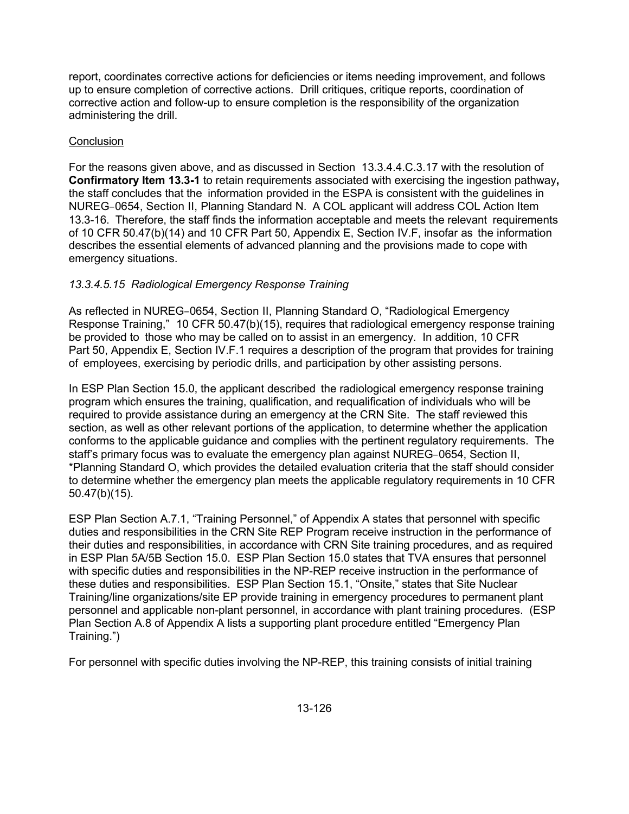report, coordinates corrective actions for deficiencies or items needing improvement, and follows up to ensure completion of corrective actions. Drill critiques, critique reports, coordination of corrective action and follow-up to ensure completion is the responsibility of the organization administering the drill.

## **Conclusion**

For the reasons given above, and as discussed in Section 13.3.4.4.C.3.17 with the resolution of **Confirmatory Item 13.3-1** to retain requirements associated with exercising the ingestion pathway**,**  the staff concludes that the information provided in the ESPA is consistent with the guidelines in NUREG–0654, Section II, Planning Standard N. A COL applicant will address COL Action Item 13.3-16. Therefore, the staff finds the information acceptable and meets the relevant requirements of 10 CFR 50.47(b)(14) and 10 CFR Part 50, Appendix E, Section IV.F, insofar as the information describes the essential elements of advanced planning and the provisions made to cope with emergency situations.

# *13.3.4.5.15 Radiological Emergency Response Training*

As reflected in NUREG–0654, Section II, Planning Standard O, "Radiological Emergency Response Training," 10 CFR 50.47(b)(15), requires that radiological emergency response training be provided to those who may be called on to assist in an emergency. In addition, 10 CFR Part 50, Appendix E, Section IV.F.1 requires a description of the program that provides for training of employees, exercising by periodic drills, and participation by other assisting persons.

In ESP Plan Section 15.0, the applicant described the radiological emergency response training program which ensures the training, qualification, and requalification of individuals who will be required to provide assistance during an emergency at the CRN Site. The staff reviewed this section, as well as other relevant portions of the application, to determine whether the application conforms to the applicable guidance and complies with the pertinent regulatory requirements. The staff's primary focus was to evaluate the emergency plan against NUREG–0654, Section II, \*Planning Standard O, which provides the detailed evaluation criteria that the staff should consider to determine whether the emergency plan meets the applicable regulatory requirements in 10 CFR 50.47(b)(15).

ESP Plan Section A.7.1, "Training Personnel," of Appendix A states that personnel with specific duties and responsibilities in the CRN Site REP Program receive instruction in the performance of their duties and responsibilities, in accordance with CRN Site training procedures, and as required in ESP Plan 5A/5B Section 15.0. ESP Plan Section 15.0 states that TVA ensures that personnel with specific duties and responsibilities in the NP-REP receive instruction in the performance of these duties and responsibilities. ESP Plan Section 15.1, "Onsite," states that Site Nuclear Training/line organizations/site EP provide training in emergency procedures to permanent plant personnel and applicable non-plant personnel, in accordance with plant training procedures. (ESP Plan Section A.8 of Appendix A lists a supporting plant procedure entitled "Emergency Plan Training.")

For personnel with specific duties involving the NP-REP, this training consists of initial training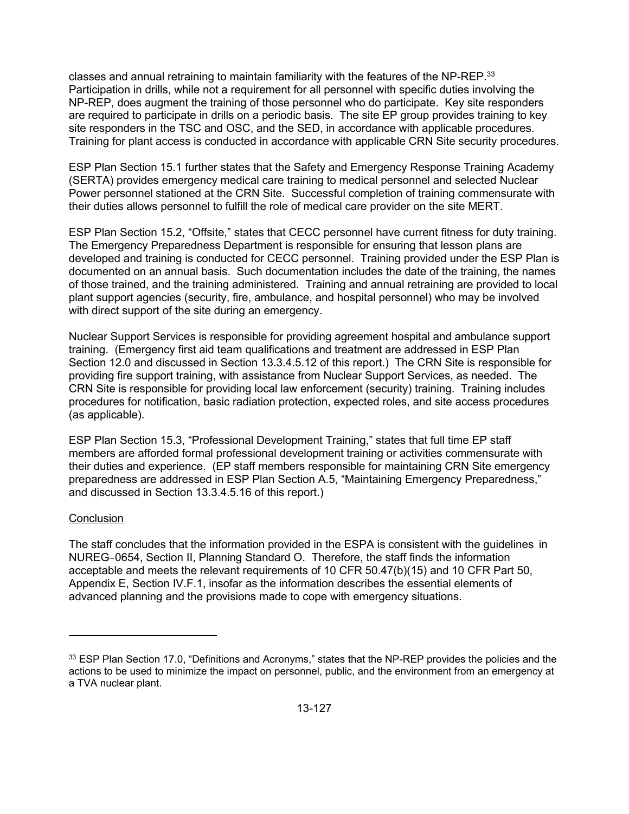classes and annual retraining to maintain familiarity with the features of the NP-REP. $33$ Participation in drills, while not a requirement for all personnel with specific duties involving the NP-REP, does augment the training of those personnel who do participate. Key site responders are required to participate in drills on a periodic basis. The site EP group provides training to key site responders in the TSC and OSC, and the SED, in accordance with applicable procedures. Training for plant access is conducted in accordance with applicable CRN Site security procedures.

ESP Plan Section 15.1 further states that the Safety and Emergency Response Training Academy (SERTA) provides emergency medical care training to medical personnel and selected Nuclear Power personnel stationed at the CRN Site. Successful completion of training commensurate with their duties allows personnel to fulfill the role of medical care provider on the site MERT.

ESP Plan Section 15.2, "Offsite," states that CECC personnel have current fitness for duty training. The Emergency Preparedness Department is responsible for ensuring that lesson plans are developed and training is conducted for CECC personnel. Training provided under the ESP Plan is documented on an annual basis. Such documentation includes the date of the training, the names of those trained, and the training administered. Training and annual retraining are provided to local plant support agencies (security, fire, ambulance, and hospital personnel) who may be involved with direct support of the site during an emergency.

Nuclear Support Services is responsible for providing agreement hospital and ambulance support training. (Emergency first aid team qualifications and treatment are addressed in ESP Plan Section 12.0 and discussed in Section 13.3.4.5.12 of this report.) The CRN Site is responsible for providing fire support training, with assistance from Nuclear Support Services, as needed. The CRN Site is responsible for providing local law enforcement (security) training. Training includes procedures for notification, basic radiation protection, expected roles, and site access procedures (as applicable).

ESP Plan Section 15.3, "Professional Development Training," states that full time EP staff members are afforded formal professional development training or activities commensurate with their duties and experience. (EP staff members responsible for maintaining CRN Site emergency preparedness are addressed in ESP Plan Section A.5, "Maintaining Emergency Preparedness," and discussed in Section 13.3.4.5.16 of this report.)

## **Conclusion**

**.** 

The staff concludes that the information provided in the ESPA is consistent with the guidelines in NUREG–0654, Section II, Planning Standard O. Therefore, the staff finds the information acceptable and meets the relevant requirements of 10 CFR 50.47(b)(15) and 10 CFR Part 50, Appendix E, Section IV.F.1, insofar as the information describes the essential elements of advanced planning and the provisions made to cope with emergency situations.

<sup>33</sup> ESP Plan Section 17.0, "Definitions and Acronyms," states that the NP-REP provides the policies and the actions to be used to minimize the impact on personnel, public, and the environment from an emergency at a TVA nuclear plant.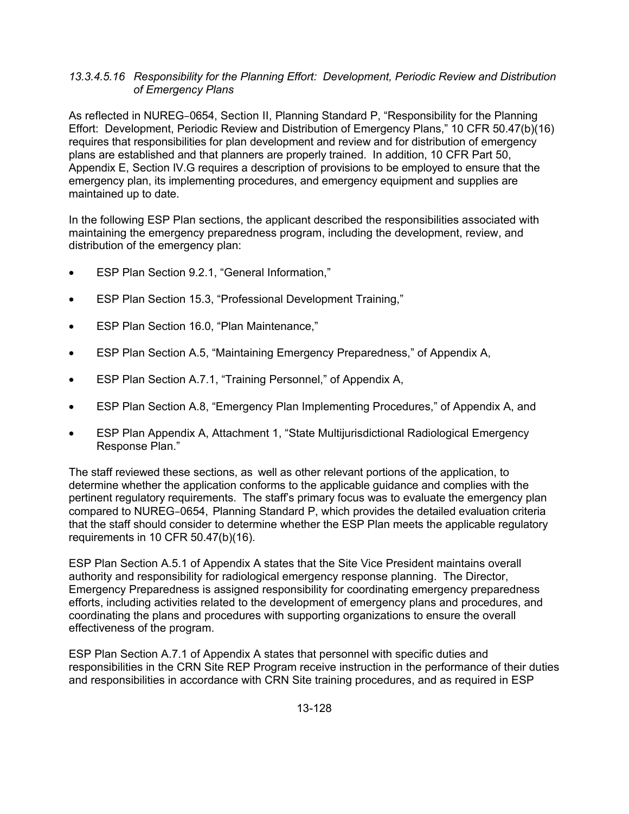### *13.3.4.5.16 Responsibility for the Planning Effort: Development, Periodic Review and Distribution of Emergency Plans*

As reflected in NUREG–0654, Section II, Planning Standard P, "Responsibility for the Planning Effort: Development, Periodic Review and Distribution of Emergency Plans," 10 CFR 50.47(b)(16) requires that responsibilities for plan development and review and for distribution of emergency plans are established and that planners are properly trained. In addition, 10 CFR Part 50, Appendix E, Section IV.G requires a description of provisions to be employed to ensure that the emergency plan, its implementing procedures, and emergency equipment and supplies are maintained up to date.

In the following ESP Plan sections, the applicant described the responsibilities associated with maintaining the emergency preparedness program, including the development, review, and distribution of the emergency plan:

- ESP Plan Section 9.2.1, "General Information,"
- ESP Plan Section 15.3, "Professional Development Training,"
- ESP Plan Section 16.0, "Plan Maintenance,"
- ESP Plan Section A.5, "Maintaining Emergency Preparedness," of Appendix A,
- ESP Plan Section A.7.1, "Training Personnel," of Appendix A,
- ESP Plan Section A.8, "Emergency Plan Implementing Procedures," of Appendix A, and
- ESP Plan Appendix A, Attachment 1, "State Multijurisdictional Radiological Emergency Response Plan."

The staff reviewed these sections, as well as other relevant portions of the application, to determine whether the application conforms to the applicable guidance and complies with the pertinent regulatory requirements. The staff's primary focus was to evaluate the emergency plan compared to NUREG–0654, Planning Standard P, which provides the detailed evaluation criteria that the staff should consider to determine whether the ESP Plan meets the applicable regulatory requirements in 10 CFR 50.47(b)(16).

ESP Plan Section A.5.1 of Appendix A states that the Site Vice President maintains overall authority and responsibility for radiological emergency response planning. The Director, Emergency Preparedness is assigned responsibility for coordinating emergency preparedness efforts, including activities related to the development of emergency plans and procedures, and coordinating the plans and procedures with supporting organizations to ensure the overall effectiveness of the program.

ESP Plan Section A.7.1 of Appendix A states that personnel with specific duties and responsibilities in the CRN Site REP Program receive instruction in the performance of their duties and responsibilities in accordance with CRN Site training procedures, and as required in ESP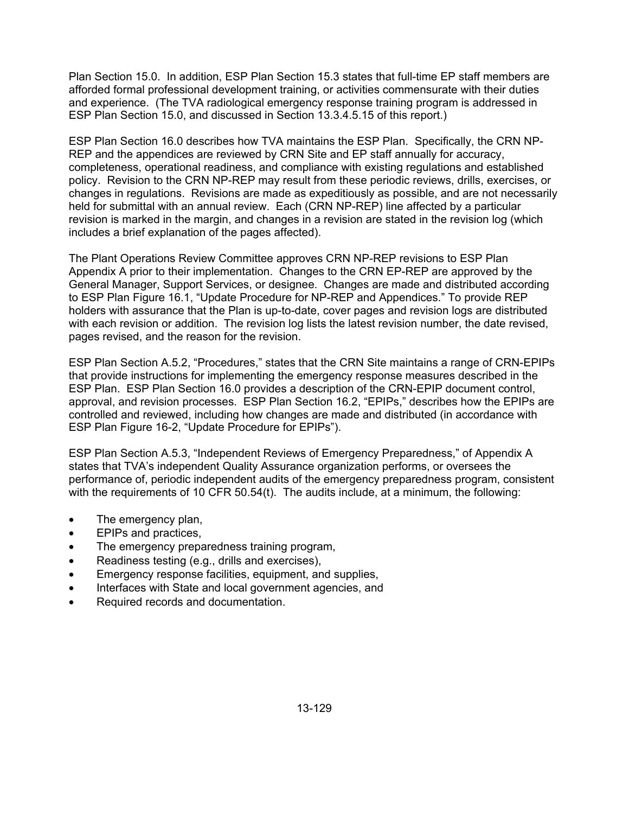Plan Section 15.0. In addition, ESP Plan Section 15.3 states that full-time EP staff members are afforded formal professional development training, or activities commensurate with their duties and experience. (The TVA radiological emergency response training program is addressed in ESP Plan Section 15.0, and discussed in Section 13.3.4.5.15 of this report.)

ESP Plan Section 16.0 describes how TVA maintains the ESP Plan. Specifically, the CRN NP-REP and the appendices are reviewed by CRN Site and EP staff annually for accuracy, completeness, operational readiness, and compliance with existing regulations and established policy. Revision to the CRN NP-REP may result from these periodic reviews, drills, exercises, or changes in regulations. Revisions are made as expeditiously as possible, and are not necessarily held for submittal with an annual review. Each (CRN NP-REP) line affected by a particular revision is marked in the margin, and changes in a revision are stated in the revision log (which includes a brief explanation of the pages affected).

The Plant Operations Review Committee approves CRN NP-REP revisions to ESP Plan Appendix A prior to their implementation. Changes to the CRN EP-REP are approved by the General Manager, Support Services, or designee. Changes are made and distributed according to ESP Plan Figure 16.1, "Update Procedure for NP-REP and Appendices." To provide REP holders with assurance that the Plan is up-to-date, cover pages and revision logs are distributed with each revision or addition. The revision log lists the latest revision number, the date revised, pages revised, and the reason for the revision.

ESP Plan Section A.5.2, "Procedures," states that the CRN Site maintains a range of CRN-EPIPs that provide instructions for implementing the emergency response measures described in the ESP Plan. ESP Plan Section 16.0 provides a description of the CRN-EPIP document control, approval, and revision processes. ESP Plan Section 16.2, "EPIPs," describes how the EPIPs are controlled and reviewed, including how changes are made and distributed (in accordance with ESP Plan Figure 16-2, "Update Procedure for EPIPs").

ESP Plan Section A.5.3, "Independent Reviews of Emergency Preparedness," of Appendix A states that TVA's independent Quality Assurance organization performs, or oversees the performance of, periodic independent audits of the emergency preparedness program, consistent with the requirements of 10 CFR 50.54(t). The audits include, at a minimum, the following:

- The emergency plan,
- EPIPs and practices,
- The emergency preparedness training program,
- Readiness testing (e.g., drills and exercises),
- Emergency response facilities, equipment, and supplies,
- Interfaces with State and local government agencies, and
- Required records and documentation.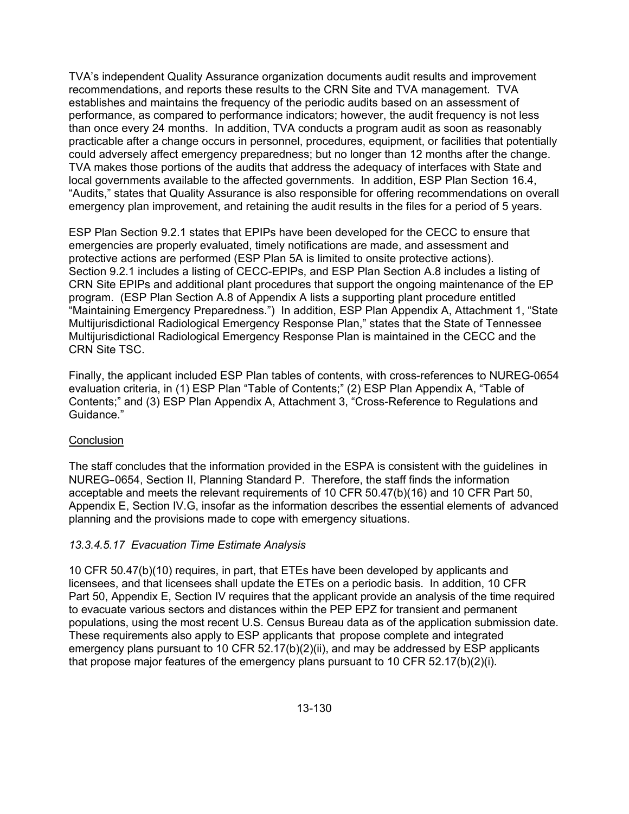TVA's independent Quality Assurance organization documents audit results and improvement recommendations, and reports these results to the CRN Site and TVA management. TVA establishes and maintains the frequency of the periodic audits based on an assessment of performance, as compared to performance indicators; however, the audit frequency is not less than once every 24 months. In addition, TVA conducts a program audit as soon as reasonably practicable after a change occurs in personnel, procedures, equipment, or facilities that potentially could adversely affect emergency preparedness; but no longer than 12 months after the change. TVA makes those portions of the audits that address the adequacy of interfaces with State and local governments available to the affected governments. In addition, ESP Plan Section 16.4, "Audits," states that Quality Assurance is also responsible for offering recommendations on overall emergency plan improvement, and retaining the audit results in the files for a period of 5 years.

ESP Plan Section 9.2.1 states that EPIPs have been developed for the CECC to ensure that emergencies are properly evaluated, timely notifications are made, and assessment and protective actions are performed (ESP Plan 5A is limited to onsite protective actions). Section 9.2.1 includes a listing of CECC-EPIPs, and ESP Plan Section A.8 includes a listing of CRN Site EPIPs and additional plant procedures that support the ongoing maintenance of the EP program. (ESP Plan Section A.8 of Appendix A lists a supporting plant procedure entitled "Maintaining Emergency Preparedness.") In addition, ESP Plan Appendix A, Attachment 1, "State Multijurisdictional Radiological Emergency Response Plan," states that the State of Tennessee Multijurisdictional Radiological Emergency Response Plan is maintained in the CECC and the CRN Site TSC.

Finally, the applicant included ESP Plan tables of contents, with cross-references to NUREG-0654 evaluation criteria, in (1) ESP Plan "Table of Contents;" (2) ESP Plan Appendix A, "Table of Contents;" and (3) ESP Plan Appendix A, Attachment 3, "Cross-Reference to Regulations and Guidance."

## **Conclusion**

The staff concludes that the information provided in the ESPA is consistent with the guidelines in NUREG–0654, Section II, Planning Standard P. Therefore, the staff finds the information acceptable and meets the relevant requirements of 10 CFR 50.47(b)(16) and 10 CFR Part 50, Appendix E, Section IV.G, insofar as the information describes the essential elements of advanced planning and the provisions made to cope with emergency situations.

## *13.3.4.5.17 Evacuation Time Estimate Analysis*

10 CFR 50.47(b)(10) requires, in part, that ETEs have been developed by applicants and licensees, and that licensees shall update the ETEs on a periodic basis. In addition, 10 CFR Part 50, Appendix E, Section IV requires that the applicant provide an analysis of the time required to evacuate various sectors and distances within the PEP EPZ for transient and permanent populations, using the most recent U.S. Census Bureau data as of the application submission date. These requirements also apply to ESP applicants that propose complete and integrated emergency plans pursuant to 10 CFR 52.17(b)(2)(ii), and may be addressed by ESP applicants that propose major features of the emergency plans pursuant to 10 CFR 52.17(b)(2)(i).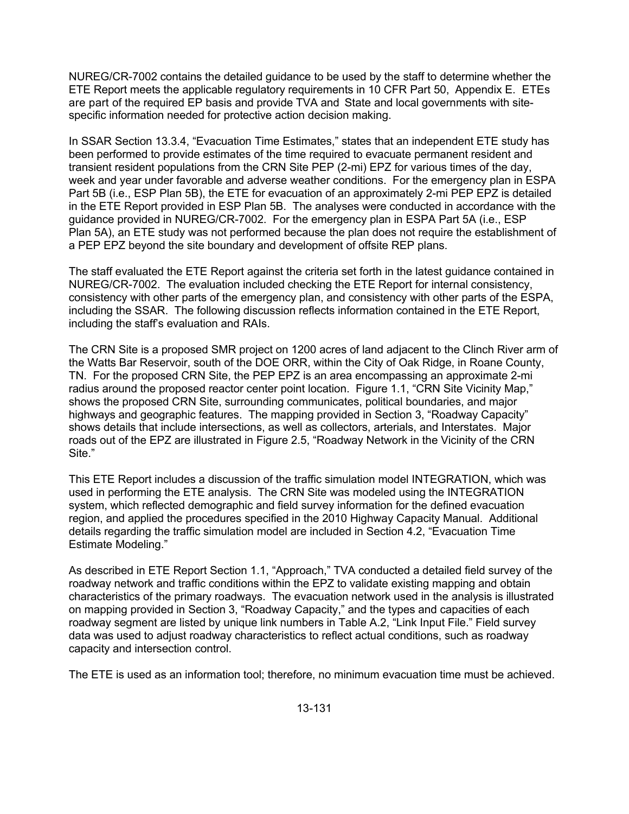NUREG/CR-7002 contains the detailed guidance to be used by the staff to determine whether the ETE Report meets the applicable regulatory requirements in 10 CFR Part 50, Appendix E. ETEs are part of the required EP basis and provide TVA and State and local governments with sitespecific information needed for protective action decision making.

In SSAR Section 13.3.4, "Evacuation Time Estimates," states that an independent ETE study has been performed to provide estimates of the time required to evacuate permanent resident and transient resident populations from the CRN Site PEP (2-mi) EPZ for various times of the day, week and year under favorable and adverse weather conditions. For the emergency plan in ESPA Part 5B (i.e., ESP Plan 5B), the ETE for evacuation of an approximately 2-mi PEP EPZ is detailed in the ETE Report provided in ESP Plan 5B. The analyses were conducted in accordance with the guidance provided in NUREG/CR-7002. For the emergency plan in ESPA Part 5A (i.e., ESP Plan 5A), an ETE study was not performed because the plan does not require the establishment of a PEP EPZ beyond the site boundary and development of offsite REP plans.

The staff evaluated the ETE Report against the criteria set forth in the latest guidance contained in NUREG/CR-7002. The evaluation included checking the ETE Report for internal consistency, consistency with other parts of the emergency plan, and consistency with other parts of the ESPA, including the SSAR. The following discussion reflects information contained in the ETE Report, including the staff's evaluation and RAIs.

The CRN Site is a proposed SMR project on 1200 acres of land adjacent to the Clinch River arm of the Watts Bar Reservoir, south of the DOE ORR, within the City of Oak Ridge, in Roane County, TN. For the proposed CRN Site, the PEP EPZ is an area encompassing an approximate 2-mi radius around the proposed reactor center point location. Figure 1.1, "CRN Site Vicinity Map," shows the proposed CRN Site, surrounding communicates, political boundaries, and major highways and geographic features. The mapping provided in Section 3, "Roadway Capacity" shows details that include intersections, as well as collectors, arterials, and Interstates. Major roads out of the EPZ are illustrated in Figure 2.5, "Roadway Network in the Vicinity of the CRN Site."

This ETE Report includes a discussion of the traffic simulation model INTEGRATION, which was used in performing the ETE analysis. The CRN Site was modeled using the INTEGRATION system, which reflected demographic and field survey information for the defined evacuation region, and applied the procedures specified in the 2010 Highway Capacity Manual. Additional details regarding the traffic simulation model are included in Section 4.2, "Evacuation Time Estimate Modeling."

As described in ETE Report Section 1.1, "Approach," TVA conducted a detailed field survey of the roadway network and traffic conditions within the EPZ to validate existing mapping and obtain characteristics of the primary roadways. The evacuation network used in the analysis is illustrated on mapping provided in Section 3, "Roadway Capacity," and the types and capacities of each roadway segment are listed by unique link numbers in Table A.2, "Link Input File." Field survey data was used to adjust roadway characteristics to reflect actual conditions, such as roadway capacity and intersection control.

The ETE is used as an information tool; therefore, no minimum evacuation time must be achieved.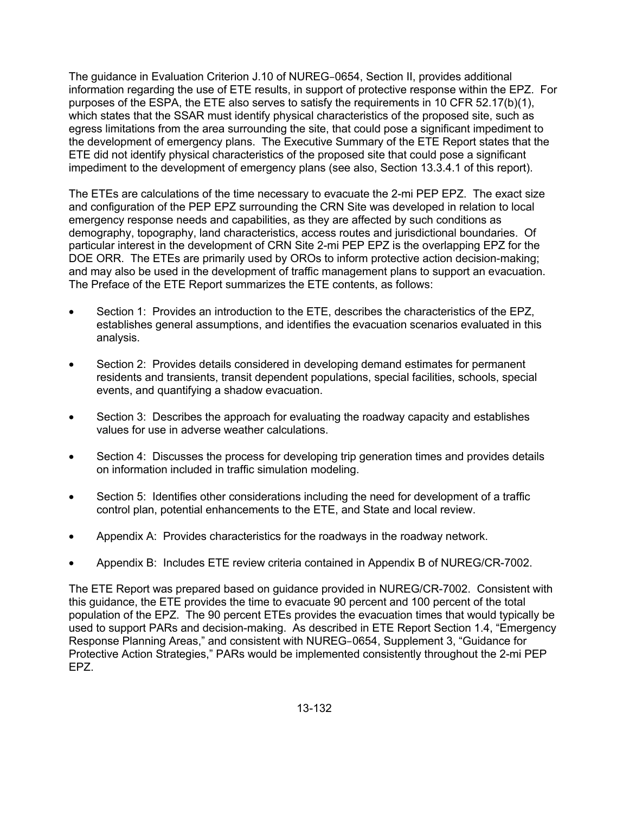The guidance in Evaluation Criterion J.10 of NUREG–0654, Section II, provides additional information regarding the use of ETE results, in support of protective response within the EPZ. For purposes of the ESPA, the ETE also serves to satisfy the requirements in 10 CFR 52.17(b)(1), which states that the SSAR must identify physical characteristics of the proposed site, such as egress limitations from the area surrounding the site, that could pose a significant impediment to the development of emergency plans. The Executive Summary of the ETE Report states that the ETE did not identify physical characteristics of the proposed site that could pose a significant impediment to the development of emergency plans (see also, Section 13.3.4.1 of this report).

The ETEs are calculations of the time necessary to evacuate the 2-mi PEP EPZ. The exact size and configuration of the PEP EPZ surrounding the CRN Site was developed in relation to local emergency response needs and capabilities, as they are affected by such conditions as demography, topography, land characteristics, access routes and jurisdictional boundaries. Of particular interest in the development of CRN Site 2-mi PEP EPZ is the overlapping EPZ for the DOE ORR. The ETEs are primarily used by OROs to inform protective action decision-making; and may also be used in the development of traffic management plans to support an evacuation. The Preface of the ETE Report summarizes the ETE contents, as follows:

- Section 1: Provides an introduction to the ETE, describes the characteristics of the EPZ, establishes general assumptions, and identifies the evacuation scenarios evaluated in this analysis.
- Section 2: Provides details considered in developing demand estimates for permanent residents and transients, transit dependent populations, special facilities, schools, special events, and quantifying a shadow evacuation.
- Section 3: Describes the approach for evaluating the roadway capacity and establishes values for use in adverse weather calculations.
- Section 4: Discusses the process for developing trip generation times and provides details on information included in traffic simulation modeling.
- Section 5: Identifies other considerations including the need for development of a traffic control plan, potential enhancements to the ETE, and State and local review.
- Appendix A: Provides characteristics for the roadways in the roadway network.
- Appendix B: Includes ETE review criteria contained in Appendix B of NUREG/CR-7002.

The ETE Report was prepared based on guidance provided in NUREG/CR-7002. Consistent with this guidance, the ETE provides the time to evacuate 90 percent and 100 percent of the total population of the EPZ. The 90 percent ETEs provides the evacuation times that would typically be used to support PARs and decision-making. As described in ETE Report Section 1.4, "Emergency Response Planning Areas," and consistent with NUREG–0654, Supplement 3, "Guidance for Protective Action Strategies," PARs would be implemented consistently throughout the 2-mi PEP EPZ.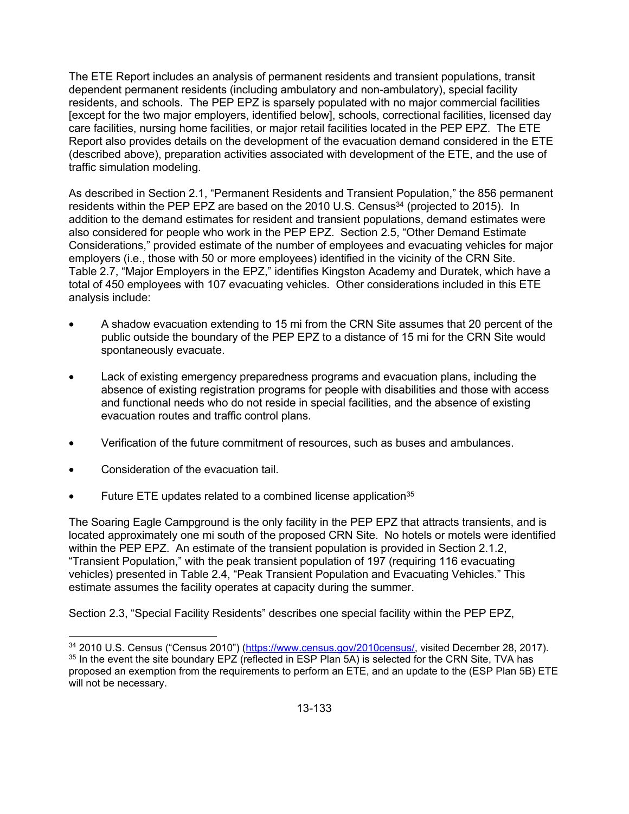The ETE Report includes an analysis of permanent residents and transient populations, transit dependent permanent residents (including ambulatory and non-ambulatory), special facility residents, and schools. The PEP EPZ is sparsely populated with no major commercial facilities [except for the two major employers, identified below], schools, correctional facilities, licensed day care facilities, nursing home facilities, or major retail facilities located in the PEP EPZ. The ETE Report also provides details on the development of the evacuation demand considered in the ETE (described above), preparation activities associated with development of the ETE, and the use of traffic simulation modeling.

As described in Section 2.1, "Permanent Residents and Transient Population," the 856 permanent residents within the PEP EPZ are based on the 2010 U.S. Census $34$  (projected to 2015). In addition to the demand estimates for resident and transient populations, demand estimates were also considered for people who work in the PEP EPZ. Section 2.5, "Other Demand Estimate Considerations," provided estimate of the number of employees and evacuating vehicles for major employers (i.e., those with 50 or more employees) identified in the vicinity of the CRN Site. Table 2.7, "Major Employers in the EPZ," identifies Kingston Academy and Duratek, which have a total of 450 employees with 107 evacuating vehicles. Other considerations included in this ETE analysis include:

- A shadow evacuation extending to 15 mi from the CRN Site assumes that 20 percent of the public outside the boundary of the PEP EPZ to a distance of 15 mi for the CRN Site would spontaneously evacuate.
- Lack of existing emergency preparedness programs and evacuation plans, including the absence of existing registration programs for people with disabilities and those with access and functional needs who do not reside in special facilities, and the absence of existing evacuation routes and traffic control plans.
- Verification of the future commitment of resources, such as buses and ambulances.
- Consideration of the evacuation tail.

 $\overline{a}$ 

Future ETE updates related to a combined license application<sup>35</sup>

The Soaring Eagle Campground is the only facility in the PEP EPZ that attracts transients, and is located approximately one mi south of the proposed CRN Site. No hotels or motels were identified within the PEP EPZ. An estimate of the transient population is provided in Section 2.1.2, "Transient Population," with the peak transient population of 197 (requiring 116 evacuating vehicles) presented in Table 2.4, "Peak Transient Population and Evacuating Vehicles." This estimate assumes the facility operates at capacity during the summer.

Section 2.3, "Special Facility Residents" describes one special facility within the PEP EPZ,

<sup>34 2010</sup> U.S. Census ("Census 2010") (https://www.census.gov/2010census/, visited December 28, 2017). 35 In the event the site boundary EPZ (reflected in ESP Plan 5A) is selected for the CRN Site, TVA has proposed an exemption from the requirements to perform an ETE, and an update to the (ESP Plan 5B) ETE will not be necessary.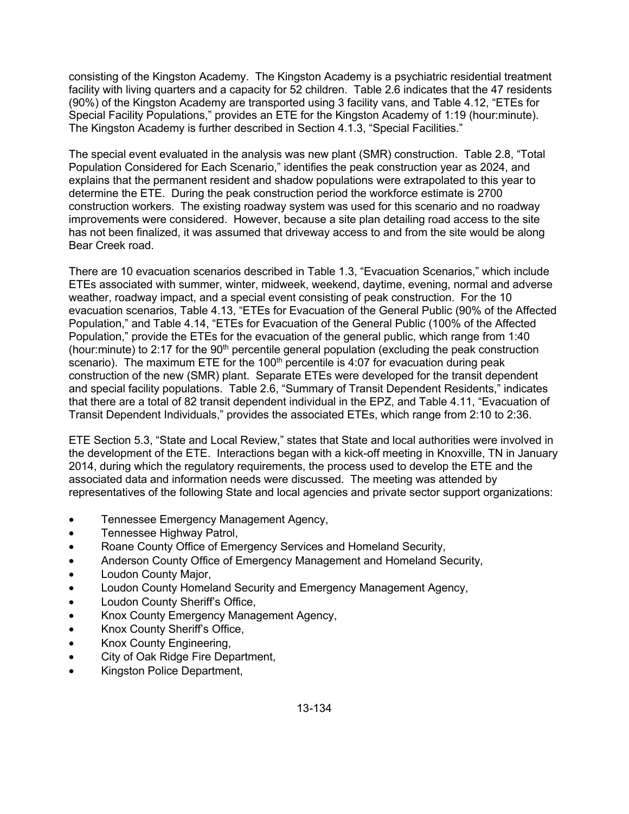consisting of the Kingston Academy. The Kingston Academy is a psychiatric residential treatment facility with living quarters and a capacity for 52 children. Table 2.6 indicates that the 47 residents (90%) of the Kingston Academy are transported using 3 facility vans, and Table 4.12, "ETEs for Special Facility Populations," provides an ETE for the Kingston Academy of 1:19 (hour:minute). The Kingston Academy is further described in Section 4.1.3, "Special Facilities."

The special event evaluated in the analysis was new plant (SMR) construction. Table 2.8, "Total Population Considered for Each Scenario," identifies the peak construction year as 2024, and explains that the permanent resident and shadow populations were extrapolated to this year to determine the ETE. During the peak construction period the workforce estimate is 2700 construction workers. The existing roadway system was used for this scenario and no roadway improvements were considered. However, because a site plan detailing road access to the site has not been finalized, it was assumed that driveway access to and from the site would be along Bear Creek road.

There are 10 evacuation scenarios described in Table 1.3, "Evacuation Scenarios," which include ETEs associated with summer, winter, midweek, weekend, daytime, evening, normal and adverse weather, roadway impact, and a special event consisting of peak construction. For the 10 evacuation scenarios, Table 4.13, "ETEs for Evacuation of the General Public (90% of the Affected Population," and Table 4.14, "ETEs for Evacuation of the General Public (100% of the Affected Population," provide the ETEs for the evacuation of the general public, which range from 1:40 (hour: minute) to 2:17 for the  $90<sup>th</sup>$  percentile general population (excluding the peak construction scenario). The maximum ETE for the 100<sup>th</sup> percentile is 4:07 for evacuation during peak construction of the new (SMR) plant. Separate ETEs were developed for the transit dependent and special facility populations. Table 2.6, "Summary of Transit Dependent Residents," indicates that there are a total of 82 transit dependent individual in the EPZ, and Table 4.11, "Evacuation of Transit Dependent Individuals," provides the associated ETEs, which range from 2:10 to 2:36.

ETE Section 5.3, "State and Local Review," states that State and local authorities were involved in the development of the ETE. Interactions began with a kick-off meeting in Knoxville, TN in January 2014, during which the regulatory requirements, the process used to develop the ETE and the associated data and information needs were discussed. The meeting was attended by representatives of the following State and local agencies and private sector support organizations:

- Tennessee Emergency Management Agency,
- Tennessee Highway Patrol,
- Roane County Office of Emergency Services and Homeland Security,
- Anderson County Office of Emergency Management and Homeland Security,
- Loudon County Major,
- Loudon County Homeland Security and Emergency Management Agency,
- Loudon County Sheriff's Office,
- Knox County Emergency Management Agency,
- Knox County Sheriff's Office,
- Knox County Engineering,
- City of Oak Ridge Fire Department,
- Kingston Police Department,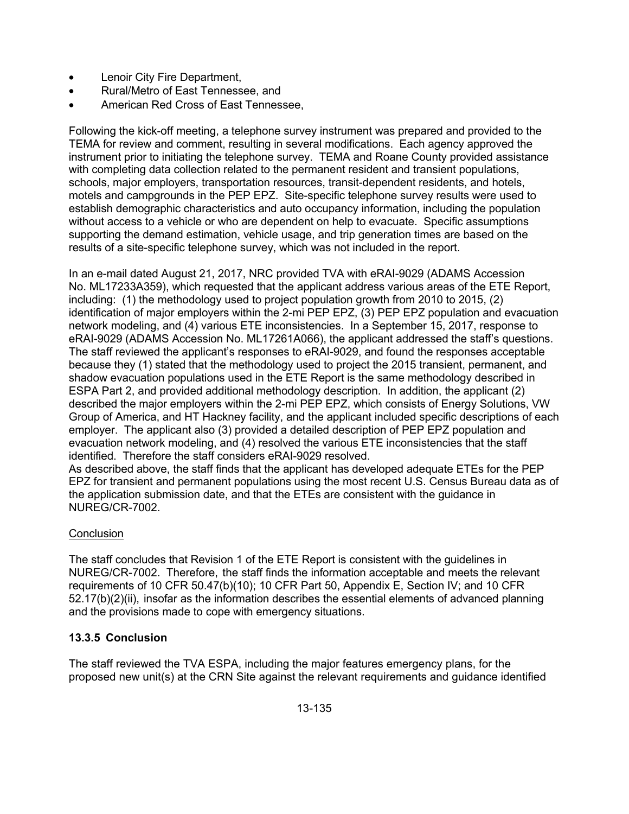- Lenoir City Fire Department,
- Rural/Metro of East Tennessee, and
- American Red Cross of East Tennessee,

Following the kick-off meeting, a telephone survey instrument was prepared and provided to the TEMA for review and comment, resulting in several modifications. Each agency approved the instrument prior to initiating the telephone survey. TEMA and Roane County provided assistance with completing data collection related to the permanent resident and transient populations, schools, major employers, transportation resources, transit-dependent residents, and hotels, motels and campgrounds in the PEP EPZ. Site-specific telephone survey results were used to establish demographic characteristics and auto occupancy information, including the population without access to a vehicle or who are dependent on help to evacuate. Specific assumptions supporting the demand estimation, vehicle usage, and trip generation times are based on the results of a site-specific telephone survey, which was not included in the report.

In an e-mail dated August 21, 2017, NRC provided TVA with eRAI-9029 (ADAMS Accession No. ML17233A359), which requested that the applicant address various areas of the ETE Report, including: (1) the methodology used to project population growth from 2010 to 2015, (2) identification of major employers within the 2-mi PEP EPZ, (3) PEP EPZ population and evacuation network modeling, and (4) various ETE inconsistencies. In a September 15, 2017, response to eRAI-9029 (ADAMS Accession No. ML17261A066), the applicant addressed the staff's questions. The staff reviewed the applicant's responses to eRAI-9029, and found the responses acceptable because they (1) stated that the methodology used to project the 2015 transient, permanent, and shadow evacuation populations used in the ETE Report is the same methodology described in ESPA Part 2, and provided additional methodology description. In addition, the applicant (2) described the major employers within the 2-mi PEP EPZ, which consists of Energy Solutions, VW Group of America, and HT Hackney facility, and the applicant included specific descriptions of each employer. The applicant also (3) provided a detailed description of PEP EPZ population and evacuation network modeling, and (4) resolved the various ETE inconsistencies that the staff identified. Therefore the staff considers eRAI-9029 resolved.

As described above, the staff finds that the applicant has developed adequate ETEs for the PEP EPZ for transient and permanent populations using the most recent U.S. Census Bureau data as of the application submission date, and that the ETEs are consistent with the guidance in NUREG/CR-7002.

# **Conclusion**

The staff concludes that Revision 1 of the ETE Report is consistent with the guidelines in NUREG/CR-7002. Therefore, the staff finds the information acceptable and meets the relevant requirements of 10 CFR 50.47(b)(10); 10 CFR Part 50, Appendix E, Section IV; and 10 CFR 52.17(b)(2)(ii), insofar as the information describes the essential elements of advanced planning and the provisions made to cope with emergency situations.

## **13.3.5 Conclusion**

The staff reviewed the TVA ESPA, including the major features emergency plans, for the proposed new unit(s) at the CRN Site against the relevant requirements and guidance identified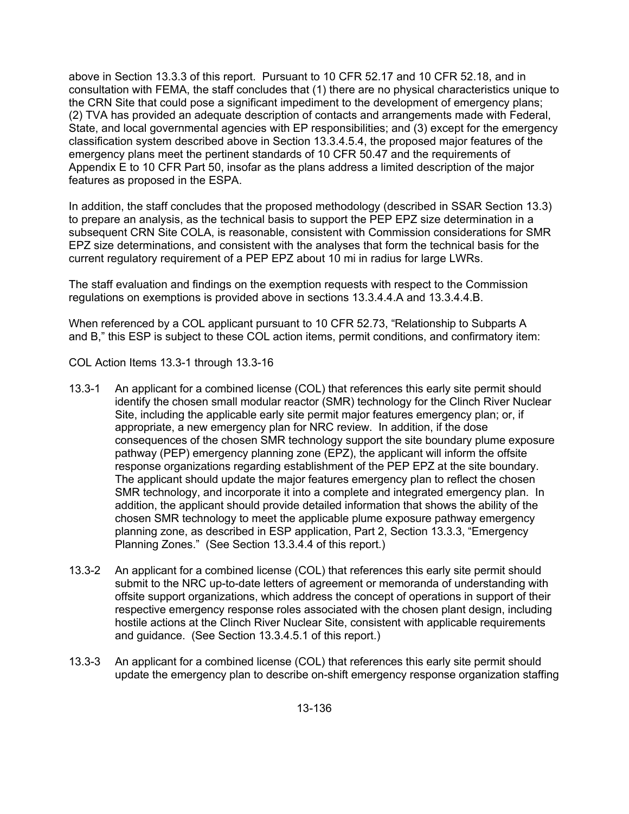above in Section 13.3.3 of this report. Pursuant to 10 CFR 52.17 and 10 CFR 52.18, and in consultation with FEMA, the staff concludes that (1) there are no physical characteristics unique to the CRN Site that could pose a significant impediment to the development of emergency plans; (2) TVA has provided an adequate description of contacts and arrangements made with Federal, State, and local governmental agencies with EP responsibilities; and (3) except for the emergency classification system described above in Section 13.3.4.5.4, the proposed major features of the emergency plans meet the pertinent standards of 10 CFR 50.47 and the requirements of Appendix E to 10 CFR Part 50, insofar as the plans address a limited description of the major features as proposed in the ESPA.

In addition, the staff concludes that the proposed methodology (described in SSAR Section 13.3) to prepare an analysis, as the technical basis to support the PEP EPZ size determination in a subsequent CRN Site COLA, is reasonable, consistent with Commission considerations for SMR EPZ size determinations, and consistent with the analyses that form the technical basis for the current regulatory requirement of a PEP EPZ about 10 mi in radius for large LWRs.

The staff evaluation and findings on the exemption requests with respect to the Commission regulations on exemptions is provided above in sections 13.3.4.4.A and 13.3.4.4.B.

When referenced by a COL applicant pursuant to 10 CFR 52.73, "Relationship to Subparts A and B," this ESP is subject to these COL action items, permit conditions, and confirmatory item:

COL Action Items 13.3-1 through 13.3-16

- 13.3-1 An applicant for a combined license (COL) that references this early site permit should identify the chosen small modular reactor (SMR) technology for the Clinch River Nuclear Site, including the applicable early site permit major features emergency plan; or, if appropriate, a new emergency plan for NRC review. In addition, if the dose consequences of the chosen SMR technology support the site boundary plume exposure pathway (PEP) emergency planning zone (EPZ), the applicant will inform the offsite response organizations regarding establishment of the PEP EPZ at the site boundary. The applicant should update the major features emergency plan to reflect the chosen SMR technology, and incorporate it into a complete and integrated emergency plan. In addition, the applicant should provide detailed information that shows the ability of the chosen SMR technology to meet the applicable plume exposure pathway emergency planning zone, as described in ESP application, Part 2, Section 13.3.3, "Emergency Planning Zones." (See Section 13.3.4.4 of this report.)
- 13.3-2 An applicant for a combined license (COL) that references this early site permit should submit to the NRC up-to-date letters of agreement or memoranda of understanding with offsite support organizations, which address the concept of operations in support of their respective emergency response roles associated with the chosen plant design, including hostile actions at the Clinch River Nuclear Site, consistent with applicable requirements and guidance. (See Section 13.3.4.5.1 of this report.)
- 13.3-3 An applicant for a combined license (COL) that references this early site permit should update the emergency plan to describe on-shift emergency response organization staffing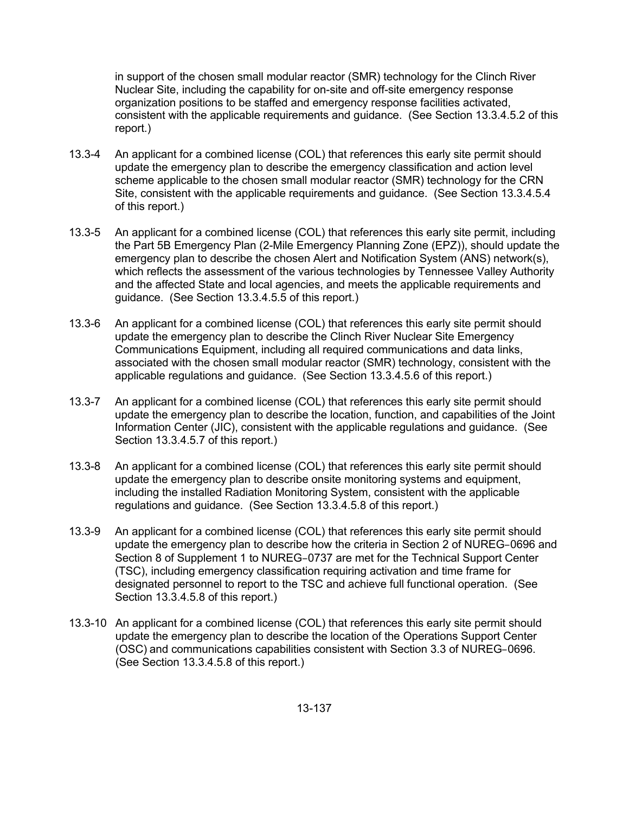in support of the chosen small modular reactor (SMR) technology for the Clinch River Nuclear Site, including the capability for on-site and off-site emergency response organization positions to be staffed and emergency response facilities activated, consistent with the applicable requirements and guidance. (See Section 13.3.4.5.2 of this report.)

- 13.3-4 An applicant for a combined license (COL) that references this early site permit should update the emergency plan to describe the emergency classification and action level scheme applicable to the chosen small modular reactor (SMR) technology for the CRN Site, consistent with the applicable requirements and guidance. (See Section 13.3.4.5.4 of this report.)
- 13.3-5 An applicant for a combined license (COL) that references this early site permit, including the Part 5B Emergency Plan (2-Mile Emergency Planning Zone (EPZ)), should update the emergency plan to describe the chosen Alert and Notification System (ANS) network(s), which reflects the assessment of the various technologies by Tennessee Valley Authority and the affected State and local agencies, and meets the applicable requirements and guidance. (See Section 13.3.4.5.5 of this report.)
- 13.3-6 An applicant for a combined license (COL) that references this early site permit should update the emergency plan to describe the Clinch River Nuclear Site Emergency Communications Equipment, including all required communications and data links, associated with the chosen small modular reactor (SMR) technology, consistent with the applicable regulations and guidance. (See Section 13.3.4.5.6 of this report.)
- 13.3-7 An applicant for a combined license (COL) that references this early site permit should update the emergency plan to describe the location, function, and capabilities of the Joint Information Center (JIC), consistent with the applicable regulations and guidance. (See Section 13.3.4.5.7 of this report.)
- 13.3-8 An applicant for a combined license (COL) that references this early site permit should update the emergency plan to describe onsite monitoring systems and equipment, including the installed Radiation Monitoring System, consistent with the applicable regulations and guidance. (See Section 13.3.4.5.8 of this report.)
- 13.3-9 An applicant for a combined license (COL) that references this early site permit should update the emergency plan to describe how the criteria in Section 2 of NUREG–0696 and Section 8 of Supplement 1 to NUREG–0737 are met for the Technical Support Center (TSC), including emergency classification requiring activation and time frame for designated personnel to report to the TSC and achieve full functional operation. (See Section 13.3.4.5.8 of this report.)
- 13.3-10 An applicant for a combined license (COL) that references this early site permit should update the emergency plan to describe the location of the Operations Support Center (OSC) and communications capabilities consistent with Section 3.3 of NUREG–0696. (See Section 13.3.4.5.8 of this report.)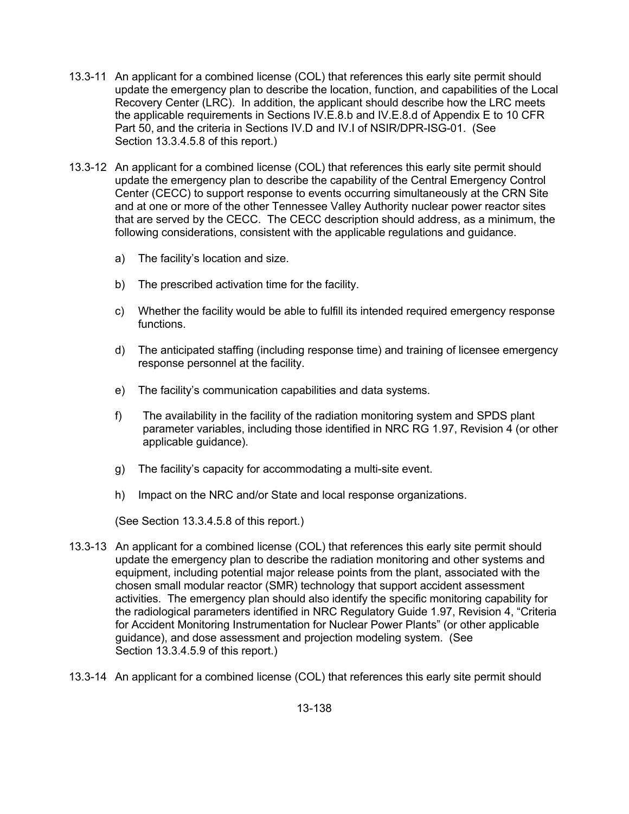- 13.3-11 An applicant for a combined license (COL) that references this early site permit should update the emergency plan to describe the location, function, and capabilities of the Local Recovery Center (LRC). In addition, the applicant should describe how the LRC meets the applicable requirements in Sections IV.E.8.b and IV.E.8.d of Appendix E to 10 CFR Part 50, and the criteria in Sections IV.D and IV.I of NSIR/DPR-ISG-01. (See Section 13.3.4.5.8 of this report.)
- 13.3-12 An applicant for a combined license (COL) that references this early site permit should update the emergency plan to describe the capability of the Central Emergency Control Center (CECC) to support response to events occurring simultaneously at the CRN Site and at one or more of the other Tennessee Valley Authority nuclear power reactor sites that are served by the CECC. The CECC description should address, as a minimum, the following considerations, consistent with the applicable regulations and guidance.
	- a) The facility's location and size.
	- b) The prescribed activation time for the facility.
	- c) Whether the facility would be able to fulfill its intended required emergency response functions.
	- d) The anticipated staffing (including response time) and training of licensee emergency response personnel at the facility.
	- e) The facility's communication capabilities and data systems.
	- f) The availability in the facility of the radiation monitoring system and SPDS plant parameter variables, including those identified in NRC RG 1.97, Revision 4 (or other applicable guidance).
	- g) The facility's capacity for accommodating a multi-site event.
	- h) Impact on the NRC and/or State and local response organizations.

(See Section 13.3.4.5.8 of this report.)

- 13.3-13 An applicant for a combined license (COL) that references this early site permit should update the emergency plan to describe the radiation monitoring and other systems and equipment, including potential major release points from the plant, associated with the chosen small modular reactor (SMR) technology that support accident assessment activities. The emergency plan should also identify the specific monitoring capability for the radiological parameters identified in NRC Regulatory Guide 1.97, Revision 4, "Criteria for Accident Monitoring Instrumentation for Nuclear Power Plants" (or other applicable guidance), and dose assessment and projection modeling system. (See Section 13.3.4.5.9 of this report.)
- 13.3-14 An applicant for a combined license (COL) that references this early site permit should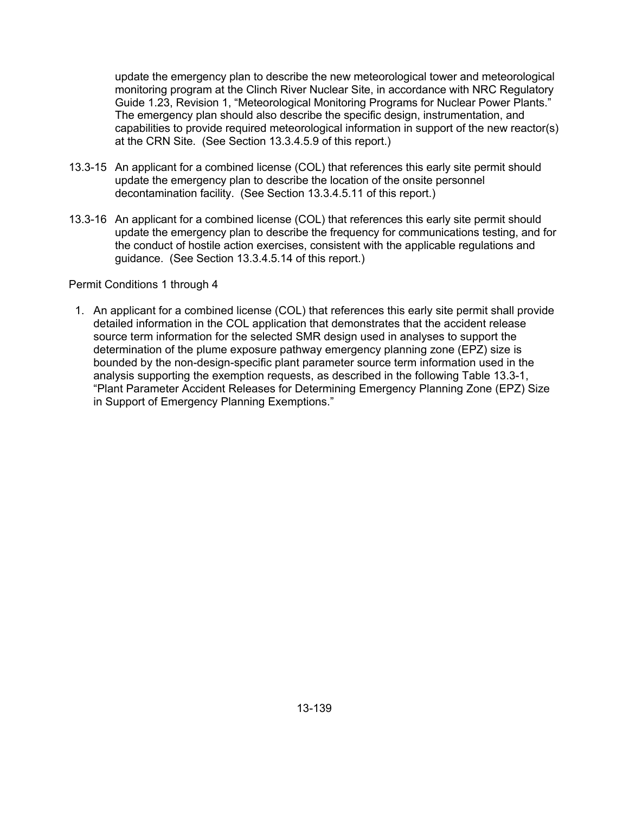update the emergency plan to describe the new meteorological tower and meteorological monitoring program at the Clinch River Nuclear Site, in accordance with NRC Regulatory Guide 1.23, Revision 1, "Meteorological Monitoring Programs for Nuclear Power Plants." The emergency plan should also describe the specific design, instrumentation, and capabilities to provide required meteorological information in support of the new reactor(s) at the CRN Site. (See Section 13.3.4.5.9 of this report.)

- 13.3-15 An applicant for a combined license (COL) that references this early site permit should update the emergency plan to describe the location of the onsite personnel decontamination facility. (See Section 13.3.4.5.11 of this report.)
- 13.3-16 An applicant for a combined license (COL) that references this early site permit should update the emergency plan to describe the frequency for communications testing, and for the conduct of hostile action exercises, consistent with the applicable regulations and guidance. (See Section 13.3.4.5.14 of this report.)

### Permit Conditions 1 through 4

1. An applicant for a combined license (COL) that references this early site permit shall provide detailed information in the COL application that demonstrates that the accident release source term information for the selected SMR design used in analyses to support the determination of the plume exposure pathway emergency planning zone (EPZ) size is bounded by the non-design-specific plant parameter source term information used in the analysis supporting the exemption requests, as described in the following Table 13.3-1, "Plant Parameter Accident Releases for Determining Emergency Planning Zone (EPZ) Size in Support of Emergency Planning Exemptions."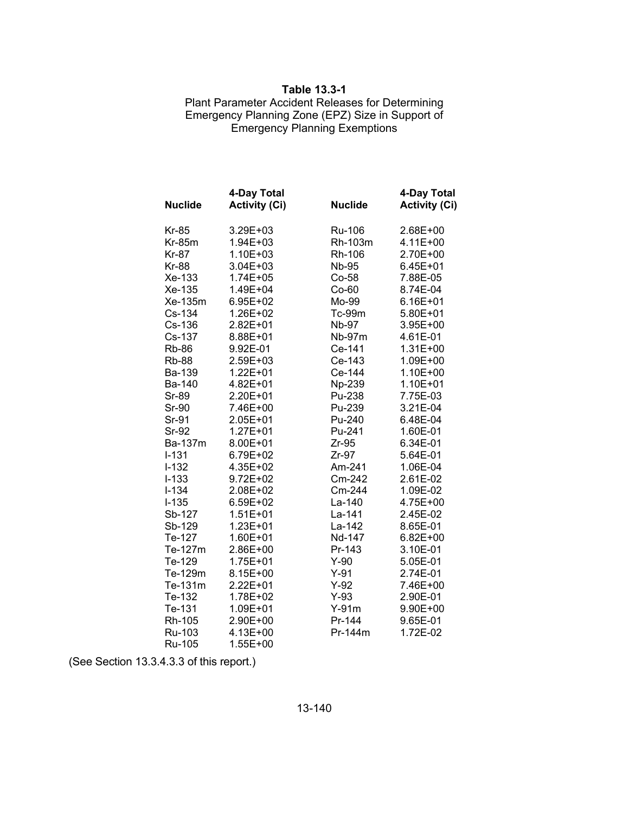#### **Table 13.3-1**

### Plant Parameter Accident Releases for Determining Emergency Planning Zone (EPZ) Size in Support of Emergency Planning Exemptions

| <b>Nuclide</b> | 4-Day Total<br><b>Activity (Ci)</b> | <b>Nuclide</b> | 4-Day Total<br><b>Activity (Ci)</b> |
|----------------|-------------------------------------|----------------|-------------------------------------|
| <b>Kr-85</b>   | 3.29E+03                            | <b>Ru-106</b>  | 2.68E+00                            |
| $Kr-85m$       | 1.94E+03                            | Rh-103m        | 4.11E+00                            |
| Kr-87          | 1.10E+03                            | Rh-106         | 2.70E+00                            |
| <b>Kr-88</b>   | $3.04E + 03$                        | Nb-95          | $6.45E + 01$                        |
| Xe-133         | 1.74E+05                            | Co-58          | 7.88E-05                            |
| Xe-135         | 1.49E+04                            | $Co-60$        | 8.74E-04                            |
| Xe-135m        | 6.95E+02                            | Mo-99          | 6.16E+01                            |
| Cs-134         | 1.26E+02                            | <b>Tc-99m</b>  | 5.80E+01                            |
| Cs-136         | 2.82E+01                            | <b>Nb-97</b>   | 3.95E+00                            |
| Cs-137         | 8.88E+01                            | <b>Nb-97m</b>  | 4.61E-01                            |
| <b>Rb-86</b>   | 9.92E-01                            | Ce-141         | 1.31E+00                            |
| <b>Rb-88</b>   | 2.59E+03                            | Ce-143         | 1.09E+00                            |
| Ba-139         | 1.22E+01                            | Ce-144         | 1.10E+00                            |
| Ba-140         | 4.82E+01                            | Np-239         | 1.10E+01                            |
| Sr-89          | 2.20E+01                            | Pu-238         | 7.75E-03                            |
| Sr-90          | 7.46E+00                            | Pu-239         | 3.21E-04                            |
| Sr-91          | 2.05E+01                            | Pu-240         | 6.48E-04                            |
| Sr-92          | 1.27E+01                            | Pu-241         | 1.60E-01                            |
| Ba-137m        | 8.00E+01                            | $Zr-95$        | 6.34E-01                            |
| <b>I-131</b>   | 6.79E+02                            | $Zr-97$        | 5.64E-01                            |
| $I-132$        | 4.35E+02                            | Am-241         | 1.06E-04                            |
| $I - 133$      | 9.72E+02                            | Cm-242         | 2.61E-02                            |
| $I - 134$      | 2.08E+02                            | Cm-244         | 1.09E-02                            |
| $I-135$        | 6.59E+02                            | La-140         | 4.75E+00                            |
| Sb-127         | $1.51E + 01$                        | La-141         | 2.45E-02                            |
| Sb-129         | 1.23E+01                            | La-142         | 8.65E-01                            |
| Te-127         | 1.60E+01                            | Nd-147         | $6.82E + 00$                        |
| Te-127m        | 2.86E+00                            | Pr-143         | 3.10E-01                            |
| Te-129         | 1.75E+01                            | $Y-90$         | 5.05E-01                            |
| Te-129m        | 8.15E+00                            | $Y-91$         | 2.74E-01                            |
| Te-131m        | 2.22E+01                            | $Y-92$         | 7.46E+00                            |
| Te-132         | 1.78E+02                            | $Y-93$         | 2.90E-01                            |
| Te-131         | 1.09E+01                            | $Y-91m$        | 9.90E+00                            |
| Rh-105         | 2.90E+00                            | Pr-144         | 9.65E-01                            |
| Ru-103         | 4.13E+00                            | Pr-144m        | 1.72E-02                            |
| <b>Ru-105</b>  | 1.55E+00                            |                |                                     |

(See Section 13.3.4.3.3 of this report.)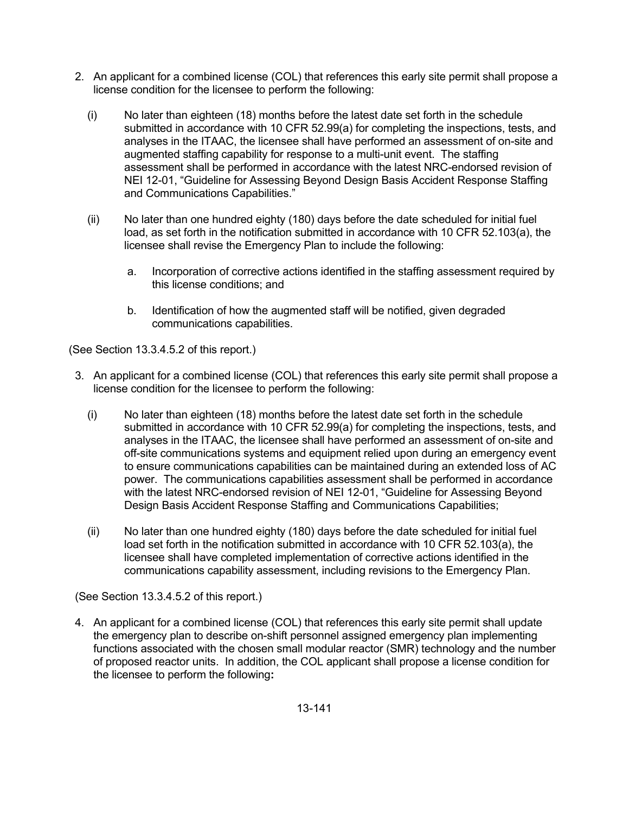- 2. An applicant for a combined license (COL) that references this early site permit shall propose a license condition for the licensee to perform the following:
	- (i) No later than eighteen (18) months before the latest date set forth in the schedule submitted in accordance with 10 CFR 52.99(a) for completing the inspections, tests, and analyses in the ITAAC, the licensee shall have performed an assessment of on-site and augmented staffing capability for response to a multi-unit event. The staffing assessment shall be performed in accordance with the latest NRC-endorsed revision of NEI 12-01, "Guideline for Assessing Beyond Design Basis Accident Response Staffing and Communications Capabilities."
	- (ii) No later than one hundred eighty (180) days before the date scheduled for initial fuel load, as set forth in the notification submitted in accordance with 10 CFR 52.103(a), the licensee shall revise the Emergency Plan to include the following:
		- a. Incorporation of corrective actions identified in the staffing assessment required by this license conditions; and
		- b. Identification of how the augmented staff will be notified, given degraded communications capabilities.

(See Section 13.3.4.5.2 of this report.)

- 3. An applicant for a combined license (COL) that references this early site permit shall propose a license condition for the licensee to perform the following:
	- (i) No later than eighteen (18) months before the latest date set forth in the schedule submitted in accordance with 10 CFR 52.99(a) for completing the inspections, tests, and analyses in the ITAAC, the licensee shall have performed an assessment of on-site and off-site communications systems and equipment relied upon during an emergency event to ensure communications capabilities can be maintained during an extended loss of AC power. The communications capabilities assessment shall be performed in accordance with the latest NRC-endorsed revision of NEI 12-01, "Guideline for Assessing Beyond Design Basis Accident Response Staffing and Communications Capabilities;
	- (ii) No later than one hundred eighty (180) days before the date scheduled for initial fuel load set forth in the notification submitted in accordance with 10 CFR 52.103(a), the licensee shall have completed implementation of corrective actions identified in the communications capability assessment, including revisions to the Emergency Plan.

(See Section 13.3.4.5.2 of this report.)

4. An applicant for a combined license (COL) that references this early site permit shall update the emergency plan to describe on-shift personnel assigned emergency plan implementing functions associated with the chosen small modular reactor (SMR) technology and the number of proposed reactor units. In addition, the COL applicant shall propose a license condition for the licensee to perform the following**:**